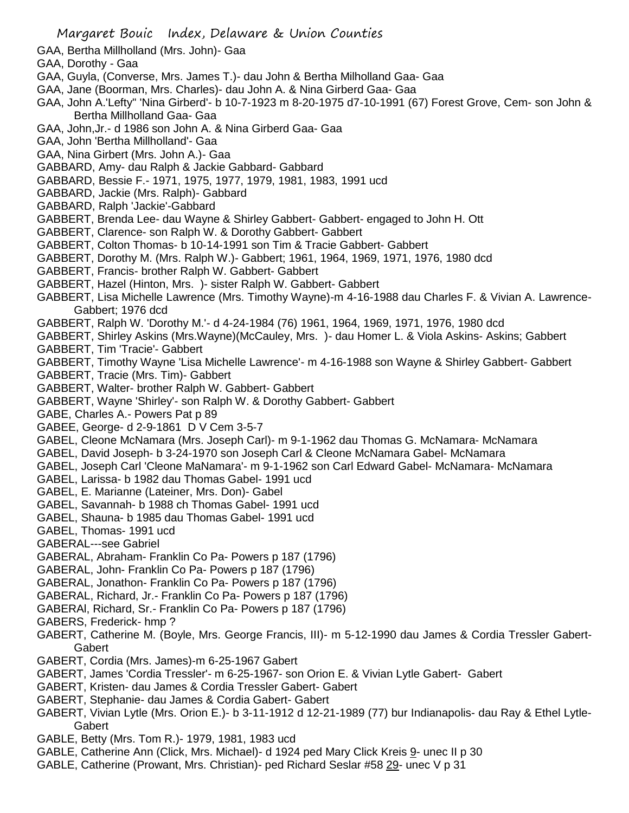- GAA, Bertha Millholland (Mrs. John)- Gaa
- GAA, Dorothy Gaa
- GAA, Guyla, (Converse, Mrs. James T.)- dau John & Bertha Milholland Gaa- Gaa
- GAA, Jane (Boorman, Mrs. Charles)- dau John A. & Nina Girberd Gaa- Gaa
- GAA, John A.'Lefty" 'Nina Girberd'- b 10-7-1923 m 8-20-1975 d7-10-1991 (67) Forest Grove, Cem- son John & Bertha Millholland Gaa- Gaa
- GAA, John,Jr.- d 1986 son John A. & Nina Girberd Gaa- Gaa
- GAA, John 'Bertha Millholland'- Gaa
- GAA, Nina Girbert (Mrs. John A.)- Gaa
- GABBARD, Amy- dau Ralph & Jackie Gabbard- Gabbard
- GABBARD, Bessie F.- 1971, 1975, 1977, 1979, 1981, 1983, 1991 ucd
- GABBARD, Jackie (Mrs. Ralph)- Gabbard
- GABBARD, Ralph 'Jackie'-Gabbard
- GABBERT, Brenda Lee- dau Wayne & Shirley Gabbert- Gabbert- engaged to John H. Ott
- GABBERT, Clarence- son Ralph W. & Dorothy Gabbert- Gabbert
- GABBERT, Colton Thomas- b 10-14-1991 son Tim & Tracie Gabbert- Gabbert
- GABBERT, Dorothy M. (Mrs. Ralph W.)- Gabbert; 1961, 1964, 1969, 1971, 1976, 1980 dcd
- GABBERT, Francis- brother Ralph W. Gabbert- Gabbert
- GABBERT, Hazel (Hinton, Mrs. )- sister Ralph W. Gabbert- Gabbert
- GABBERT, Lisa Michelle Lawrence (Mrs. Timothy Wayne)-m 4-16-1988 dau Charles F. & Vivian A. Lawrence-Gabbert; 1976 dcd
- GABBERT, Ralph W. 'Dorothy M.'- d 4-24-1984 (76) 1961, 1964, 1969, 1971, 1976, 1980 dcd
- GABBERT, Shirley Askins (Mrs.Wayne)(McCauley, Mrs. )- dau Homer L. & Viola Askins- Askins; Gabbert
- GABBERT, Tim 'Tracie'- Gabbert
- GABBERT, Timothy Wayne 'Lisa Michelle Lawrence'- m 4-16-1988 son Wayne & Shirley Gabbert- Gabbert
- GABBERT, Tracie (Mrs. Tim)- Gabbert
- GABBERT, Walter- brother Ralph W. Gabbert- Gabbert
- GABBERT, Wayne 'Shirley'- son Ralph W. & Dorothy Gabbert- Gabbert
- GABE, Charles A.- Powers Pat p 89
- GABEE, George- d 2-9-1861 D V Cem 3-5-7
- GABEL, Cleone McNamara (Mrs. Joseph Carl)- m 9-1-1962 dau Thomas G. McNamara- McNamara
- GABEL, David Joseph- b 3-24-1970 son Joseph Carl & Cleone McNamara Gabel- McNamara
- GABEL, Joseph Carl 'Cleone MaNamara'- m 9-1-1962 son Carl Edward Gabel- McNamara- McNamara
- GABEL, Larissa- b 1982 dau Thomas Gabel- 1991 ucd
- GABEL, E. Marianne (Lateiner, Mrs. Don)- Gabel
- GABEL, Savannah- b 1988 ch Thomas Gabel- 1991 ucd
- GABEL, Shauna- b 1985 dau Thomas Gabel- 1991 ucd
- GABEL, Thomas- 1991 ucd
- GABERAL---see Gabriel
- GABERAL, Abraham- Franklin Co Pa- Powers p 187 (1796)
- GABERAL, John- Franklin Co Pa- Powers p 187 (1796)
- GABERAL, Jonathon- Franklin Co Pa- Powers p 187 (1796)
- GABERAL, Richard, Jr.- Franklin Co Pa- Powers p 187 (1796)
- GABERAl, Richard, Sr.- Franklin Co Pa- Powers p 187 (1796)
- GABERS, Frederick- hmp ?
- GABERT, Catherine M. (Boyle, Mrs. George Francis, III)- m 5-12-1990 dau James & Cordia Tressler Gabert-**Gabert**
- GABERT, Cordia (Mrs. James)-m 6-25-1967 Gabert
- GABERT, James 'Cordia Tressler'- m 6-25-1967- son Orion E. & Vivian Lytle Gabert- Gabert
- GABERT, Kristen- dau James & Cordia Tressler Gabert- Gabert
- GABERT, Stephanie- dau James & Cordia Gabert- Gabert
- GABERT, Vivian Lytle (Mrs. Orion E.)- b 3-11-1912 d 12-21-1989 (77) bur Indianapolis- dau Ray & Ethel Lytle-**Gabert**
- GABLE, Betty (Mrs. Tom R.)- 1979, 1981, 1983 ucd
- GABLE, Catherine Ann (Click, Mrs. Michael)- d 1924 ped Mary Click Kreis 9- unec II p 30
- GABLE, Catherine (Prowant, Mrs. Christian)- ped Richard Seslar #58 29- unec V p 31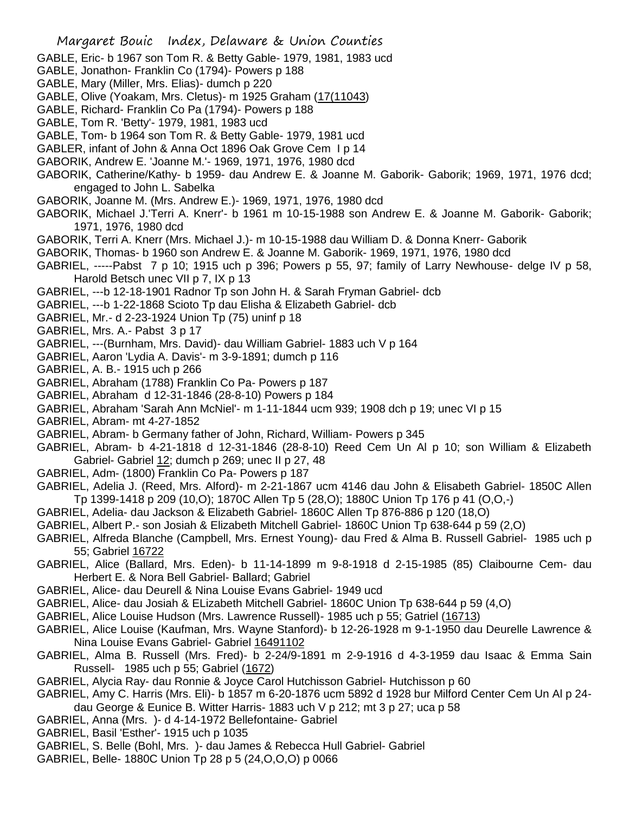- GABLE, Eric- b 1967 son Tom R. & Betty Gable- 1979, 1981, 1983 ucd
- GABLE, Jonathon- Franklin Co (1794)- Powers p 188
- GABLE, Mary (Miller, Mrs. Elias)- dumch p 220
- GABLE, Olive (Yoakam, Mrs. Cletus)- m 1925 Graham (17(11043)
- GABLE, Richard- Franklin Co Pa (1794)- Powers p 188
- GABLE, Tom R. 'Betty'- 1979, 1981, 1983 ucd
- GABLE, Tom- b 1964 son Tom R. & Betty Gable- 1979, 1981 ucd
- GABLER, infant of John & Anna Oct 1896 Oak Grove Cem I p 14
- GABORIK, Andrew E. 'Joanne M.'- 1969, 1971, 1976, 1980 dcd
- GABORIK, Catherine/Kathy- b 1959- dau Andrew E. & Joanne M. Gaborik- Gaborik; 1969, 1971, 1976 dcd; engaged to John L. Sabelka
- GABORIK, Joanne M. (Mrs. Andrew E.)- 1969, 1971, 1976, 1980 dcd
- GABORIK, Michael J.'Terri A. Knerr'- b 1961 m 10-15-1988 son Andrew E. & Joanne M. Gaborik- Gaborik; 1971, 1976, 1980 dcd
- GABORIK, Terri A. Knerr (Mrs. Michael J.)- m 10-15-1988 dau William D. & Donna Knerr- Gaborik
- GABORIK, Thomas- b 1960 son Andrew E. & Joanne M. Gaborik- 1969, 1971, 1976, 1980 dcd
- GABRIEL, -----Pabst 7 p 10; 1915 uch p 396; Powers p 55, 97; family of Larry Newhouse- delge IV p 58, Harold Betsch unec VII p 7, IX p 13
- GABRIEL, ---b 12-18-1901 Radnor Tp son John H. & Sarah Fryman Gabriel- dcb
- GABRIEL, ---b 1-22-1868 Scioto Tp dau Elisha & Elizabeth Gabriel- dcb
- GABRIEL, Mr.- d 2-23-1924 Union Tp (75) uninf p 18
- GABRIEL, Mrs. A.- Pabst 3 p 17
- GABRIEL, ---(Burnham, Mrs. David)- dau William Gabriel- 1883 uch V p 164
- GABRIEL, Aaron 'Lydia A. Davis'- m 3-9-1891; dumch p 116
- GABRIEL, A. B.- 1915 uch p 266
- GABRIEL, Abraham (1788) Franklin Co Pa- Powers p 187
- GABRIEL, Abraham d 12-31-1846 (28-8-10) Powers p 184
- GABRIEL, Abraham 'Sarah Ann McNiel'- m 1-11-1844 ucm 939; 1908 dch p 19; unec VI p 15
- GABRIEL, Abram- mt 4-27-1852
- GABRIEL, Abram- b Germany father of John, Richard, William- Powers p 345
- GABRIEL, Abram- b 4-21-1818 d 12-31-1846 (28-8-10) Reed Cem Un Al p 10; son William & Elizabeth Gabriel- Gabriel 12; dumch p 269; unec II p 27, 48
- GABRIEL, Adm- (1800) Franklin Co Pa- Powers p 187
- GABRIEL, Adelia J. (Reed, Mrs. Alford)- m 2-21-1867 ucm 4146 dau John & Elisabeth Gabriel- 1850C Allen Tp 1399-1418 p 209 (10,O); 1870C Allen Tp 5 (28,O); 1880C Union Tp 176 p 41 (O,O,-)
- GABRIEL, Adelia- dau Jackson & Elizabeth Gabriel- 1860C Allen Tp 876-886 p 120 (18,O)
- GABRIEL, Albert P.- son Josiah & Elizabeth Mitchell Gabriel- 1860C Union Tp 638-644 p 59 (2,O)
- GABRIEL, Alfreda Blanche (Campbell, Mrs. Ernest Young)- dau Fred & Alma B. Russell Gabriel- 1985 uch p 55; Gabriel 16722
- GABRIEL, Alice (Ballard, Mrs. Eden)- b 11-14-1899 m 9-8-1918 d 2-15-1985 (85) Claibourne Cem- dau Herbert E. & Nora Bell Gabriel- Ballard; Gabriel
- GABRIEL, Alice- dau Deurell & Nina Louise Evans Gabriel- 1949 ucd
- GABRIEL, Alice- dau Josiah & ELizabeth Mitchell Gabriel- 1860C Union Tp 638-644 p 59 (4,O)
- GABRIEL, Alice Louise Hudson (Mrs. Lawrence Russell)- 1985 uch p 55; Gatriel (16713)
- GABRIEL, Alice Louise (Kaufman, Mrs. Wayne Stanford)- b 12-26-1928 m 9-1-1950 dau Deurelle Lawrence & Nina Louise Evans Gabriel- Gabriel 16491102
- GABRIEL, Alma B. Russell (Mrs. Fred)- b 2-24/9-1891 m 2-9-1916 d 4-3-1959 dau Isaac & Emma Sain Russell- 1985 uch p 55; Gabriel (1672)
- GABRIEL, Alycia Ray- dau Ronnie & Joyce Carol Hutchisson Gabriel- Hutchisson p 60
- GABRIEL, Amy C. Harris (Mrs. Eli)- b 1857 m 6-20-1876 ucm 5892 d 1928 bur Milford Center Cem Un Al p 24 dau George & Eunice B. Witter Harris- 1883 uch V p 212; mt 3 p 27; uca p 58
- GABRIEL, Anna (Mrs. )- d 4-14-1972 Bellefontaine- Gabriel
- GABRIEL, Basil 'Esther'- 1915 uch p 1035
- GABRIEL, S. Belle (Bohl, Mrs. )- dau James & Rebecca Hull Gabriel- Gabriel
- GABRIEL, Belle- 1880C Union Tp 28 p 5 (24,O,O,O) p 0066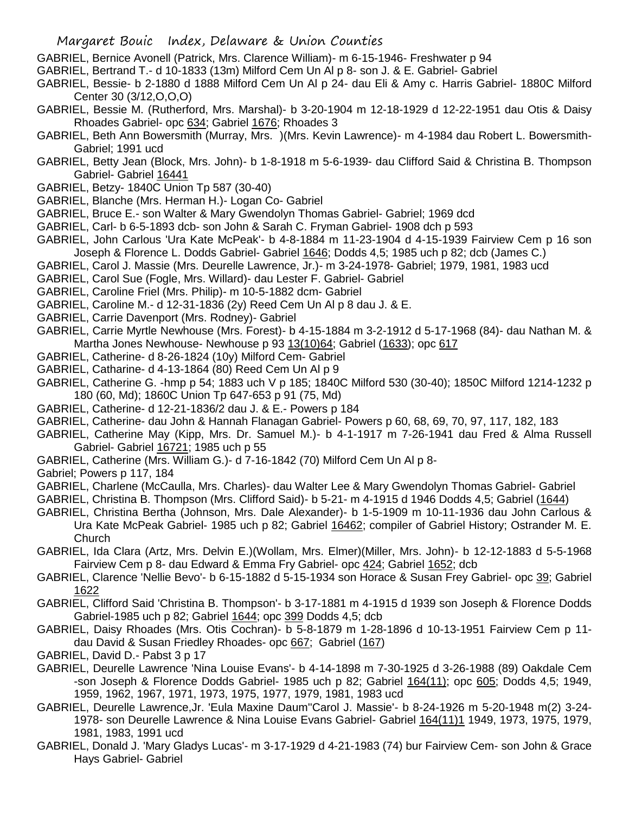GABRIEL, Bernice Avonell (Patrick, Mrs. Clarence William)- m 6-15-1946- Freshwater p 94

- GABRIEL, Bertrand T.- d 10-1833 (13m) Milford Cem Un Al p 8- son J. & E. Gabriel- Gabriel
- GABRIEL, Bessie- b 2-1880 d 1888 Milford Cem Un Al p 24- dau Eli & Amy c. Harris Gabriel- 1880C Milford Center 30 (3/12,O,O,O)
- GABRIEL, Bessie M. (Rutherford, Mrs. Marshal)- b 3-20-1904 m 12-18-1929 d 12-22-1951 dau Otis & Daisy Rhoades Gabriel- opc 634; Gabriel 1676; Rhoades 3
- GABRIEL, Beth Ann Bowersmith (Murray, Mrs. )(Mrs. Kevin Lawrence)- m 4-1984 dau Robert L. Bowersmith-Gabriel; 1991 ucd
- GABRIEL, Betty Jean (Block, Mrs. John)- b 1-8-1918 m 5-6-1939- dau Clifford Said & Christina B. Thompson Gabriel- Gabriel 16441
- GABRIEL, Betzy- 1840C Union Tp 587 (30-40)
- GABRIEL, Blanche (Mrs. Herman H.)- Logan Co- Gabriel
- GABRIEL, Bruce E.- son Walter & Mary Gwendolyn Thomas Gabriel- Gabriel; 1969 dcd
- GABRIEL, Carl- b 6-5-1893 dcb- son John & Sarah C. Fryman Gabriel- 1908 dch p 593
- GABRIEL, John Carlous 'Ura Kate McPeak'- b 4-8-1884 m 11-23-1904 d 4-15-1939 Fairview Cem p 16 son Joseph & Florence L. Dodds Gabriel- Gabriel 1646; Dodds 4,5; 1985 uch p 82; dcb (James C.)
- GABRIEL, Carol J. Massie (Mrs. Deurelle Lawrence, Jr.)- m 3-24-1978- Gabriel; 1979, 1981, 1983 ucd
- GABRIEL, Carol Sue (Fogle, Mrs. Willard)- dau Lester F. Gabriel- Gabriel
- GABRIEL, Caroline Friel (Mrs. Philip)- m 10-5-1882 dcm- Gabriel
- GABRIEL, Caroline M.- d 12-31-1836 (2y) Reed Cem Un Al p 8 dau J. & E.
- GABRIEL, Carrie Davenport (Mrs. Rodney)- Gabriel
- GABRIEL, Carrie Myrtle Newhouse (Mrs. Forest)- b 4-15-1884 m 3-2-1912 d 5-17-1968 (84)- dau Nathan M. & Martha Jones Newhouse- Newhouse p 93 13(10)64; Gabriel (1633); opc 617
- GABRIEL, Catherine- d 8-26-1824 (10y) Milford Cem- Gabriel
- GABRIEL, Catharine- d 4-13-1864 (80) Reed Cem Un Al p 9
- GABRIEL, Catherine G. -hmp p 54; 1883 uch V p 185; 1840C Milford 530 (30-40); 1850C Milford 1214-1232 p 180 (60, Md); 1860C Union Tp 647-653 p 91 (75, Md)
- GABRIEL, Catherine- d 12-21-1836/2 dau J. & E.- Powers p 184
- GABRIEL, Catherine- dau John & Hannah Flanagan Gabriel- Powers p 60, 68, 69, 70, 97, 117, 182, 183
- GABRIEL, Catherine May (Kipp, Mrs. Dr. Samuel M.)- b 4-1-1917 m 7-26-1941 dau Fred & Alma Russell Gabriel- Gabriel 16721; 1985 uch p 55
- GABRIEL, Catherine (Mrs. William G.)- d 7-16-1842 (70) Milford Cem Un Al p 8-
- Gabriel; Powers p 117, 184
- GABRIEL, Charlene (McCaulla, Mrs. Charles)- dau Walter Lee & Mary Gwendolyn Thomas Gabriel- Gabriel
- GABRIEL, Christina B. Thompson (Mrs. Clifford Said)- b 5-21- m 4-1915 d 1946 Dodds 4,5; Gabriel (1644)
- GABRIEL, Christina Bertha (Johnson, Mrs. Dale Alexander)- b 1-5-1909 m 10-11-1936 dau John Carlous & Ura Kate McPeak Gabriel- 1985 uch p 82; Gabriel 16462; compiler of Gabriel History; Ostrander M. E. Church
- GABRIEL, Ida Clara (Artz, Mrs. Delvin E.)(Wollam, Mrs. Elmer)(Miller, Mrs. John)- b 12-12-1883 d 5-5-1968 Fairview Cem p 8- dau Edward & Emma Fry Gabriel- opc 424; Gabriel 1652; dcb
- GABRIEL, Clarence 'Nellie Bevo'- b 6-15-1882 d 5-15-1934 son Horace & Susan Frey Gabriel- opc 39; Gabriel 1622
- GABRIEL, Clifford Said 'Christina B. Thompson'- b 3-17-1881 m 4-1915 d 1939 son Joseph & Florence Dodds Gabriel-1985 uch p 82; Gabriel 1644; opc 399 Dodds 4,5; dcb
- GABRIEL, Daisy Rhoades (Mrs. Otis Cochran)- b 5-8-1879 m 1-28-1896 d 10-13-1951 Fairview Cem p 11 dau David & Susan Friedley Rhoades- opc 667; Gabriel (167)
- GABRIEL, David D.- Pabst 3 p 17
- GABRIEL, Deurelle Lawrence 'Nina Louise Evans'- b 4-14-1898 m 7-30-1925 d 3-26-1988 (89) Oakdale Cem -son Joseph & Florence Dodds Gabriel- 1985 uch p 82; Gabriel 164(11); opc 605; Dodds 4,5; 1949, 1959, 1962, 1967, 1971, 1973, 1975, 1977, 1979, 1981, 1983 ucd
- GABRIEL, Deurelle Lawrence,Jr. 'Eula Maxine Daum''Carol J. Massie'- b 8-24-1926 m 5-20-1948 m(2) 3-24- 1978- son Deurelle Lawrence & Nina Louise Evans Gabriel- Gabriel 164(11)1 1949, 1973, 1975, 1979, 1981, 1983, 1991 ucd
- GABRIEL, Donald J. 'Mary Gladys Lucas'- m 3-17-1929 d 4-21-1983 (74) bur Fairview Cem- son John & Grace Hays Gabriel- Gabriel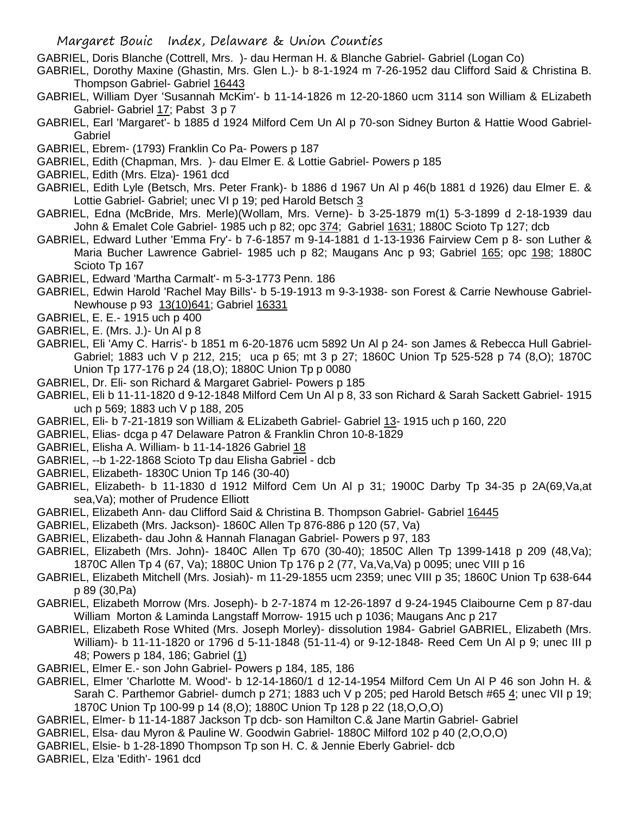GABRIEL, Doris Blanche (Cottrell, Mrs. )- dau Herman H. & Blanche Gabriel- Gabriel (Logan Co)

- GABRIEL, Dorothy Maxine (Ghastin, Mrs. Glen L.)- b 8-1-1924 m 7-26-1952 dau Clifford Said & Christina B. Thompson Gabriel- Gabriel 16443
- GABRIEL, William Dyer 'Susannah McKim'- b 11-14-1826 m 12-20-1860 ucm 3114 son William & ELizabeth Gabriel- Gabriel 17; Pabst 3 p 7
- GABRIEL, Earl 'Margaret'- b 1885 d 1924 Milford Cem Un Al p 70-son Sidney Burton & Hattie Wood Gabriel-Gabriel
- GABRIEL, Ebrem- (1793) Franklin Co Pa- Powers p 187
- GABRIEL, Edith (Chapman, Mrs. )- dau Elmer E. & Lottie Gabriel- Powers p 185
- GABRIEL, Edith (Mrs. Elza)- 1961 dcd
- GABRIEL, Edith Lyle (Betsch, Mrs. Peter Frank)- b 1886 d 1967 Un Al p 46(b 1881 d 1926) dau Elmer E. & Lottie Gabriel- Gabriel; unec VI p 19; ped Harold Betsch 3
- GABRIEL, Edna (McBride, Mrs. Merle)(Wollam, Mrs. Verne)- b 3-25-1879 m(1) 5-3-1899 d 2-18-1939 dau John & Emalet Cole Gabriel- 1985 uch p 82; opc 374; Gabriel 1631; 1880C Scioto Tp 127; dcb
- GABRIEL, Edward Luther 'Emma Fry'- b 7-6-1857 m 9-14-1881 d 1-13-1936 Fairview Cem p 8- son Luther & Maria Bucher Lawrence Gabriel- 1985 uch p 82; Maugans Anc p 93; Gabriel 165; opc 198; 1880C Scioto Tp 167
- GABRIEL, Edward 'Martha Carmalt'- m 5-3-1773 Penn. 186
- GABRIEL, Edwin Harold 'Rachel May Bills'- b 5-19-1913 m 9-3-1938- son Forest & Carrie Newhouse Gabriel-Newhouse p 93 13(10)641; Gabriel 16331
- GABRIEL, E. E.- 1915 uch p 400
- GABRIEL, E. (Mrs. J.)- Un Al p 8
- GABRIEL, Eli 'Amy C. Harris'- b 1851 m 6-20-1876 ucm 5892 Un Al p 24- son James & Rebecca Hull Gabriel-Gabriel; 1883 uch V p 212, 215; uca p 65; mt 3 p 27; 1860C Union Tp 525-528 p 74 (8,O); 1870C Union Tp 177-176 p 24 (18,O); 1880C Union Tp p 0080
- GABRIEL, Dr. Eli- son Richard & Margaret Gabriel- Powers p 185
- GABRIEL, Eli b 11-11-1820 d 9-12-1848 Milford Cem Un Al p 8, 33 son Richard & Sarah Sackett Gabriel- 1915 uch p 569; 1883 uch V p 188, 205
- GABRIEL, Eli- b 7-21-1819 son William & ELizabeth Gabriel- Gabriel 13- 1915 uch p 160, 220
- GABRIEL, Elias- dcga p 47 Delaware Patron & Franklin Chron 10-8-1829
- GABRIEL, Elisha A. William- b 11-14-1826 Gabriel 18
- GABRIEL, --b 1-22-1868 Scioto Tp dau Elisha Gabriel dcb
- GABRIEL, Elizabeth- 1830C Union Tp 146 (30-40)
- GABRIEL, Elizabeth- b 11-1830 d 1912 Milford Cem Un Al p 31; 1900C Darby Tp 34-35 p 2A(69,Va,at sea,Va); mother of Prudence Elliott
- GABRIEL, Elizabeth Ann- dau Clifford Said & Christina B. Thompson Gabriel- Gabriel 16445
- GABRIEL, Elizabeth (Mrs. Jackson)- 1860C Allen Tp 876-886 p 120 (57, Va)
- GABRIEL, Elizabeth- dau John & Hannah Flanagan Gabriel- Powers p 97, 183
- GABRIEL, Elizabeth (Mrs. John)- 1840C Allen Tp 670 (30-40); 1850C Allen Tp 1399-1418 p 209 (48,Va); 1870C Allen Tp 4 (67, Va); 1880C Union Tp 176 p 2 (77, Va,Va,Va) p 0095; unec VIII p 16
- GABRIEL, Elizabeth Mitchell (Mrs. Josiah)- m 11-29-1855 ucm 2359; unec VIII p 35; 1860C Union Tp 638-644 p 89 (30,Pa)
- GABRIEL, Elizabeth Morrow (Mrs. Joseph)- b 2-7-1874 m 12-26-1897 d 9-24-1945 Claibourne Cem p 87-dau William Morton & Laminda Langstaff Morrow- 1915 uch p 1036; Maugans Anc p 217
- GABRIEL, Elizabeth Rose Whited (Mrs. Joseph Morley)- dissolution 1984- Gabriel GABRIEL, Elizabeth (Mrs. William)- b 11-11-1820 or 1796 d 5-11-1848 (51-11-4) or 9-12-1848- Reed Cem Un Al p 9; unec III p 48; Powers p 184, 186; Gabriel (1)
- GABRIEL, Elmer E.- son John Gabriel- Powers p 184, 185, 186
- GABRIEL, Elmer 'Charlotte M. Wood'- b 12-14-1860/1 d 12-14-1954 Milford Cem Un Al P 46 son John H. & Sarah C. Parthemor Gabriel- dumch p 271; 1883 uch V p 205; ped Harold Betsch #65 4; unec VII p 19; 1870C Union Tp 100-99 p 14 (8,O); 1880C Union Tp 128 p 22 (18,O,O,O)
- GABRIEL, Elmer- b 11-14-1887 Jackson Tp dcb- son Hamilton C.& Jane Martin Gabriel- Gabriel
- GABRIEL, Elsa- dau Myron & Pauline W. Goodwin Gabriel- 1880C Milford 102 p 40 (2,O,O,O)
- GABRIEL, Elsie- b 1-28-1890 Thompson Tp son H. C. & Jennie Eberly Gabriel- dcb
- GABRIEL, Elza 'Edith'- 1961 dcd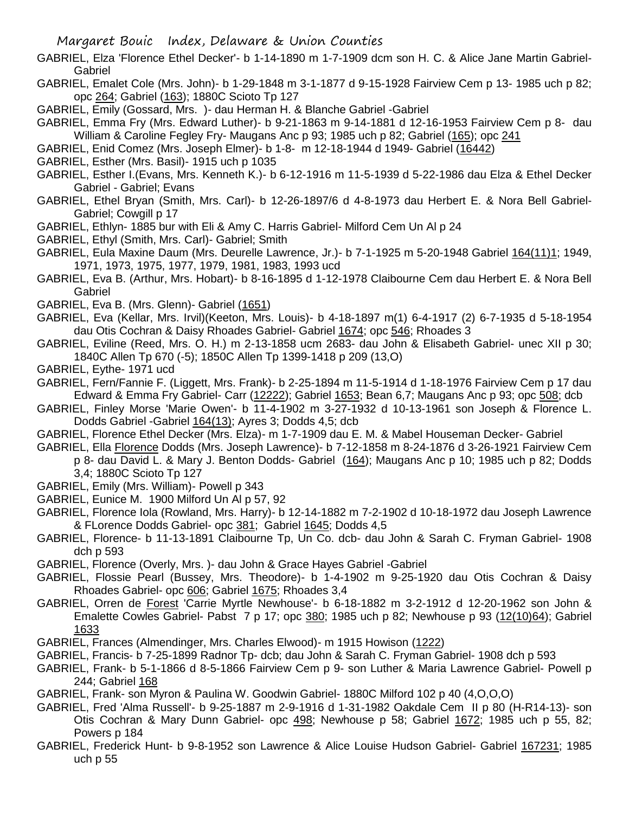- GABRIEL, Elza 'Florence Ethel Decker'- b 1-14-1890 m 1-7-1909 dcm son H. C. & Alice Jane Martin Gabriel-Gabriel
- GABRIEL, Emalet Cole (Mrs. John)- b 1-29-1848 m 3-1-1877 d 9-15-1928 Fairview Cem p 13- 1985 uch p 82; opc 264; Gabriel (163); 1880C Scioto Tp 127
- GABRIEL, Emily (Gossard, Mrs. )- dau Herman H. & Blanche Gabriel -Gabriel
- GABRIEL, Emma Fry (Mrs. Edward Luther)- b 9-21-1863 m 9-14-1881 d 12-16-1953 Fairview Cem p 8- dau William & Caroline Fegley Fry- Maugans Anc p 93; 1985 uch p 82; Gabriel (165); opc 241
- GABRIEL, Enid Comez (Mrs. Joseph Elmer)- b 1-8- m 12-18-1944 d 1949- Gabriel (16442)
- GABRIEL, Esther (Mrs. Basil)- 1915 uch p 1035
- GABRIEL, Esther I.(Evans, Mrs. Kenneth K.)- b 6-12-1916 m 11-5-1939 d 5-22-1986 dau Elza & Ethel Decker Gabriel - Gabriel; Evans
- GABRIEL, Ethel Bryan (Smith, Mrs. Carl)- b 12-26-1897/6 d 4-8-1973 dau Herbert E. & Nora Bell Gabriel-Gabriel; Cowgill p 17
- GABRIEL, Ethlyn- 1885 bur with Eli & Amy C. Harris Gabriel- Milford Cem Un Al p 24
- GABRIEL, Ethyl (Smith, Mrs. Carl)- Gabriel; Smith
- GABRIEL, Eula Maxine Daum (Mrs. Deurelle Lawrence, Jr.)- b 7-1-1925 m 5-20-1948 Gabriel 164(11)1; 1949, 1971, 1973, 1975, 1977, 1979, 1981, 1983, 1993 ucd
- GABRIEL, Eva B. (Arthur, Mrs. Hobart)- b 8-16-1895 d 1-12-1978 Claibourne Cem dau Herbert E. & Nora Bell Gabriel
- GABRIEL, Eva B. (Mrs. Glenn)- Gabriel (1651)
- GABRIEL, Eva (Kellar, Mrs. Irvil)(Keeton, Mrs. Louis)- b 4-18-1897 m(1) 6-4-1917 (2) 6-7-1935 d 5-18-1954 dau Otis Cochran & Daisy Rhoades Gabriel- Gabriel 1674; opc 546; Rhoades 3
- GABRIEL, Eviline (Reed, Mrs. O. H.) m 2-13-1858 ucm 2683- dau John & Elisabeth Gabriel- unec XII p 30; 1840C Allen Tp 670 (-5); 1850C Allen Tp 1399-1418 p 209 (13,O)
- GABRIEL, Eythe- 1971 ucd
- GABRIEL, Fern/Fannie F. (Liggett, Mrs. Frank)- b 2-25-1894 m 11-5-1914 d 1-18-1976 Fairview Cem p 17 dau Edward & Emma Fry Gabriel- Carr (12222); Gabriel 1653; Bean 6,7; Maugans Anc p 93; opc 508; dcb
- GABRIEL, Finley Morse 'Marie Owen'- b 11-4-1902 m 3-27-1932 d 10-13-1961 son Joseph & Florence L. Dodds Gabriel -Gabriel 164(13); Ayres 3; Dodds 4,5; dcb
- GABRIEL, Florence Ethel Decker (Mrs. Elza)- m 1-7-1909 dau E. M. & Mabel Houseman Decker- Gabriel
- GABRIEL, Ella Florence Dodds (Mrs. Joseph Lawrence)- b 7-12-1858 m 8-24-1876 d 3-26-1921 Fairview Cem p 8- dau David L. & Mary J. Benton Dodds- Gabriel (164); Maugans Anc p 10; 1985 uch p 82; Dodds 3,4; 1880C Scioto Tp 127
- GABRIEL, Emily (Mrs. William)- Powell p 343
- GABRIEL, Eunice M. 1900 Milford Un Al p 57, 92
- GABRIEL, Florence Iola (Rowland, Mrs. Harry)- b 12-14-1882 m 7-2-1902 d 10-18-1972 dau Joseph Lawrence & FLorence Dodds Gabriel- opc 381; Gabriel 1645; Dodds 4,5
- GABRIEL, Florence- b 11-13-1891 Claibourne Tp, Un Co. dcb- dau John & Sarah C. Fryman Gabriel- 1908 dch p 593
- GABRIEL, Florence (Overly, Mrs. )- dau John & Grace Hayes Gabriel -Gabriel
- GABRIEL, Flossie Pearl (Bussey, Mrs. Theodore)- b 1-4-1902 m 9-25-1920 dau Otis Cochran & Daisy Rhoades Gabriel- opc 606; Gabriel 1675; Rhoades 3,4
- GABRIEL, Orren de Forest 'Carrie Myrtle Newhouse'- b 6-18-1882 m 3-2-1912 d 12-20-1962 son John & Emalette Cowles Gabriel- Pabst 7 p 17; opc 380; 1985 uch p 82; Newhouse p 93 (12(10)64); Gabriel 1633
- GABRIEL, Frances (Almendinger, Mrs. Charles Elwood)- m 1915 Howison (1222)
- GABRIEL, Francis- b 7-25-1899 Radnor Tp- dcb; dau John & Sarah C. Fryman Gabriel- 1908 dch p 593
- GABRIEL, Frank- b 5-1-1866 d 8-5-1866 Fairview Cem p 9- son Luther & Maria Lawrence Gabriel- Powell p 244; Gabriel 168
- GABRIEL, Frank- son Myron & Paulina W. Goodwin Gabriel- 1880C Milford 102 p 40 (4,O,O,O)
- GABRIEL, Fred 'Alma Russell'- b 9-25-1887 m 2-9-1916 d 1-31-1982 Oakdale Cem II p 80 (H-R14-13)- son Otis Cochran & Mary Dunn Gabriel- opc 498; Newhouse p 58; Gabriel 1672; 1985 uch p 55, 82; Powers p 184
- GABRIEL, Frederick Hunt- b 9-8-1952 son Lawrence & Alice Louise Hudson Gabriel- Gabriel 167231; 1985 uch p 55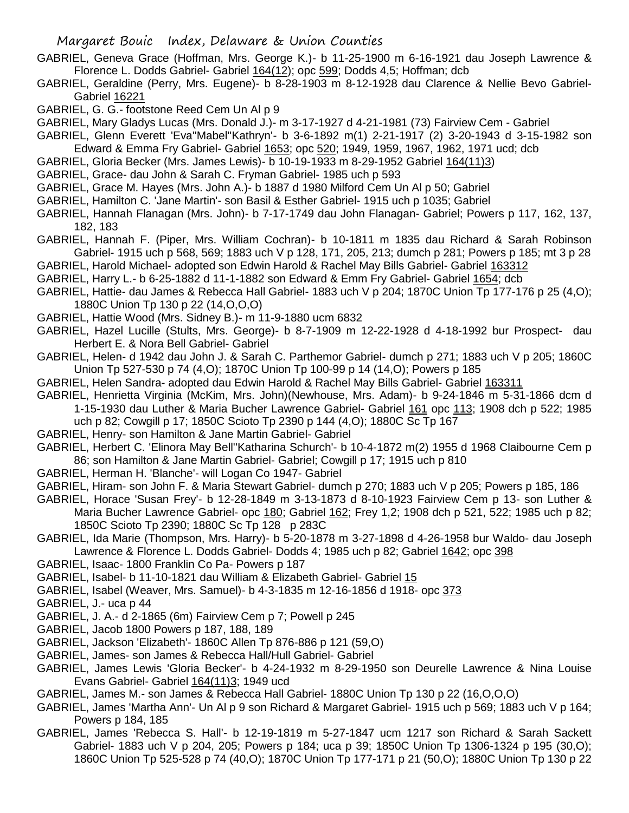- GABRIEL, Geneva Grace (Hoffman, Mrs. George K.)- b 11-25-1900 m 6-16-1921 dau Joseph Lawrence & Florence L. Dodds Gabriel- Gabriel 164(12); opc 599; Dodds 4,5; Hoffman; dcb
- GABRIEL, Geraldine (Perry, Mrs. Eugene)- b 8-28-1903 m 8-12-1928 dau Clarence & Nellie Bevo Gabriel-Gabriel 16221
- GABRIEL, G. G.- footstone Reed Cem Un Al p 9
- GABRIEL, Mary Gladys Lucas (Mrs. Donald J.)- m 3-17-1927 d 4-21-1981 (73) Fairview Cem Gabriel
- GABRIEL, Glenn Everett 'Eva''Mabel''Kathryn'- b 3-6-1892 m(1) 2-21-1917 (2) 3-20-1943 d 3-15-1982 son Edward & Emma Fry Gabriel- Gabriel 1653; opc 520; 1949, 1959, 1967, 1962, 1971 ucd; dcb
- GABRIEL, Gloria Becker (Mrs. James Lewis)- b 10-19-1933 m 8-29-1952 Gabriel 164(11)3)
- GABRIEL, Grace- dau John & Sarah C. Fryman Gabriel- 1985 uch p 593
- GABRIEL, Grace M. Hayes (Mrs. John A.)- b 1887 d 1980 Milford Cem Un Al p 50; Gabriel
- GABRIEL, Hamilton C. 'Jane Martin'- son Basil & Esther Gabriel- 1915 uch p 1035; Gabriel
- GABRIEL, Hannah Flanagan (Mrs. John)- b 7-17-1749 dau John Flanagan- Gabriel; Powers p 117, 162, 137, 182, 183
- GABRIEL, Hannah F. (Piper, Mrs. William Cochran)- b 10-1811 m 1835 dau Richard & Sarah Robinson Gabriel- 1915 uch p 568, 569; 1883 uch V p 128, 171, 205, 213; dumch p 281; Powers p 185; mt 3 p 28
- GABRIEL, Harold Michael- adopted son Edwin Harold & Rachel May Bills Gabriel- Gabriel 163312
- GABRIEL, Harry L.- b 6-25-1882 d 11-1-1882 son Edward & Emm Fry Gabriel- Gabriel 1654; dcb
- GABRIEL, Hattie- dau James & Rebecca Hall Gabriel- 1883 uch V p 204; 1870C Union Tp 177-176 p 25 (4,O); 1880C Union Tp 130 p 22 (14,O,O,O)
- GABRIEL, Hattie Wood (Mrs. Sidney B.)- m 11-9-1880 ucm 6832
- GABRIEL, Hazel Lucille (Stults, Mrs. George)- b 8-7-1909 m 12-22-1928 d 4-18-1992 bur Prospect- dau Herbert E. & Nora Bell Gabriel- Gabriel
- GABRIEL, Helen- d 1942 dau John J. & Sarah C. Parthemor Gabriel- dumch p 271; 1883 uch V p 205; 1860C Union Tp 527-530 p 74 (4,O); 1870C Union Tp 100-99 p 14 (14,O); Powers p 185
- GABRIEL, Helen Sandra- adopted dau Edwin Harold & Rachel May Bills Gabriel- Gabriel 163311
- GABRIEL, Henrietta Virginia (McKim, Mrs. John)(Newhouse, Mrs. Adam)- b 9-24-1846 m 5-31-1866 dcm d 1-15-1930 dau Luther & Maria Bucher Lawrence Gabriel- Gabriel 161 opc 113; 1908 dch p 522; 1985 uch p 82; Cowgill p 17; 1850C Scioto Tp 2390 p 144 (4,O); 1880C Sc Tp 167
- GABRIEL, Henry- son Hamilton & Jane Martin Gabriel- Gabriel
- GABRIEL, Herbert C. 'Elinora May Bell''Katharina Schurch'- b 10-4-1872 m(2) 1955 d 1968 Claibourne Cem p 86; son Hamilton & Jane Martin Gabriel- Gabriel; Cowgill p 17; 1915 uch p 810
- GABRIEL, Herman H. 'Blanche'- will Logan Co 1947- Gabriel
- GABRIEL, Hiram- son John F. & Maria Stewart Gabriel- dumch p 270; 1883 uch V p 205; Powers p 185, 186
- GABRIEL, Horace 'Susan Frey'- b 12-28-1849 m 3-13-1873 d 8-10-1923 Fairview Cem p 13- son Luther & Maria Bucher Lawrence Gabriel- opc 180; Gabriel 162; Frey 1,2; 1908 dch p 521, 522; 1985 uch p 82; 1850C Scioto Tp 2390; 1880C Sc Tp 128 p 283C
- GABRIEL, Ida Marie (Thompson, Mrs. Harry)- b 5-20-1878 m 3-27-1898 d 4-26-1958 bur Waldo- dau Joseph Lawrence & Florence L. Dodds Gabriel- Dodds 4; 1985 uch p 82; Gabriel 1642; opc 398
- GABRIEL, Isaac- 1800 Franklin Co Pa- Powers p 187
- GABRIEL, Isabel- b 11-10-1821 dau William & Elizabeth Gabriel- Gabriel 15
- GABRIEL, Isabel (Weaver, Mrs. Samuel)- b 4-3-1835 m 12-16-1856 d 1918- opc 373
- GABRIEL, J.- uca p 44
- GABRIEL, J. A.- d 2-1865 (6m) Fairview Cem p 7; Powell p 245
- GABRIEL, Jacob 1800 Powers p 187, 188, 189
- GABRIEL, Jackson 'Elizabeth'- 1860C Allen Tp 876-886 p 121 (59,O)
- GABRIEL, James- son James & Rebecca Hall/Hull Gabriel- Gabriel
- GABRIEL, James Lewis 'Gloria Becker'- b 4-24-1932 m 8-29-1950 son Deurelle Lawrence & Nina Louise Evans Gabriel- Gabriel 164(11)3; 1949 ucd
- GABRIEL, James M.- son James & Rebecca Hall Gabriel- 1880C Union Tp 130 p 22 (16,O,O,O)
- GABRIEL, James 'Martha Ann'- Un Al p 9 son Richard & Margaret Gabriel- 1915 uch p 569; 1883 uch V p 164; Powers p 184, 185
- GABRIEL, James 'Rebecca S. Hall'- b 12-19-1819 m 5-27-1847 ucm 1217 son Richard & Sarah Sackett Gabriel- 1883 uch V p 204, 205; Powers p 184; uca p 39; 1850C Union Tp 1306-1324 p 195 (30,O); 1860C Union Tp 525-528 p 74 (40,O); 1870C Union Tp 177-171 p 21 (50,O); 1880C Union Tp 130 p 22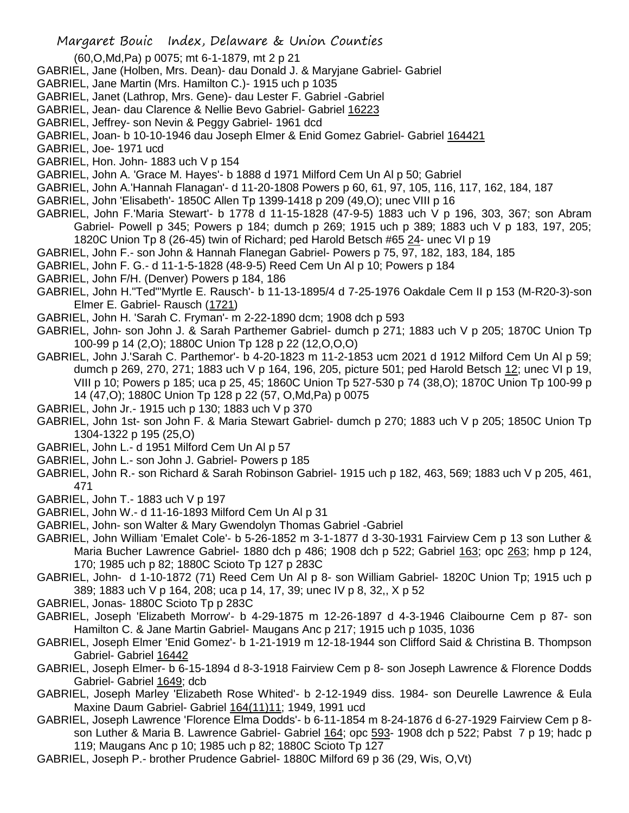- Margaret Bouic Index, Delaware & Union Counties
- (60,O,Md,Pa) p 0075; mt 6-1-1879, mt 2 p 21
- GABRIEL, Jane (Holben, Mrs. Dean)- dau Donald J. & Maryjane Gabriel- Gabriel
- GABRIEL, Jane Martin (Mrs. Hamilton C.)- 1915 uch p 1035
- GABRIEL, Janet (Lathrop, Mrs. Gene)- dau Lester F. Gabriel -Gabriel
- GABRIEL, Jean- dau Clarence & Nellie Bevo Gabriel- Gabriel 16223
- GABRIEL, Jeffrey- son Nevin & Peggy Gabriel- 1961 dcd
- GABRIEL, Joan- b 10-10-1946 dau Joseph Elmer & Enid Gomez Gabriel- Gabriel 164421
- GABRIEL, Joe- 1971 ucd
- GABRIEL, Hon. John- 1883 uch V p 154
- GABRIEL, John A. 'Grace M. Hayes'- b 1888 d 1971 Milford Cem Un Al p 50; Gabriel
- GABRIEL, John A.'Hannah Flanagan'- d 11-20-1808 Powers p 60, 61, 97, 105, 116, 117, 162, 184, 187
- GABRIEL, John 'Elisabeth'- 1850C Allen Tp 1399-1418 p 209 (49,O); unec VIII p 16
- GABRIEL, John F.'Maria Stewart'- b 1778 d 11-15-1828 (47-9-5) 1883 uch V p 196, 303, 367; son Abram Gabriel- Powell p 345; Powers p 184; dumch p 269; 1915 uch p 389; 1883 uch V p 183, 197, 205; 1820C Union Tp 8 (26-45) twin of Richard; ped Harold Betsch #65 24- unec VI p 19
- GABRIEL, John F.- son John & Hannah Flanegan Gabriel- Powers p 75, 97, 182, 183, 184, 185
- GABRIEL, John F. G.- d 11-1-5-1828 (48-9-5) Reed Cem Un Al p 10; Powers p 184
- GABRIEL, John F/H. (Denver) Powers p 184, 186
- GABRIEL, John H."Ted"'Myrtle E. Rausch'- b 11-13-1895/4 d 7-25-1976 Oakdale Cem II p 153 (M-R20-3)-son Elmer E. Gabriel- Rausch (1721)
- GABRIEL, John H. 'Sarah C. Fryman'- m 2-22-1890 dcm; 1908 dch p 593
- GABRIEL, John- son John J. & Sarah Parthemer Gabriel- dumch p 271; 1883 uch V p 205; 1870C Union Tp 100-99 p 14 (2,O); 1880C Union Tp 128 p 22 (12,O,O,O)
- GABRIEL, John J.'Sarah C. Parthemor'- b 4-20-1823 m 11-2-1853 ucm 2021 d 1912 Milford Cem Un Al p 59; dumch p 269, 270, 271; 1883 uch V p 164, 196, 205, picture 501; ped Harold Betsch 12; unec VI p 19, VIII p 10; Powers p 185; uca p 25, 45; 1860C Union Tp 527-530 p 74 (38,O); 1870C Union Tp 100-99 p 14 (47,O); 1880C Union Tp 128 p 22 (57, O,Md,Pa) p 0075
- GABRIEL, John Jr.- 1915 uch p 130; 1883 uch V p 370
- GABRIEL, John 1st- son John F. & Maria Stewart Gabriel- dumch p 270; 1883 uch V p 205; 1850C Union Tp 1304-1322 p 195 (25,O)
- GABRIEL, John L.- d 1951 Milford Cem Un Al p 57
- GABRIEL, John L.- son John J. Gabriel- Powers p 185
- GABRIEL, John R.- son Richard & Sarah Robinson Gabriel- 1915 uch p 182, 463, 569; 1883 uch V p 205, 461, 471
- GABRIEL, John T.- 1883 uch V p 197
- GABRIEL, John W.- d 11-16-1893 Milford Cem Un Al p 31
- GABRIEL, John- son Walter & Mary Gwendolyn Thomas Gabriel -Gabriel
- GABRIEL, John William 'Emalet Cole'- b 5-26-1852 m 3-1-1877 d 3-30-1931 Fairview Cem p 13 son Luther & Maria Bucher Lawrence Gabriel- 1880 dch p 486; 1908 dch p 522; Gabriel 163; opc 263; hmp p 124, 170; 1985 uch p 82; 1880C Scioto Tp 127 p 283C
- GABRIEL, John- d 1-10-1872 (71) Reed Cem Un Al p 8- son William Gabriel- 1820C Union Tp; 1915 uch p 389; 1883 uch V p 164, 208; uca p 14, 17, 39; unec IV p 8, 32,, X p 52
- GABRIEL, Jonas- 1880C Scioto Tp p 283C
- GABRIEL, Joseph 'Elizabeth Morrow'- b 4-29-1875 m 12-26-1897 d 4-3-1946 Claibourne Cem p 87- son Hamilton C. & Jane Martin Gabriel- Maugans Anc p 217; 1915 uch p 1035, 1036
- GABRIEL, Joseph Elmer 'Enid Gomez'- b 1-21-1919 m 12-18-1944 son Clifford Said & Christina B. Thompson Gabriel- Gabriel 16442
- GABRIEL, Joseph Elmer- b 6-15-1894 d 8-3-1918 Fairview Cem p 8- son Joseph Lawrence & Florence Dodds Gabriel- Gabriel 1649; dcb
- GABRIEL, Joseph Marley 'Elizabeth Rose Whited'- b 2-12-1949 diss. 1984- son Deurelle Lawrence & Eula Maxine Daum Gabriel- Gabriel 164(11)11; 1949, 1991 ucd
- GABRIEL, Joseph Lawrence 'Florence Elma Dodds'- b 6-11-1854 m 8-24-1876 d 6-27-1929 Fairview Cem p 8 son Luther & Maria B. Lawrence Gabriel- Gabriel 164; opc 593- 1908 dch p 522; Pabst 7 p 19; hadc p 119; Maugans Anc p 10; 1985 uch p 82; 1880C Scioto Tp 127
- GABRIEL, Joseph P.- brother Prudence Gabriel- 1880C Milford 69 p 36 (29, Wis, O,Vt)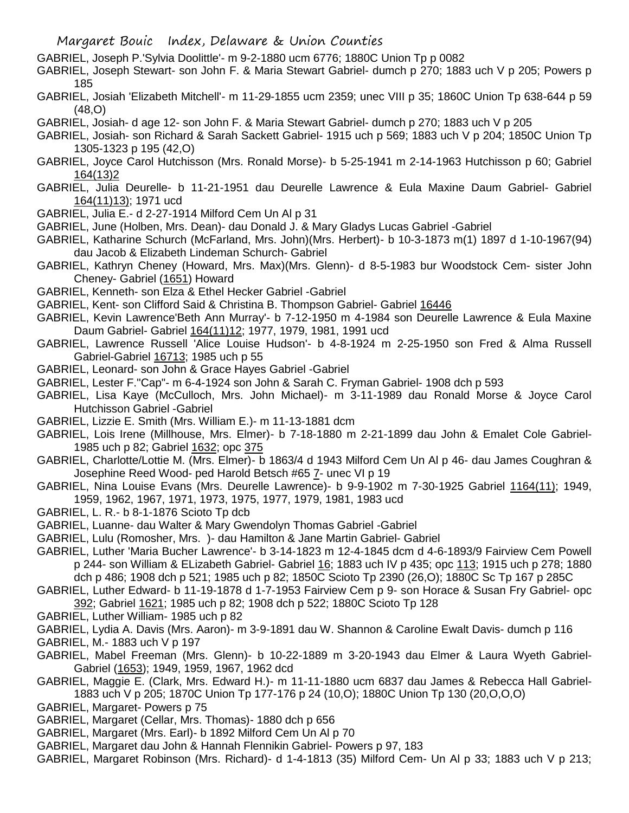- GABRIEL, Joseph P.'Sylvia Doolittle'- m 9-2-1880 ucm 6776; 1880C Union Tp p 0082
- GABRIEL, Joseph Stewart- son John F. & Maria Stewart Gabriel- dumch p 270; 1883 uch V p 205; Powers p 185
- GABRIEL, Josiah 'Elizabeth Mitchell'- m 11-29-1855 ucm 2359; unec VIII p 35; 1860C Union Tp 638-644 p 59 (48,O)
- GABRIEL, Josiah- d age 12- son John F. & Maria Stewart Gabriel- dumch p 270; 1883 uch V p 205
- GABRIEL, Josiah- son Richard & Sarah Sackett Gabriel- 1915 uch p 569; 1883 uch V p 204; 1850C Union Tp 1305-1323 p 195 (42,O)
- GABRIEL, Joyce Carol Hutchisson (Mrs. Ronald Morse)- b 5-25-1941 m 2-14-1963 Hutchisson p 60; Gabriel 164(13)2
- GABRIEL, Julia Deurelle- b 11-21-1951 dau Deurelle Lawrence & Eula Maxine Daum Gabriel- Gabriel 164(11)13); 1971 ucd
- GABRIEL, Julia E.- d 2-27-1914 Milford Cem Un Al p 31
- GABRIEL, June (Holben, Mrs. Dean)- dau Donald J. & Mary Gladys Lucas Gabriel -Gabriel
- GABRIEL, Katharine Schurch (McFarland, Mrs. John)(Mrs. Herbert)- b 10-3-1873 m(1) 1897 d 1-10-1967(94) dau Jacob & Elizabeth Lindeman Schurch- Gabriel
- GABRIEL, Kathryn Cheney (Howard, Mrs. Max)(Mrs. Glenn)- d 8-5-1983 bur Woodstock Cem- sister John Cheney- Gabriel (1651) Howard
- GABRIEL, Kenneth- son Elza & Ethel Hecker Gabriel -Gabriel
- GABRIEL, Kent- son Clifford Said & Christina B. Thompson Gabriel- Gabriel 16446
- GABRIEL, Kevin Lawrence'Beth Ann Murray'- b 7-12-1950 m 4-1984 son Deurelle Lawrence & Eula Maxine Daum Gabriel- Gabriel 164(11)12; 1977, 1979, 1981, 1991 ucd
- GABRIEL, Lawrence Russell 'Alice Louise Hudson'- b 4-8-1924 m 2-25-1950 son Fred & Alma Russell Gabriel-Gabriel 16713; 1985 uch p 55
- GABRIEL, Leonard- son John & Grace Hayes Gabriel -Gabriel
- GABRIEL, Lester F."Cap"- m 6-4-1924 son John & Sarah C. Fryman Gabriel- 1908 dch p 593
- GABRIEL, Lisa Kaye (McCulloch, Mrs. John Michael)- m 3-11-1989 dau Ronald Morse & Joyce Carol Hutchisson Gabriel -Gabriel
- GABRIEL, Lizzie E. Smith (Mrs. William E.)- m 11-13-1881 dcm
- GABRIEL, Lois Irene (Millhouse, Mrs. Elmer)- b 7-18-1880 m 2-21-1899 dau John & Emalet Cole Gabriel-1985 uch p 82; Gabriel 1632; opc 375
- GABRIEL, Charlotte/Lottie M. (Mrs. Elmer)- b 1863/4 d 1943 Milford Cem Un Al p 46- dau James Coughran & Josephine Reed Wood- ped Harold Betsch #65 7- unec VI p 19
- GABRIEL, Nina Louise Evans (Mrs. Deurelle Lawrence)- b 9-9-1902 m 7-30-1925 Gabriel 1164(11); 1949, 1959, 1962, 1967, 1971, 1973, 1975, 1977, 1979, 1981, 1983 ucd
- GABRIEL, L. R.- b 8-1-1876 Scioto Tp dcb
- GABRIEL, Luanne- dau Walter & Mary Gwendolyn Thomas Gabriel -Gabriel
- GABRIEL, Lulu (Romosher, Mrs. )- dau Hamilton & Jane Martin Gabriel- Gabriel
- GABRIEL, Luther 'Maria Bucher Lawrence'- b 3-14-1823 m 12-4-1845 dcm d 4-6-1893/9 Fairview Cem Powell p 244- son William & ELizabeth Gabriel- Gabriel 16; 1883 uch IV p 435; opc 113; 1915 uch p 278; 1880 dch p 486; 1908 dch p 521; 1985 uch p 82; 1850C Scioto Tp 2390 (26,O); 1880C Sc Tp 167 p 285C
- GABRIEL, Luther Edward- b 11-19-1878 d 1-7-1953 Fairview Cem p 9- son Horace & Susan Fry Gabriel- opc 392; Gabriel 1621; 1985 uch p 82; 1908 dch p 522; 1880C Scioto Tp 128
- GABRIEL, Luther William- 1985 uch p 82
- GABRIEL, Lydia A. Davis (Mrs. Aaron)- m 3-9-1891 dau W. Shannon & Caroline Ewalt Davis- dumch p 116
- GABRIEL, M.- 1883 uch V p 197
- GABRIEL, Mabel Freeman (Mrs. Glenn)- b 10-22-1889 m 3-20-1943 dau Elmer & Laura Wyeth Gabriel-Gabriel (1653); 1949, 1959, 1967, 1962 dcd
- GABRIEL, Maggie E. (Clark, Mrs. Edward H.)- m 11-11-1880 ucm 6837 dau James & Rebecca Hall Gabriel-1883 uch V p 205; 1870C Union Tp 177-176 p 24 (10,O); 1880C Union Tp 130 (20,O,O,O)
- GABRIEL, Margaret- Powers p 75
- GABRIEL, Margaret (Cellar, Mrs. Thomas)- 1880 dch p 656
- GABRIEL, Margaret (Mrs. Earl)- b 1892 Milford Cem Un Al p 70
- GABRIEL, Margaret dau John & Hannah Flennikin Gabriel- Powers p 97, 183
- GABRIEL, Margaret Robinson (Mrs. Richard)- d 1-4-1813 (35) Milford Cem- Un Al p 33; 1883 uch V p 213;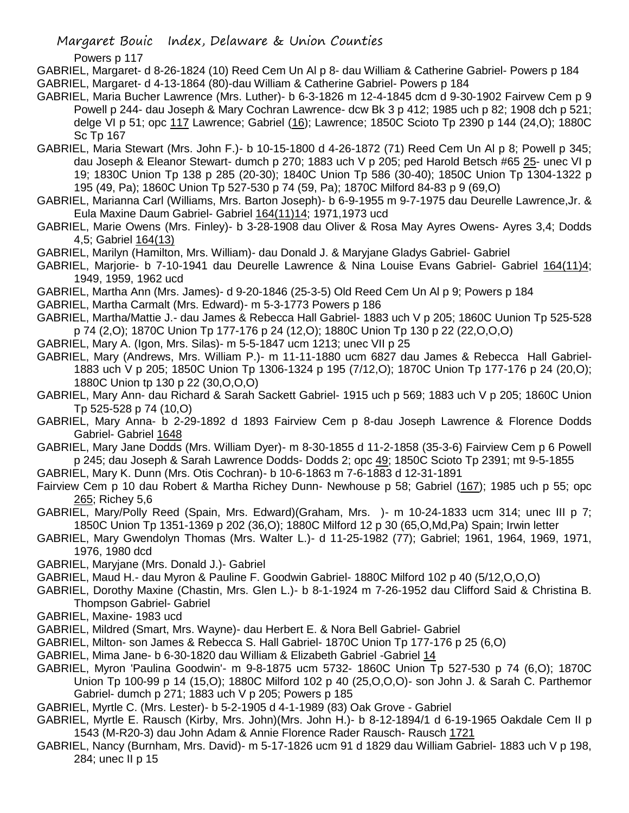Powers p 117

GABRIEL, Margaret- d 8-26-1824 (10) Reed Cem Un Al p 8- dau William & Catherine Gabriel- Powers p 184 GABRIEL, Margaret- d 4-13-1864 (80)-dau William & Catherine Gabriel- Powers p 184

- GABRIEL, Maria Bucher Lawrence (Mrs. Luther)- b 6-3-1826 m 12-4-1845 dcm d 9-30-1902 Fairvew Cem p 9 Powell p 244- dau Joseph & Mary Cochran Lawrence- dcw Bk 3 p 412; 1985 uch p 82; 1908 dch p 521; delge VI p 51; opc 117 Lawrence; Gabriel (16); Lawrence; 1850C Scioto Tp 2390 p 144 (24,O); 1880C Sc Tp 167
- GABRIEL, Maria Stewart (Mrs. John F.)- b 10-15-1800 d 4-26-1872 (71) Reed Cem Un Al p 8; Powell p 345; dau Joseph & Eleanor Stewart- dumch p 270; 1883 uch V p 205; ped Harold Betsch #65 25- unec VI p 19; 1830C Union Tp 138 p 285 (20-30); 1840C Union Tp 586 (30-40); 1850C Union Tp 1304-1322 p 195 (49, Pa); 1860C Union Tp 527-530 p 74 (59, Pa); 1870C Milford 84-83 p 9 (69,O)
- GABRIEL, Marianna Carl (Williams, Mrs. Barton Joseph)- b 6-9-1955 m 9-7-1975 dau Deurelle Lawrence,Jr. & Eula Maxine Daum Gabriel- Gabriel 164(11)14; 1971,1973 ucd
- GABRIEL, Marie Owens (Mrs. Finley)- b 3-28-1908 dau Oliver & Rosa May Ayres Owens- Ayres 3,4; Dodds 4,5; Gabriel 164(13)
- GABRIEL, Marilyn (Hamilton, Mrs. William)- dau Donald J. & Maryjane Gladys Gabriel- Gabriel
- GABRIEL, Marjorie- b 7-10-1941 dau Deurelle Lawrence & Nina Louise Evans Gabriel- Gabriel 164(11)4; 1949, 1959, 1962 ucd
- GABRIEL, Martha Ann (Mrs. James)- d 9-20-1846 (25-3-5) Old Reed Cem Un Al p 9; Powers p 184
- GABRIEL, Martha Carmalt (Mrs. Edward)- m 5-3-1773 Powers p 186
- GABRIEL, Martha/Mattie J.- dau James & Rebecca Hall Gabriel- 1883 uch V p 205; 1860C Uunion Tp 525-528 p 74 (2,O); 1870C Union Tp 177-176 p 24 (12,O); 1880C Union Tp 130 p 22 (22,O,O,O)
- GABRIEL, Mary A. (Igon, Mrs. Silas)- m 5-5-1847 ucm 1213; unec VII p 25
- GABRIEL, Mary (Andrews, Mrs. William P.)- m 11-11-1880 ucm 6827 dau James & Rebecca Hall Gabriel-1883 uch V p 205; 1850C Union Tp 1306-1324 p 195 (7/12,O); 1870C Union Tp 177-176 p 24 (20,O); 1880C Union tp 130 p 22 (30,O,O,O)
- GABRIEL, Mary Ann- dau Richard & Sarah Sackett Gabriel- 1915 uch p 569; 1883 uch V p 205; 1860C Union Tp 525-528 p 74 (10,O)
- GABRIEL, Mary Anna- b 2-29-1892 d 1893 Fairview Cem p 8-dau Joseph Lawrence & Florence Dodds Gabriel- Gabriel 1648
- GABRIEL, Mary Jane Dodds (Mrs. William Dyer)- m 8-30-1855 d 11-2-1858 (35-3-6) Fairview Cem p 6 Powell p 245; dau Joseph & Sarah Lawrence Dodds- Dodds 2; opc 49; 1850C Scioto Tp 2391; mt 9-5-1855
- GABRIEL, Mary K. Dunn (Mrs. Otis Cochran)- b 10-6-1863 m 7-6-1883 d 12-31-1891
- Fairview Cem p 10 dau Robert & Martha Richey Dunn- Newhouse p 58; Gabriel (167); 1985 uch p 55; opc 265; Richey 5,6
- GABRIEL, Mary/Polly Reed (Spain, Mrs. Edward)(Graham, Mrs. )- m 10-24-1833 ucm 314; unec III p 7; 1850C Union Tp 1351-1369 p 202 (36,O); 1880C Milford 12 p 30 (65,O,Md,Pa) Spain; Irwin letter
- GABRIEL, Mary Gwendolyn Thomas (Mrs. Walter L.)- d 11-25-1982 (77); Gabriel; 1961, 1964, 1969, 1971, 1976, 1980 dcd
- GABRIEL, Maryjane (Mrs. Donald J.)- Gabriel
- GABRIEL, Maud H.- dau Myron & Pauline F. Goodwin Gabriel- 1880C Milford 102 p 40 (5/12,O,O,O)
- GABRIEL, Dorothy Maxine (Chastin, Mrs. Glen L.)- b 8-1-1924 m 7-26-1952 dau Clifford Said & Christina B. Thompson Gabriel- Gabriel
- GABRIEL, Maxine- 1983 ucd
- GABRIEL, Mildred (Smart, Mrs. Wayne)- dau Herbert E. & Nora Bell Gabriel- Gabriel
- GABRIEL, Milton- son James & Rebecca S. Hall Gabriel- 1870C Union Tp 177-176 p 25 (6,O)
- GABRIEL, Mima Jane- b 6-30-1820 dau William & Elizabeth Gabriel -Gabriel 14
- GABRIEL, Myron 'Paulina Goodwin'- m 9-8-1875 ucm 5732- 1860C Union Tp 527-530 p 74 (6,O); 1870C Union Tp 100-99 p 14 (15,O); 1880C Milford 102 p 40 (25,O,O,O)- son John J. & Sarah C. Parthemor Gabriel- dumch p 271; 1883 uch V p 205; Powers p 185
- GABRIEL, Myrtle C. (Mrs. Lester)- b 5-2-1905 d 4-1-1989 (83) Oak Grove Gabriel
- GABRIEL, Myrtle E. Rausch (Kirby, Mrs. John)(Mrs. John H.)- b 8-12-1894/1 d 6-19-1965 Oakdale Cem II p 1543 (M-R20-3) dau John Adam & Annie Florence Rader Rausch- Rausch 1721
- GABRIEL, Nancy (Burnham, Mrs. David)- m 5-17-1826 ucm 91 d 1829 dau William Gabriel- 1883 uch V p 198, 284; unec II p 15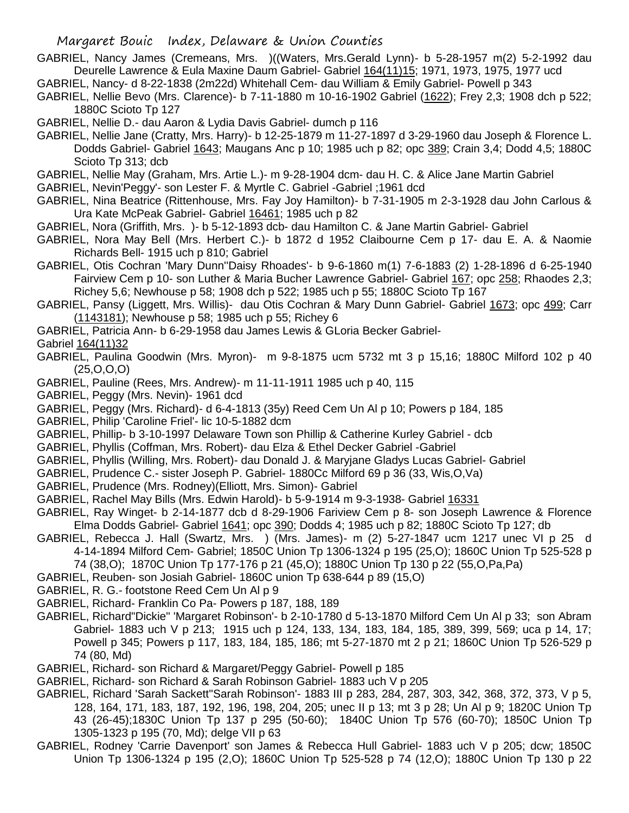- GABRIEL, Nancy James (Cremeans, Mrs. )((Waters, Mrs.Gerald Lynn)- b 5-28-1957 m(2) 5-2-1992 dau Deurelle Lawrence & Eula Maxine Daum Gabriel- Gabriel 164(11)15; 1971, 1973, 1975, 1977 ucd
- GABRIEL, Nancy- d 8-22-1838 (2m22d) Whitehall Cem- dau William & Emily Gabriel- Powell p 343
- GABRIEL, Nellie Bevo (Mrs. Clarence)- b 7-11-1880 m 10-16-1902 Gabriel (1622); Frey 2,3; 1908 dch p 522; 1880C Scioto Tp 127
- GABRIEL, Nellie D.- dau Aaron & Lydia Davis Gabriel- dumch p 116
- GABRIEL, Nellie Jane (Cratty, Mrs. Harry)- b 12-25-1879 m 11-27-1897 d 3-29-1960 dau Joseph & Florence L. Dodds Gabriel- Gabriel 1643; Maugans Anc p 10; 1985 uch p 82; opc 389; Crain 3,4; Dodd 4,5; 1880C Scioto Tp 313; dcb
- GABRIEL, Nellie May (Graham, Mrs. Artie L.)- m 9-28-1904 dcm- dau H. C. & Alice Jane Martin Gabriel
- GABRIEL, Nevin'Peggy'- son Lester F. & Myrtle C. Gabriel -Gabriel ;1961 dcd
- GABRIEL, Nina Beatrice (Rittenhouse, Mrs. Fay Joy Hamilton)- b 7-31-1905 m 2-3-1928 dau John Carlous & Ura Kate McPeak Gabriel- Gabriel 16461; 1985 uch p 82
- GABRIEL, Nora (Griffith, Mrs. )- b 5-12-1893 dcb- dau Hamilton C. & Jane Martin Gabriel- Gabriel
- GABRIEL, Nora May Bell (Mrs. Herbert C.)- b 1872 d 1952 Claibourne Cem p 17- dau E. A. & Naomie Richards Bell- 1915 uch p 810; Gabriel
- GABRIEL, Otis Cochran 'Mary Dunn''Daisy Rhoades'- b 9-6-1860 m(1) 7-6-1883 (2) 1-28-1896 d 6-25-1940 Fairview Cem p 10- son Luther & Maria Bucher Lawrence Gabriel- Gabriel 167; opc 258; Rhaodes 2,3; Richey 5,6; Newhouse p 58; 1908 dch p 522; 1985 uch p 55; 1880C Scioto Tp 167
- GABRIEL, Pansy (Liggett, Mrs. Willis)- dau Otis Cochran & Mary Dunn Gabriel- Gabriel 1673; opc 499; Carr (1143181); Newhouse p 58; 1985 uch p 55; Richey 6
- GABRIEL, Patricia Ann- b 6-29-1958 dau James Lewis & GLoria Becker Gabriel-
- Gabriel 164(11)32
- GABRIEL, Paulina Goodwin (Mrs. Myron)- m 9-8-1875 ucm 5732 mt 3 p 15,16; 1880C Milford 102 p 40 (25,O,O,O)
- GABRIEL, Pauline (Rees, Mrs. Andrew)- m 11-11-1911 1985 uch p 40, 115
- GABRIEL, Peggy (Mrs. Nevin)- 1961 dcd
- GABRIEL, Peggy (Mrs. Richard)- d 6-4-1813 (35y) Reed Cem Un Al p 10; Powers p 184, 185
- GABRIEL, Philip 'Caroline Friel'- lic 10-5-1882 dcm
- GABRIEL, Phillip- b 3-10-1997 Delaware Town son Phillip & Catherine Kurley Gabriel dcb
- GABRIEL, Phyllis (Coffman, Mrs. Robert)- dau Elza & Ethel Decker Gabriel -Gabriel
- GABRIEL, Phyllis (Willing, Mrs. Robert)- dau Donald J. & Maryjane Gladys Lucas Gabriel- Gabriel
- GABRIEL, Prudence C.- sister Joseph P. Gabriel- 1880Cc Milford 69 p 36 (33, Wis,O,Va)
- GABRIEL, Prudence (Mrs. Rodney)(Elliott, Mrs. Simon)- Gabriel
- GABRIEL, Rachel May Bills (Mrs. Edwin Harold)- b 5-9-1914 m 9-3-1938- Gabriel 16331
- GABRIEL, Ray Winget- b 2-14-1877 dcb d 8-29-1906 Fariview Cem p 8- son Joseph Lawrence & Florence Elma Dodds Gabriel- Gabriel 1641; opc 390; Dodds 4; 1985 uch p 82; 1880C Scioto Tp 127; db
- GABRIEL, Rebecca J. Hall (Swartz, Mrs. ) (Mrs. James)- m (2) 5-27-1847 ucm 1217 unec VI p 25 d 4-14-1894 Milford Cem- Gabriel; 1850C Union Tp 1306-1324 p 195 (25,O); 1860C Union Tp 525-528 p 74 (38,O); 1870C Union Tp 177-176 p 21 (45,O); 1880C Union Tp 130 p 22 (55,O,Pa,Pa)
- GABRIEL, Reuben- son Josiah Gabriel- 1860C union Tp 638-644 p 89 (15,O)
- GABRIEL, R. G.- footstone Reed Cem Un Al p 9
- GABRIEL, Richard- Franklin Co Pa- Powers p 187, 188, 189
- GABRIEL, Richard"Dickie" 'Margaret Robinson'- b 2-10-1780 d 5-13-1870 Milford Cem Un Al p 33; son Abram Gabriel- 1883 uch V p 213; 1915 uch p 124, 133, 134, 183, 184, 185, 389, 399, 569; uca p 14, 17; Powell p 345; Powers p 117, 183, 184, 185, 186; mt 5-27-1870 mt 2 p 21; 1860C Union Tp 526-529 p 74 (80, Md)
- GABRIEL, Richard- son Richard & Margaret/Peggy Gabriel- Powell p 185
- GABRIEL, Richard- son Richard & Sarah Robinson Gabriel- 1883 uch V p 205
- GABRIEL, Richard 'Sarah Sackett''Sarah Robinson'- 1883 III p 283, 284, 287, 303, 342, 368, 372, 373, V p 5, 128, 164, 171, 183, 187, 192, 196, 198, 204, 205; unec II p 13; mt 3 p 28; Un Al p 9; 1820C Union Tp 43 (26-45);1830C Union Tp 137 p 295 (50-60); 1840C Union Tp 576 (60-70); 1850C Union Tp 1305-1323 p 195 (70, Md); delge VII p 63
- GABRIEL, Rodney 'Carrie Davenport' son James & Rebecca Hull Gabriel- 1883 uch V p 205; dcw; 1850C Union Tp 1306-1324 p 195 (2,O); 1860C Union Tp 525-528 p 74 (12,O); 1880C Union Tp 130 p 22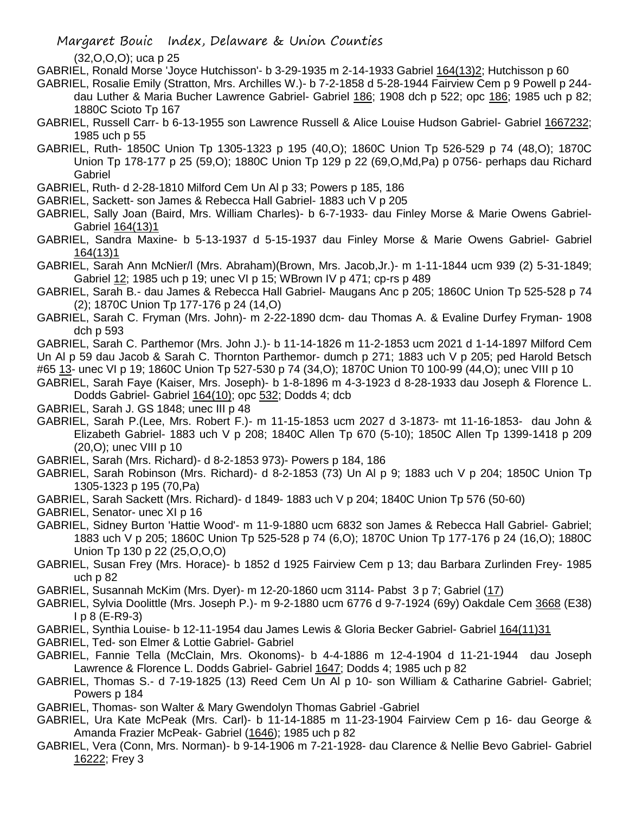(32,O,O,O); uca p 25

- GABRIEL, Ronald Morse 'Joyce Hutchisson'- b 3-29-1935 m 2-14-1933 Gabriel 164(13)2; Hutchisson p 60
- GABRIEL, Rosalie Emily (Stratton, Mrs. Archilles W.)- b 7-2-1858 d 5-28-1944 Fairview Cem p 9 Powell p 244 dau Luther & Maria Bucher Lawrence Gabriel- Gabriel 186; 1908 dch p 522; opc 186; 1985 uch p 82; 1880C Scioto Tp 167
- GABRIEL, Russell Carr- b 6-13-1955 son Lawrence Russell & Alice Louise Hudson Gabriel- Gabriel 1667232; 1985 uch p 55
- GABRIEL, Ruth- 1850C Union Tp 1305-1323 p 195 (40,O); 1860C Union Tp 526-529 p 74 (48,O); 1870C Union Tp 178-177 p 25 (59,O); 1880C Union Tp 129 p 22 (69,O,Md,Pa) p 0756- perhaps dau Richard Gabriel
- GABRIEL, Ruth- d 2-28-1810 Milford Cem Un Al p 33; Powers p 185, 186
- GABRIEL, Sackett- son James & Rebecca Hall Gabriel- 1883 uch V p 205
- GABRIEL, Sally Joan (Baird, Mrs. William Charles)- b 6-7-1933- dau Finley Morse & Marie Owens Gabriel-Gabriel 164(13)1
- GABRIEL, Sandra Maxine- b 5-13-1937 d 5-15-1937 dau Finley Morse & Marie Owens Gabriel- Gabriel 164(13)1
- GABRIEL, Sarah Ann McNier/l (Mrs. Abraham)(Brown, Mrs. Jacob,Jr.)- m 1-11-1844 ucm 939 (2) 5-31-1849; Gabriel 12; 1985 uch p 19; unec VI p 15; WBrown IV p 471; cp-rs p 489
- GABRIEL, Sarah B.- dau James & Rebecca Hall Gabriel- Maugans Anc p 205; 1860C Union Tp 525-528 p 74 (2); 1870C Union Tp 177-176 p 24 (14,O)
- GABRIEL, Sarah C. Fryman (Mrs. John)- m 2-22-1890 dcm- dau Thomas A. & Evaline Durfey Fryman- 1908 dch p 593
- GABRIEL, Sarah C. Parthemor (Mrs. John J.)- b 11-14-1826 m 11-2-1853 ucm 2021 d 1-14-1897 Milford Cem Un Al p 59 dau Jacob & Sarah C. Thornton Parthemor- dumch p 271; 1883 uch V p 205; ped Harold Betsch #65 13- unec VI p 19; 1860C Union Tp 527-530 p 74 (34, O); 1870C Union T0 100-99 (44, O); unec VIII p 10
- GABRIEL, Sarah Faye (Kaiser, Mrs. Joseph)- b 1-8-1896 m 4-3-1923 d 8-28-1933 dau Joseph & Florence L. Dodds Gabriel- Gabriel 164(10); opc 532; Dodds 4; dcb
- GABRIEL, Sarah J. GS 1848; unec III p 48
- GABRIEL, Sarah P.(Lee, Mrs. Robert F.)- m 11-15-1853 ucm 2027 d 3-1873- mt 11-16-1853- dau John & Elizabeth Gabriel- 1883 uch V p 208; 1840C Allen Tp 670 (5-10); 1850C Allen Tp 1399-1418 p 209 (20,O); unec VIII p 10
- GABRIEL, Sarah (Mrs. Richard)- d 8-2-1853 973)- Powers p 184, 186
- GABRIEL, Sarah Robinson (Mrs. Richard)- d 8-2-1853 (73) Un Al p 9; 1883 uch V p 204; 1850C Union Tp 1305-1323 p 195 (70,Pa)
- GABRIEL, Sarah Sackett (Mrs. Richard)- d 1849- 1883 uch V p 204; 1840C Union Tp 576 (50-60)
- GABRIEL, Senator- unec XI p 16
- GABRIEL, Sidney Burton 'Hattie Wood'- m 11-9-1880 ucm 6832 son James & Rebecca Hall Gabriel- Gabriel; 1883 uch V p 205; 1860C Union Tp 525-528 p 74 (6,O); 1870C Union Tp 177-176 p 24 (16,O); 1880C Union Tp 130 p 22 (25,O,O,O)
- GABRIEL, Susan Frey (Mrs. Horace)- b 1852 d 1925 Fairview Cem p 13; dau Barbara Zurlinden Frey- 1985 uch p 82
- GABRIEL, Susannah McKim (Mrs. Dyer)- m 12-20-1860 ucm 3114- Pabst 3 p 7; Gabriel (17)
- GABRIEL, Sylvia Doolittle (Mrs. Joseph P.)- m 9-2-1880 ucm 6776 d 9-7-1924 (69y) Oakdale Cem 3668 (E38) I p 8 (E-R9-3)
- GABRIEL, Synthia Louise- b 12-11-1954 dau James Lewis & Gloria Becker Gabriel- Gabriel 164(11)31
- GABRIEL, Ted- son Elmer & Lottie Gabriel- Gabriel
- GABRIEL, Fannie Tella (McClain, Mrs. Okonoms)- b 4-4-1886 m 12-4-1904 d 11-21-1944 dau Joseph Lawrence & Florence L. Dodds Gabriel- Gabriel 1647; Dodds 4; 1985 uch p 82
- GABRIEL, Thomas S.- d 7-19-1825 (13) Reed Cem Un Al p 10- son William & Catharine Gabriel- Gabriel; Powers p 184
- GABRIEL, Thomas- son Walter & Mary Gwendolyn Thomas Gabriel -Gabriel
- GABRIEL, Ura Kate McPeak (Mrs. Carl)- b 11-14-1885 m 11-23-1904 Fairview Cem p 16- dau George & Amanda Frazier McPeak- Gabriel (1646); 1985 uch p 82
- GABRIEL, Vera (Conn, Mrs. Norman)- b 9-14-1906 m 7-21-1928- dau Clarence & Nellie Bevo Gabriel- Gabriel 16222; Frey 3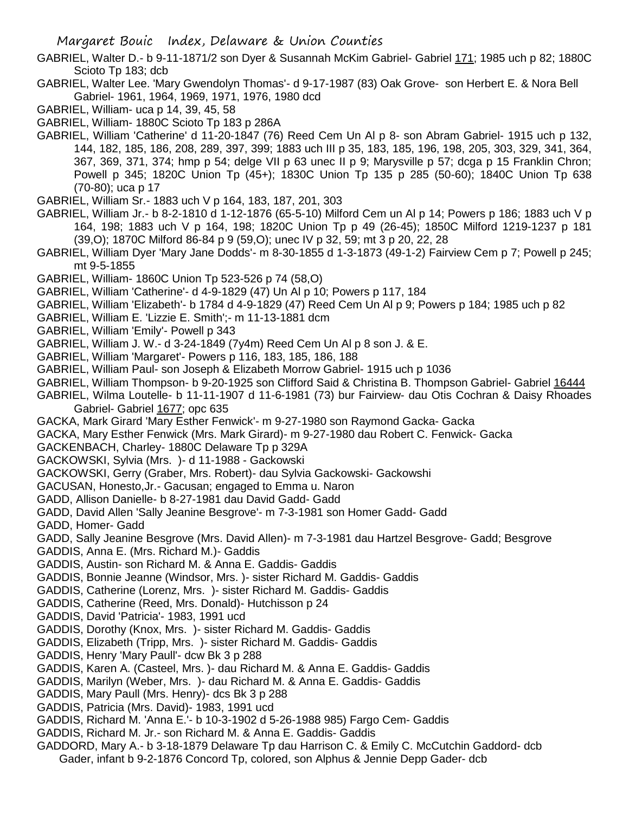- GABRIEL, Walter D.- b 9-11-1871/2 son Dyer & Susannah McKim Gabriel- Gabriel 171; 1985 uch p 82; 1880C Scioto Tp 183; dcb
- GABRIEL, Walter Lee. 'Mary Gwendolyn Thomas'- d 9-17-1987 (83) Oak Grove- son Herbert E. & Nora Bell Gabriel- 1961, 1964, 1969, 1971, 1976, 1980 dcd
- GABRIEL, William- uca p 14, 39, 45, 58
- GABRIEL, William- 1880C Scioto Tp 183 p 286A
- GABRIEL, William 'Catherine' d 11-20-1847 (76) Reed Cem Un Al p 8- son Abram Gabriel- 1915 uch p 132, 144, 182, 185, 186, 208, 289, 397, 399; 1883 uch III p 35, 183, 185, 196, 198, 205, 303, 329, 341, 364, 367, 369, 371, 374; hmp p 54; delge VII p 63 unec II p 9; Marysville p 57; dcga p 15 Franklin Chron; Powell p 345; 1820C Union Tp (45+); 1830C Union Tp 135 p 285 (50-60); 1840C Union Tp 638 (70-80); uca p 17
- GABRIEL, William Sr.- 1883 uch V p 164, 183, 187, 201, 303
- GABRIEL, William Jr.- b 8-2-1810 d 1-12-1876 (65-5-10) Milford Cem un Al p 14; Powers p 186; 1883 uch V p 164, 198; 1883 uch V p 164, 198; 1820C Union Tp p 49 (26-45); 1850C Milford 1219-1237 p 181 (39,O); 1870C Milford 86-84 p 9 (59,O); unec IV p 32, 59; mt 3 p 20, 22, 28
- GABRIEL, William Dyer 'Mary Jane Dodds'- m 8-30-1855 d 1-3-1873 (49-1-2) Fairview Cem p 7; Powell p 245; mt 9-5-1855
- GABRIEL, William- 1860C Union Tp 523-526 p 74 (58,O)
- GABRIEL, William 'Catherine'- d 4-9-1829 (47) Un Al p 10; Powers p 117, 184
- GABRIEL, William 'Elizabeth'- b 1784 d 4-9-1829 (47) Reed Cem Un Al p 9; Powers p 184; 1985 uch p 82
- GABRIEL, William E. 'Lizzie E. Smith';- m 11-13-1881 dcm
- GABRIEL, William 'Emily'- Powell p 343
- GABRIEL, William J. W.- d 3-24-1849 (7y4m) Reed Cem Un Al p 8 son J. & E.
- GABRIEL, William 'Margaret'- Powers p 116, 183, 185, 186, 188
- GABRIEL, William Paul- son Joseph & Elizabeth Morrow Gabriel- 1915 uch p 1036
- GABRIEL, William Thompson- b 9-20-1925 son Clifford Said & Christina B. Thompson Gabriel- Gabriel 16444
- GABRIEL, Wilma Loutelle- b 11-11-1907 d 11-6-1981 (73) bur Fairview- dau Otis Cochran & Daisy Rhoades Gabriel- Gabriel 1677; opc 635
- GACKA, Mark Girard 'Mary Esther Fenwick'- m 9-27-1980 son Raymond Gacka- Gacka
- GACKA, Mary Esther Fenwick (Mrs. Mark Girard)- m 9-27-1980 dau Robert C. Fenwick- Gacka
- GACKENBACH, Charley- 1880C Delaware Tp p 329A
- GACKOWSKI, Sylvia (Mrs. )- d 11-1988 Gackowski
- GACKOWSKI, Gerry (Graber, Mrs. Robert)- dau Sylvia Gackowski- Gackowshi
- GACUSAN, Honesto,Jr.- Gacusan; engaged to Emma u. Naron
- GADD, Allison Danielle- b 8-27-1981 dau David Gadd- Gadd
- GADD, David Allen 'Sally Jeanine Besgrove'- m 7-3-1981 son Homer Gadd- Gadd
- GADD, Homer- Gadd
- GADD, Sally Jeanine Besgrove (Mrs. David Allen)- m 7-3-1981 dau Hartzel Besgrove- Gadd; Besgrove
- GADDIS, Anna E. (Mrs. Richard M.)- Gaddis
- GADDIS, Austin- son Richard M. & Anna E. Gaddis- Gaddis
- GADDIS, Bonnie Jeanne (Windsor, Mrs. )- sister Richard M. Gaddis- Gaddis
- GADDIS, Catherine (Lorenz, Mrs. )- sister Richard M. Gaddis- Gaddis
- GADDIS, Catherine (Reed, Mrs. Donald)- Hutchisson p 24
- GADDIS, David 'Patricia'- 1983, 1991 ucd
- GADDIS, Dorothy (Knox, Mrs. )- sister Richard M. Gaddis- Gaddis
- GADDIS, Elizabeth (Tripp, Mrs. )- sister Richard M. Gaddis- Gaddis
- GADDIS, Henry 'Mary Paull'- dcw Bk 3 p 288
- GADDIS, Karen A. (Casteel, Mrs. )- dau Richard M. & Anna E. Gaddis- Gaddis
- GADDIS, Marilyn (Weber, Mrs. )- dau Richard M. & Anna E. Gaddis- Gaddis
- GADDIS, Mary Paull (Mrs. Henry)- dcs Bk 3 p 288
- GADDIS, Patricia (Mrs. David)- 1983, 1991 ucd
- GADDIS, Richard M. 'Anna E.'- b 10-3-1902 d 5-26-1988 985) Fargo Cem- Gaddis
- GADDIS, Richard M. Jr.- son Richard M. & Anna E. Gaddis- Gaddis
- GADDORD, Mary A.- b 3-18-1879 Delaware Tp dau Harrison C. & Emily C. McCutchin Gaddord- dcb Gader, infant b 9-2-1876 Concord Tp, colored, son Alphus & Jennie Depp Gader- dcb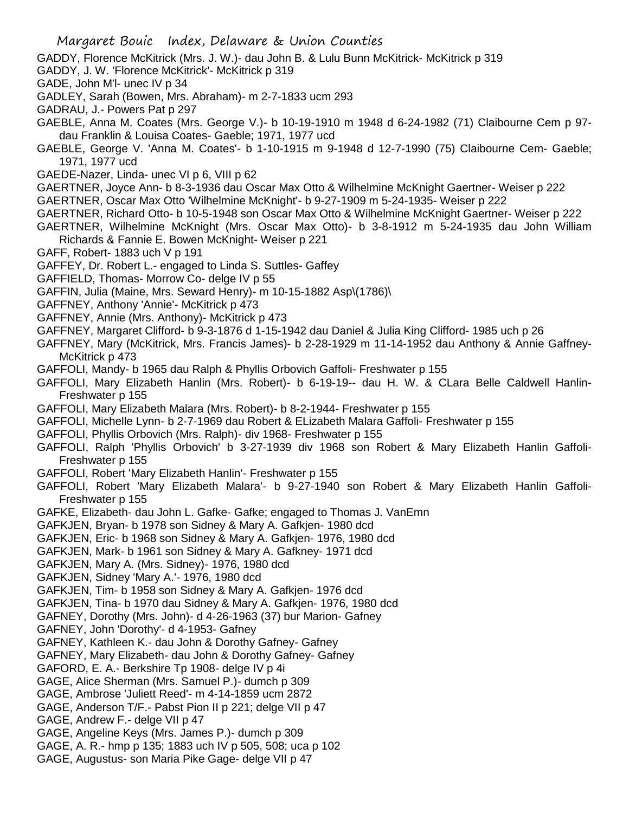- GADDY, Florence McKitrick (Mrs. J. W.)- dau John B. & Lulu Bunn McKitrick- McKitrick p 319
- GADDY, J. W. 'Florence McKitrick'- McKitrick p 319
- GADE, John M'l- unec IV p 34
- GADLEY, Sarah (Bowen, Mrs. Abraham)- m 2-7-1833 ucm 293
- GADRAU, J.- Powers Pat p 297
- GAEBLE, Anna M. Coates (Mrs. George V.)- b 10-19-1910 m 1948 d 6-24-1982 (71) Claibourne Cem p 97 dau Franklin & Louisa Coates- Gaeble; 1971, 1977 ucd
- GAEBLE, George V. 'Anna M. Coates'- b 1-10-1915 m 9-1948 d 12-7-1990 (75) Claibourne Cem- Gaeble; 1971, 1977 ucd
- GAEDE-Nazer, Linda- unec VI p 6, VIII p 62
- GAERTNER, Joyce Ann- b 8-3-1936 dau Oscar Max Otto & Wilhelmine McKnight Gaertner- Weiser p 222
- GAERTNER, Oscar Max Otto 'Wilhelmine McKnight'- b 9-27-1909 m 5-24-1935- Weiser p 222
- GAERTNER, Richard Otto- b 10-5-1948 son Oscar Max Otto & Wilhelmine McKnight Gaertner- Weiser p 222
- GAERTNER, Wilhelmine McKnight (Mrs. Oscar Max Otto)- b 3-8-1912 m 5-24-1935 dau John William Richards & Fannie E. Bowen McKnight- Weiser p 221
- GAFF, Robert- 1883 uch V p 191
- GAFFEY, Dr. Robert L.- engaged to Linda S. Suttles- Gaffey
- GAFFIELD, Thomas- Morrow Co- delge IV p 55
- GAFFIN, Julia (Maine, Mrs. Seward Henry)- m 10-15-1882 Asp\(1786)\
- GAFFNEY, Anthony 'Annie'- McKitrick p 473
- GAFFNEY, Annie (Mrs. Anthony)- McKitrick p 473
- GAFFNEY, Margaret Clifford- b 9-3-1876 d 1-15-1942 dau Daniel & Julia King Clifford- 1985 uch p 26
- GAFFNEY, Mary (McKitrick, Mrs. Francis James)- b 2-28-1929 m 11-14-1952 dau Anthony & Annie Gaffney-McKitrick p 473
- GAFFOLI, Mandy- b 1965 dau Ralph & Phyllis Orbovich Gaffoli- Freshwater p 155
- GAFFOLI, Mary Elizabeth Hanlin (Mrs. Robert)- b 6-19-19-- dau H. W. & CLara Belle Caldwell Hanlin-Freshwater p 155
- GAFFOLI, Mary Elizabeth Malara (Mrs. Robert)- b 8-2-1944- Freshwater p 155
- GAFFOLI, Michelle Lynn- b 2-7-1969 dau Robert & ELizabeth Malara Gaffoli- Freshwater p 155
- GAFFOLI, Phyllis Orbovich (Mrs. Ralph)- div 1968- Freshwater p 155
- GAFFOLI, Ralph 'Phyllis Orbovich' b 3-27-1939 div 1968 son Robert & Mary Elizabeth Hanlin Gaffoli-Freshwater p 155
- GAFFOLI, Robert 'Mary Elizabeth Hanlin'- Freshwater p 155
- GAFFOLI, Robert 'Mary Elizabeth Malara'- b 9-27-1940 son Robert & Mary Elizabeth Hanlin Gaffoli-Freshwater p 155
- GAFKE, Elizabeth- dau John L. Gafke- Gafke; engaged to Thomas J. VanEmn
- GAFKJEN, Bryan- b 1978 son Sidney & Mary A. Gafkjen- 1980 dcd
- GAFKJEN, Eric- b 1968 son Sidney & Mary A. Gafkjen- 1976, 1980 dcd
- GAFKJEN, Mark- b 1961 son Sidney & Mary A. Gafkney- 1971 dcd
- GAFKJEN, Mary A. (Mrs. Sidney)- 1976, 1980 dcd
- GAFKJEN, Sidney 'Mary A.'- 1976, 1980 dcd
- GAFKJEN, Tim- b 1958 son Sidney & Mary A. Gafkjen- 1976 dcd
- GAFKJEN, Tina- b 1970 dau Sidney & Mary A. Gafkjen- 1976, 1980 dcd
- GAFNEY, Dorothy (Mrs. John)- d 4-26-1963 (37) bur Marion- Gafney
- GAFNEY, John 'Dorothy'- d 4-1953- Gafney
- GAFNEY, Kathleen K.- dau John & Dorothy Gafney- Gafney
- GAFNEY, Mary Elizabeth- dau John & Dorothy Gafney- Gafney
- GAFORD, E. A.- Berkshire Tp 1908- delge IV p 4i
- GAGE, Alice Sherman (Mrs. Samuel P.)- dumch p 309
- GAGE, Ambrose 'Juliett Reed'- m 4-14-1859 ucm 2872
- GAGE, Anderson T/F.- Pabst Pion II p 221; delge VII p 47
- GAGE, Andrew F.- delge VII p 47
- GAGE, Angeline Keys (Mrs. James P.)- dumch p 309
- GAGE, A. R.- hmp p 135; 1883 uch IV p 505, 508; uca p 102
- GAGE, Augustus- son Maria Pike Gage- delge VII p 47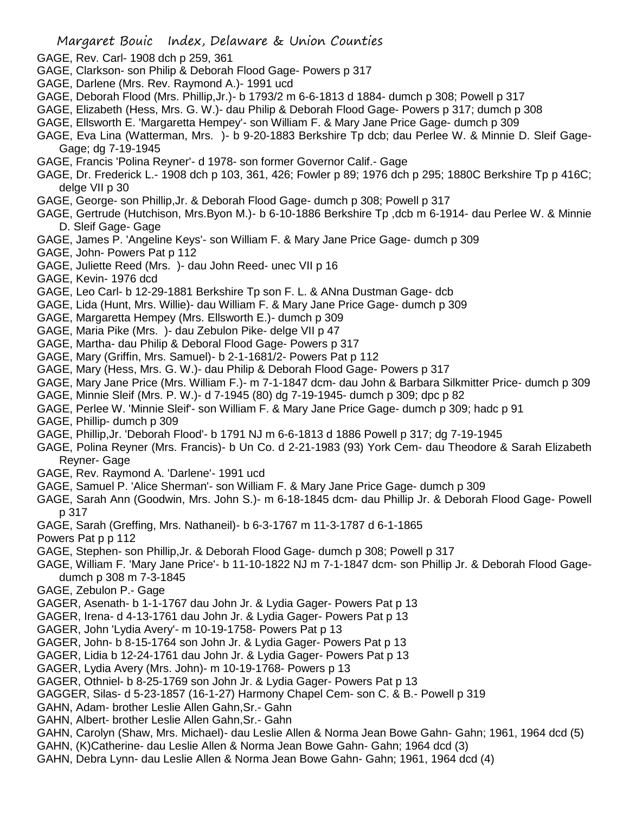- GAGE, Rev. Carl- 1908 dch p 259, 361
- GAGE, Clarkson- son Philip & Deborah Flood Gage- Powers p 317
- GAGE, Darlene (Mrs. Rev. Raymond A.)- 1991 ucd
- GAGE, Deborah Flood (Mrs. Phillip,Jr.)- b 1793/2 m 6-6-1813 d 1884- dumch p 308; Powell p 317
- GAGE, Elizabeth (Hess, Mrs. G. W.)- dau Philip & Deborah Flood Gage- Powers p 317; dumch p 308
- GAGE, Ellsworth E. 'Margaretta Hempey'- son William F. & Mary Jane Price Gage- dumch p 309
- GAGE, Eva Lina (Watterman, Mrs. )- b 9-20-1883 Berkshire Tp dcb; dau Perlee W. & Minnie D. Sleif Gage-Gage; dg 7-19-1945
- GAGE, Francis 'Polina Reyner'- d 1978- son former Governor Calif.- Gage
- GAGE, Dr. Frederick L.- 1908 dch p 103, 361, 426; Fowler p 89; 1976 dch p 295; 1880C Berkshire Tp p 416C; delge VII p 30
- GAGE, George- son Phillip,Jr. & Deborah Flood Gage- dumch p 308; Powell p 317
- GAGE, Gertrude (Hutchison, Mrs.Byon M.)- b 6-10-1886 Berkshire Tp ,dcb m 6-1914- dau Perlee W. & Minnie D. Sleif Gage- Gage
- GAGE, James P. 'Angeline Keys'- son William F. & Mary Jane Price Gage- dumch p 309
- GAGE, John- Powers Pat p 112
- GAGE, Juliette Reed (Mrs. )- dau John Reed- unec VII p 16
- GAGE, Kevin- 1976 dcd
- GAGE, Leo Carl- b 12-29-1881 Berkshire Tp son F. L. & ANna Dustman Gage- dcb
- GAGE, Lida (Hunt, Mrs. Willie)- dau William F. & Mary Jane Price Gage- dumch p 309
- GAGE, Margaretta Hempey (Mrs. Ellsworth E.)- dumch p 309
- GAGE, Maria Pike (Mrs. )- dau Zebulon Pike- delge VII p 47
- GAGE, Martha- dau Philip & Deboral Flood Gage- Powers p 317
- GAGE, Mary (Griffin, Mrs. Samuel)- b 2-1-1681/2- Powers Pat p 112
- GAGE, Mary (Hess, Mrs. G. W.)- dau Philip & Deborah Flood Gage- Powers p 317
- GAGE, Mary Jane Price (Mrs. William F.)- m 7-1-1847 dcm- dau John & Barbara Silkmitter Price- dumch p 309
- GAGE, Minnie Sleif (Mrs. P. W.)- d 7-1945 (80) dg 7-19-1945- dumch p 309; dpc p 82
- GAGE, Perlee W. 'Minnie Sleif'- son William F. & Mary Jane Price Gage- dumch p 309; hadc p 91
- GAGE, Phillip- dumch p 309
- GAGE, Phillip,Jr. 'Deborah Flood'- b 1791 NJ m 6-6-1813 d 1886 Powell p 317; dg 7-19-1945
- GAGE, Polina Reyner (Mrs. Francis)- b Un Co. d 2-21-1983 (93) York Cem- dau Theodore & Sarah Elizabeth Reyner- Gage
- GAGE, Rev. Raymond A. 'Darlene'- 1991 ucd
- GAGE, Samuel P. 'Alice Sherman'- son William F. & Mary Jane Price Gage- dumch p 309
- GAGE, Sarah Ann (Goodwin, Mrs. John S.)- m 6-18-1845 dcm- dau Phillip Jr. & Deborah Flood Gage- Powell p 317
- GAGE, Sarah (Greffing, Mrs. Nathaneil)- b 6-3-1767 m 11-3-1787 d 6-1-1865
- Powers Pat p p 112
- GAGE, Stephen- son Phillip,Jr. & Deborah Flood Gage- dumch p 308; Powell p 317
- GAGE, William F. 'Mary Jane Price'- b 11-10-1822 NJ m 7-1-1847 dcm- son Phillip Jr. & Deborah Flood Gagedumch p 308 m 7-3-1845
- GAGE, Zebulon P.- Gage
- GAGER, Asenath- b 1-1-1767 dau John Jr. & Lydia Gager- Powers Pat p 13
- GAGER, Irena- d 4-13-1761 dau John Jr. & Lydia Gager- Powers Pat p 13
- GAGER, John 'Lydia Avery'- m 10-19-1758- Powers Pat p 13
- GAGER, John- b 8-15-1764 son John Jr. & Lydia Gager- Powers Pat p 13
- GAGER, Lidia b 12-24-1761 dau John Jr. & Lydia Gager- Powers Pat p 13
- GAGER, Lydia Avery (Mrs. John)- m 10-19-1768- Powers p 13
- GAGER, Othniel- b 8-25-1769 son John Jr. & Lydia Gager- Powers Pat p 13
- GAGGER, Silas- d 5-23-1857 (16-1-27) Harmony Chapel Cem- son C. & B.- Powell p 319
- GAHN, Adam- brother Leslie Allen Gahn,Sr.- Gahn
- GAHN, Albert- brother Leslie Allen Gahn,Sr.- Gahn
- GAHN, Carolyn (Shaw, Mrs. Michael)- dau Leslie Allen & Norma Jean Bowe Gahn- Gahn; 1961, 1964 dcd (5)
- GAHN, (K)Catherine- dau Leslie Allen & Norma Jean Bowe Gahn- Gahn; 1964 dcd (3)
- GAHN, Debra Lynn- dau Leslie Allen & Norma Jean Bowe Gahn- Gahn; 1961, 1964 dcd (4)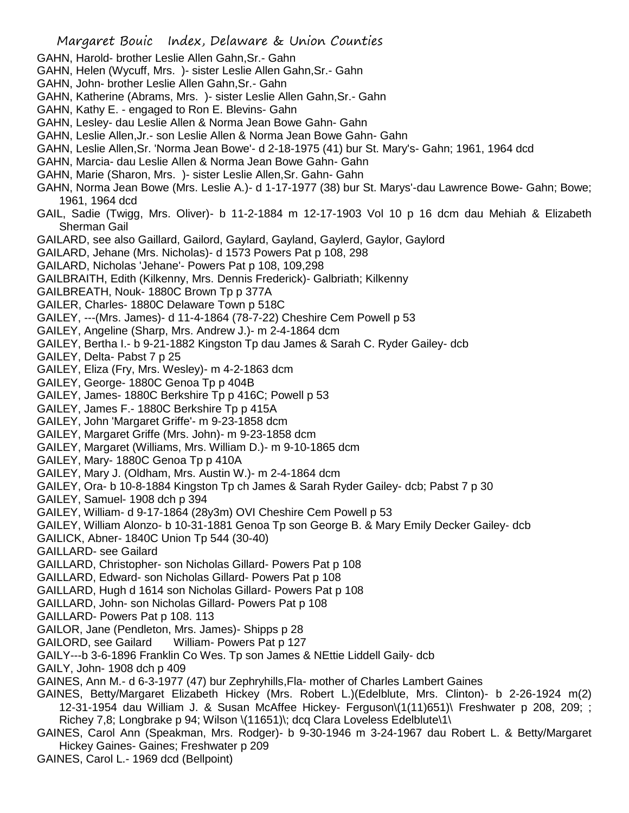- GAHN, Harold- brother Leslie Allen Gahn,Sr.- Gahn
- GAHN, Helen (Wycuff, Mrs. )- sister Leslie Allen Gahn,Sr.- Gahn
- GAHN, John- brother Leslie Allen Gahn,Sr.- Gahn
- GAHN, Katherine (Abrams, Mrs. )- sister Leslie Allen Gahn,Sr.- Gahn
- GAHN, Kathy E. engaged to Ron E. Blevins- Gahn
- GAHN, Lesley- dau Leslie Allen & Norma Jean Bowe Gahn- Gahn
- GAHN, Leslie Allen,Jr.- son Leslie Allen & Norma Jean Bowe Gahn- Gahn
- GAHN, Leslie Allen,Sr. 'Norma Jean Bowe'- d 2-18-1975 (41) bur St. Mary's- Gahn; 1961, 1964 dcd
- GAHN, Marcia- dau Leslie Allen & Norma Jean Bowe Gahn- Gahn
- GAHN, Marie (Sharon, Mrs. )- sister Leslie Allen,Sr. Gahn- Gahn
- GAHN, Norma Jean Bowe (Mrs. Leslie A.)- d 1-17-1977 (38) bur St. Marys'-dau Lawrence Bowe- Gahn; Bowe; 1961, 1964 dcd
- GAIL, Sadie (Twigg, Mrs. Oliver)- b 11-2-1884 m 12-17-1903 Vol 10 p 16 dcm dau Mehiah & Elizabeth Sherman Gail
- GAILARD, see also Gaillard, Gailord, Gaylard, Gayland, Gaylerd, Gaylor, Gaylord
- GAILARD, Jehane (Mrs. Nicholas)- d 1573 Powers Pat p 108, 298
- GAILARD, Nicholas 'Jehane'- Powers Pat p 108, 109,298
- GAILBRAITH, Edith (Kilkenny, Mrs. Dennis Frederick)- Galbriath; Kilkenny
- GAILBREATH, Nouk- 1880C Brown Tp p 377A
- GAILER, Charles- 1880C Delaware Town p 518C
- GAILEY, ---(Mrs. James)- d 11-4-1864 (78-7-22) Cheshire Cem Powell p 53
- GAILEY, Angeline (Sharp, Mrs. Andrew J.)- m 2-4-1864 dcm
- GAILEY, Bertha I.- b 9-21-1882 Kingston Tp dau James & Sarah C. Ryder Gailey- dcb
- GAILEY, Delta- Pabst 7 p 25
- GAILEY, Eliza (Fry, Mrs. Wesley)- m 4-2-1863 dcm
- GAILEY, George- 1880C Genoa Tp p 404B
- GAILEY, James- 1880C Berkshire Tp p 416C; Powell p 53
- GAILEY, James F.- 1880C Berkshire Tp p 415A
- GAILEY, John 'Margaret Griffe'- m 9-23-1858 dcm
- GAILEY, Margaret Griffe (Mrs. John)- m 9-23-1858 dcm
- GAILEY, Margaret (Williams, Mrs. William D.)- m 9-10-1865 dcm
- GAILEY, Mary- 1880C Genoa Tp p 410A
- GAILEY, Mary J. (Oldham, Mrs. Austin W.)- m 2-4-1864 dcm
- GAILEY, Ora- b 10-8-1884 Kingston Tp ch James & Sarah Ryder Gailey- dcb; Pabst 7 p 30
- GAILEY, Samuel- 1908 dch p 394
- GAILEY, William- d 9-17-1864 (28y3m) OVI Cheshire Cem Powell p 53
- GAILEY, William Alonzo- b 10-31-1881 Genoa Tp son George B. & Mary Emily Decker Gailey- dcb
- GAILICK, Abner- 1840C Union Tp 544 (30-40)
- GAILLARD- see Gailard
- GAILLARD, Christopher- son Nicholas Gillard- Powers Pat p 108
- GAILLARD, Edward- son Nicholas Gillard- Powers Pat p 108
- GAILLARD, Hugh d 1614 son Nicholas Gillard- Powers Pat p 108
- GAILLARD, John- son Nicholas Gillard- Powers Pat p 108
- GAILLARD- Powers Pat p 108. 113
- GAILOR, Jane (Pendleton, Mrs. James)- Shipps p 28
- GAILORD, see Gailard William- Powers Pat p 127
- GAILY---b 3-6-1896 Franklin Co Wes. Tp son James & NEttie Liddell Gaily- dcb
- GAILY, John- 1908 dch p 409
- GAINES, Ann M.- d 6-3-1977 (47) bur Zephryhills,Fla- mother of Charles Lambert Gaines
- GAINES, Betty/Margaret Elizabeth Hickey (Mrs. Robert L.)(Edelblute, Mrs. Clinton)- b 2-26-1924 m(2) 12-31-1954 dau William J. & Susan McAffee Hickey- Ferguson\(1(11)651)\ Freshwater p 208, 209; ; Richey 7,8; Longbrake p 94; Wilson \(11651)\; dcq Clara Loveless Edelblute\1\
- GAINES, Carol Ann (Speakman, Mrs. Rodger)- b 9-30-1946 m 3-24-1967 dau Robert L. & Betty/Margaret Hickey Gaines- Gaines; Freshwater p 209
- GAINES, Carol L.- 1969 dcd (Bellpoint)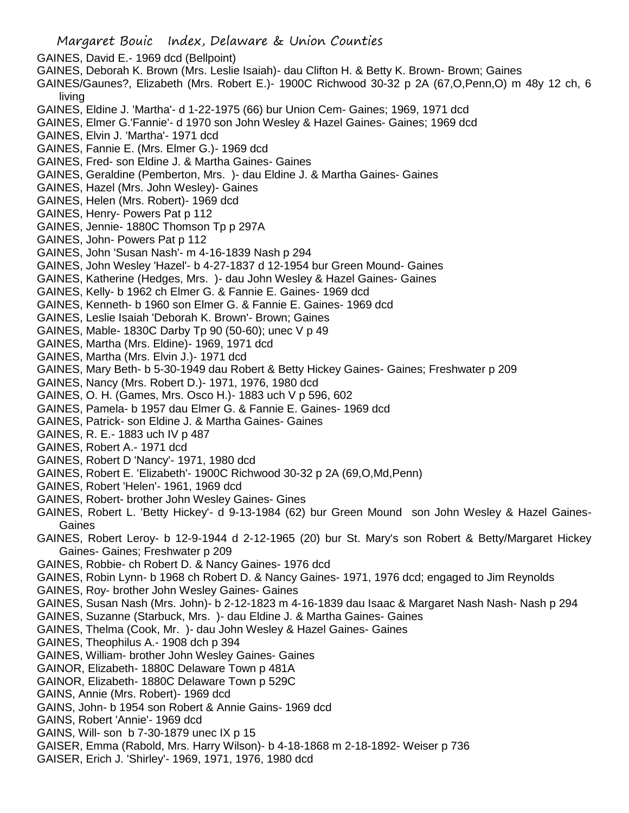- GAINES, David E.- 1969 dcd (Bellpoint)
- GAINES, Deborah K. Brown (Mrs. Leslie Isaiah)- dau Clifton H. & Betty K. Brown- Brown; Gaines
- GAINES/Gaunes?, Elizabeth (Mrs. Robert E.)- 1900C Richwood 30-32 p 2A (67,O,Penn,O) m 48y 12 ch, 6 living
- GAINES, Eldine J. 'Martha'- d 1-22-1975 (66) bur Union Cem- Gaines; 1969, 1971 dcd
- GAINES, Elmer G.'Fannie'- d 1970 son John Wesley & Hazel Gaines- Gaines; 1969 dcd
- GAINES, Elvin J. 'Martha'- 1971 dcd
- GAINES, Fannie E. (Mrs. Elmer G.)- 1969 dcd
- GAINES, Fred- son Eldine J. & Martha Gaines- Gaines
- GAINES, Geraldine (Pemberton, Mrs. )- dau Eldine J. & Martha Gaines- Gaines
- GAINES, Hazel (Mrs. John Wesley)- Gaines
- GAINES, Helen (Mrs. Robert)- 1969 dcd
- GAINES, Henry- Powers Pat p 112
- GAINES, Jennie- 1880C Thomson Tp p 297A
- GAINES, John- Powers Pat p 112
- GAINES, John 'Susan Nash'- m 4-16-1839 Nash p 294
- GAINES, John Wesley 'Hazel'- b 4-27-1837 d 12-1954 bur Green Mound- Gaines
- GAINES, Katherine (Hedges, Mrs. )- dau John Wesley & Hazel Gaines- Gaines
- GAINES, Kelly- b 1962 ch Elmer G. & Fannie E. Gaines- 1969 dcd
- GAINES, Kenneth- b 1960 son Elmer G. & Fannie E. Gaines- 1969 dcd
- GAINES, Leslie Isaiah 'Deborah K. Brown'- Brown; Gaines
- GAINES, Mable- 1830C Darby Tp 90 (50-60); unec V p 49
- GAINES, Martha (Mrs. Eldine)- 1969, 1971 dcd
- GAINES, Martha (Mrs. Elvin J.)- 1971 dcd
- GAINES, Mary Beth- b 5-30-1949 dau Robert & Betty Hickey Gaines- Gaines; Freshwater p 209
- GAINES, Nancy (Mrs. Robert D.)- 1971, 1976, 1980 dcd
- GAINES, O. H. (Games, Mrs. Osco H.)- 1883 uch V p 596, 602
- GAINES, Pamela- b 1957 dau Elmer G. & Fannie E. Gaines- 1969 dcd
- GAINES, Patrick- son Eldine J. & Martha Gaines- Gaines
- GAINES, R. E.- 1883 uch IV p 487
- GAINES, Robert A.- 1971 dcd
- GAINES, Robert D 'Nancy'- 1971, 1980 dcd
- GAINES, Robert E. 'Elizabeth'- 1900C Richwood 30-32 p 2A (69,O,Md,Penn)
- GAINES, Robert 'Helen'- 1961, 1969 dcd
- GAINES, Robert- brother John Wesley Gaines- Gines
- GAINES, Robert L. 'Betty Hickey'- d 9-13-1984 (62) bur Green Mound son John Wesley & Hazel Gaines-Gaines
- GAINES, Robert Leroy- b 12-9-1944 d 2-12-1965 (20) bur St. Mary's son Robert & Betty/Margaret Hickey Gaines- Gaines; Freshwater p 209
- GAINES, Robbie- ch Robert D. & Nancy Gaines- 1976 dcd
- GAINES, Robin Lynn- b 1968 ch Robert D. & Nancy Gaines- 1971, 1976 dcd; engaged to Jim Reynolds
- GAINES, Roy- brother John Wesley Gaines- Gaines
- GAINES, Susan Nash (Mrs. John)- b 2-12-1823 m 4-16-1839 dau Isaac & Margaret Nash Nash- Nash p 294
- GAINES, Suzanne (Starbuck, Mrs. )- dau Eldine J. & Martha Gaines- Gaines
- GAINES, Thelma (Cook, Mr. )- dau John Wesley & Hazel Gaines- Gaines
- GAINES, Theophilus A.- 1908 dch p 394
- GAINES, William- brother John Wesley Gaines- Gaines
- GAINOR, Elizabeth- 1880C Delaware Town p 481A
- GAINOR, Elizabeth- 1880C Delaware Town p 529C
- GAINS, Annie (Mrs. Robert)- 1969 dcd
- GAINS, John- b 1954 son Robert & Annie Gains- 1969 dcd
- GAINS, Robert 'Annie'- 1969 dcd
- GAINS, Will- son b 7-30-1879 unec IX p 15
- GAISER, Emma (Rabold, Mrs. Harry Wilson)- b 4-18-1868 m 2-18-1892- Weiser p 736
- GAISER, Erich J. 'Shirley'- 1969, 1971, 1976, 1980 dcd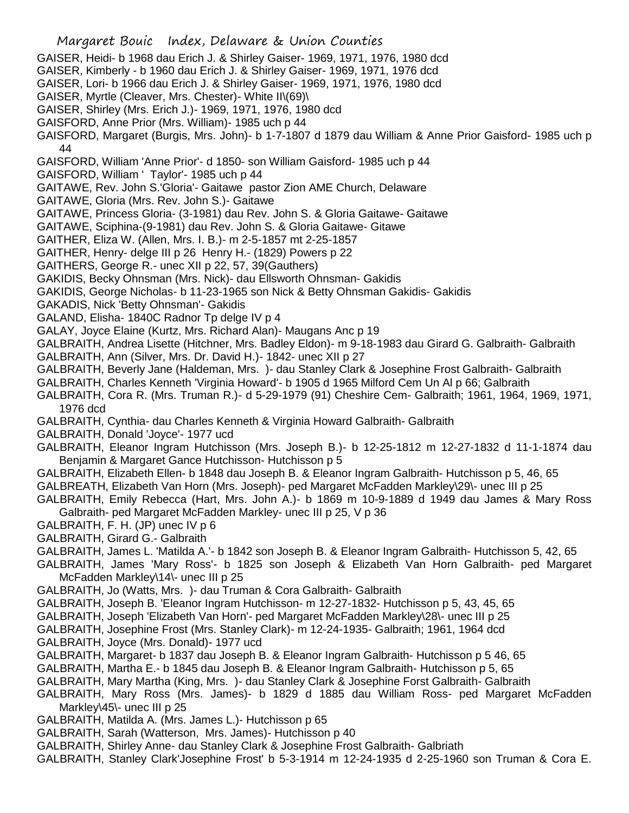- GAISER, Heidi- b 1968 dau Erich J. & Shirley Gaiser- 1969, 1971, 1976, 1980 dcd
- GAISER, Kimberly b 1960 dau Erich J. & Shirley Gaiser- 1969, 1971, 1976 dcd
- GAISER, Lori- b 1966 dau Erich J. & Shirley Gaiser- 1969, 1971, 1976, 1980 dcd
- GAISER, Myrtle (Cleaver, Mrs. Chester)- White II\(69)\
- GAISER, Shirley (Mrs. Erich J.)- 1969, 1971, 1976, 1980 dcd
- GAISFORD, Anne Prior (Mrs. William)- 1985 uch p 44
- GAISFORD, Margaret (Burgis, Mrs. John)- b 1-7-1807 d 1879 dau William & Anne Prior Gaisford- 1985 uch p 44
- GAISFORD, William 'Anne Prior'- d 1850- son William Gaisford- 1985 uch p 44
- GAISFORD, William ' Taylor'- 1985 uch p 44
- GAITAWE, Rev. John S.'Gloria'- Gaitawe pastor Zion AME Church, Delaware
- GAITAWE, Gloria (Mrs. Rev. John S.)- Gaitawe
- GAITAWE, Princess Gloria- (3-1981) dau Rev. John S. & Gloria Gaitawe- Gaitawe
- GAITAWE, Sciphina-(9-1981) dau Rev. John S. & Gloria Gaitawe- Gitawe
- GAITHER, Eliza W. (Allen, Mrs. I. B.)- m 2-5-1857 mt 2-25-1857
- GAITHER, Henry- delge III p 26 Henry H.- (1829) Powers p 22
- GAITHERS, George R.- unec XII p 22, 57, 39(Gauthers)
- GAKIDIS, Becky Ohnsman (Mrs. Nick)- dau Ellsworth Ohnsman- Gakidis
- GAKIDIS, George Nicholas- b 11-23-1965 son Nick & Betty Ohnsman Gakidis- Gakidis
- GAKADIS, Nick 'Betty Ohnsman'- Gakidis
- GALAND, Elisha- 1840C Radnor Tp delge IV p 4
- GALAY, Joyce Elaine (Kurtz, Mrs. Richard Alan)- Maugans Anc p 19
- GALBRAITH, Andrea Lisette (Hitchner, Mrs. Badley Eldon)- m 9-18-1983 dau Girard G. Galbraith- Galbraith
- GALBRAITH, Ann (Silver, Mrs. Dr. David H.)- 1842- unec XII p 27
- GALBRAITH, Beverly Jane (Haldeman, Mrs. )- dau Stanley Clark & Josephine Frost Galbraith- Galbraith
- GALBRAITH, Charles Kenneth 'Virginia Howard'- b 1905 d 1965 Milford Cem Un Al p 66; Galbraith
- GALBRAITH, Cora R. (Mrs. Truman R.)- d 5-29-1979 (91) Cheshire Cem- Galbraith; 1961, 1964, 1969, 1971, 1976 dcd
- GALBRAITH, Cynthia- dau Charles Kenneth & Virginia Howard Galbraith- Galbraith
- GALBRAITH, Donald 'Joyce'- 1977 ucd
- GALBRAITH, Eleanor Ingram Hutchisson (Mrs. Joseph B.)- b 12-25-1812 m 12-27-1832 d 11-1-1874 dau Benjamin & Margaret Gance Hutchisson- Hutchisson p 5
- GALBRAITH, Elizabeth Ellen- b 1848 dau Joseph B. & Eleanor Ingram Galbraith- Hutchisson p 5, 46, 65
- GALBREATH, Elizabeth Van Horn (Mrs. Joseph)- ped Margaret McFadden Markley\29\- unec III p 25
- GALBRAITH, Emily Rebecca (Hart, Mrs. John A.)- b 1869 m 10-9-1889 d 1949 dau James & Mary Ross Galbraith- ped Margaret McFadden Markley- unec III p 25, V p 36
- GALBRAITH, F. H. (JP) unec IV p 6
- GALBRAITH, Girard G.- Galbraith
- GALBRAITH, James L. 'Matilda A.'- b 1842 son Joseph B. & Eleanor Ingram Galbraith- Hutchisson 5, 42, 65
- GALBRAITH, James 'Mary Ross'- b 1825 son Joseph & Elizabeth Van Horn Galbraith- ped Margaret McFadden Markley\14\- unec III p 25
- GALBRAITH, Jo (Watts, Mrs. )- dau Truman & Cora Galbraith- Galbraith
- GALBRAITH, Joseph B. 'Eleanor Ingram Hutchisson- m 12-27-1832- Hutchisson p 5, 43, 45, 65
- GALBRAITH, Joseph 'Elizabeth Van Horn'- ped Margaret McFadden Markley\28\- unec III p 25
- GALBRAITH, Josephine Frost (Mrs. Stanley Clark)- m 12-24-1935- Galbraith; 1961, 1964 dcd
- GALBRAITH, Joyce (Mrs. Donald)- 1977 ucd
- GALBRAITH, Margaret- b 1837 dau Joseph B. & Eleanor Ingram Galbraith- Hutchisson p 5 46, 65
- GALBRAITH, Martha E.- b 1845 dau Joseph B. & Eleanor Ingram Galbraith- Hutchisson p 5, 65
- GALBRAITH, Mary Martha (King, Mrs. )- dau Stanley Clark & Josephine Forst Galbraith- Galbraith
- GALBRAITH, Mary Ross (Mrs. James)- b 1829 d 1885 dau William Ross- ped Margaret McFadden Markley\45\- unec III p 25
- GALBRAITH, Matilda A. (Mrs. James L.)- Hutchisson p 65
- GALBRAITH, Sarah (Watterson, Mrs. James)- Hutchisson p 40
- GALBRAITH, Shirley Anne- dau Stanley Clark & Josephine Frost Galbraith- Galbriath
- GALBRAITH, Stanley Clark'Josephine Frost' b 5-3-1914 m 12-24-1935 d 2-25-1960 son Truman & Cora E.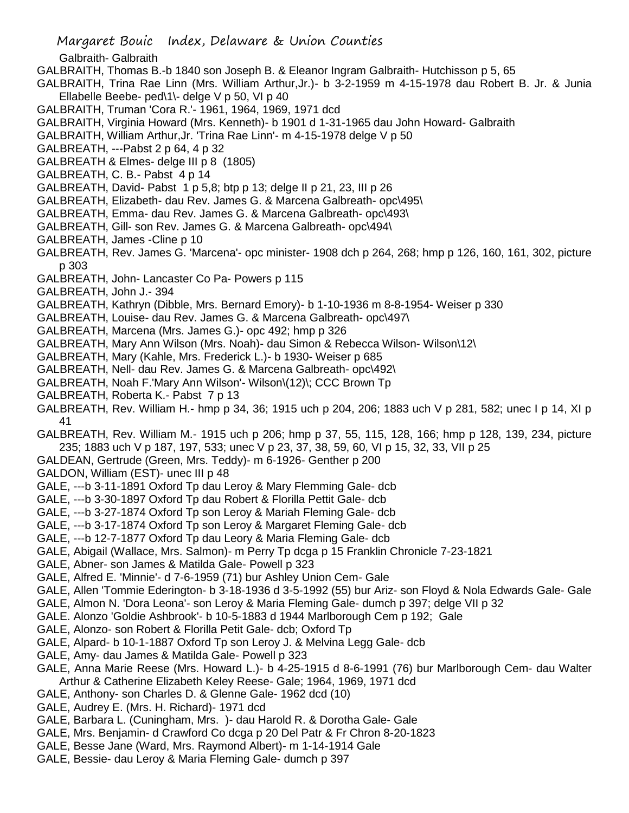- Margaret Bouic Index, Delaware & Union Counties
- Galbraith- Galbraith
- GALBRAITH, Thomas B.-b 1840 son Joseph B. & Eleanor Ingram Galbraith- Hutchisson p 5, 65
- GALBRAITH, Trina Rae Linn (Mrs. William Arthur,Jr.)- b 3-2-1959 m 4-15-1978 dau Robert B. Jr. & Junia Ellabelle Beebe- ped\1\- delge V p 50, VI p 40
- GALBRAITH, Truman 'Cora R.'- 1961, 1964, 1969, 1971 dcd
- GALBRAITH, Virginia Howard (Mrs. Kenneth)- b 1901 d 1-31-1965 dau John Howard- Galbraith
- GALBRAITH, William Arthur,Jr. 'Trina Rae Linn'- m 4-15-1978 delge V p 50
- GALBREATH, ---Pabst 2 p 64, 4 p 32
- GALBREATH & Elmes- delge III p 8 (1805)
- GALBREATH, C. B.- Pabst 4 p 14
- GALBREATH, David- Pabst 1 p 5,8; btp p 13; delge II p 21, 23, III p 26
- GALBREATH, Elizabeth- dau Rev. James G. & Marcena Galbreath- opc\495\
- GALBREATH, Emma- dau Rev. James G. & Marcena Galbreath- opc\493\
- GALBREATH, Gill- son Rev. James G. & Marcena Galbreath- opc\494\
- GALBREATH, James -Cline p 10
- GALBREATH, Rev. James G. 'Marcena'- opc minister- 1908 dch p 264, 268; hmp p 126, 160, 161, 302, picture p 303
- GALBREATH, John- Lancaster Co Pa- Powers p 115
- GALBREATH, John J.- 394
- GALBREATH, Kathryn (Dibble, Mrs. Bernard Emory)- b 1-10-1936 m 8-8-1954- Weiser p 330
- GALBREATH, Louise- dau Rev. James G. & Marcena Galbreath- opc\497\
- GALBREATH, Marcena (Mrs. James G.)- opc 492; hmp p 326
- GALBREATH, Mary Ann Wilson (Mrs. Noah)- dau Simon & Rebecca Wilson- Wilson\12\
- GALBREATH, Mary (Kahle, Mrs. Frederick L.)- b 1930- Weiser p 685
- GALBREATH, Nell- dau Rev. James G. & Marcena Galbreath- opc\492\
- GALBREATH, Noah F.'Mary Ann Wilson'- Wilson\(12)\; CCC Brown Tp
- GALBREATH, Roberta K.- Pabst 7 p 13
- GALBREATH, Rev. William H.- hmp p 34, 36; 1915 uch p 204, 206; 1883 uch V p 281, 582; unec I p 14, XI p 41
- GALBREATH, Rev. William M.- 1915 uch p 206; hmp p 37, 55, 115, 128, 166; hmp p 128, 139, 234, picture 235; 1883 uch V p 187, 197, 533; unec V p 23, 37, 38, 59, 60, VI p 15, 32, 33, VII p 25
- GALDEAN, Gertrude (Green, Mrs. Teddy)- m 6-1926- Genther p 200
- GALDON, William (EST)- unec III p 48
- GALE, ---b 3-11-1891 Oxford Tp dau Leroy & Mary Flemming Gale- dcb
- GALE, ---b 3-30-1897 Oxford Tp dau Robert & Florilla Pettit Gale- dcb
- GALE, ---b 3-27-1874 Oxford Tp son Leroy & Mariah Fleming Gale- dcb
- GALE, ---b 3-17-1874 Oxford Tp son Leroy & Margaret Fleming Gale- dcb
- GALE, ---b 12-7-1877 Oxford Tp dau Leory & Maria Fleming Gale- dcb
- GALE, Abigail (Wallace, Mrs. Salmon)- m Perry Tp dcga p 15 Franklin Chronicle 7-23-1821
- GALE, Abner- son James & Matilda Gale- Powell p 323
- GALE, Alfred E. 'Minnie'- d 7-6-1959 (71) bur Ashley Union Cem- Gale
- GALE, Allen 'Tommie Ederington- b 3-18-1936 d 3-5-1992 (55) bur Ariz- son Floyd & Nola Edwards Gale- Gale
- GALE, Almon N. 'Dora Leona'- son Leroy & Maria Fleming Gale- dumch p 397; delge VII p 32
- GALE. Alonzo 'Goldie Ashbrook'- b 10-5-1883 d 1944 Marlborough Cem p 192; Gale
- GALE, Alonzo- son Robert & Florilla Petit Gale- dcb; Oxford Tp
- GALE, Alpard- b 10-1-1887 Oxford Tp son Leroy J. & Melvina Legg Gale- dcb
- GALE, Amy- dau James & Matilda Gale- Powell p 323
- GALE, Anna Marie Reese (Mrs. Howard L.)- b 4-25-1915 d 8-6-1991 (76) bur Marlborough Cem- dau Walter Arthur & Catherine Elizabeth Keley Reese- Gale; 1964, 1969, 1971 dcd
- GALE, Anthony- son Charles D. & Glenne Gale- 1962 dcd (10)
- GALE, Audrey E. (Mrs. H. Richard)- 1971 dcd
- GALE, Barbara L. (Cuningham, Mrs. )- dau Harold R. & Dorotha Gale- Gale
- GALE, Mrs. Benjamin- d Crawford Co dcga p 20 Del Patr & Fr Chron 8-20-1823
- GALE, Besse Jane (Ward, Mrs. Raymond Albert)- m 1-14-1914 Gale
- GALE, Bessie- dau Leroy & Maria Fleming Gale- dumch p 397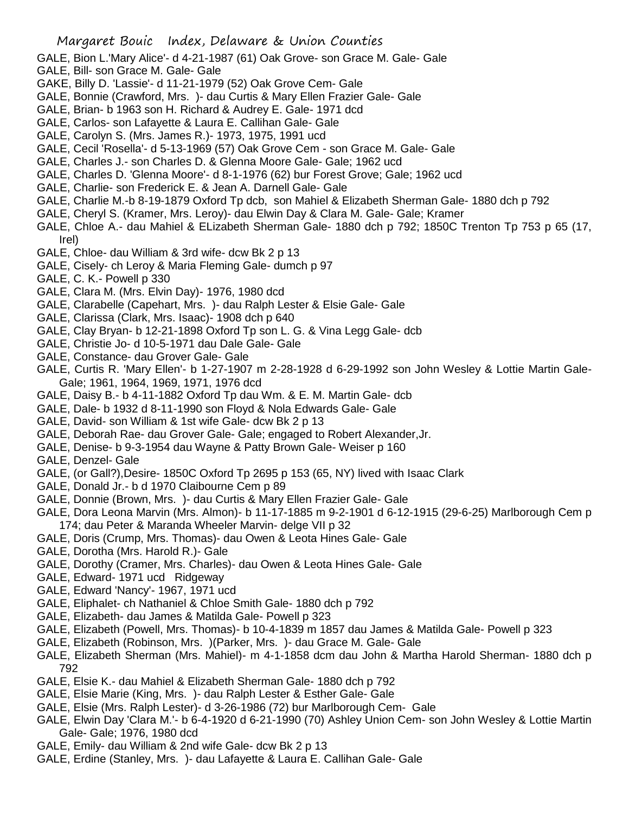GALE, Bion L.'Mary Alice'- d 4-21-1987 (61) Oak Grove- son Grace M. Gale- Gale

- GALE, Bill- son Grace M. Gale- Gale
- GAKE, Billy D. 'Lassie'- d 11-21-1979 (52) Oak Grove Cem- Gale
- GALE, Bonnie (Crawford, Mrs. )- dau Curtis & Mary Ellen Frazier Gale- Gale
- GALE, Brian- b 1963 son H. Richard & Audrey E. Gale- 1971 dcd
- GALE, Carlos- son Lafayette & Laura E. Callihan Gale- Gale
- GALE, Carolyn S. (Mrs. James R.)- 1973, 1975, 1991 ucd
- GALE, Cecil 'Rosella'- d 5-13-1969 (57) Oak Grove Cem son Grace M. Gale- Gale
- GALE, Charles J.- son Charles D. & Glenna Moore Gale- Gale; 1962 ucd
- GALE, Charles D. 'Glenna Moore'- d 8-1-1976 (62) bur Forest Grove; Gale; 1962 ucd
- GALE, Charlie- son Frederick E. & Jean A. Darnell Gale- Gale
- GALE, Charlie M.-b 8-19-1879 Oxford Tp dcb, son Mahiel & Elizabeth Sherman Gale- 1880 dch p 792
- GALE, Cheryl S. (Kramer, Mrs. Leroy)- dau Elwin Day & Clara M. Gale- Gale; Kramer
- GALE, Chloe A.- dau Mahiel & ELizabeth Sherman Gale- 1880 dch p 792; 1850C Trenton Tp 753 p 65 (17, Irel)
- GALE, Chloe- dau William & 3rd wife- dcw Bk 2 p 13
- GALE, Cisely- ch Leroy & Maria Fleming Gale- dumch p 97
- GALE, C. K.- Powell p 330
- GALE, Clara M. (Mrs. Elvin Day)- 1976, 1980 dcd
- GALE, Clarabelle (Capehart, Mrs. )- dau Ralph Lester & Elsie Gale- Gale
- GALE, Clarissa (Clark, Mrs. Isaac)- 1908 dch p 640
- GALE, Clay Bryan- b 12-21-1898 Oxford Tp son L. G. & Vina Legg Gale- dcb
- GALE, Christie Jo- d 10-5-1971 dau Dale Gale- Gale
- GALE, Constance- dau Grover Gale- Gale
- GALE, Curtis R. 'Mary Ellen'- b 1-27-1907 m 2-28-1928 d 6-29-1992 son John Wesley & Lottie Martin Gale-Gale; 1961, 1964, 1969, 1971, 1976 dcd
- GALE, Daisy B.- b 4-11-1882 Oxford Tp dau Wm. & E. M. Martin Gale- dcb
- GALE, Dale- b 1932 d 8-11-1990 son Floyd & Nola Edwards Gale- Gale
- GALE, David- son William & 1st wife Gale- dcw Bk 2 p 13
- GALE, Deborah Rae- dau Grover Gale- Gale; engaged to Robert Alexander,Jr.
- GALE, Denise- b 9-3-1954 dau Wayne & Patty Brown Gale- Weiser p 160
- GALE, Denzel- Gale
- GALE, (or Gall?),Desire- 1850C Oxford Tp 2695 p 153 (65, NY) lived with Isaac Clark
- GALE, Donald Jr.- b d 1970 Claibourne Cem p 89
- GALE, Donnie (Brown, Mrs. )- dau Curtis & Mary Ellen Frazier Gale- Gale
- GALE, Dora Leona Marvin (Mrs. Almon)- b 11-17-1885 m 9-2-1901 d 6-12-1915 (29-6-25) Marlborough Cem p 174; dau Peter & Maranda Wheeler Marvin- delge VII p 32
- GALE, Doris (Crump, Mrs. Thomas)- dau Owen & Leota Hines Gale- Gale
- GALE, Dorotha (Mrs. Harold R.)- Gale
- GALE, Dorothy (Cramer, Mrs. Charles)- dau Owen & Leota Hines Gale- Gale
- GALE, Edward- 1971 ucd Ridgeway
- GALE, Edward 'Nancy'- 1967, 1971 ucd
- GALE, Eliphalet- ch Nathaniel & Chloe Smith Gale- 1880 dch p 792
- GALE, Elizabeth- dau James & Matilda Gale- Powell p 323
- GALE, Elizabeth (Powell, Mrs. Thomas)- b 10-4-1839 m 1857 dau James & Matilda Gale- Powell p 323
- GALE, Elizabeth (Robinson, Mrs. )(Parker, Mrs. )- dau Grace M. Gale- Gale
- GALE, Elizabeth Sherman (Mrs. Mahiel)- m 4-1-1858 dcm dau John & Martha Harold Sherman- 1880 dch p 792
- GALE, Elsie K.- dau Mahiel & Elizabeth Sherman Gale- 1880 dch p 792
- GALE, Elsie Marie (King, Mrs. )- dau Ralph Lester & Esther Gale- Gale
- GALE, Elsie (Mrs. Ralph Lester)- d 3-26-1986 (72) bur Marlborough Cem- Gale
- GALE, Elwin Day 'Clara M.'- b 6-4-1920 d 6-21-1990 (70) Ashley Union Cem- son John Wesley & Lottie Martin Gale- Gale; 1976, 1980 dcd
- GALE, Emily- dau William & 2nd wife Gale- dcw Bk 2 p 13
- GALE, Erdine (Stanley, Mrs. )- dau Lafayette & Laura E. Callihan Gale- Gale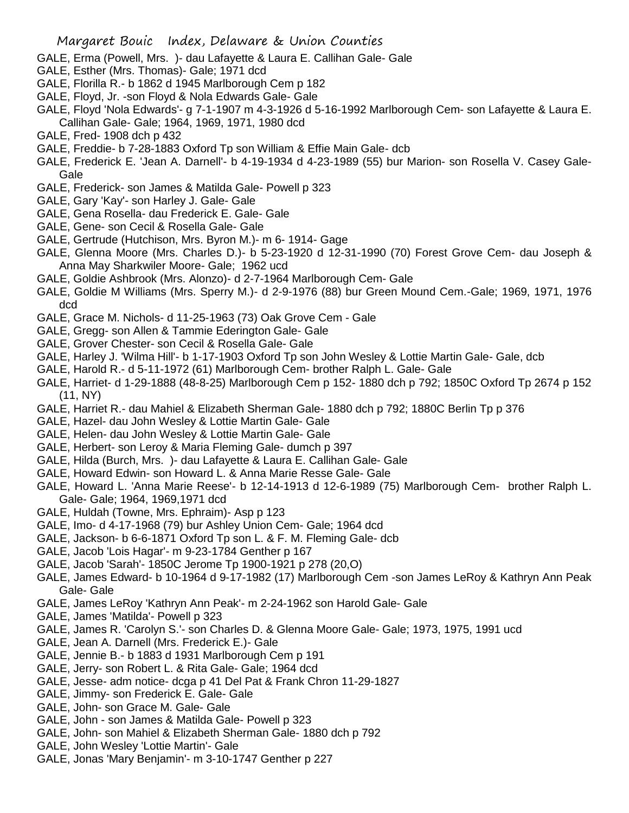- GALE, Erma (Powell, Mrs. )- dau Lafayette & Laura E. Callihan Gale- Gale
- GALE, Esther (Mrs. Thomas)- Gale; 1971 dcd
- GALE, Florilla R.- b 1862 d 1945 Marlborough Cem p 182
- GALE, Floyd, Jr. -son Floyd & Nola Edwards Gale- Gale
- GALE, Floyd 'Nola Edwards'- g 7-1-1907 m 4-3-1926 d 5-16-1992 Marlborough Cem- son Lafayette & Laura E. Callihan Gale- Gale; 1964, 1969, 1971, 1980 dcd
- GALE, Fred- 1908 dch p 432
- GALE, Freddie- b 7-28-1883 Oxford Tp son William & Effie Main Gale- dcb
- GALE, Frederick E. 'Jean A. Darnell'- b 4-19-1934 d 4-23-1989 (55) bur Marion- son Rosella V. Casey Gale-Gale
- GALE, Frederick- son James & Matilda Gale- Powell p 323
- GALE, Gary 'Kay'- son Harley J. Gale- Gale
- GALE, Gena Rosella- dau Frederick E. Gale- Gale
- GALE, Gene- son Cecil & Rosella Gale- Gale
- GALE, Gertrude (Hutchison, Mrs. Byron M.)- m 6- 1914- Gage
- GALE, Glenna Moore (Mrs. Charles D.)- b 5-23-1920 d 12-31-1990 (70) Forest Grove Cem- dau Joseph & Anna May Sharkwiler Moore- Gale; 1962 ucd
- GALE, Goldie Ashbrook (Mrs. Alonzo)- d 2-7-1964 Marlborough Cem- Gale
- GALE, Goldie M Williams (Mrs. Sperry M.)- d 2-9-1976 (88) bur Green Mound Cem.-Gale; 1969, 1971, 1976 dcd
- GALE, Grace M. Nichols- d 11-25-1963 (73) Oak Grove Cem Gale
- GALE, Gregg- son Allen & Tammie Ederington Gale- Gale
- GALE, Grover Chester- son Cecil & Rosella Gale- Gale
- GALE, Harley J. 'Wilma Hill'- b 1-17-1903 Oxford Tp son John Wesley & Lottie Martin Gale- Gale, dcb
- GALE, Harold R.- d 5-11-1972 (61) Marlborough Cem- brother Ralph L. Gale- Gale
- GALE, Harriet- d 1-29-1888 (48-8-25) Marlborough Cem p 152- 1880 dch p 792; 1850C Oxford Tp 2674 p 152 (11, NY)
- GALE, Harriet R.- dau Mahiel & Elizabeth Sherman Gale- 1880 dch p 792; 1880C Berlin Tp p 376
- GALE, Hazel- dau John Wesley & Lottie Martin Gale- Gale
- GALE, Helen- dau John Wesley & Lottie Martin Gale- Gale
- GALE, Herbert- son Leroy & Maria Fleming Gale- dumch p 397
- GALE, Hilda (Burch, Mrs. )- dau Lafayette & Laura E. Callihan Gale- Gale
- GALE, Howard Edwin- son Howard L. & Anna Marie Resse Gale- Gale
- GALE, Howard L. 'Anna Marie Reese'- b 12-14-1913 d 12-6-1989 (75) Marlborough Cem- brother Ralph L. Gale- Gale; 1964, 1969,1971 dcd
- GALE, Huldah (Towne, Mrs. Ephraim)- Asp p 123
- GALE, Imo- d 4-17-1968 (79) bur Ashley Union Cem- Gale; 1964 dcd
- GALE, Jackson- b 6-6-1871 Oxford Tp son L. & F. M. Fleming Gale- dcb
- GALE, Jacob 'Lois Hagar'- m 9-23-1784 Genther p 167
- GALE, Jacob 'Sarah'- 1850C Jerome Tp 1900-1921 p 278 (20,O)
- GALE, James Edward- b 10-1964 d 9-17-1982 (17) Marlborough Cem -son James LeRoy & Kathryn Ann Peak Gale- Gale
- GALE, James LeRoy 'Kathryn Ann Peak'- m 2-24-1962 son Harold Gale- Gale
- GALE, James 'Matilda'- Powell p 323
- GALE, James R. 'Carolyn S.'- son Charles D. & Glenna Moore Gale- Gale; 1973, 1975, 1991 ucd
- GALE, Jean A. Darnell (Mrs. Frederick E.)- Gale
- GALE, Jennie B.- b 1883 d 1931 Marlborough Cem p 191
- GALE, Jerry- son Robert L. & Rita Gale- Gale; 1964 dcd
- GALE, Jesse- adm notice- dcga p 41 Del Pat & Frank Chron 11-29-1827
- GALE, Jimmy- son Frederick E. Gale- Gale
- GALE, John- son Grace M. Gale- Gale
- GALE, John son James & Matilda Gale- Powell p 323
- GALE, John- son Mahiel & Elizabeth Sherman Gale- 1880 dch p 792
- GALE, John Wesley 'Lottie Martin'- Gale
- GALE, Jonas 'Mary Benjamin'- m 3-10-1747 Genther p 227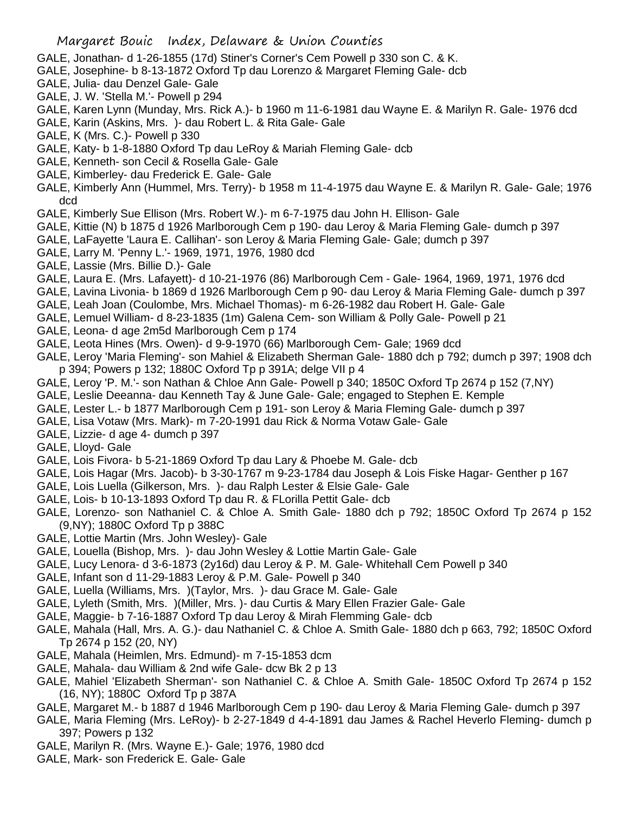- GALE, Jonathan- d 1-26-1855 (17d) Stiner's Corner's Cem Powell p 330 son C. & K.
- GALE, Josephine- b 8-13-1872 Oxford Tp dau Lorenzo & Margaret Fleming Gale- dcb
- GALE, Julia- dau Denzel Gale- Gale
- GALE, J. W. 'Stella M.'- Powell p 294
- GALE, Karen Lynn (Munday, Mrs. Rick A.)- b 1960 m 11-6-1981 dau Wayne E. & Marilyn R. Gale- 1976 dcd
- GALE, Karin (Askins, Mrs. )- dau Robert L. & Rita Gale- Gale
- GALE, K (Mrs. C.)- Powell p 330
- GALE, Katy- b 1-8-1880 Oxford Tp dau LeRoy & Mariah Fleming Gale- dcb
- GALE, Kenneth- son Cecil & Rosella Gale- Gale
- GALE, Kimberley- dau Frederick E. Gale- Gale
- GALE, Kimberly Ann (Hummel, Mrs. Terry)- b 1958 m 11-4-1975 dau Wayne E. & Marilyn R. Gale- Gale; 1976 dcd
- GALE, Kimberly Sue Ellison (Mrs. Robert W.)- m 6-7-1975 dau John H. Ellison- Gale
- GALE, Kittie (N) b 1875 d 1926 Marlborough Cem p 190- dau Leroy & Maria Fleming Gale- dumch p 397
- GALE, LaFayette 'Laura E. Callihan'- son Leroy & Maria Fleming Gale- Gale; dumch p 397
- GALE, Larry M. 'Penny L.'- 1969, 1971, 1976, 1980 dcd
- GALE, Lassie (Mrs. Billie D.)- Gale
- GALE, Laura E. (Mrs. Lafayett)- d 10-21-1976 (86) Marlborough Cem Gale- 1964, 1969, 1971, 1976 dcd
- GALE, Lavina Livonia- b 1869 d 1926 Marlborough Cem p 90- dau Leroy & Maria Fleming Gale- dumch p 397
- GALE, Leah Joan (Coulombe, Mrs. Michael Thomas)- m 6-26-1982 dau Robert H. Gale- Gale
- GALE, Lemuel William- d 8-23-1835 (1m) Galena Cem- son William & Polly Gale- Powell p 21
- GALE, Leona- d age 2m5d Marlborough Cem p 174
- GALE, Leota Hines (Mrs. Owen)- d 9-9-1970 (66) Marlborough Cem- Gale; 1969 dcd
- GALE, Leroy 'Maria Fleming'- son Mahiel & Elizabeth Sherman Gale- 1880 dch p 792; dumch p 397; 1908 dch p 394; Powers p 132; 1880C Oxford Tp p 391A; delge VII p 4
- GALE, Leroy 'P. M.'- son Nathan & Chloe Ann Gale- Powell p 340; 1850C Oxford Tp 2674 p 152 (7,NY)
- GALE, Leslie Deeanna- dau Kenneth Tay & June Gale- Gale; engaged to Stephen E. Kemple
- GALE, Lester L.- b 1877 Marlborough Cem p 191- son Leroy & Maria Fleming Gale- dumch p 397
- GALE, Lisa Votaw (Mrs. Mark)- m 7-20-1991 dau Rick & Norma Votaw Gale- Gale
- GALE, Lizzie- d age 4- dumch p 397
- GALE, Lloyd- Gale
- GALE, Lois Fivora- b 5-21-1869 Oxford Tp dau Lary & Phoebe M. Gale- dcb
- GALE, Lois Hagar (Mrs. Jacob)- b 3-30-1767 m 9-23-1784 dau Joseph & Lois Fiske Hagar- Genther p 167
- GALE, Lois Luella (Gilkerson, Mrs. )- dau Ralph Lester & Elsie Gale- Gale
- GALE, Lois- b 10-13-1893 Oxford Tp dau R. & FLorilla Pettit Gale- dcb
- GALE, Lorenzo- son Nathaniel C. & Chloe A. Smith Gale- 1880 dch p 792; 1850C Oxford Tp 2674 p 152 (9,NY); 1880C Oxford Tp p 388C
- GALE, Lottie Martin (Mrs. John Wesley)- Gale
- GALE, Louella (Bishop, Mrs. )- dau John Wesley & Lottie Martin Gale- Gale
- GALE, Lucy Lenora- d 3-6-1873 (2y16d) dau Leroy & P. M. Gale- Whitehall Cem Powell p 340
- GALE, Infant son d 11-29-1883 Leroy & P.M. Gale- Powell p 340
- GALE, Luella (Williams, Mrs. )(Taylor, Mrs. )- dau Grace M. Gale- Gale
- GALE, Lyleth (Smith, Mrs. )(Miller, Mrs. )- dau Curtis & Mary Ellen Frazier Gale- Gale
- GALE, Maggie- b 7-16-1887 Oxford Tp dau Leroy & Mirah Flemming Gale- dcb
- GALE, Mahala (Hall, Mrs. A. G.)- dau Nathaniel C. & Chloe A. Smith Gale- 1880 dch p 663, 792; 1850C Oxford Tp 2674 p 152 (20, NY)
- GALE, Mahala (Heimlen, Mrs. Edmund)- m 7-15-1853 dcm
- GALE, Mahala- dau William & 2nd wife Gale- dcw Bk 2 p 13
- GALE, Mahiel 'Elizabeth Sherman'- son Nathaniel C. & Chloe A. Smith Gale- 1850C Oxford Tp 2674 p 152 (16, NY); 1880C Oxford Tp p 387A
- GALE, Margaret M.- b 1887 d 1946 Marlborough Cem p 190- dau Leroy & Maria Fleming Gale- dumch p 397
- GALE, Maria Fleming (Mrs. LeRoy)- b 2-27-1849 d 4-4-1891 dau James & Rachel Heverlo Fleming- dumch p 397; Powers p 132
- GALE, Marilyn R. (Mrs. Wayne E.)- Gale; 1976, 1980 dcd
- GALE, Mark- son Frederick E. Gale- Gale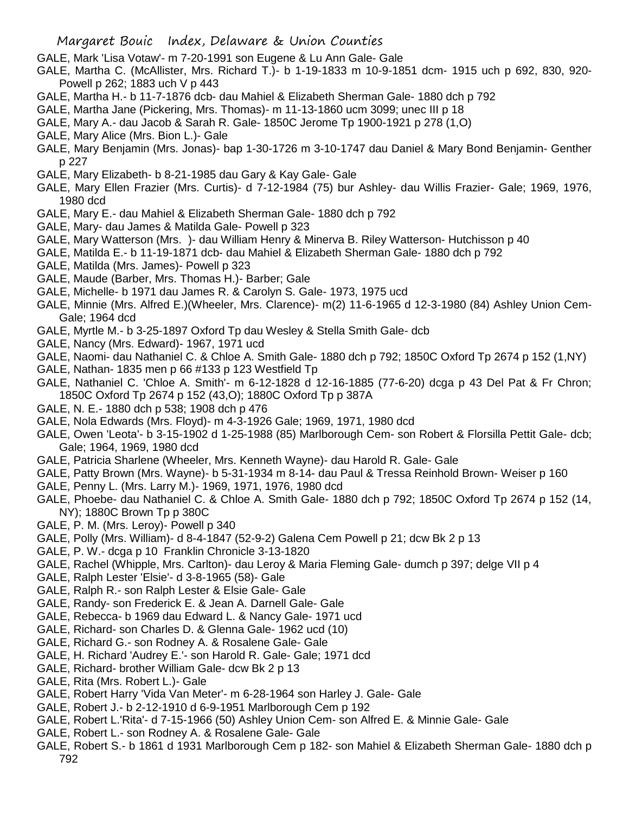- GALE, Mark 'Lisa Votaw'- m 7-20-1991 son Eugene & Lu Ann Gale- Gale
- GALE, Martha C. (McAllister, Mrs. Richard T.)- b 1-19-1833 m 10-9-1851 dcm- 1915 uch p 692, 830, 920- Powell p 262; 1883 uch V p 443
- GALE, Martha H.- b 11-7-1876 dcb- dau Mahiel & Elizabeth Sherman Gale- 1880 dch p 792
- GALE, Martha Jane (Pickering, Mrs. Thomas)- m 11-13-1860 ucm 3099; unec III p 18
- GALE, Mary A.- dau Jacob & Sarah R. Gale- 1850C Jerome Tp 1900-1921 p 278 (1,O)
- GALE, Mary Alice (Mrs. Bion L.)- Gale
- GALE, Mary Benjamin (Mrs. Jonas)- bap 1-30-1726 m 3-10-1747 dau Daniel & Mary Bond Benjamin- Genther p 227
- GALE, Mary Elizabeth- b 8-21-1985 dau Gary & Kay Gale- Gale
- GALE, Mary Ellen Frazier (Mrs. Curtis)- d 7-12-1984 (75) bur Ashley- dau Willis Frazier- Gale; 1969, 1976, 1980 dcd
- GALE, Mary E.- dau Mahiel & Elizabeth Sherman Gale- 1880 dch p 792
- GALE, Mary- dau James & Matilda Gale- Powell p 323
- GALE, Mary Watterson (Mrs. )- dau William Henry & Minerva B. Riley Watterson- Hutchisson p 40
- GALE, Matilda E.- b 11-19-1871 dcb- dau Mahiel & Elizabeth Sherman Gale- 1880 dch p 792
- GALE, Matilda (Mrs. James)- Powell p 323
- GALE, Maude (Barber, Mrs. Thomas H.)- Barber; Gale
- GALE, Michelle- b 1971 dau James R. & Carolyn S. Gale- 1973, 1975 ucd
- GALE, Minnie (Mrs. Alfred E.)(Wheeler, Mrs. Clarence)- m(2) 11-6-1965 d 12-3-1980 (84) Ashley Union Cem-Gale; 1964 dcd
- GALE, Myrtle M.- b 3-25-1897 Oxford Tp dau Wesley & Stella Smith Gale- dcb
- GALE, Nancy (Mrs. Edward)- 1967, 1971 ucd
- GALE, Naomi- dau Nathaniel C. & Chloe A. Smith Gale- 1880 dch p 792; 1850C Oxford Tp 2674 p 152 (1,NY)
- GALE, Nathan- 1835 men p 66 #133 p 123 Westfield Tp
- GALE, Nathaniel C. 'Chloe A. Smith'- m 6-12-1828 d 12-16-1885 (77-6-20) dcga p 43 Del Pat & Fr Chron; 1850C Oxford Tp 2674 p 152 (43,O); 1880C Oxford Tp p 387A
- GALE, N. E.- 1880 dch p 538; 1908 dch p 476
- GALE, Nola Edwards (Mrs. Floyd)- m 4-3-1926 Gale; 1969, 1971, 1980 dcd
- GALE, Owen 'Leota'- b 3-15-1902 d 1-25-1988 (85) Marlborough Cem- son Robert & Florsilla Pettit Gale- dcb; Gale; 1964, 1969, 1980 dcd
- GALE, Patricia Sharlene (Wheeler, Mrs. Kenneth Wayne)- dau Harold R. Gale- Gale
- GALE, Patty Brown (Mrs. Wayne)- b 5-31-1934 m 8-14- dau Paul & Tressa Reinhold Brown- Weiser p 160
- GALE, Penny L. (Mrs. Larry M.)- 1969, 1971, 1976, 1980 dcd
- GALE, Phoebe- dau Nathaniel C. & Chloe A. Smith Gale- 1880 dch p 792; 1850C Oxford Tp 2674 p 152 (14, NY); 1880C Brown Tp p 380C
- GALE, P. M. (Mrs. Leroy)- Powell p 340
- GALE, Polly (Mrs. William)- d 8-4-1847 (52-9-2) Galena Cem Powell p 21; dcw Bk 2 p 13
- GALE, P. W.- dcga p 10 Franklin Chronicle 3-13-1820
- GALE, Rachel (Whipple, Mrs. Carlton)- dau Leroy & Maria Fleming Gale- dumch p 397; delge VII p 4
- GALE, Ralph Lester 'Elsie'- d 3-8-1965 (58)- Gale
- GALE, Ralph R.- son Ralph Lester & Elsie Gale- Gale
- GALE, Randy- son Frederick E. & Jean A. Darnell Gale- Gale
- GALE, Rebecca- b 1969 dau Edward L. & Nancy Gale- 1971 ucd
- GALE, Richard- son Charles D. & Glenna Gale- 1962 ucd (10)
- GALE, Richard G.- son Rodney A. & Rosalene Gale- Gale
- GALE, H. Richard 'Audrey E.'- son Harold R. Gale- Gale; 1971 dcd
- GALE, Richard- brother William Gale- dcw Bk 2 p 13
- GALE, Rita (Mrs. Robert L.)- Gale
- GALE, Robert Harry 'Vida Van Meter'- m 6-28-1964 son Harley J. Gale- Gale
- GALE, Robert J.- b 2-12-1910 d 6-9-1951 Marlborough Cem p 192
- GALE, Robert L.'Rita'- d 7-15-1966 (50) Ashley Union Cem- son Alfred E. & Minnie Gale- Gale
- GALE, Robert L.- son Rodney A. & Rosalene Gale- Gale
- GALE, Robert S.- b 1861 d 1931 Marlborough Cem p 182- son Mahiel & Elizabeth Sherman Gale- 1880 dch p 792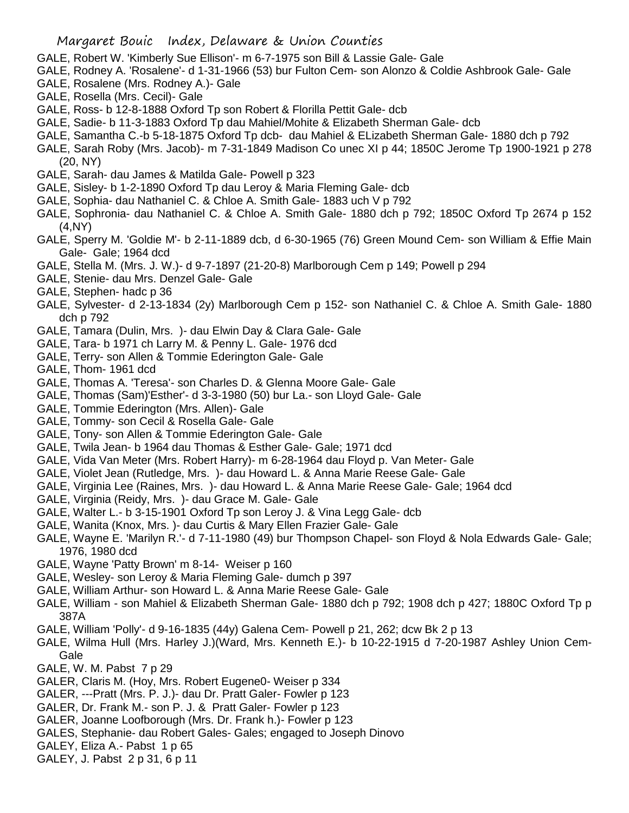- GALE, Robert W. 'Kimberly Sue Ellison'- m 6-7-1975 son Bill & Lassie Gale- Gale
- GALE, Rodney A. 'Rosalene'- d 1-31-1966 (53) bur Fulton Cem- son Alonzo & Coldie Ashbrook Gale- Gale
- GALE, Rosalene (Mrs. Rodney A.)- Gale
- GALE, Rosella (Mrs. Cecil)- Gale
- GALE, Ross- b 12-8-1888 Oxford Tp son Robert & Florilla Pettit Gale- dcb
- GALE, Sadie- b 11-3-1883 Oxford Tp dau Mahiel/Mohite & Elizabeth Sherman Gale- dcb
- GALE, Samantha C.-b 5-18-1875 Oxford Tp dcb- dau Mahiel & ELizabeth Sherman Gale- 1880 dch p 792
- GALE, Sarah Roby (Mrs. Jacob)- m 7-31-1849 Madison Co unec XI p 44; 1850C Jerome Tp 1900-1921 p 278 (20, NY)
- GALE, Sarah- dau James & Matilda Gale- Powell p 323
- GALE, Sisley- b 1-2-1890 Oxford Tp dau Leroy & Maria Fleming Gale- dcb
- GALE, Sophia- dau Nathaniel C. & Chloe A. Smith Gale- 1883 uch V p 792
- GALE, Sophronia- dau Nathaniel C. & Chloe A. Smith Gale- 1880 dch p 792; 1850C Oxford Tp 2674 p 152 (4,NY)
- GALE, Sperry M. 'Goldie M'- b 2-11-1889 dcb, d 6-30-1965 (76) Green Mound Cem- son William & Effie Main Gale- Gale; 1964 dcd
- GALE, Stella M. (Mrs. J. W.)- d 9-7-1897 (21-20-8) Marlborough Cem p 149; Powell p 294
- GALE, Stenie- dau Mrs. Denzel Gale- Gale
- GALE, Stephen- hadc p 36
- GALE, Sylvester- d 2-13-1834 (2y) Marlborough Cem p 152- son Nathaniel C. & Chloe A. Smith Gale- 1880 dch p 792
- GALE, Tamara (Dulin, Mrs. )- dau Elwin Day & Clara Gale- Gale
- GALE, Tara- b 1971 ch Larry M. & Penny L. Gale- 1976 dcd
- GALE, Terry- son Allen & Tommie Ederington Gale- Gale
- GALE, Thom- 1961 dcd
- GALE, Thomas A. 'Teresa'- son Charles D. & Glenna Moore Gale- Gale
- GALE, Thomas (Sam)'Esther'- d 3-3-1980 (50) bur La.- son Lloyd Gale- Gale
- GALE, Tommie Ederington (Mrs. Allen)- Gale
- GALE, Tommy- son Cecil & Rosella Gale- Gale
- GALE, Tony- son Allen & Tommie Ederington Gale- Gale
- GALE, Twila Jean- b 1964 dau Thomas & Esther Gale- Gale; 1971 dcd
- GALE, Vida Van Meter (Mrs. Robert Harry)- m 6-28-1964 dau Floyd p. Van Meter- Gale
- GALE, Violet Jean (Rutledge, Mrs. )- dau Howard L. & Anna Marie Reese Gale- Gale
- GALE, Virginia Lee (Raines, Mrs. )- dau Howard L. & Anna Marie Reese Gale- Gale; 1964 dcd
- GALE, Virginia (Reidy, Mrs. )- dau Grace M. Gale- Gale
- GALE, Walter L.- b 3-15-1901 Oxford Tp son Leroy J. & Vina Legg Gale- dcb
- GALE, Wanita (Knox, Mrs. )- dau Curtis & Mary Ellen Frazier Gale- Gale
- GALE, Wayne E. 'Marilyn R.'- d 7-11-1980 (49) bur Thompson Chapel- son Floyd & Nola Edwards Gale- Gale; 1976, 1980 dcd
- GALE, Wayne 'Patty Brown' m 8-14- Weiser p 160
- GALE, Wesley- son Leroy & Maria Fleming Gale- dumch p 397
- GALE, William Arthur- son Howard L. & Anna Marie Reese Gale- Gale
- GALE, William son Mahiel & Elizabeth Sherman Gale- 1880 dch p 792; 1908 dch p 427; 1880C Oxford Tp p 387A
- GALE, William 'Polly'- d 9-16-1835 (44y) Galena Cem- Powell p 21, 262; dcw Bk 2 p 13
- GALE, Wilma Hull (Mrs. Harley J.)(Ward, Mrs. Kenneth E.)- b 10-22-1915 d 7-20-1987 Ashley Union Cem-Gale
- GALE, W. M. Pabst 7 p 29
- GALER, Claris M. (Hoy, Mrs. Robert Eugene0- Weiser p 334
- GALER, ---Pratt (Mrs. P. J.)- dau Dr. Pratt Galer- Fowler p 123
- GALER, Dr. Frank M.- son P. J. & Pratt Galer- Fowler p 123
- GALER, Joanne Loofborough (Mrs. Dr. Frank h.)- Fowler p 123
- GALES, Stephanie- dau Robert Gales- Gales; engaged to Joseph Dinovo
- GALEY, Eliza A.- Pabst 1 p 65
- GALEY, J. Pabst 2 p 31, 6 p 11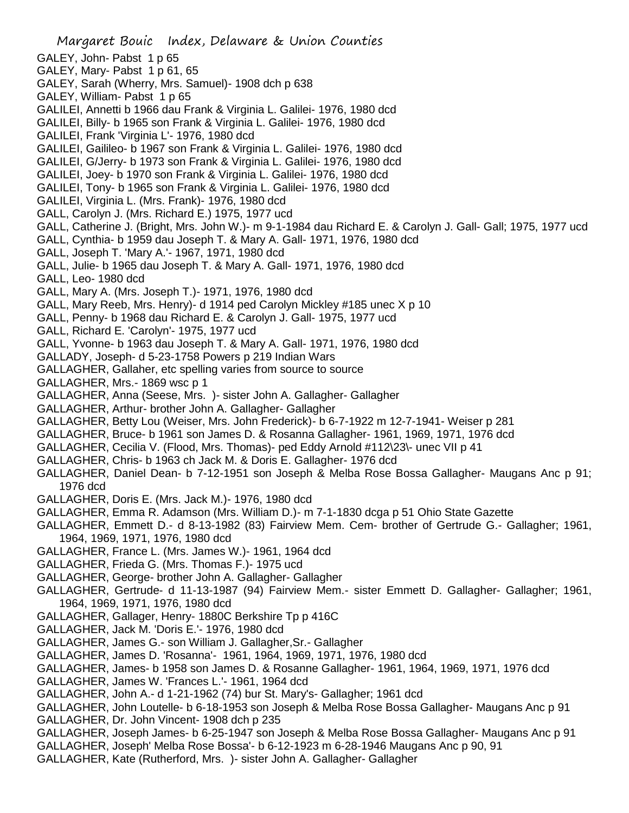- Margaret Bouic Index, Delaware & Union Counties GALEY, John- Pabst 1 p 65 GALEY, Mary- Pabst 1 p 61, 65 GALEY, Sarah (Wherry, Mrs. Samuel)- 1908 dch p 638 GALEY, William- Pabst 1 p 65 GALILEI, Annetti b 1966 dau Frank & Virginia L. Galilei- 1976, 1980 dcd GALILEI, Billy- b 1965 son Frank & Virginia L. Galilei- 1976, 1980 dcd GALILEI, Frank 'Virginia L'- 1976, 1980 dcd GALILEI, Gailileo- b 1967 son Frank & Virginia L. Galilei- 1976, 1980 dcd GALILEI, G/Jerry- b 1973 son Frank & Virginia L. Galilei- 1976, 1980 dcd GALILEI, Joey- b 1970 son Frank & Virginia L. Galilei- 1976, 1980 dcd GALILEI, Tony- b 1965 son Frank & Virginia L. Galilei- 1976, 1980 dcd GALILEI, Virginia L. (Mrs. Frank)- 1976, 1980 dcd GALL, Carolyn J. (Mrs. Richard E.) 1975, 1977 ucd GALL, Catherine J. (Bright, Mrs. John W.)- m 9-1-1984 dau Richard E. & Carolyn J. Gall- Gall; 1975, 1977 ucd GALL, Cynthia- b 1959 dau Joseph T. & Mary A. Gall- 1971, 1976, 1980 dcd GALL, Joseph T. 'Mary A.'- 1967, 1971, 1980 dcd GALL, Julie- b 1965 dau Joseph T. & Mary A. Gall- 1971, 1976, 1980 dcd GALL, Leo- 1980 dcd GALL, Mary A. (Mrs. Joseph T.)- 1971, 1976, 1980 dcd GALL, Mary Reeb, Mrs. Henry)- d 1914 ped Carolyn Mickley #185 unec X p 10 GALL, Penny- b 1968 dau Richard E. & Carolyn J. Gall- 1975, 1977 ucd GALL, Richard E. 'Carolyn'- 1975, 1977 ucd GALL, Yvonne- b 1963 dau Joseph T. & Mary A. Gall- 1971, 1976, 1980 dcd GALLADY, Joseph- d 5-23-1758 Powers p 219 Indian Wars GALLAGHER, Gallaher, etc spelling varies from source to source GALLAGHER, Mrs.- 1869 wsc p 1 GALLAGHER, Anna (Seese, Mrs. )- sister John A. Gallagher- Gallagher GALLAGHER, Arthur- brother John A. Gallagher- Gallagher GALLAGHER, Betty Lou (Weiser, Mrs. John Frederick)- b 6-7-1922 m 12-7-1941- Weiser p 281 GALLAGHER, Bruce- b 1961 son James D. & Rosanna Gallagher- 1961, 1969, 1971, 1976 dcd GALLAGHER, Cecilia V. (Flood, Mrs. Thomas)- ped Eddy Arnold #112\23\- unec VII p 41 GALLAGHER, Chris- b 1963 ch Jack M. & Doris E. Gallagher- 1976 dcd GALLAGHER, Daniel Dean- b 7-12-1951 son Joseph & Melba Rose Bossa Gallagher- Maugans Anc p 91; 1976 dcd GALLAGHER, Doris E. (Mrs. Jack M.)- 1976, 1980 dcd GALLAGHER, Emma R. Adamson (Mrs. William D.)- m 7-1-1830 dcga p 51 Ohio State Gazette GALLAGHER, Emmett D.- d 8-13-1982 (83) Fairview Mem. Cem- brother of Gertrude G.- Gallagher; 1961, 1964, 1969, 1971, 1976, 1980 dcd GALLAGHER, France L. (Mrs. James W.)- 1961, 1964 dcd GALLAGHER, Frieda G. (Mrs. Thomas F.)- 1975 ucd GALLAGHER, George- brother John A. Gallagher- Gallagher GALLAGHER, Gertrude- d 11-13-1987 (94) Fairview Mem.- sister Emmett D. Gallagher- Gallagher; 1961, 1964, 1969, 1971, 1976, 1980 dcd GALLAGHER, Gallager, Henry- 1880C Berkshire Tp p 416C GALLAGHER, Jack M. 'Doris E.'- 1976, 1980 dcd GALLAGHER, James G.- son William J. Gallagher,Sr.- Gallagher GALLAGHER, James D. 'Rosanna'- 1961, 1964, 1969, 1971, 1976, 1980 dcd GALLAGHER, James- b 1958 son James D. & Rosanne Gallagher- 1961, 1964, 1969, 1971, 1976 dcd GALLAGHER, James W. 'Frances L.'- 1961, 1964 dcd GALLAGHER, John A.- d 1-21-1962 (74) bur St. Mary's- Gallagher; 1961 dcd GALLAGHER, John Loutelle- b 6-18-1953 son Joseph & Melba Rose Bossa Gallagher- Maugans Anc p 91
- GALLAGHER, Dr. John Vincent- 1908 dch p 235
- GALLAGHER, Joseph James- b 6-25-1947 son Joseph & Melba Rose Bossa Gallagher- Maugans Anc p 91
- GALLAGHER, Joseph' Melba Rose Bossa'- b 6-12-1923 m 6-28-1946 Maugans Anc p 90, 91
- GALLAGHER, Kate (Rutherford, Mrs. )- sister John A. Gallagher- Gallagher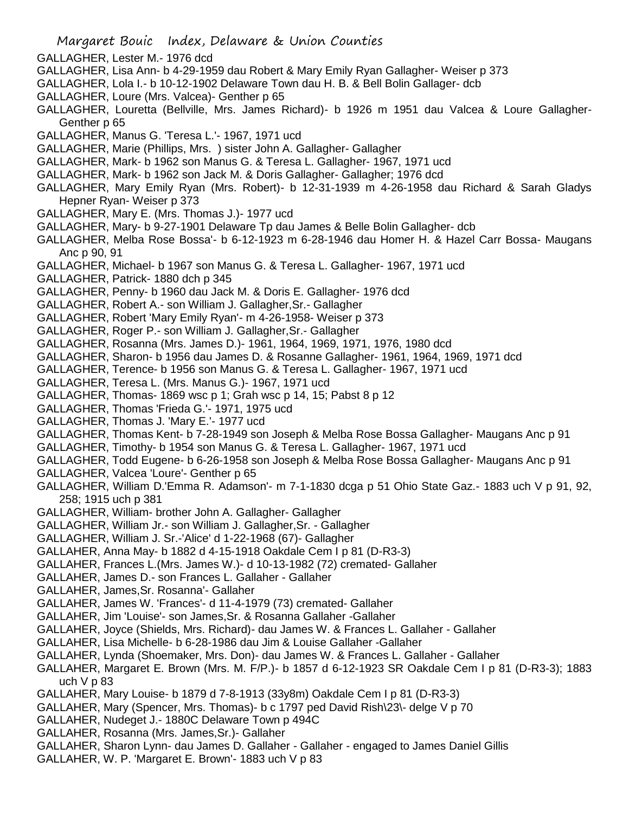- GALLAGHER, Lester M.- 1976 dcd
- GALLAGHER, Lisa Ann- b 4-29-1959 dau Robert & Mary Emily Ryan Gallagher- Weiser p 373
- GALLAGHER, Lola I.- b 10-12-1902 Delaware Town dau H. B. & Bell Bolin Gallager- dcb
- GALLAGHER, Loure (Mrs. Valcea)- Genther p 65
- GALLAGHER, Louretta (Bellville, Mrs. James Richard)- b 1926 m 1951 dau Valcea & Loure Gallagher-Genther p 65
- GALLAGHER, Manus G. 'Teresa L.'- 1967, 1971 ucd
- GALLAGHER, Marie (Phillips, Mrs. ) sister John A. Gallagher- Gallagher
- GALLAGHER, Mark- b 1962 son Manus G. & Teresa L. Gallagher- 1967, 1971 ucd
- GALLAGHER, Mark- b 1962 son Jack M. & Doris Gallagher- Gallagher; 1976 dcd
- GALLAGHER, Mary Emily Ryan (Mrs. Robert)- b 12-31-1939 m 4-26-1958 dau Richard & Sarah Gladys Hepner Ryan- Weiser p 373
- GALLAGHER, Mary E. (Mrs. Thomas J.)- 1977 ucd
- GALLAGHER, Mary- b 9-27-1901 Delaware Tp dau James & Belle Bolin Gallagher- dcb
- GALLAGHER, Melba Rose Bossa'- b 6-12-1923 m 6-28-1946 dau Homer H. & Hazel Carr Bossa- Maugans Anc p 90, 91
- GALLAGHER, Michael- b 1967 son Manus G. & Teresa L. Gallagher- 1967, 1971 ucd
- GALLAGHER, Patrick- 1880 dch p 345
- GALLAGHER, Penny- b 1960 dau Jack M. & Doris E. Gallagher- 1976 dcd
- GALLAGHER, Robert A.- son William J. Gallagher,Sr.- Gallagher
- GALLAGHER, Robert 'Mary Emily Ryan'- m 4-26-1958- Weiser p 373
- GALLAGHER, Roger P.- son William J. Gallagher,Sr.- Gallagher
- GALLAGHER, Rosanna (Mrs. James D.)- 1961, 1964, 1969, 1971, 1976, 1980 dcd
- GALLAGHER, Sharon- b 1956 dau James D. & Rosanne Gallagher- 1961, 1964, 1969, 1971 dcd
- GALLAGHER, Terence- b 1956 son Manus G. & Teresa L. Gallagher- 1967, 1971 ucd
- GALLAGHER, Teresa L. (Mrs. Manus G.)- 1967, 1971 ucd
- GALLAGHER, Thomas- 1869 wsc p 1; Grah wsc p 14, 15; Pabst 8 p 12
- GALLAGHER, Thomas 'Frieda G.'- 1971, 1975 ucd
- GALLAGHER, Thomas J. 'Mary E.'- 1977 ucd
- GALLAGHER, Thomas Kent- b 7-28-1949 son Joseph & Melba Rose Bossa Gallagher- Maugans Anc p 91
- GALLAGHER, Timothy- b 1954 son Manus G. & Teresa L. Gallagher- 1967, 1971 ucd
- GALLAGHER, Todd Eugene- b 6-26-1958 son Joseph & Melba Rose Bossa Gallagher- Maugans Anc p 91
- GALLAGHER, Valcea 'Loure'- Genther p 65
- GALLAGHER, William D.'Emma R. Adamson'- m 7-1-1830 dcga p 51 Ohio State Gaz.- 1883 uch V p 91, 92, 258; 1915 uch p 381
- GALLAGHER, William- brother John A. Gallagher- Gallagher
- GALLAGHER, William Jr.- son William J. Gallagher,Sr. Gallagher
- GALLAGHER, William J. Sr.-'Alice' d 1-22-1968 (67)- Gallagher
- GALLAHER, Anna May- b 1882 d 4-15-1918 Oakdale Cem I p 81 (D-R3-3)
- GALLAHER, Frances L.(Mrs. James W.)- d 10-13-1982 (72) cremated- Gallaher
- GALLAHER, James D.- son Frances L. Gallaher Gallaher
- GALLAHER, James,Sr. Rosanna'- Gallaher
- GALLAHER, James W. 'Frances'- d 11-4-1979 (73) cremated- Gallaher
- GALLAHER, Jim 'Louise'- son James,Sr. & Rosanna Gallaher -Gallaher
- GALLAHER, Joyce (Shields, Mrs. Richard)- dau James W. & Frances L. Gallaher Gallaher
- GALLAHER, Lisa Michelle- b 6-28-1986 dau Jim & Louise Gallaher -Gallaher
- GALLAHER, Lynda (Shoemaker, Mrs. Don)- dau James W. & Frances L. Gallaher Gallaher
- GALLAHER, Margaret E. Brown (Mrs. M. F/P.)- b 1857 d 6-12-1923 SR Oakdale Cem I p 81 (D-R3-3); 1883 uch V p 83
- GALLAHER, Mary Louise- b 1879 d 7-8-1913 (33y8m) Oakdale Cem I p 81 (D-R3-3)
- GALLAHER, Mary (Spencer, Mrs. Thomas)- b c 1797 ped David Rish\23\- delge V p 70
- GALLAHER, Nudeget J.- 1880C Delaware Town p 494C
- GALLAHER, Rosanna (Mrs. James,Sr.)- Gallaher
- GALLAHER, Sharon Lynn- dau James D. Gallaher Gallaher engaged to James Daniel Gillis
- GALLAHER, W. P. 'Margaret E. Brown'- 1883 uch V p 83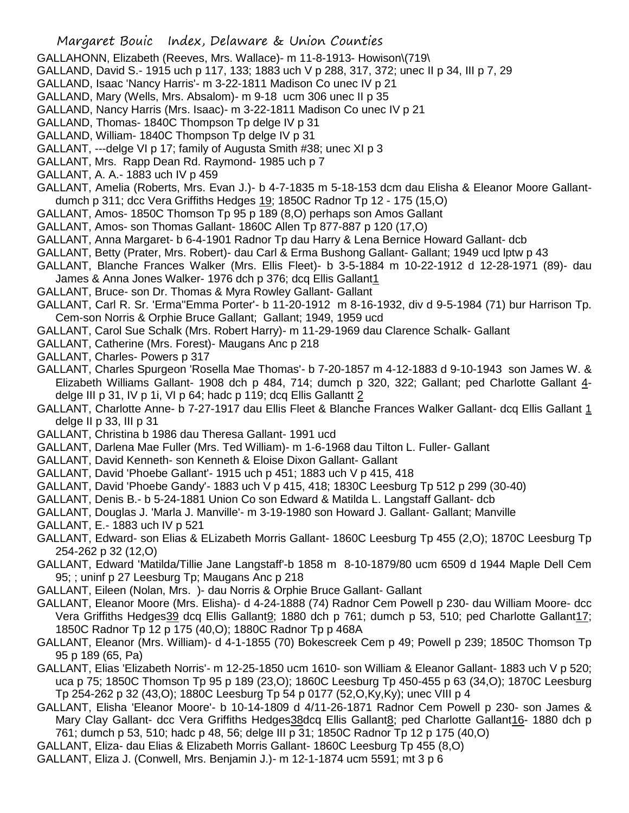- GALLAHONN, Elizabeth (Reeves, Mrs. Wallace)- m 11-8-1913- Howison\(719\
- GALLAND, David S.- 1915 uch p 117, 133; 1883 uch V p 288, 317, 372; unec II p 34, III p 7, 29
- GALLAND, Isaac 'Nancy Harris'- m 3-22-1811 Madison Co unec IV p 21
- GALLAND, Mary (Wells, Mrs. Absalom)- m 9-18 ucm 306 unec II p 35
- GALLAND, Nancy Harris (Mrs. Isaac)- m 3-22-1811 Madison Co unec IV p 21
- GALLAND, Thomas- 1840C Thompson Tp delge IV p 31
- GALLAND, William- 1840C Thompson Tp delge IV p 31
- GALLANT, ---delge VI p 17; family of Augusta Smith #38; unec XI p 3
- GALLANT, Mrs. Rapp Dean Rd. Raymond- 1985 uch p 7
- GALLANT, A. A.- 1883 uch IV p 459
- GALLANT, Amelia (Roberts, Mrs. Evan J.)- b 4-7-1835 m 5-18-153 dcm dau Elisha & Eleanor Moore Gallantdumch p 311; dcc Vera Griffiths Hedges 19; 1850C Radnor Tp 12 - 175 (15,O)
- GALLANT, Amos- 1850C Thomson Tp 95 p 189 (8,O) perhaps son Amos Gallant
- GALLANT, Amos- son Thomas Gallant- 1860C Allen Tp 877-887 p 120 (17,O)
- GALLANT, Anna Margaret- b 6-4-1901 Radnor Tp dau Harry & Lena Bernice Howard Gallant- dcb
- GALLANT, Betty (Prater, Mrs. Robert)- dau Carl & Erma Bushong Gallant- Gallant; 1949 ucd lptw p 43
- GALLANT, Blanche Frances Walker (Mrs. Ellis Fleet)- b 3-5-1884 m 10-22-1912 d 12-28-1971 (89)- dau James & Anna Jones Walker- 1976 dch p 376; dcq Ellis Gallant1
- GALLANT, Bruce- son Dr. Thomas & Myra Rowley Gallant- Gallant
- GALLANT, Carl R. Sr. 'Erma''Emma Porter'- b 11-20-1912 m 8-16-1932, div d 9-5-1984 (71) bur Harrison Tp. Cem-son Norris & Orphie Bruce Gallant; Gallant; 1949, 1959 ucd
- GALLANT, Carol Sue Schalk (Mrs. Robert Harry)- m 11-29-1969 dau Clarence Schalk- Gallant
- GALLANT, Catherine (Mrs. Forest)- Maugans Anc p 218
- GALLANT, Charles- Powers p 317
- GALLANT, Charles Spurgeon 'Rosella Mae Thomas'- b 7-20-1857 m 4-12-1883 d 9-10-1943 son James W. & Elizabeth Williams Gallant- 1908 dch p 484, 714; dumch p 320, 322; Gallant; ped Charlotte Gallant 4 delge III p 31, IV p 1i, VI p 64; hadc p 119; dcq Ellis Gallantt 2
- GALLANT, Charlotte Anne- b 7-27-1917 dau Ellis Fleet & Blanche Frances Walker Gallant- dcq Ellis Gallant 1 delge II p 33, III p 31
- GALLANT, Christina b 1986 dau Theresa Gallant- 1991 ucd
- GALLANT, Darlena Mae Fuller (Mrs. Ted William)- m 1-6-1968 dau Tilton L. Fuller- Gallant
- GALLANT, David Kenneth- son Kenneth & Eloise Dixon Gallant- Gallant
- GALLANT, David 'Phoebe Gallant'- 1915 uch p 451; 1883 uch V p 415, 418
- GALLANT, David 'Phoebe Gandy'- 1883 uch V p 415, 418; 1830C Leesburg Tp 512 p 299 (30-40)
- GALLANT, Denis B.- b 5-24-1881 Union Co son Edward & Matilda L. Langstaff Gallant- dcb
- GALLANT, Douglas J. 'Marla J. Manville'- m 3-19-1980 son Howard J. Gallant- Gallant; Manville
- GALLANT, E.- 1883 uch IV p 521
- GALLANT, Edward- son Elias & ELizabeth Morris Gallant- 1860C Leesburg Tp 455 (2,O); 1870C Leesburg Tp 254-262 p 32 (12,O)
- GALLANT, Edward 'Matilda/Tillie Jane Langstaff'-b 1858 m 8-10-1879/80 ucm 6509 d 1944 Maple Dell Cem 95; ; uninf p 27 Leesburg Tp; Maugans Anc p 218
- GALLANT, Eileen (Nolan, Mrs. )- dau Norris & Orphie Bruce Gallant- Gallant
- GALLANT, Eleanor Moore (Mrs. Elisha)- d 4-24-1888 (74) Radnor Cem Powell p 230- dau William Moore- dcc Vera Griffiths Hedges39 dcq Ellis Gallant9; 1880 dch p 761; dumch p 53, 510; ped Charlotte Gallant17; 1850C Radnor Tp 12 p 175 (40,O); 1880C Radnor Tp p 468A
- GALLANT, Eleanor (Mrs. William)- d 4-1-1855 (70) Bokescreek Cem p 49; Powell p 239; 1850C Thomson Tp 95 p 189 (65, Pa)
- GALLANT, Elias 'Elizabeth Norris'- m 12-25-1850 ucm 1610- son William & Eleanor Gallant- 1883 uch V p 520; uca p 75; 1850C Thomson Tp 95 p 189 (23,O); 1860C Leesburg Tp 450-455 p 63 (34,O); 1870C Leesburg Tp 254-262 p 32 (43,O); 1880C Leesburg Tp 54 p 0177 (52,O,Ky,Ky); unec VIII p 4
- GALLANT, Elisha 'Eleanor Moore'- b 10-14-1809 d 4/11-26-1871 Radnor Cem Powell p 230- son James & Mary Clay Gallant- dcc Vera Griffiths Hedges38dcq Ellis Gallant8; ped Charlotte Gallant16- 1880 dch p 761; dumch p 53, 510; hadc p 48, 56; delge III p 31; 1850C Radnor Tp 12 p 175 (40,O)
- GALLANT, Eliza- dau Elias & Elizabeth Morris Gallant- 1860C Leesburg Tp 455 (8,O)
- GALLANT, Eliza J. (Conwell, Mrs. Benjamin J.)- m 12-1-1874 ucm 5591; mt 3 p 6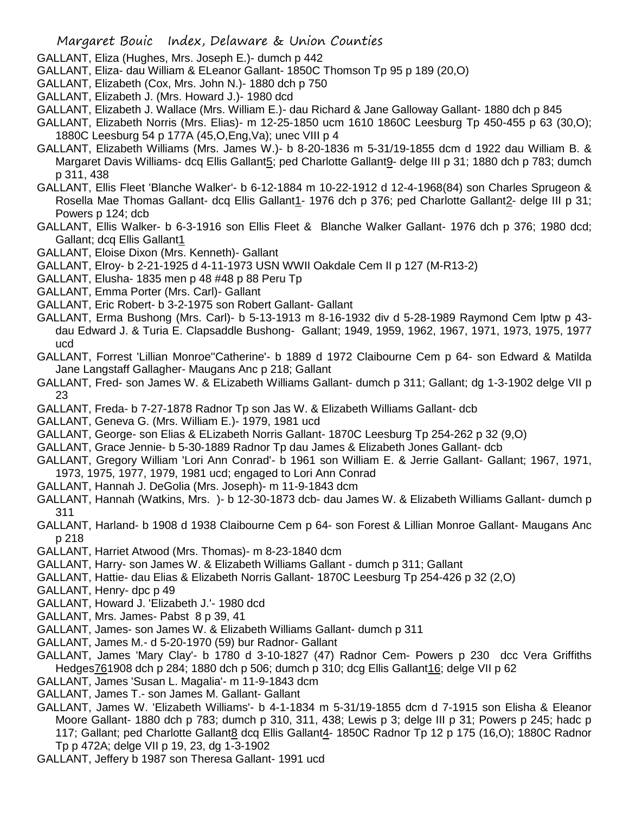- GALLANT, Eliza (Hughes, Mrs. Joseph E.)- dumch p 442
- GALLANT, Eliza- dau William & ELeanor Gallant- 1850C Thomson Tp 95 p 189 (20,O)
- GALLANT, Elizabeth (Cox, Mrs. John N.)- 1880 dch p 750
- GALLANT, Elizabeth J. (Mrs. Howard J.)- 1980 dcd
- GALLANT, Elizabeth J. Wallace (Mrs. William E.)- dau Richard & Jane Galloway Gallant- 1880 dch p 845
- GALLANT, Elizabeth Norris (Mrs. Elias)- m 12-25-1850 ucm 1610 1860C Leesburg Tp 450-455 p 63 (30,O); 1880C Leesburg 54 p 177A (45,O,Eng,Va); unec VIII p 4
- GALLANT, Elizabeth Williams (Mrs. James W.)- b 8-20-1836 m 5-31/19-1855 dcm d 1922 dau William B. & Margaret Davis Williams- dcq Ellis Gallant5; ped Charlotte Gallant9- delge III p 31; 1880 dch p 783; dumch p 311, 438
- GALLANT, Ellis Fleet 'Blanche Walker'- b 6-12-1884 m 10-22-1912 d 12-4-1968(84) son Charles Sprugeon & Rosella Mae Thomas Gallant- dcq Ellis Gallant1- 1976 dch p 376; ped Charlotte Gallant2- delge III p 31; Powers p 124; dcb
- GALLANT, Ellis Walker- b 6-3-1916 son Ellis Fleet & Blanche Walker Gallant- 1976 dch p 376; 1980 dcd; Gallant; dcq Ellis Gallant1
- GALLANT, Eloise Dixon (Mrs. Kenneth)- Gallant
- GALLANT, Elroy- b 2-21-1925 d 4-11-1973 USN WWII Oakdale Cem II p 127 (M-R13-2)
- GALLANT, Elusha- 1835 men p 48 #48 p 88 Peru Tp
- GALLANT, Emma Porter (Mrs. Carl)- Gallant
- GALLANT, Eric Robert- b 3-2-1975 son Robert Gallant- Gallant
- GALLANT, Erma Bushong (Mrs. Carl)- b 5-13-1913 m 8-16-1932 div d 5-28-1989 Raymond Cem lptw p 43 dau Edward J. & Turia E. Clapsaddle Bushong- Gallant; 1949, 1959, 1962, 1967, 1971, 1973, 1975, 1977 ucd
- GALLANT, Forrest 'Lillian Monroe''Catherine'- b 1889 d 1972 Claibourne Cem p 64- son Edward & Matilda Jane Langstaff Gallagher- Maugans Anc p 218; Gallant
- GALLANT, Fred- son James W. & ELizabeth Williams Gallant- dumch p 311; Gallant; dg 1-3-1902 delge VII p 23
- GALLANT, Freda- b 7-27-1878 Radnor Tp son Jas W. & Elizabeth Williams Gallant- dcb
- GALLANT, Geneva G. (Mrs. William E.)- 1979, 1981 ucd
- GALLANT, George- son Elias & ELizabeth Norris Gallant- 1870C Leesburg Tp 254-262 p 32 (9,O)
- GALLANT, Grace Jennie- b 5-30-1889 Radnor Tp dau James & Elizabeth Jones Gallant- dcb
- GALLANT, Gregory William 'Lori Ann Conrad'- b 1961 son William E. & Jerrie Gallant- Gallant; 1967, 1971, 1973, 1975, 1977, 1979, 1981 ucd; engaged to Lori Ann Conrad
- GALLANT, Hannah J. DeGolia (Mrs. Joseph)- m 11-9-1843 dcm
- GALLANT, Hannah (Watkins, Mrs. )- b 12-30-1873 dcb- dau James W. & Elizabeth Williams Gallant- dumch p 311
- GALLANT, Harland- b 1908 d 1938 Claibourne Cem p 64- son Forest & Lillian Monroe Gallant- Maugans Anc p 218
- GALLANT, Harriet Atwood (Mrs. Thomas)- m 8-23-1840 dcm
- GALLANT, Harry- son James W. & Elizabeth Williams Gallant dumch p 311; Gallant
- GALLANT, Hattie- dau Elias & Elizabeth Norris Gallant- 1870C Leesburg Tp 254-426 p 32 (2,O)
- GALLANT, Henry- dpc p 49
- GALLANT, Howard J. 'Elizabeth J.'- 1980 dcd
- GALLANT, Mrs. James- Pabst 8 p 39, 41
- GALLANT, James- son James W. & Elizabeth Williams Gallant- dumch p 311
- GALLANT, James M.- d 5-20-1970 (59) bur Radnor- Gallant
- GALLANT, James 'Mary Clay'- b 1780 d 3-10-1827 (47) Radnor Cem- Powers p 230 dcc Vera Griffiths Hedges761908 dch p 284; 1880 dch p 506; dumch p 310; dcg Ellis Gallant16; delge VII p 62
- GALLANT, James 'Susan L. Magalia'- m 11-9-1843 dcm
- GALLANT, James T.- son James M. Gallant- Gallant
- GALLANT, James W. 'Elizabeth Williams'- b 4-1-1834 m 5-31/19-1855 dcm d 7-1915 son Elisha & Eleanor Moore Gallant- 1880 dch p 783; dumch p 310, 311, 438; Lewis p 3; delge III p 31; Powers p 245; hadc p 117; Gallant; ped Charlotte Gallant8 dcq Ellis Gallant4- 1850C Radnor Tp 12 p 175 (16,O); 1880C Radnor Tp p 472A; delge VII p 19, 23, dg 1-3-1902
- GALLANT, Jeffery b 1987 son Theresa Gallant- 1991 ucd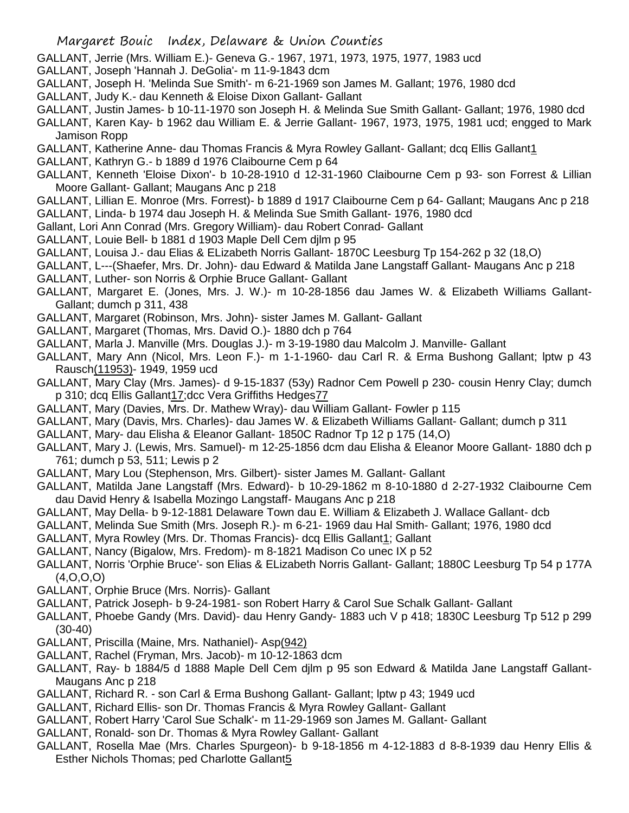- GALLANT, Jerrie (Mrs. William E.)- Geneva G.- 1967, 1971, 1973, 1975, 1977, 1983 ucd
- GALLANT, Joseph 'Hannah J. DeGolia'- m 11-9-1843 dcm
- GALLANT, Joseph H. 'Melinda Sue Smith'- m 6-21-1969 son James M. Gallant; 1976, 1980 dcd
- GALLANT, Judy K.- dau Kenneth & Eloise Dixon Gallant- Gallant
- GALLANT, Justin James- b 10-11-1970 son Joseph H. & Melinda Sue Smith Gallant- Gallant; 1976, 1980 dcd
- GALLANT, Karen Kay- b 1962 dau William E. & Jerrie Gallant- 1967, 1973, 1975, 1981 ucd; engged to Mark Jamison Ropp
- GALLANT, Katherine Anne- dau Thomas Francis & Myra Rowley Gallant- Gallant; dcq Ellis Gallant1
- GALLANT, Kathryn G.- b 1889 d 1976 Claibourne Cem p 64
- GALLANT, Kenneth 'Eloise Dixon'- b 10-28-1910 d 12-31-1960 Claibourne Cem p 93- son Forrest & Lillian Moore Gallant- Gallant; Maugans Anc p 218
- GALLANT, Lillian E. Monroe (Mrs. Forrest)- b 1889 d 1917 Claibourne Cem p 64- Gallant; Maugans Anc p 218 GALLANT, Linda- b 1974 dau Joseph H. & Melinda Sue Smith Gallant- 1976, 1980 dcd
- Gallant, Lori Ann Conrad (Mrs. Gregory William)- dau Robert Conrad- Gallant
- GALLANT, Louie Bell- b 1881 d 1903 Maple Dell Cem djlm p 95
- GALLANT, Louisa J.- dau Elias & ELizabeth Norris Gallant- 1870C Leesburg Tp 154-262 p 32 (18,O)
- GALLANT, L---(Shaefer, Mrs. Dr. John)- dau Edward & Matilda Jane Langstaff Gallant- Maugans Anc p 218 GALLANT, Luther- son Norris & Orphie Bruce Gallant- Gallant
- GALLANT, Margaret E. (Jones, Mrs. J. W.)- m 10-28-1856 dau James W. & Elizabeth Williams Gallant-Gallant; dumch p 311, 438
- GALLANT, Margaret (Robinson, Mrs. John)- sister James M. Gallant- Gallant
- GALLANT, Margaret (Thomas, Mrs. David O.)- 1880 dch p 764
- GALLANT, Marla J. Manville (Mrs. Douglas J.)- m 3-19-1980 dau Malcolm J. Manville- Gallant
- GALLANT, Mary Ann (Nicol, Mrs. Leon F.)- m 1-1-1960- dau Carl R. & Erma Bushong Gallant; lptw p 43 Rausch(11953)- 1949, 1959 ucd
- GALLANT, Mary Clay (Mrs. James)- d 9-15-1837 (53y) Radnor Cem Powell p 230- cousin Henry Clay; dumch p 310; dcq Ellis Gallant17;dcc Vera Griffiths Hedges77
- GALLANT, Mary (Davies, Mrs. Dr. Mathew Wray)- dau William Gallant- Fowler p 115
- GALLANT, Mary (Davis, Mrs. Charles)- dau James W. & Elizabeth Williams Gallant- Gallant; dumch p 311
- GALLANT, Mary- dau Elisha & Eleanor Gallant- 1850C Radnor Tp 12 p 175 (14,O)
- GALLANT, Mary J. (Lewis, Mrs. Samuel)- m 12-25-1856 dcm dau Elisha & Eleanor Moore Gallant- 1880 dch p 761; dumch p 53, 511; Lewis p 2
- GALLANT, Mary Lou (Stephenson, Mrs. Gilbert)- sister James M. Gallant- Gallant
- GALLANT, Matilda Jane Langstaff (Mrs. Edward)- b 10-29-1862 m 8-10-1880 d 2-27-1932 Claibourne Cem dau David Henry & Isabella Mozingo Langstaff- Maugans Anc p 218
- GALLANT, May Della- b 9-12-1881 Delaware Town dau E. William & Elizabeth J. Wallace Gallant- dcb
- GALLANT, Melinda Sue Smith (Mrs. Joseph R.)- m 6-21- 1969 dau Hal Smith- Gallant; 1976, 1980 dcd
- GALLANT, Myra Rowley (Mrs. Dr. Thomas Francis)- dcq Ellis Gallant1; Gallant
- GALLANT, Nancy (Bigalow, Mrs. Fredom)- m 8-1821 Madison Co unec IX p 52
- GALLANT, Norris 'Orphie Bruce'- son Elias & ELizabeth Norris Gallant- Gallant; 1880C Leesburg Tp 54 p 177A (4,O,O,O)
- GALLANT, Orphie Bruce (Mrs. Norris)- Gallant
- GALLANT, Patrick Joseph- b 9-24-1981- son Robert Harry & Carol Sue Schalk Gallant- Gallant
- GALLANT, Phoebe Gandy (Mrs. David)- dau Henry Gandy- 1883 uch V p 418; 1830C Leesburg Tp 512 p 299 (30-40)
- GALLANT, Priscilla (Maine, Mrs. Nathaniel)- Asp(942)
- GALLANT, Rachel (Fryman, Mrs. Jacob)- m 10-12-1863 dcm
- GALLANT, Ray- b 1884/5 d 1888 Maple Dell Cem djlm p 95 son Edward & Matilda Jane Langstaff Gallant-Maugans Anc p 218
- GALLANT, Richard R. son Carl & Erma Bushong Gallant- Gallant; lptw p 43; 1949 ucd
- GALLANT, Richard Ellis- son Dr. Thomas Francis & Myra Rowley Gallant- Gallant
- GALLANT, Robert Harry 'Carol Sue Schalk'- m 11-29-1969 son James M. Gallant- Gallant
- GALLANT, Ronald- son Dr. Thomas & Myra Rowley Gallant- Gallant
- GALLANT, Rosella Mae (Mrs. Charles Spurgeon)- b 9-18-1856 m 4-12-1883 d 8-8-1939 dau Henry Ellis & Esther Nichols Thomas; ped Charlotte Gallant5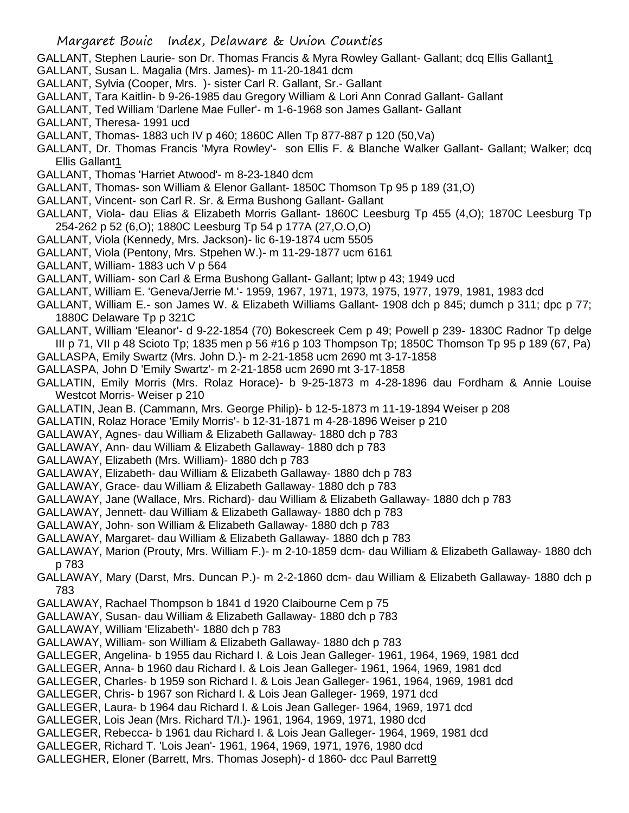- GALLANT, Stephen Laurie- son Dr. Thomas Francis & Myra Rowley Gallant- Gallant; dcq Ellis Gallant1
- GALLANT, Susan L. Magalia (Mrs. James)- m 11-20-1841 dcm
- GALLANT, Sylvia (Cooper, Mrs. )- sister Carl R. Gallant, Sr.- Gallant
- GALLANT, Tara Kaitlin- b 9-26-1985 dau Gregory William & Lori Ann Conrad Gallant- Gallant
- GALLANT, Ted William 'Darlene Mae Fuller'- m 1-6-1968 son James Gallant- Gallant
- GALLANT, Theresa- 1991 ucd
- GALLANT, Thomas- 1883 uch IV p 460; 1860C Allen Tp 877-887 p 120 (50,Va)
- GALLANT, Dr. Thomas Francis 'Myra Rowley'- son Ellis F. & Blanche Walker Gallant- Gallant; Walker; dcq Ellis Gallant1
- GALLANT, Thomas 'Harriet Atwood'- m 8-23-1840 dcm
- GALLANT, Thomas- son William & Elenor Gallant- 1850C Thomson Tp 95 p 189 (31,O)
- GALLANT, Vincent- son Carl R. Sr. & Erma Bushong Gallant- Gallant
- GALLANT, Viola- dau Elias & Elizabeth Morris Gallant- 1860C Leesburg Tp 455 (4,O); 1870C Leesburg Tp 254-262 p 52 (6,O); 1880C Leesburg Tp 54 p 177A (27,O.O,O)
- GALLANT, Viola (Kennedy, Mrs. Jackson)- lic 6-19-1874 ucm 5505
- GALLANT, Viola (Pentony, Mrs. Stpehen W.)- m 11-29-1877 ucm 6161
- GALLANT, William- 1883 uch V p 564
- GALLANT, William- son Carl & Erma Bushong Gallant- Gallant; lptw p 43; 1949 ucd
- GALLANT, William E. 'Geneva/Jerrie M.'- 1959, 1967, 1971, 1973, 1975, 1977, 1979, 1981, 1983 dcd
- GALLANT, William E.- son James W. & Elizabeth Williams Gallant- 1908 dch p 845; dumch p 311; dpc p 77; 1880C Delaware Tp p 321C
- GALLANT, William 'Eleanor'- d 9-22-1854 (70) Bokescreek Cem p 49; Powell p 239- 1830C Radnor Tp delge III p 71, VII p 48 Scioto Tp; 1835 men p 56 #16 p 103 Thompson Tp; 1850C Thomson Tp 95 p 189 (67, Pa)
- GALLASPA, Emily Swartz (Mrs. John D.)- m 2-21-1858 ucm 2690 mt 3-17-1858
- GALLASPA, John D 'Emily Swartz'- m 2-21-1858 ucm 2690 mt 3-17-1858
- GALLATIN, Emily Morris (Mrs. Rolaz Horace)- b 9-25-1873 m 4-28-1896 dau Fordham & Annie Louise Westcot Morris- Weiser p 210
- GALLATIN, Jean B. (Cammann, Mrs. George Philip)- b 12-5-1873 m 11-19-1894 Weiser p 208
- GALLATIN, Rolaz Horace 'Emily Morris'- b 12-31-1871 m 4-28-1896 Weiser p 210
- GALLAWAY, Agnes- dau William & Elizabeth Gallaway- 1880 dch p 783
- GALLAWAY, Ann- dau William & Elizabeth Gallaway- 1880 dch p 783
- GALLAWAY, Elizabeth (Mrs. William)- 1880 dch p 783
- GALLAWAY, Elizabeth- dau William & Elizabeth Gallaway- 1880 dch p 783
- GALLAWAY, Grace- dau William & Elizabeth Gallaway- 1880 dch p 783
- GALLAWAY, Jane (Wallace, Mrs. Richard)- dau William & Elizabeth Gallaway- 1880 dch p 783
- GALLAWAY, Jennett- dau William & Elizabeth Gallaway- 1880 dch p 783
- GALLAWAY, John- son William & Elizabeth Gallaway- 1880 dch p 783
- GALLAWAY, Margaret- dau William & Elizabeth Gallaway- 1880 dch p 783
- GALLAWAY, Marion (Prouty, Mrs. William F.)- m 2-10-1859 dcm- dau William & Elizabeth Gallaway- 1880 dch p 783
- GALLAWAY, Mary (Darst, Mrs. Duncan P.)- m 2-2-1860 dcm- dau William & Elizabeth Gallaway- 1880 dch p 783
- GALLAWAY, Rachael Thompson b 1841 d 1920 Claibourne Cem p 75
- GALLAWAY, Susan- dau William & Elizabeth Gallaway- 1880 dch p 783
- GALLAWAY, William 'Elizabeth'- 1880 dch p 783
- GALLAWAY, William- son William & Elizabeth Gallaway- 1880 dch p 783
- GALLEGER, Angelina- b 1955 dau Richard I. & Lois Jean Galleger- 1961, 1964, 1969, 1981 dcd
- GALLEGER, Anna- b 1960 dau Richard I. & Lois Jean Galleger- 1961, 1964, 1969, 1981 dcd
- GALLEGER, Charles- b 1959 son Richard I. & Lois Jean Galleger- 1961, 1964, 1969, 1981 dcd
- GALLEGER, Chris- b 1967 son Richard I. & Lois Jean Galleger- 1969, 1971 dcd
- GALLEGER, Laura- b 1964 dau Richard I. & Lois Jean Galleger- 1964, 1969, 1971 dcd
- GALLEGER, Lois Jean (Mrs. Richard T/I.)- 1961, 1964, 1969, 1971, 1980 dcd
- GALLEGER, Rebecca- b 1961 dau Richard I. & Lois Jean Galleger- 1964, 1969, 1981 dcd
- GALLEGER, Richard T. 'Lois Jean'- 1961, 1964, 1969, 1971, 1976, 1980 dcd
- GALLEGHER, Eloner (Barrett, Mrs. Thomas Joseph)- d 1860- dcc Paul Barrett9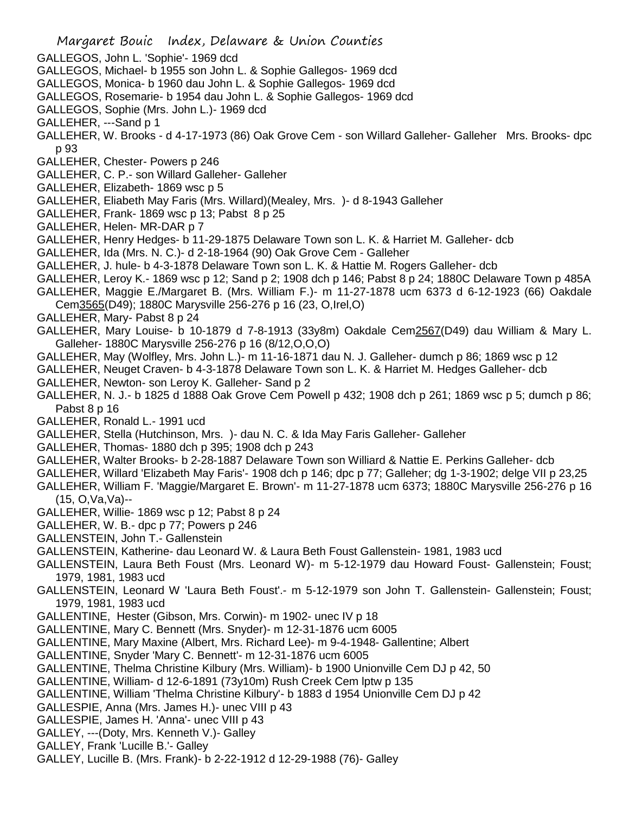- GALLEGOS, John L. 'Sophie'- 1969 dcd
- GALLEGOS, Michael- b 1955 son John L. & Sophie Gallegos- 1969 dcd
- GALLEGOS, Monica- b 1960 dau John L. & Sophie Gallegos- 1969 dcd
- GALLEGOS, Rosemarie- b 1954 dau John L. & Sophie Gallegos- 1969 dcd
- GALLEGOS, Sophie (Mrs. John L.)- 1969 dcd
- GALLEHER, ---Sand p 1
- GALLEHER, W. Brooks d 4-17-1973 (86) Oak Grove Cem son Willard Galleher- Galleher Mrs. Brooks- dpc p 93
- GALLEHER, Chester- Powers p 246
- GALLEHER, C. P.- son Willard Galleher- Galleher
- GALLEHER, Elizabeth- 1869 wsc p 5
- GALLEHER, Eliabeth May Faris (Mrs. Willard)(Mealey, Mrs. )- d 8-1943 Galleher
- GALLEHER, Frank- 1869 wsc p 13; Pabst 8 p 25
- GALLEHER, Helen- MR-DAR p 7
- GALLEHER, Henry Hedges- b 11-29-1875 Delaware Town son L. K. & Harriet M. Galleher- dcb
- GALLEHER, Ida (Mrs. N. C.)- d 2-18-1964 (90) Oak Grove Cem Galleher
- GALLEHER, J. hule- b 4-3-1878 Delaware Town son L. K. & Hattie M. Rogers Galleher- dcb
- GALLEHER, Leroy K.- 1869 wsc p 12; Sand p 2; 1908 dch p 146; Pabst 8 p 24; 1880C Delaware Town p 485A
- GALLEHER, Maggie E./Margaret B. (Mrs. William F.)- m 11-27-1878 ucm 6373 d 6-12-1923 (66) Oakdale Cem3565(D49); 1880C Marysville 256-276 p 16 (23, O,Irel,O)
- GALLEHER, Mary- Pabst 8 p 24
- GALLEHER, Mary Louise- b 10-1879 d 7-8-1913 (33y8m) Oakdale Cem2567(D49) dau William & Mary L. Galleher- 1880C Marysville 256-276 p 16 (8/12,O,O,O)
- GALLEHER, May (Wolfley, Mrs. John L.)- m 11-16-1871 dau N. J. Galleher- dumch p 86; 1869 wsc p 12
- GALLEHER, Neuget Craven- b 4-3-1878 Delaware Town son L. K. & Harriet M. Hedges Galleher- dcb
- GALLEHER, Newton- son Leroy K. Galleher- Sand p 2
- GALLEHER, N. J.- b 1825 d 1888 Oak Grove Cem Powell p 432; 1908 dch p 261; 1869 wsc p 5; dumch p 86; Pabst 8 p 16
- GALLEHER, Ronald L.- 1991 ucd
- GALLEHER, Stella (Hutchinson, Mrs. )- dau N. C. & Ida May Faris Galleher- Galleher
- GALLEHER, Thomas- 1880 dch p 395; 1908 dch p 243
- GALLEHER, Walter Brooks- b 2-28-1887 Delaware Town son Williard & Nattie E. Perkins Galleher- dcb
- GALLEHER, Willard 'Elizabeth May Faris'- 1908 dch p 146; dpc p 77; Galleher; dg 1-3-1902; delge VII p 23,25
- GALLEHER, William F. 'Maggie/Margaret E. Brown'- m 11-27-1878 ucm 6373; 1880C Marysville 256-276 p 16 (15, O,Va,Va)--
- GALLEHER, Willie- 1869 wsc p 12; Pabst 8 p 24
- GALLEHER, W. B.- dpc p 77; Powers p 246
- GALLENSTEIN, John T.- Gallenstein
- GALLENSTEIN, Katherine- dau Leonard W. & Laura Beth Foust Gallenstein- 1981, 1983 ucd
- GALLENSTEIN, Laura Beth Foust (Mrs. Leonard W)- m 5-12-1979 dau Howard Foust- Gallenstein; Foust; 1979, 1981, 1983 ucd
- GALLENSTEIN, Leonard W 'Laura Beth Foust'.- m 5-12-1979 son John T. Gallenstein- Gallenstein; Foust; 1979, 1981, 1983 ucd
- GALLENTINE, Hester (Gibson, Mrs. Corwin)- m 1902- unec IV p 18
- GALLENTINE, Mary C. Bennett (Mrs. Snyder)- m 12-31-1876 ucm 6005
- GALLENTINE, Mary Maxine (Albert, Mrs. Richard Lee)- m 9-4-1948- Gallentine; Albert
- GALLENTINE, Snyder 'Mary C. Bennett'- m 12-31-1876 ucm 6005
- GALLENTINE, Thelma Christine Kilbury (Mrs. William)- b 1900 Unionville Cem DJ p 42, 50
- GALLENTINE, William- d 12-6-1891 (73y10m) Rush Creek Cem lptw p 135
- GALLENTINE, William 'Thelma Christine Kilbury'- b 1883 d 1954 Unionville Cem DJ p 42
- GALLESPIE, Anna (Mrs. James H.)- unec VIII p 43
- GALLESPIE, James H. 'Anna'- unec VIII p 43
- GALLEY, ---(Doty, Mrs. Kenneth V.)- Galley
- GALLEY, Frank 'Lucille B.'- Galley
- GALLEY, Lucille B. (Mrs. Frank)- b 2-22-1912 d 12-29-1988 (76)- Galley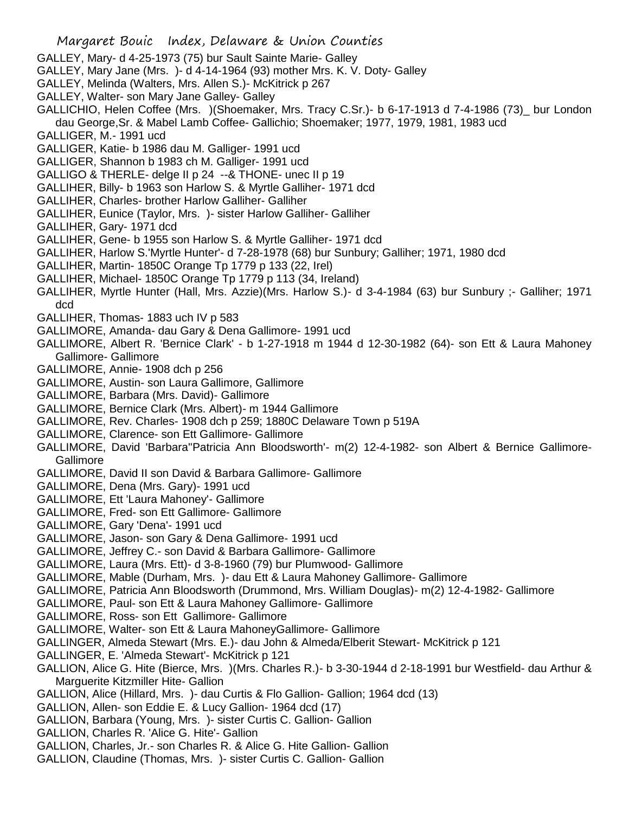- GALLEY, Mary- d 4-25-1973 (75) bur Sault Sainte Marie- Galley
- GALLEY, Mary Jane (Mrs. )- d 4-14-1964 (93) mother Mrs. K. V. Doty- Galley
- GALLEY, Melinda (Walters, Mrs. Allen S.)- McKitrick p 267
- GALLEY, Walter- son Mary Jane Galley- Galley
- GALLICHIO, Helen Coffee (Mrs. )(Shoemaker, Mrs. Tracy C.Sr.)- b 6-17-1913 d 7-4-1986 (73)\_ bur London dau George,Sr. & Mabel Lamb Coffee- Gallichio; Shoemaker; 1977, 1979, 1981, 1983 ucd
- GALLIGER, M.- 1991 ucd
- GALLIGER, Katie- b 1986 dau M. Galliger- 1991 ucd
- GALLIGER, Shannon b 1983 ch M. Galliger- 1991 ucd
- GALLIGO & THERLE- delge II p 24 --& THONE- unec II p 19
- GALLIHER, Billy- b 1963 son Harlow S. & Myrtle Galliher- 1971 dcd
- GALLIHER, Charles- brother Harlow Galliher- Galliher
- GALLIHER, Eunice (Taylor, Mrs. )- sister Harlow Galliher- Galliher
- GALLIHER, Gary- 1971 dcd
- GALLIHER, Gene- b 1955 son Harlow S. & Myrtle Galliher- 1971 dcd
- GALLIHER, Harlow S.'Myrtle Hunter'- d 7-28-1978 (68) bur Sunbury; Galliher; 1971, 1980 dcd
- GALLIHER, Martin- 1850C Orange Tp 1779 p 133 (22, Irel)
- GALLIHER, Michael- 1850C Orange Tp 1779 p 113 (34, Ireland)
- GALLIHER, Myrtle Hunter (Hall, Mrs. Azzie)(Mrs. Harlow S.)- d 3-4-1984 (63) bur Sunbury ;- Galliher; 1971 dcd
- GALLIHER, Thomas- 1883 uch IV p 583
- GALLIMORE, Amanda- dau Gary & Dena Gallimore- 1991 ucd
- GALLIMORE, Albert R. 'Bernice Clark' b 1-27-1918 m 1944 d 12-30-1982 (64)- son Ett & Laura Mahoney Gallimore- Gallimore
- GALLIMORE, Annie- 1908 dch p 256
- GALLIMORE, Austin- son Laura Gallimore, Gallimore
- GALLIMORE, Barbara (Mrs. David)- Gallimore
- GALLIMORE, Bernice Clark (Mrs. Albert)- m 1944 Gallimore
- GALLIMORE, Rev. Charles- 1908 dch p 259; 1880C Delaware Town p 519A
- GALLIMORE, Clarence- son Ett Gallimore- Gallimore
- GALLIMORE, David 'Barbara''Patricia Ann Bloodsworth'- m(2) 12-4-1982- son Albert & Bernice Gallimore-Gallimore
- GALLIMORE, David II son David & Barbara Gallimore- Gallimore
- GALLIMORE, Dena (Mrs. Gary)- 1991 ucd
- GALLIMORE, Ett 'Laura Mahoney'- Gallimore
- GALLIMORE, Fred- son Ett Gallimore- Gallimore
- GALLIMORE, Gary 'Dena'- 1991 ucd
- GALLIMORE, Jason- son Gary & Dena Gallimore- 1991 ucd
- GALLIMORE, Jeffrey C.- son David & Barbara Gallimore- Gallimore
- GALLIMORE, Laura (Mrs. Ett)- d 3-8-1960 (79) bur Plumwood- Gallimore
- GALLIMORE, Mable (Durham, Mrs. )- dau Ett & Laura Mahoney Gallimore- Gallimore
- GALLIMORE, Patricia Ann Bloodsworth (Drummond, Mrs. William Douglas)- m(2) 12-4-1982- Gallimore
- GALLIMORE, Paul- son Ett & Laura Mahoney Gallimore- Gallimore
- GALLIMORE, Ross- son Ett Gallimore- Gallimore
- GALLIMORE, Walter- son Ett & Laura MahoneyGallimore- Gallimore
- GALLINGER, Almeda Stewart (Mrs. E.)- dau John & Almeda/Elberit Stewart- McKitrick p 121
- GALLINGER, E. 'Almeda Stewart'- McKitrick p 121
- GALLION, Alice G. Hite (Bierce, Mrs. )(Mrs. Charles R.)- b 3-30-1944 d 2-18-1991 bur Westfield- dau Arthur & Marguerite Kitzmiller Hite- Gallion
- GALLION, Alice (Hillard, Mrs. )- dau Curtis & Flo Gallion- Gallion; 1964 dcd (13)
- GALLION, Allen- son Eddie E. & Lucy Gallion- 1964 dcd (17)
- GALLION, Barbara (Young, Mrs. )- sister Curtis C. Gallion- Gallion
- GALLION, Charles R. 'Alice G. Hite'- Gallion
- GALLION, Charles, Jr.- son Charles R. & Alice G. Hite Gallion- Gallion
- GALLION, Claudine (Thomas, Mrs. )- sister Curtis C. Gallion- Gallion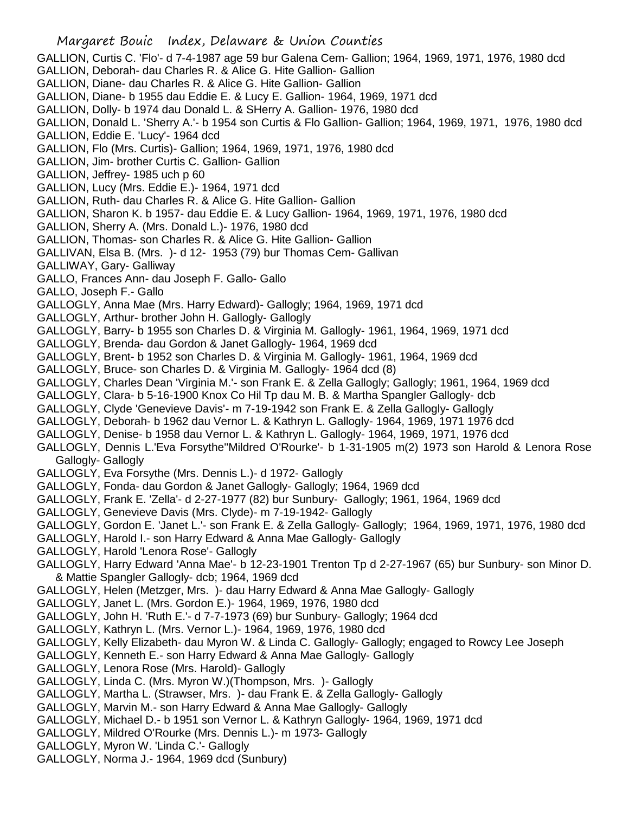- GALLION, Curtis C. 'Flo'- d 7-4-1987 age 59 bur Galena Cem- Gallion; 1964, 1969, 1971, 1976, 1980 dcd
- GALLION, Deborah- dau Charles R. & Alice G. Hite Gallion- Gallion
- GALLION, Diane- dau Charles R. & Alice G. Hite Gallion- Gallion
- GALLION, Diane- b 1955 dau Eddie E. & Lucy E. Gallion- 1964, 1969, 1971 dcd
- GALLION, Dolly- b 1974 dau Donald L. & SHerry A. Gallion- 1976, 1980 dcd
- GALLION, Donald L. 'Sherry A.'- b 1954 son Curtis & Flo Gallion- Gallion; 1964, 1969, 1971, 1976, 1980 dcd
- GALLION, Eddie E. 'Lucy'- 1964 dcd
- GALLION, Flo (Mrs. Curtis)- Gallion; 1964, 1969, 1971, 1976, 1980 dcd
- GALLION, Jim- brother Curtis C. Gallion- Gallion
- GALLION, Jeffrey- 1985 uch p 60
- GALLION, Lucy (Mrs. Eddie E.)- 1964, 1971 dcd
- GALLION, Ruth- dau Charles R. & Alice G. Hite Gallion- Gallion
- GALLION, Sharon K. b 1957- dau Eddie E. & Lucy Gallion- 1964, 1969, 1971, 1976, 1980 dcd
- GALLION, Sherry A. (Mrs. Donald L.)- 1976, 1980 dcd
- GALLION, Thomas- son Charles R. & Alice G. Hite Gallion- Gallion
- GALLIVAN, Elsa B. (Mrs. )- d 12- 1953 (79) bur Thomas Cem- Gallivan
- GALLIWAY, Gary- Galliway
- GALLO, Frances Ann- dau Joseph F. Gallo- Gallo
- GALLO, Joseph F.- Gallo
- GALLOGLY, Anna Mae (Mrs. Harry Edward)- Gallogly; 1964, 1969, 1971 dcd
- GALLOGLY, Arthur- brother John H. Gallogly- Gallogly
- GALLOGLY, Barry- b 1955 son Charles D. & Virginia M. Gallogly- 1961, 1964, 1969, 1971 dcd
- GALLOGLY, Brenda- dau Gordon & Janet Gallogly- 1964, 1969 dcd
- GALLOGLY, Brent- b 1952 son Charles D. & Virginia M. Gallogly- 1961, 1964, 1969 dcd
- GALLOGLY, Bruce- son Charles D. & Virginia M. Gallogly- 1964 dcd (8)
- GALLOGLY, Charles Dean 'Virginia M.'- son Frank E. & Zella Gallogly; Gallogly; 1961, 1964, 1969 dcd
- GALLOGLY, Clara- b 5-16-1900 Knox Co Hil Tp dau M. B. & Martha Spangler Gallogly- dcb
- GALLOGLY, Clyde 'Genevieve Davis'- m 7-19-1942 son Frank E. & Zella Gallogly- Gallogly
- GALLOGLY, Deborah- b 1962 dau Vernor L. & Kathryn L. Gallogly- 1964, 1969, 1971 1976 dcd
- GALLOGLY, Denise- b 1958 dau Vernor L. & Kathryn L. Gallogly- 1964, 1969, 1971, 1976 dcd
- GALLOGLY, Dennis L.'Eva Forsythe''Mildred O'Rourke'- b 1-31-1905 m(2) 1973 son Harold & Lenora Rose Gallogly- Gallogly
- GALLOGLY, Eva Forsythe (Mrs. Dennis L.)- d 1972- Gallogly
- GALLOGLY, Fonda- dau Gordon & Janet Gallogly- Gallogly; 1964, 1969 dcd
- GALLOGLY, Frank E. 'Zella'- d 2-27-1977 (82) bur Sunbury- Gallogly; 1961, 1964, 1969 dcd
- GALLOGLY, Genevieve Davis (Mrs. Clyde)- m 7-19-1942- Gallogly
- GALLOGLY, Gordon E. 'Janet L.'- son Frank E. & Zella Gallogly- Gallogly; 1964, 1969, 1971, 1976, 1980 dcd
- GALLOGLY, Harold I.- son Harry Edward & Anna Mae Gallogly- Gallogly
- GALLOGLY, Harold 'Lenora Rose'- Gallogly
- GALLOGLY, Harry Edward 'Anna Mae'- b 12-23-1901 Trenton Tp d 2-27-1967 (65) bur Sunbury- son Minor D. & Mattie Spangler Gallogly- dcb; 1964, 1969 dcd
- GALLOGLY, Helen (Metzger, Mrs. )- dau Harry Edward & Anna Mae Gallogly- Gallogly
- GALLOGLY, Janet L. (Mrs. Gordon E.)- 1964, 1969, 1976, 1980 dcd
- GALLOGLY, John H. 'Ruth E.'- d 7-7-1973 (69) bur Sunbury- Gallogly; 1964 dcd
- GALLOGLY, Kathryn L. (Mrs. Vernor L.)- 1964, 1969, 1976, 1980 dcd
- GALLOGLY, Kelly Elizabeth- dau Myron W. & Linda C. Gallogly- Gallogly; engaged to Rowcy Lee Joseph
- GALLOGLY, Kenneth E.- son Harry Edward & Anna Mae Gallogly- Gallogly
- GALLOGLY, Lenora Rose (Mrs. Harold)- Gallogly
- GALLOGLY, Linda C. (Mrs. Myron W.)(Thompson, Mrs. )- Gallogly
- GALLOGLY, Martha L. (Strawser, Mrs. )- dau Frank E. & Zella Gallogly- Gallogly
- GALLOGLY, Marvin M.- son Harry Edward & Anna Mae Gallogly- Gallogly
- GALLOGLY, Michael D.- b 1951 son Vernor L. & Kathryn Gallogly- 1964, 1969, 1971 dcd
- GALLOGLY, Mildred O'Rourke (Mrs. Dennis L.)- m 1973- Gallogly
- GALLOGLY, Myron W. 'Linda C.'- Gallogly
- GALLOGLY, Norma J.- 1964, 1969 dcd (Sunbury)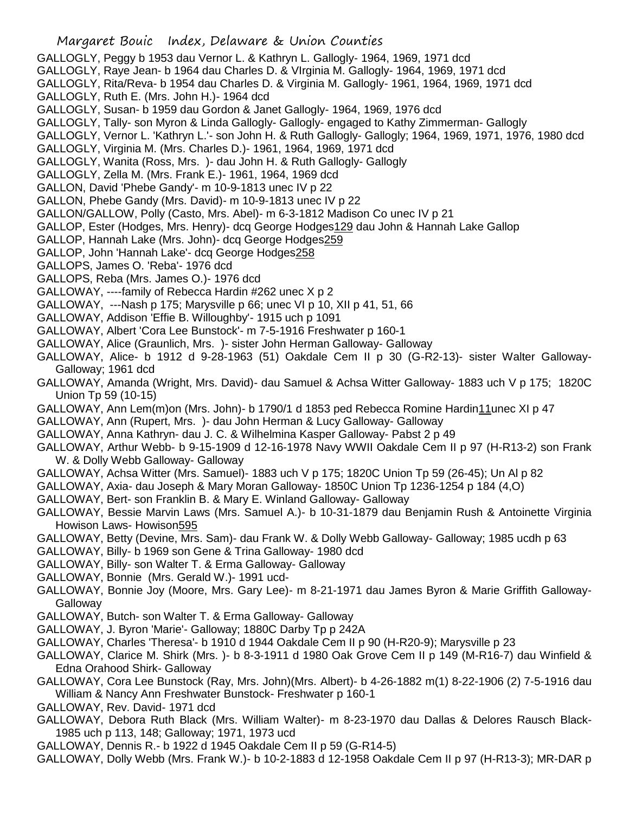- GALLOGLY, Peggy b 1953 dau Vernor L. & Kathryn L. Gallogly- 1964, 1969, 1971 dcd
- GALLOGLY, Raye Jean- b 1964 dau Charles D. & VIrginia M. Gallogly- 1964, 1969, 1971 dcd
- GALLOGLY, Rita/Reva- b 1954 dau Charles D. & Virginia M. Gallogly- 1961, 1964, 1969, 1971 dcd
- GALLOGLY, Ruth E. (Mrs. John H.)- 1964 dcd
- GALLOGLY, Susan- b 1959 dau Gordon & Janet Gallogly- 1964, 1969, 1976 dcd
- GALLOGLY, Tally- son Myron & Linda Gallogly- Gallogly- engaged to Kathy Zimmerman- Gallogly
- GALLOGLY, Vernor L. 'Kathryn L.'- son John H. & Ruth Gallogly- Gallogly; 1964, 1969, 1971, 1976, 1980 dcd
- GALLOGLY, Virginia M. (Mrs. Charles D.)- 1961, 1964, 1969, 1971 dcd
- GALLOGLY, Wanita (Ross, Mrs. )- dau John H. & Ruth Gallogly- Gallogly
- GALLOGLY, Zella M. (Mrs. Frank E.)- 1961, 1964, 1969 dcd
- GALLON, David 'Phebe Gandy'- m 10-9-1813 unec IV p 22
- GALLON, Phebe Gandy (Mrs. David)- m 10-9-1813 unec IV p 22
- GALLON/GALLOW, Polly (Casto, Mrs. Abel)- m 6-3-1812 Madison Co unec IV p 21
- GALLOP, Ester (Hodges, Mrs. Henry)- dcq George Hodges129 dau John & Hannah Lake Gallop
- GALLOP, Hannah Lake (Mrs. John)- dcq George Hodges259
- GALLOP, John 'Hannah Lake'- dcq George Hodges258
- GALLOPS, James O. 'Reba'- 1976 dcd
- GALLOPS, Reba (Mrs. James O.)- 1976 dcd
- GALLOWAY, ----family of Rebecca Hardin #262 unec X p 2
- GALLOWAY, ---Nash p 175; Marysville p 66; unec VI p 10, XII p 41, 51, 66
- GALLOWAY, Addison 'Effie B. Willoughby'- 1915 uch p 1091
- GALLOWAY, Albert 'Cora Lee Bunstock'- m 7-5-1916 Freshwater p 160-1
- GALLOWAY, Alice (Graunlich, Mrs. )- sister John Herman Galloway- Galloway
- GALLOWAY, Alice- b 1912 d 9-28-1963 (51) Oakdale Cem II p 30 (G-R2-13)- sister Walter Galloway-Galloway; 1961 dcd
- GALLOWAY, Amanda (Wright, Mrs. David)- dau Samuel & Achsa Witter Galloway- 1883 uch V p 175; 1820C Union Tp 59 (10-15)
- GALLOWAY, Ann Lem(m)on (Mrs. John)- b 1790/1 d 1853 ped Rebecca Romine Hardin11unec XI p 47
- GALLOWAY, Ann (Rupert, Mrs. )- dau John Herman & Lucy Galloway- Galloway
- GALLOWAY, Anna Kathryn- dau J. C. & Wilhelmina Kasper Galloway- Pabst 2 p 49
- GALLOWAY, Arthur Webb- b 9-15-1909 d 12-16-1978 Navy WWII Oakdale Cem II p 97 (H-R13-2) son Frank W. & Dolly Webb Galloway- Galloway
- GALLOWAY, Achsa Witter (Mrs. Samuel)- 1883 uch V p 175; 1820C Union Tp 59 (26-45); Un Al p 82
- GALLOWAY, Axia- dau Joseph & Mary Moran Galloway- 1850C Union Tp 1236-1254 p 184 (4,O)
- GALLOWAY, Bert- son Franklin B. & Mary E. Winland Galloway- Galloway
- GALLOWAY, Bessie Marvin Laws (Mrs. Samuel A.)- b 10-31-1879 dau Benjamin Rush & Antoinette Virginia Howison Laws- Howison595
- GALLOWAY, Betty (Devine, Mrs. Sam)- dau Frank W. & Dolly Webb Galloway- Galloway; 1985 ucdh p 63
- GALLOWAY, Billy- b 1969 son Gene & Trina Galloway- 1980 dcd
- GALLOWAY, Billy- son Walter T. & Erma Galloway- Galloway
- GALLOWAY, Bonnie (Mrs. Gerald W.)- 1991 ucd-
- GALLOWAY, Bonnie Joy (Moore, Mrs. Gary Lee)- m 8-21-1971 dau James Byron & Marie Griffith Galloway-Galloway
- GALLOWAY, Butch- son Walter T. & Erma Galloway- Galloway
- GALLOWAY, J. Byron 'Marie'- Galloway; 1880C Darby Tp p 242A
- GALLOWAY, Charles 'Theresa'- b 1910 d 1944 Oakdale Cem II p 90 (H-R20-9); Marysville p 23
- GALLOWAY, Clarice M. Shirk (Mrs. )- b 8-3-1911 d 1980 Oak Grove Cem II p 149 (M-R16-7) dau Winfield & Edna Orahood Shirk- Galloway
- GALLOWAY, Cora Lee Bunstock (Ray, Mrs. John)(Mrs. Albert)- b 4-26-1882 m(1) 8-22-1906 (2) 7-5-1916 dau William & Nancy Ann Freshwater Bunstock- Freshwater p 160-1
- GALLOWAY, Rev. David- 1971 dcd
- GALLOWAY, Debora Ruth Black (Mrs. William Walter)- m 8-23-1970 dau Dallas & Delores Rausch Black-1985 uch p 113, 148; Galloway; 1971, 1973 ucd
- GALLOWAY, Dennis R.- b 1922 d 1945 Oakdale Cem II p 59 (G-R14-5)
- GALLOWAY, Dolly Webb (Mrs. Frank W.)- b 10-2-1883 d 12-1958 Oakdale Cem II p 97 (H-R13-3); MR-DAR p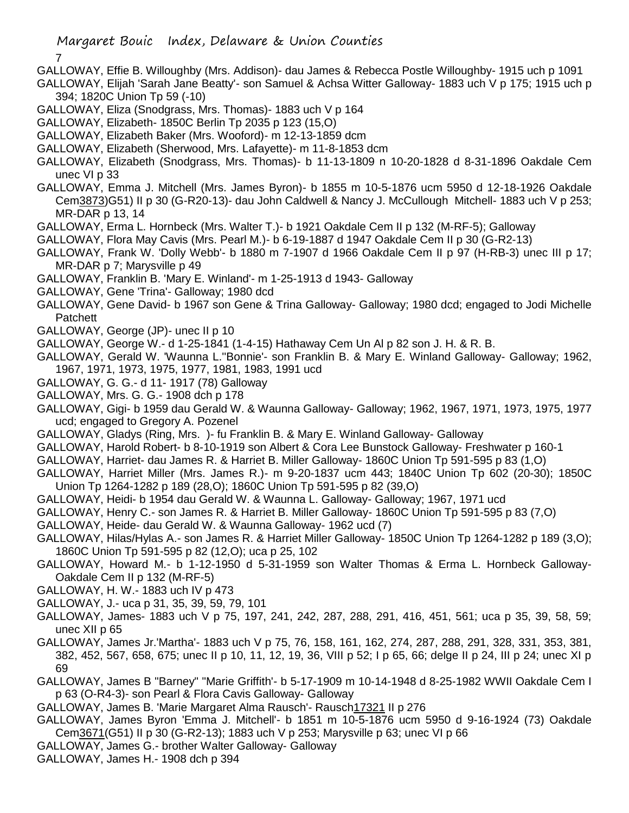7

- GALLOWAY, Effie B. Willoughby (Mrs. Addison)- dau James & Rebecca Postle Willoughby- 1915 uch p 1091
- GALLOWAY, Elijah 'Sarah Jane Beatty'- son Samuel & Achsa Witter Galloway- 1883 uch V p 175; 1915 uch p 394; 1820C Union Tp 59 (-10)
- GALLOWAY, Eliza (Snodgrass, Mrs. Thomas)- 1883 uch V p 164
- GALLOWAY, Elizabeth- 1850C Berlin Tp 2035 p 123 (15,O)
- GALLOWAY, Elizabeth Baker (Mrs. Wooford)- m 12-13-1859 dcm
- GALLOWAY, Elizabeth (Sherwood, Mrs. Lafayette)- m 11-8-1853 dcm
- GALLOWAY, Elizabeth (Snodgrass, Mrs. Thomas)- b 11-13-1809 n 10-20-1828 d 8-31-1896 Oakdale Cem unec VI p 33
- GALLOWAY, Emma J. Mitchell (Mrs. James Byron)- b 1855 m 10-5-1876 ucm 5950 d 12-18-1926 Oakdale Cem3873)G51) II p 30 (G-R20-13)- dau John Caldwell & Nancy J. McCullough Mitchell- 1883 uch V p 253; MR-DAR p 13, 14
- GALLOWAY, Erma L. Hornbeck (Mrs. Walter T.)- b 1921 Oakdale Cem II p 132 (M-RF-5); Galloway
- GALLOWAY, Flora May Cavis (Mrs. Pearl M.)- b 6-19-1887 d 1947 Oakdale Cem II p 30 (G-R2-13)
- GALLOWAY, Frank W. 'Dolly Webb'- b 1880 m 7-1907 d 1966 Oakdale Cem II p 97 (H-RB-3) unec III p 17; MR-DAR p 7; Marysville p 49
- GALLOWAY, Franklin B. 'Mary E. Winland'- m 1-25-1913 d 1943- Galloway
- GALLOWAY, Gene 'Trina'- Galloway; 1980 dcd
- GALLOWAY, Gene David- b 1967 son Gene & Trina Galloway- Galloway; 1980 dcd; engaged to Jodi Michelle Patchett
- GALLOWAY, George (JP)- unec II p 10
- GALLOWAY, George W.- d 1-25-1841 (1-4-15) Hathaway Cem Un Al p 82 son J. H. & R. B.
- GALLOWAY, Gerald W. 'Waunna L.''Bonnie'- son Franklin B. & Mary E. Winland Galloway- Galloway; 1962, 1967, 1971, 1973, 1975, 1977, 1981, 1983, 1991 ucd
- GALLOWAY, G. G.- d 11- 1917 (78) Galloway
- GALLOWAY, Mrs. G. G.- 1908 dch p 178
- GALLOWAY, Gigi- b 1959 dau Gerald W. & Waunna Galloway- Galloway; 1962, 1967, 1971, 1973, 1975, 1977 ucd; engaged to Gregory A. Pozenel
- GALLOWAY, Gladys (Ring, Mrs. )- fu Franklin B. & Mary E. Winland Galloway- Galloway
- GALLOWAY, Harold Robert- b 8-10-1919 son Albert & Cora Lee Bunstock Galloway- Freshwater p 160-1
- GALLOWAY, Harriet- dau James R. & Harriet B. Miller Galloway- 1860C Union Tp 591-595 p 83 (1,O)
- GALLOWAY, Harriet Miller (Mrs. James R.)- m 9-20-1837 ucm 443; 1840C Union Tp 602 (20-30); 1850C Union Tp 1264-1282 p 189 (28,O); 1860C Union Tp 591-595 p 82 (39,O)
- GALLOWAY, Heidi- b 1954 dau Gerald W. & Waunna L. Galloway- Galloway; 1967, 1971 ucd
- GALLOWAY, Henry C.- son James R. & Harriet B. Miller Galloway- 1860C Union Tp 591-595 p 83 (7,O)
- GALLOWAY, Heide- dau Gerald W. & Waunna Galloway- 1962 ucd (7)
- GALLOWAY, Hilas/Hylas A.- son James R. & Harriet Miller Galloway- 1850C Union Tp 1264-1282 p 189 (3,O); 1860C Union Tp 591-595 p 82 (12,O); uca p 25, 102
- GALLOWAY, Howard M.- b 1-12-1950 d 5-31-1959 son Walter Thomas & Erma L. Hornbeck Galloway-Oakdale Cem II p 132 (M-RF-5)
- GALLOWAY, H. W.- 1883 uch IV p 473
- GALLOWAY, J.- uca p 31, 35, 39, 59, 79, 101
- GALLOWAY, James- 1883 uch V p 75, 197, 241, 242, 287, 288, 291, 416, 451, 561; uca p 35, 39, 58, 59; unec XII p 65
- GALLOWAY, James Jr.'Martha'- 1883 uch V p 75, 76, 158, 161, 162, 274, 287, 288, 291, 328, 331, 353, 381, 382, 452, 567, 658, 675; unec II p 10, 11, 12, 19, 36, VIII p 52; I p 65, 66; delge II p 24, III p 24; unec XI p 69
- GALLOWAY, James B "Barney" "Marie Griffith'- b 5-17-1909 m 10-14-1948 d 8-25-1982 WWII Oakdale Cem I p 63 (O-R4-3)- son Pearl & Flora Cavis Galloway- Galloway
- GALLOWAY, James B. 'Marie Margaret Alma Rausch'- Rausch17321 II p 276
- GALLOWAY, James Byron 'Emma J. Mitchell'- b 1851 m 10-5-1876 ucm 5950 d 9-16-1924 (73) Oakdale Cem3671(G51) II p 30 (G-R2-13); 1883 uch V p 253; Marysville p 63; unec VI p 66
- GALLOWAY, James G.- brother Walter Galloway- Galloway
- GALLOWAY, James H.- 1908 dch p 394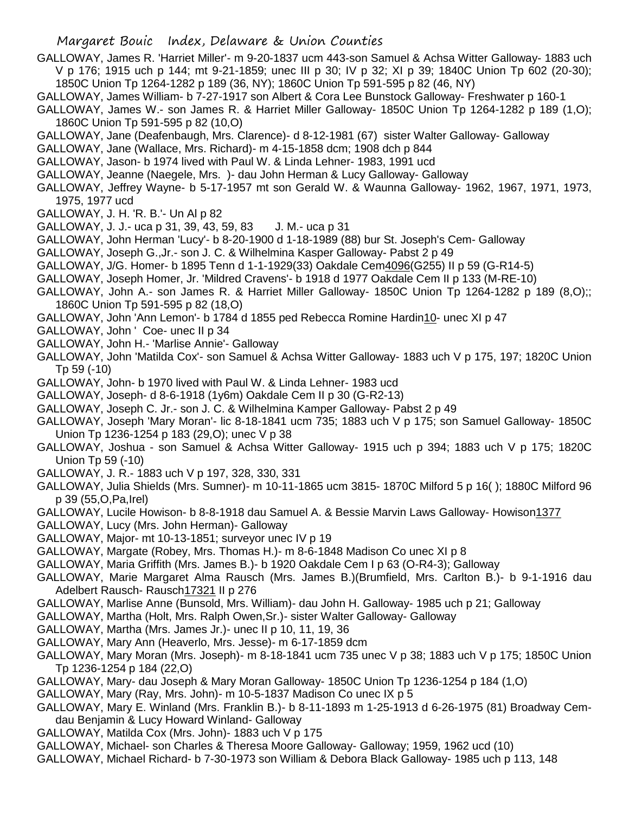GALLOWAY, James R. 'Harriet Miller'- m 9-20-1837 ucm 443-son Samuel & Achsa Witter Galloway- 1883 uch V p 176; 1915 uch p 144; mt 9-21-1859; unec III p 30; IV p 32; XI p 39; 1840C Union Tp 602 (20-30); 1850C Union Tp 1264-1282 p 189 (36, NY); 1860C Union Tp 591-595 p 82 (46, NY)

GALLOWAY, James William- b 7-27-1917 son Albert & Cora Lee Bunstock Galloway- Freshwater p 160-1

GALLOWAY, James W.- son James R. & Harriet Miller Galloway- 1850C Union Tp 1264-1282 p 189 (1,O); 1860C Union Tp 591-595 p 82 (10,O)

- GALLOWAY, Jane (Deafenbaugh, Mrs. Clarence)- d 8-12-1981 (67) sister Walter Galloway- Galloway
- GALLOWAY, Jane (Wallace, Mrs. Richard)- m 4-15-1858 dcm; 1908 dch p 844
- GALLOWAY, Jason- b 1974 lived with Paul W. & Linda Lehner- 1983, 1991 ucd
- GALLOWAY, Jeanne (Naegele, Mrs. )- dau John Herman & Lucy Galloway- Galloway
- GALLOWAY, Jeffrey Wayne- b 5-17-1957 mt son Gerald W. & Waunna Galloway- 1962, 1967, 1971, 1973, 1975, 1977 ucd
- GALLOWAY, J. H. 'R. B.'- Un Al p 82
- GALLOWAY, J. J.- uca p 31, 39, 43, 59, 83 J. M.- uca p 31
- GALLOWAY, John Herman 'Lucy'- b 8-20-1900 d 1-18-1989 (88) bur St. Joseph's Cem- Galloway
- GALLOWAY, Joseph G.,Jr.- son J. C. & Wilhelmina Kasper Galloway- Pabst 2 p 49
- GALLOWAY, J/G. Homer- b 1895 Tenn d 1-1-1929(33) Oakdale Cem4096(G255) II p 59 (G-R14-5)
- GALLOWAY, Joseph Homer, Jr. 'Mildred Cravens'- b 1918 d 1977 Oakdale Cem II p 133 (M-RE-10)
- GALLOWAY, John A.- son James R. & Harriet Miller Galloway- 1850C Union Tp 1264-1282 p 189 (8,O);; 1860C Union Tp 591-595 p 82 (18,O)
- GALLOWAY, John 'Ann Lemon'- b 1784 d 1855 ped Rebecca Romine Hardin10- unec XI p 47
- GALLOWAY, John ' Coe- unec II p 34
- GALLOWAY, John H.- 'Marlise Annie'- Galloway
- GALLOWAY, John 'Matilda Cox'- son Samuel & Achsa Witter Galloway- 1883 uch V p 175, 197; 1820C Union Tp 59 (-10)
- GALLOWAY, John- b 1970 lived with Paul W. & Linda Lehner- 1983 ucd
- GALLOWAY, Joseph- d 8-6-1918 (1y6m) Oakdale Cem II p 30 (G-R2-13)
- GALLOWAY, Joseph C. Jr.- son J. C. & Wilhelmina Kamper Galloway- Pabst 2 p 49
- GALLOWAY, Joseph 'Mary Moran'- lic 8-18-1841 ucm 735; 1883 uch V p 175; son Samuel Galloway- 1850C Union Tp 1236-1254 p 183 (29,O); unec V p 38
- GALLOWAY, Joshua son Samuel & Achsa Witter Galloway- 1915 uch p 394; 1883 uch V p 175; 1820C Union Tp 59 (-10)
- GALLOWAY, J. R.- 1883 uch V p 197, 328, 330, 331
- GALLOWAY, Julia Shields (Mrs. Sumner)- m 10-11-1865 ucm 3815- 1870C Milford 5 p 16( ); 1880C Milford 96 p 39 (55,O,Pa,Irel)
- GALLOWAY, Lucile Howison- b 8-8-1918 dau Samuel A. & Bessie Marvin Laws Galloway- Howison1377
- GALLOWAY, Lucy (Mrs. John Herman)- Galloway
- GALLOWAY, Major- mt 10-13-1851; surveyor unec IV p 19
- GALLOWAY, Margate (Robey, Mrs. Thomas H.)- m 8-6-1848 Madison Co unec XI p 8
- GALLOWAY, Maria Griffith (Mrs. James B.)- b 1920 Oakdale Cem I p 63 (O-R4-3); Galloway
- GALLOWAY, Marie Margaret Alma Rausch (Mrs. James B.)(Brumfield, Mrs. Carlton B.)- b 9-1-1916 dau Adelbert Rausch- Rausch17321 II p 276
- GALLOWAY, Marlise Anne (Bunsold, Mrs. William)- dau John H. Galloway- 1985 uch p 21; Galloway
- GALLOWAY, Martha (Holt, Mrs. Ralph Owen,Sr.)- sister Walter Galloway- Galloway
- GALLOWAY, Martha (Mrs. James Jr.)- unec II p 10, 11, 19, 36
- GALLOWAY, Mary Ann (Heaverlo, Mrs. Jesse)- m 6-17-1859 dcm
- GALLOWAY, Mary Moran (Mrs. Joseph)- m 8-18-1841 ucm 735 unec V p 38; 1883 uch V p 175; 1850C Union Tp 1236-1254 p 184 (22,O)
- GALLOWAY, Mary- dau Joseph & Mary Moran Galloway- 1850C Union Tp 1236-1254 p 184 (1,O)
- GALLOWAY, Mary (Ray, Mrs. John)- m 10-5-1837 Madison Co unec IX p 5
- GALLOWAY, Mary E. Winland (Mrs. Franklin B.)- b 8-11-1893 m 1-25-1913 d 6-26-1975 (81) Broadway Cemdau Benjamin & Lucy Howard Winland- Galloway
- GALLOWAY, Matilda Cox (Mrs. John)- 1883 uch V p 175
- GALLOWAY, Michael- son Charles & Theresa Moore Galloway- Galloway; 1959, 1962 ucd (10)
- GALLOWAY, Michael Richard- b 7-30-1973 son William & Debora Black Galloway- 1985 uch p 113, 148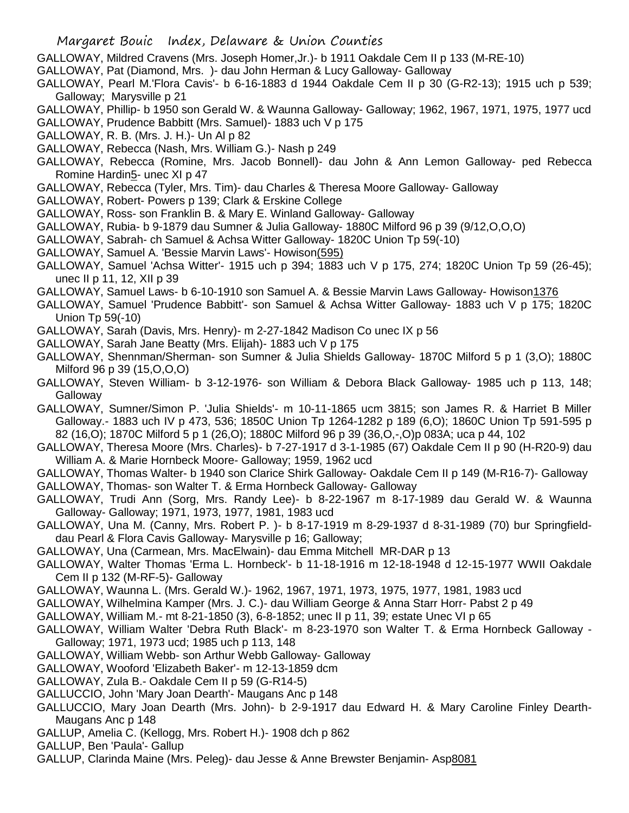GALLOWAY, Mildred Cravens (Mrs. Joseph Homer,Jr.)- b 1911 Oakdale Cem II p 133 (M-RE-10)

- GALLOWAY, Pat (Diamond, Mrs. )- dau John Herman & Lucy Galloway- Galloway
- GALLOWAY, Pearl M.'Flora Cavis'- b 6-16-1883 d 1944 Oakdale Cem II p 30 (G-R2-13); 1915 uch p 539; Galloway; Marysville p 21
- GALLOWAY, Phillip- b 1950 son Gerald W. & Waunna Galloway- Galloway; 1962, 1967, 1971, 1975, 1977 ucd
- GALLOWAY, Prudence Babbitt (Mrs. Samuel)- 1883 uch V p 175
- GALLOWAY, R. B. (Mrs. J. H.)- Un Al p 82
- GALLOWAY, Rebecca (Nash, Mrs. William G.)- Nash p 249
- GALLOWAY, Rebecca (Romine, Mrs. Jacob Bonnell)- dau John & Ann Lemon Galloway- ped Rebecca Romine Hardin5- unec XI p 47
- GALLOWAY, Rebecca (Tyler, Mrs. Tim)- dau Charles & Theresa Moore Galloway- Galloway
- GALLOWAY, Robert- Powers p 139; Clark & Erskine College
- GALLOWAY, Ross- son Franklin B. & Mary E. Winland Galloway- Galloway
- GALLOWAY, Rubia- b 9-1879 dau Sumner & Julia Galloway- 1880C Milford 96 p 39 (9/12,O,O,O)
- GALLOWAY, Sabrah- ch Samuel & Achsa Witter Galloway- 1820C Union Tp 59(-10)
- GALLOWAY, Samuel A. 'Bessie Marvin Laws'- Howison(595)
- GALLOWAY, Samuel 'Achsa Witter'- 1915 uch p 394; 1883 uch V p 175, 274; 1820C Union Tp 59 (26-45); unec II p 11, 12, XII p 39
- GALLOWAY, Samuel Laws- b 6-10-1910 son Samuel A. & Bessie Marvin Laws Galloway- Howison1376
- GALLOWAY, Samuel 'Prudence Babbitt'- son Samuel & Achsa Witter Galloway- 1883 uch V p 175; 1820C Union Tp 59(-10)
- GALLOWAY, Sarah (Davis, Mrs. Henry)- m 2-27-1842 Madison Co unec IX p 56
- GALLOWAY, Sarah Jane Beatty (Mrs. Elijah)- 1883 uch V p 175
- GALLOWAY, Shennman/Sherman- son Sumner & Julia Shields Galloway- 1870C Milford 5 p 1 (3,O); 1880C Milford 96 p 39 (15,O,O,O)
- GALLOWAY, Steven William- b 3-12-1976- son William & Debora Black Galloway- 1985 uch p 113, 148; Galloway
- GALLOWAY, Sumner/Simon P. 'Julia Shields'- m 10-11-1865 ucm 3815; son James R. & Harriet B Miller Galloway.- 1883 uch IV p 473, 536; 1850C Union Tp 1264-1282 p 189 (6,O); 1860C Union Tp 591-595 p 82 (16,O); 1870C Milford 5 p 1 (26,O); 1880C Milford 96 p 39 (36,O,-,O)p 083A; uca p 44, 102
- GALLOWAY, Theresa Moore (Mrs. Charles)- b 7-27-1917 d 3-1-1985 (67) Oakdale Cem II p 90 (H-R20-9) dau William A. & Marie Hornbeck Moore- Galloway; 1959, 1962 ucd
- GALLOWAY, Thomas Walter- b 1940 son Clarice Shirk Galloway- Oakdale Cem II p 149 (M-R16-7)- Galloway GALLOWAY, Thomas- son Walter T. & Erma Hornbeck Galloway- Galloway
- GALLOWAY, Trudi Ann (Sorg, Mrs. Randy Lee)- b 8-22-1967 m 8-17-1989 dau Gerald W. & Waunna Galloway- Galloway; 1971, 1973, 1977, 1981, 1983 ucd
- GALLOWAY, Una M. (Canny, Mrs. Robert P. )- b 8-17-1919 m 8-29-1937 d 8-31-1989 (70) bur Springfielddau Pearl & Flora Cavis Galloway- Marysville p 16; Galloway;
- GALLOWAY, Una (Carmean, Mrs. MacElwain)- dau Emma Mitchell MR-DAR p 13
- GALLOWAY, Walter Thomas 'Erma L. Hornbeck'- b 11-18-1916 m 12-18-1948 d 12-15-1977 WWII Oakdale Cem II p 132 (M-RF-5)- Galloway
- GALLOWAY, Waunna L. (Mrs. Gerald W.)- 1962, 1967, 1971, 1973, 1975, 1977, 1981, 1983 ucd
- GALLOWAY, Wilhelmina Kamper (Mrs. J. C.)- dau William George & Anna Starr Horr- Pabst 2 p 49
- GALLOWAY, William M.- mt 8-21-1850 (3), 6-8-1852; unec II p 11, 39; estate Unec VI p 65
- GALLOWAY, William Walter 'Debra Ruth Black'- m 8-23-1970 son Walter T. & Erma Hornbeck Galloway Galloway; 1971, 1973 ucd; 1985 uch p 113, 148
- GALLOWAY, William Webb- son Arthur Webb Galloway- Galloway
- GALLOWAY, Wooford 'Elizabeth Baker'- m 12-13-1859 dcm
- GALLOWAY, Zula B.- Oakdale Cem II p 59 (G-R14-5)
- GALLUCCIO, John 'Mary Joan Dearth'- Maugans Anc p 148
- GALLUCCIO, Mary Joan Dearth (Mrs. John)- b 2-9-1917 dau Edward H. & Mary Caroline Finley Dearth-Maugans Anc p 148
- GALLUP, Amelia C. (Kellogg, Mrs. Robert H.)- 1908 dch p 862
- GALLUP, Ben 'Paula'- Gallup
- GALLUP, Clarinda Maine (Mrs. Peleg)- dau Jesse & Anne Brewster Benjamin- Asp8081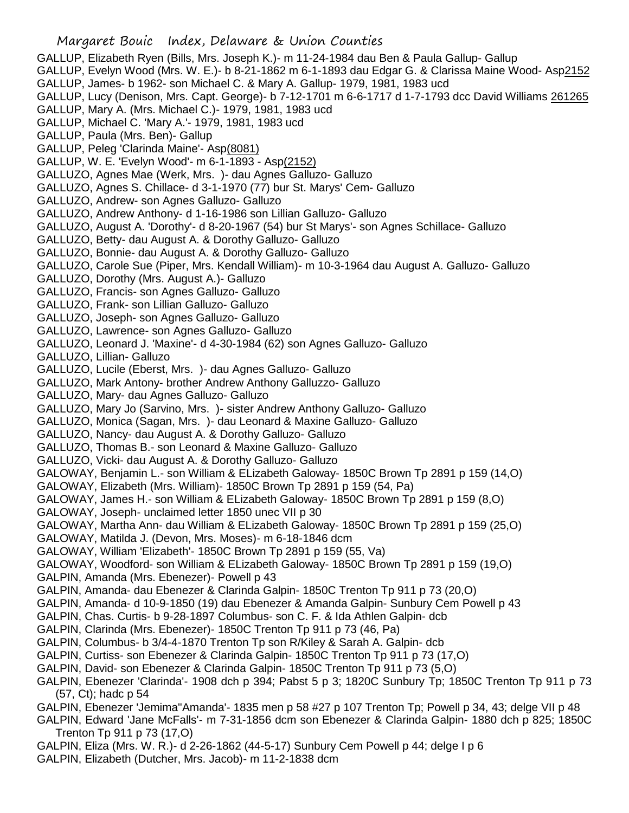GALLUP, Elizabeth Ryen (Bills, Mrs. Joseph K.)- m 11-24-1984 dau Ben & Paula Gallup- Gallup

GALLUP, Evelyn Wood (Mrs. W. E.)- b 8-21-1862 m 6-1-1893 dau Edgar G. & Clarissa Maine Wood- Asp2152 GALLUP, James- b 1962- son Michael C. & Mary A. Gallup- 1979, 1981, 1983 ucd

GALLUP, Lucy (Denison, Mrs. Capt. George)- b 7-12-1701 m 6-6-1717 d 1-7-1793 dcc David Williams 261265 GALLUP, Mary A. (Mrs. Michael C.)- 1979, 1981, 1983 ucd

- GALLUP, Michael C. 'Mary A.'- 1979, 1981, 1983 ucd
- 
- GALLUP, Paula (Mrs. Ben)- Gallup
- GALLUP, Peleg 'Clarinda Maine'- Asp(8081)
- GALLUP, W. E. 'Evelyn Wood'- m 6-1-1893 Asp(2152)
- GALLUZO, Agnes Mae (Werk, Mrs. )- dau Agnes Galluzo- Galluzo
- GALLUZO, Agnes S. Chillace- d 3-1-1970 (77) bur St. Marys' Cem- Galluzo
- GALLUZO, Andrew- son Agnes Galluzo- Galluzo
- GALLUZO, Andrew Anthony- d 1-16-1986 son Lillian Galluzo- Galluzo
- GALLUZO, August A. 'Dorothy'- d 8-20-1967 (54) bur St Marys'- son Agnes Schillace- Galluzo
- GALLUZO, Betty- dau August A. & Dorothy Galluzo- Galluzo
- GALLUZO, Bonnie- dau August A. & Dorothy Galluzo- Galluzo
- GALLUZO, Carole Sue (Piper, Mrs. Kendall William)- m 10-3-1964 dau August A. Galluzo- Galluzo
- GALLUZO, Dorothy (Mrs. August A.)- Galluzo
- GALLUZO, Francis- son Agnes Galluzo- Galluzo
- GALLUZO, Frank- son Lillian Galluzo- Galluzo
- GALLUZO, Joseph- son Agnes Galluzo- Galluzo
- GALLUZO, Lawrence- son Agnes Galluzo- Galluzo
- GALLUZO, Leonard J. 'Maxine'- d 4-30-1984 (62) son Agnes Galluzo- Galluzo
- GALLUZO, Lillian- Galluzo
- GALLUZO, Lucile (Eberst, Mrs. )- dau Agnes Galluzo- Galluzo
- GALLUZO, Mark Antony- brother Andrew Anthony Galluzzo- Galluzo
- GALLUZO, Mary- dau Agnes Galluzo- Galluzo
- GALLUZO, Mary Jo (Sarvino, Mrs. )- sister Andrew Anthony Galluzo- Galluzo
- GALLUZO, Monica (Sagan, Mrs. )- dau Leonard & Maxine Galluzo- Galluzo
- GALLUZO, Nancy- dau August A. & Dorothy Galluzo- Galluzo
- GALLUZO, Thomas B.- son Leonard & Maxine Galluzo- Galluzo
- GALLUZO, Vicki- dau August A. & Dorothy Galluzo- Galluzo
- GALOWAY, Benjamin L.- son William & ELizabeth Galoway- 1850C Brown Tp 2891 p 159 (14,O)
- GALOWAY, Elizabeth (Mrs. William)- 1850C Brown Tp 2891 p 159 (54, Pa)
- GALOWAY, James H.- son William & ELizabeth Galoway- 1850C Brown Tp 2891 p 159 (8,O)
- GALOWAY, Joseph- unclaimed letter 1850 unec VII p 30
- GALOWAY, Martha Ann- dau William & ELizabeth Galoway- 1850C Brown Tp 2891 p 159 (25,O)
- GALOWAY, Matilda J. (Devon, Mrs. Moses)- m 6-18-1846 dcm
- GALOWAY, William 'Elizabeth'- 1850C Brown Tp 2891 p 159 (55, Va)
- GALOWAY, Woodford- son William & ELizabeth Galoway- 1850C Brown Tp 2891 p 159 (19,O)
- GALPIN, Amanda (Mrs. Ebenezer)- Powell p 43
- GALPIN, Amanda- dau Ebenezer & Clarinda Galpin- 1850C Trenton Tp 911 p 73 (20,O)
- GALPIN, Amanda- d 10-9-1850 (19) dau Ebenezer & Amanda Galpin- Sunbury Cem Powell p 43
- GALPIN, Chas. Curtis- b 9-28-1897 Columbus- son C. F. & Ida Athlen Galpin- dcb
- GALPIN, Clarinda (Mrs. Ebenezer)- 1850C Trenton Tp 911 p 73 (46, Pa)
- GALPIN, Columbus- b 3/4-4-1870 Trenton Tp son R/Kiley & Sarah A. Galpin- dcb
- GALPIN, Curtiss- son Ebenezer & Clarinda Galpin- 1850C Trenton Tp 911 p 73 (17,O)
- GALPIN, David- son Ebenezer & Clarinda Galpin- 1850C Trenton Tp 911 p 73 (5,O)
- GALPIN, Ebenezer 'Clarinda'- 1908 dch p 394; Pabst 5 p 3; 1820C Sunbury Tp; 1850C Trenton Tp 911 p 73 (57, Ct); hadc p 54
- GALPIN, Ebenezer 'Jemima''Amanda'- 1835 men p 58 #27 p 107 Trenton Tp; Powell p 34, 43; delge VII p 48
- GALPIN, Edward 'Jane McFalls'- m 7-31-1856 dcm son Ebenezer & Clarinda Galpin- 1880 dch p 825; 1850C Trenton Tp 911 p 73 (17,O)
- GALPIN, Eliza (Mrs. W. R.)- d 2-26-1862 (44-5-17) Sunbury Cem Powell p 44; delge I p 6
- GALPIN, Elizabeth (Dutcher, Mrs. Jacob)- m 11-2-1838 dcm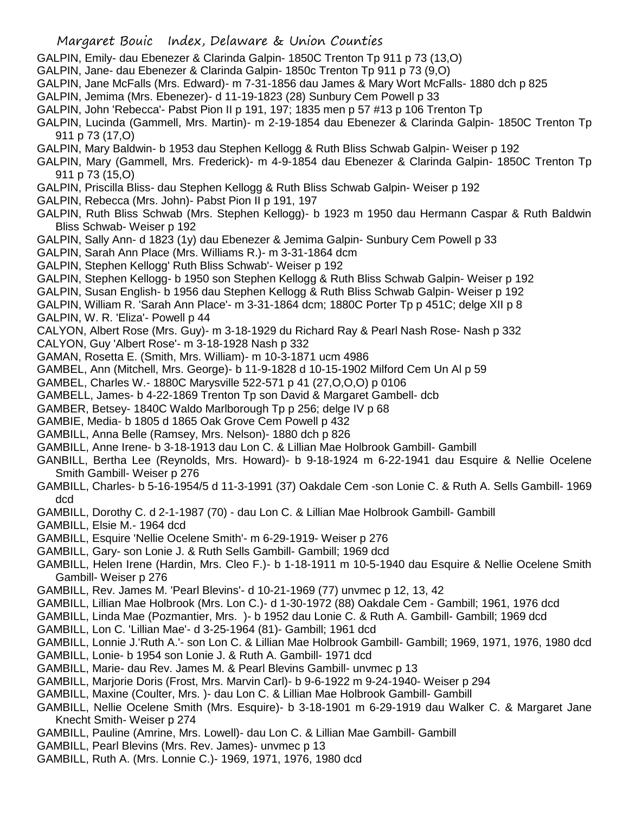- GALPIN, Emily- dau Ebenezer & Clarinda Galpin- 1850C Trenton Tp 911 p 73 (13,O)
- GALPIN, Jane- dau Ebenezer & Clarinda Galpin- 1850c Trenton Tp 911 p 73 (9,O)
- GALPIN, Jane McFalls (Mrs. Edward)- m 7-31-1856 dau James & Mary Wort McFalls- 1880 dch p 825
- GALPIN, Jemima (Mrs. Ebenezer)- d 11-19-1823 (28) Sunbury Cem Powell p 33
- GALPIN, John 'Rebecca'- Pabst Pion II p 191, 197; 1835 men p 57 #13 p 106 Trenton Tp
- GALPIN, Lucinda (Gammell, Mrs. Martin)- m 2-19-1854 dau Ebenezer & Clarinda Galpin- 1850C Trenton Tp 911 p 73 (17,O)
- GALPIN, Mary Baldwin- b 1953 dau Stephen Kellogg & Ruth Bliss Schwab Galpin- Weiser p 192
- GALPIN, Mary (Gammell, Mrs. Frederick)- m 4-9-1854 dau Ebenezer & Clarinda Galpin- 1850C Trenton Tp 911 p 73 (15,O)
- GALPIN, Priscilla Bliss- dau Stephen Kellogg & Ruth Bliss Schwab Galpin- Weiser p 192
- GALPIN, Rebecca (Mrs. John)- Pabst Pion II p 191, 197
- GALPIN, Ruth Bliss Schwab (Mrs. Stephen Kellogg)- b 1923 m 1950 dau Hermann Caspar & Ruth Baldwin Bliss Schwab- Weiser p 192
- GALPIN, Sally Ann- d 1823 (1y) dau Ebenezer & Jemima Galpin- Sunbury Cem Powell p 33
- GALPIN, Sarah Ann Place (Mrs. Williams R.)- m 3-31-1864 dcm
- GALPIN, Stephen Kellogg' Ruth Bliss Schwab'- Weiser p 192
- GALPIN, Stephen Kellogg- b 1950 son Stephen Kellogg & Ruth Bliss Schwab Galpin- Weiser p 192
- GALPIN, Susan English- b 1956 dau Stephen Kellogg & Ruth Bliss Schwab Galpin- Weiser p 192
- GALPIN, William R. 'Sarah Ann Place'- m 3-31-1864 dcm; 1880C Porter Tp p 451C; delge XII p 8 GALPIN, W. R. 'Eliza'- Powell p 44
- CALYON, Albert Rose (Mrs. Guy)- m 3-18-1929 du Richard Ray & Pearl Nash Rose- Nash p 332
- CALYON, Guy 'Albert Rose'- m 3-18-1928 Nash p 332
- GAMAN, Rosetta E. (Smith, Mrs. William)- m 10-3-1871 ucm 4986
- GAMBEL, Ann (Mitchell, Mrs. George)- b 11-9-1828 d 10-15-1902 Milford Cem Un Al p 59
- GAMBEL, Charles W.- 1880C Marysville 522-571 p 41 (27,O,O,O) p 0106
- GAMBELL, James- b 4-22-1869 Trenton Tp son David & Margaret Gambell- dcb
- GAMBER, Betsey- 1840C Waldo Marlborough Tp p 256; delge IV p 68
- GAMBIE, Media- b 1805 d 1865 Oak Grove Cem Powell p 432
- GAMBILL, Anna Belle (Ramsey, Mrs. Nelson)- 1880 dch p 826
- GAMBILL, Anne Irene- b 3-18-1913 dau Lon C. & Lillian Mae Holbrook Gambill- Gambill
- GANBILL, Bertha Lee (Reynolds, Mrs. Howard)- b 9-18-1924 m 6-22-1941 dau Esquire & Nellie Ocelene Smith Gambill- Weiser p 276
- GAMBILL, Charles- b 5-16-1954/5 d 11-3-1991 (37) Oakdale Cem -son Lonie C. & Ruth A. Sells Gambill- 1969 dcd
- GAMBILL, Dorothy C. d 2-1-1987 (70) dau Lon C. & Lillian Mae Holbrook Gambill- Gambill
- GAMBILL, Elsie M.- 1964 dcd
- GAMBILL, Esquire 'Nellie Ocelene Smith'- m 6-29-1919- Weiser p 276
- GAMBILL, Gary- son Lonie J. & Ruth Sells Gambill- Gambill; 1969 dcd
- GAMBILL, Helen Irene (Hardin, Mrs. Cleo F.)- b 1-18-1911 m 10-5-1940 dau Esquire & Nellie Ocelene Smith Gambill- Weiser p 276
- GAMBILL, Rev. James M. 'Pearl Blevins'- d 10-21-1969 (77) unvmec p 12, 13, 42
- GAMBILL, Lillian Mae Holbrook (Mrs. Lon C.)- d 1-30-1972 (88) Oakdale Cem Gambill; 1961, 1976 dcd
- GAMBILL, Linda Mae (Pozmantier, Mrs. )- b 1952 dau Lonie C. & Ruth A. Gambill- Gambill; 1969 dcd
- GAMBILL, Lon C. 'Lillian Mae'- d 3-25-1964 (81)- Gambill; 1961 dcd
- GAMBILL, Lonnie J.'Ruth A.'- son Lon C. & Lillian Mae Holbrook Gambill- Gambill; 1969, 1971, 1976, 1980 dcd
- GAMBILL, Lonie- b 1954 son Lonie J. & Ruth A. Gambill- 1971 dcd
- GAMBILL, Marie- dau Rev. James M. & Pearl Blevins Gambill- unvmec p 13
- GAMBILL, Marjorie Doris (Frost, Mrs. Marvin Carl)- b 9-6-1922 m 9-24-1940- Weiser p 294
- GAMBILL, Maxine (Coulter, Mrs. )- dau Lon C. & Lillian Mae Holbrook Gambill- Gambill
- GAMBILL, Nellie Ocelene Smith (Mrs. Esquire)- b 3-18-1901 m 6-29-1919 dau Walker C. & Margaret Jane Knecht Smith- Weiser p 274
- GAMBILL, Pauline (Amrine, Mrs. Lowell)- dau Lon C. & Lillian Mae Gambill- Gambill
- GAMBILL, Pearl Blevins (Mrs. Rev. James)- unvmec p 13
- GAMBILL, Ruth A. (Mrs. Lonnie C.)- 1969, 1971, 1976, 1980 dcd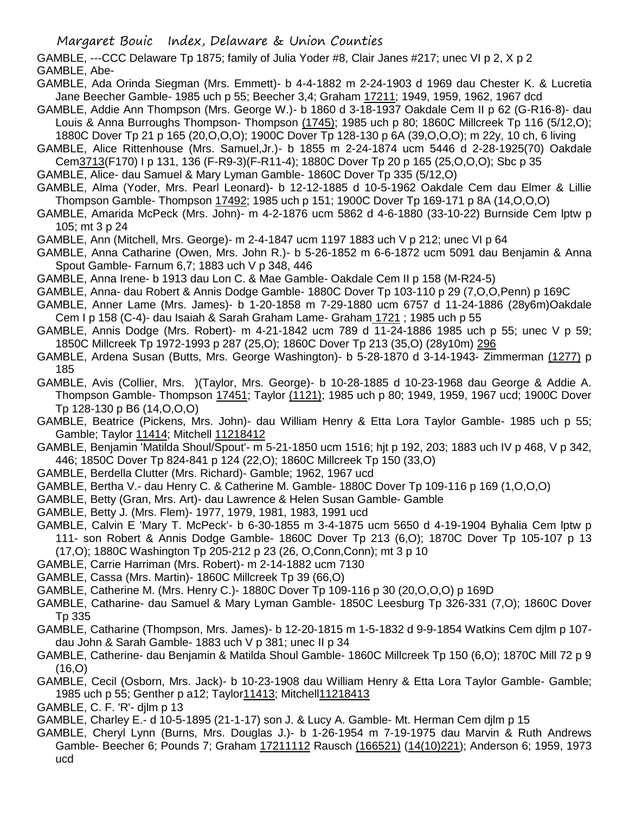GAMBLE, ---CCC Delaware Tp 1875; family of Julia Yoder #8, Clair Janes #217; unec VI p 2, X p 2 GAMBLE, Abe-

- GAMBLE, Ada Orinda Siegman (Mrs. Emmett)- b 4-4-1882 m 2-24-1903 d 1969 dau Chester K. & Lucretia Jane Beecher Gamble- 1985 uch p 55; Beecher 3,4; Graham 17211; 1949, 1959, 1962, 1967 dcd
- GAMBLE, Addie Ann Thompson (Mrs. George W.)- b 1860 d 3-18-1937 Oakdale Cem II p 62 (G-R16-8)- dau Louis & Anna Burroughs Thompson- Thompson (1745); 1985 uch p 80; 1860C Millcreek Tp 116 (5/12,O); 1880C Dover Tp 21 p 165 (20,O,O,O); 1900C Dover Tp 128-130 p 6A (39,O,O,O); m 22y, 10 ch, 6 living
- GAMBLE, Alice Rittenhouse (Mrs. Samuel,Jr.)- b 1855 m 2-24-1874 ucm 5446 d 2-28-1925(70) Oakdale Cem3713(F170) I p 131, 136 (F-R9-3)(F-R11-4); 1880C Dover Tp 20 p 165 (25,O,O,O); Sbc p 35
- GAMBLE, Alice- dau Samuel & Mary Lyman Gamble- 1860C Dover Tp 335 (5/12,O)
- GAMBLE, Alma (Yoder, Mrs. Pearl Leonard)- b 12-12-1885 d 10-5-1962 Oakdale Cem dau Elmer & Lillie Thompson Gamble- Thompson 17492; 1985 uch p 151; 1900C Dover Tp 169-171 p 8A (14,O,O,O)
- GAMBLE, Amarida McPeck (Mrs. John)- m 4-2-1876 ucm 5862 d 4-6-1880 (33-10-22) Burnside Cem lptw p 105; mt 3 p 24
- GAMBLE, Ann (Mitchell, Mrs. George)- m 2-4-1847 ucm 1197 1883 uch V p 212; unec VI p 64
- GAMBLE, Anna Catharine (Owen, Mrs. John R.)- b 5-26-1852 m 6-6-1872 ucm 5091 dau Benjamin & Anna Spout Gamble- Farnum 6,7; 1883 uch V p 348, 446
- GAMBLE, Anna Irene- b 1913 dau Lon C. & Mae Gamble- Oakdale Cem II p 158 (M-R24-5)
- GAMBLE, Anna- dau Robert & Annis Dodge Gamble- 1880C Dover Tp 103-110 p 29 (7,O,O,Penn) p 169C
- GAMBLE, Anner Lame (Mrs. James)- b 1-20-1858 m 7-29-1880 ucm 6757 d 11-24-1886 (28y6m)Oakdale Cem I p 158 (C-4)- dau Isaiah & Sarah Graham Lame- Graham 1721 ; 1985 uch p 55
- GAMBLE, Annis Dodge (Mrs. Robert)- m 4-21-1842 ucm 789 d 11-24-1886 1985 uch p 55; unec V p 59; 1850C Millcreek Tp 1972-1993 p 287 (25,O); 1860C Dover Tp 213 (35,O) (28y10m) 296
- GAMBLE, Ardena Susan (Butts, Mrs. George Washington)- b 5-28-1870 d 3-14-1943- Zimmerman (1277) p 185
- GAMBLE, Avis (Collier, Mrs. )(Taylor, Mrs. George)- b 10-28-1885 d 10-23-1968 dau George & Addie A. Thompson Gamble- Thompson 17451; Taylor (1121); 1985 uch p 80; 1949, 1959, 1967 ucd; 1900C Dover Tp 128-130 p B6 (14,O,O,O)
- GAMBLE, Beatrice (Pickens, Mrs. John)- dau William Henry & Etta Lora Taylor Gamble- 1985 uch p 55; Gamble; Taylor 11414; Mitchell 11218412
- GAMBLE, Benjamin 'Matilda Shoul/Spout'- m 5-21-1850 ucm 1516; hjt p 192, 203; 1883 uch IV p 468, V p 342, 446; 1850C Dover Tp 824-841 p 124 (22,O); 1860C Millcreek Tp 150 (33,O)
- GAMBLE, Berdella Clutter (Mrs. Richard)- Gamble; 1962, 1967 ucd
- GAMBLE, Bertha V.- dau Henry C. & Catherine M. Gamble- 1880C Dover Tp 109-116 p 169 (1,O,O,O)
- GAMBLE, Betty (Gran, Mrs. Art)- dau Lawrence & Helen Susan Gamble- Gamble
- GAMBLE, Betty J. (Mrs. Flem)- 1977, 1979, 1981, 1983, 1991 ucd
- GAMBLE, Calvin E 'Mary T. McPeck'- b 6-30-1855 m 3-4-1875 ucm 5650 d 4-19-1904 Byhalia Cem lptw p 111- son Robert & Annis Dodge Gamble- 1860C Dover Tp 213 (6,O); 1870C Dover Tp 105-107 p 13 (17,O); 1880C Washington Tp 205-212 p 23 (26, O,Conn,Conn); mt 3 p 10
- GAMBLE, Carrie Harriman (Mrs. Robert)- m 2-14-1882 ucm 7130
- 
- GAMBLE, Cassa (Mrs. Martin)- 1860C Millcreek Tp 39 (66,O)
- GAMBLE, Catherine M. (Mrs. Henry C.)- 1880C Dover Tp 109-116 p 30 (20,O,O,O) p 169D
- GAMBLE, Catharine- dau Samuel & Mary Lyman Gamble- 1850C Leesburg Tp 326-331 (7,O); 1860C Dover Tp 335
- GAMBLE, Catharine (Thompson, Mrs. James)- b 12-20-1815 m 1-5-1832 d 9-9-1854 Watkins Cem djlm p 107 dau John & Sarah Gamble- 1883 uch V p 381; unec II p 34
- GAMBLE, Catherine- dau Benjamin & Matilda Shoul Gamble- 1860C Millcreek Tp 150 (6,O); 1870C Mill 72 p 9 (16,O)
- GAMBLE, Cecil (Osborn, Mrs. Jack)- b 10-23-1908 dau William Henry & Etta Lora Taylor Gamble- Gamble; 1985 uch p 55; Genther p a12; Taylor11413; Mitchell11218413
- GAMBLE, C. F. 'R'- djlm p 13
- GAMBLE, Charley E.- d 10-5-1895 (21-1-17) son J. & Lucy A. Gamble- Mt. Herman Cem djlm p 15
- GAMBLE, Cheryl Lynn (Burns, Mrs. Douglas J.)- b 1-26-1954 m 7-19-1975 dau Marvin & Ruth Andrews Gamble- Beecher 6; Pounds 7; Graham 17211112 Rausch (166521) (14(10)221); Anderson 6; 1959, 1973 ucd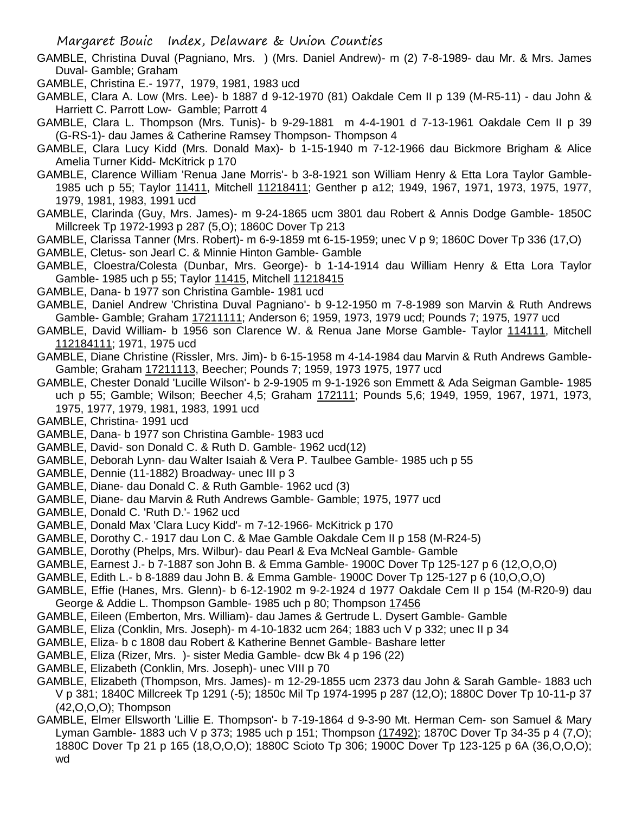- GAMBLE, Christina Duval (Pagniano, Mrs. ) (Mrs. Daniel Andrew)- m (2) 7-8-1989- dau Mr. & Mrs. James Duval- Gamble; Graham
- GAMBLE, Christina E.- 1977, 1979, 1981, 1983 ucd
- GAMBLE, Clara A. Low (Mrs. Lee)- b 1887 d 9-12-1970 (81) Oakdale Cem II p 139 (M-R5-11) dau John & Harriett C. Parrott Low- Gamble; Parrott 4
- GAMBLE, Clara L. Thompson (Mrs. Tunis)- b 9-29-1881 m 4-4-1901 d 7-13-1961 Oakdale Cem II p 39 (G-RS-1)- dau James & Catherine Ramsey Thompson- Thompson 4
- GAMBLE, Clara Lucy Kidd (Mrs. Donald Max)- b 1-15-1940 m 7-12-1966 dau Bickmore Brigham & Alice Amelia Turner Kidd- McKitrick p 170
- GAMBLE, Clarence William 'Renua Jane Morris'- b 3-8-1921 son William Henry & Etta Lora Taylor Gamble-1985 uch p 55; Taylor 11411, Mitchell 11218411; Genther p a12; 1949, 1967, 1971, 1973, 1975, 1977, 1979, 1981, 1983, 1991 ucd
- GAMBLE, Clarinda (Guy, Mrs. James)- m 9-24-1865 ucm 3801 dau Robert & Annis Dodge Gamble- 1850C Millcreek Tp 1972-1993 p 287 (5,O); 1860C Dover Tp 213
- GAMBLE, Clarissa Tanner (Mrs. Robert)- m 6-9-1859 mt 6-15-1959; unec V p 9; 1860C Dover Tp 336 (17,O)
- GAMBLE, Cletus- son Jearl C. & Minnie Hinton Gamble- Gamble
- GAMBLE, Cloestra/Colesta (Dunbar, Mrs. George)- b 1-14-1914 dau William Henry & Etta Lora Taylor Gamble- 1985 uch p 55; Taylor 11415, Mitchell 11218415
- GAMBLE, Dana- b 1977 son Christina Gamble- 1981 ucd
- GAMBLE, Daniel Andrew 'Christina Duval Pagniano'- b 9-12-1950 m 7-8-1989 son Marvin & Ruth Andrews Gamble- Gamble; Graham 17211111; Anderson 6; 1959, 1973, 1979 ucd; Pounds 7; 1975, 1977 ucd
- GAMBLE, David William- b 1956 son Clarence W. & Renua Jane Morse Gamble- Taylor 114111, Mitchell 112184111; 1971, 1975 ucd
- GAMBLE, Diane Christine (Rissler, Mrs. Jim)- b 6-15-1958 m 4-14-1984 dau Marvin & Ruth Andrews Gamble-Gamble; Graham 17211113, Beecher; Pounds 7; 1959, 1973 1975, 1977 ucd
- GAMBLE, Chester Donald 'Lucille Wilson'- b 2-9-1905 m 9-1-1926 son Emmett & Ada Seigman Gamble- 1985 uch p 55; Gamble; Wilson; Beecher 4,5; Graham 172111; Pounds 5,6; 1949, 1959, 1967, 1971, 1973, 1975, 1977, 1979, 1981, 1983, 1991 ucd
- GAMBLE, Christina- 1991 ucd
- GAMBLE, Dana- b 1977 son Christina Gamble- 1983 ucd
- GAMBLE, David- son Donald C. & Ruth D. Gamble- 1962 ucd(12)
- GAMBLE, Deborah Lynn- dau Walter Isaiah & Vera P. Taulbee Gamble- 1985 uch p 55
- GAMBLE, Dennie (11-1882) Broadway- unec III p 3
- GAMBLE, Diane- dau Donald C. & Ruth Gamble- 1962 ucd (3)
- GAMBLE, Diane- dau Marvin & Ruth Andrews Gamble- Gamble; 1975, 1977 ucd
- GAMBLE, Donald C. 'Ruth D.'- 1962 ucd
- GAMBLE, Donald Max 'Clara Lucy Kidd'- m 7-12-1966- McKitrick p 170
- GAMBLE, Dorothy C.- 1917 dau Lon C. & Mae Gamble Oakdale Cem II p 158 (M-R24-5)
- GAMBLE, Dorothy (Phelps, Mrs. Wilbur)- dau Pearl & Eva McNeal Gamble- Gamble
- GAMBLE, Earnest J.- b 7-1887 son John B. & Emma Gamble- 1900C Dover Tp 125-127 p 6 (12,O,O,O)
- GAMBLE, Edith L.- b 8-1889 dau John B. & Emma Gamble- 1900C Dover Tp 125-127 p 6 (10,O,O,O)
- GAMBLE, Effie (Hanes, Mrs. Glenn)- b 6-12-1902 m 9-2-1924 d 1977 Oakdale Cem II p 154 (M-R20-9) dau
- George & Addie L. Thompson Gamble- 1985 uch p 80; Thompson 17456
- GAMBLE, Eileen (Emberton, Mrs. William)- dau James & Gertrude L. Dysert Gamble- Gamble
- GAMBLE, Eliza (Conklin, Mrs. Joseph)- m 4-10-1832 ucm 264; 1883 uch V p 332; unec II p 34
- GAMBLE, Eliza- b c 1808 dau Robert & Katherine Bennet Gamble- Bashare letter
- GAMBLE, Eliza (Rizer, Mrs. )- sister Media Gamble- dcw Bk 4 p 196 (22)
- GAMBLE, Elizabeth (Conklin, Mrs. Joseph)- unec VIII p 70
- GAMBLE, Elizabeth (Thompson, Mrs. James)- m 12-29-1855 ucm 2373 dau John & Sarah Gamble- 1883 uch V p 381; 1840C Millcreek Tp 1291 (-5); 1850c Mil Tp 1974-1995 p 287 (12,O); 1880C Dover Tp 10-11-p 37 (42,O,O,O); Thompson
- GAMBLE, Elmer Ellsworth 'Lillie E. Thompson'- b 7-19-1864 d 9-3-90 Mt. Herman Cem- son Samuel & Mary Lyman Gamble- 1883 uch V p 373; 1985 uch p 151; Thompson (17492); 1870C Dover Tp 34-35 p 4 (7,O); 1880C Dover Tp 21 p 165 (18,O,O,O); 1880C Scioto Tp 306; 1900C Dover Tp 123-125 p 6A (36,O,O,O); wd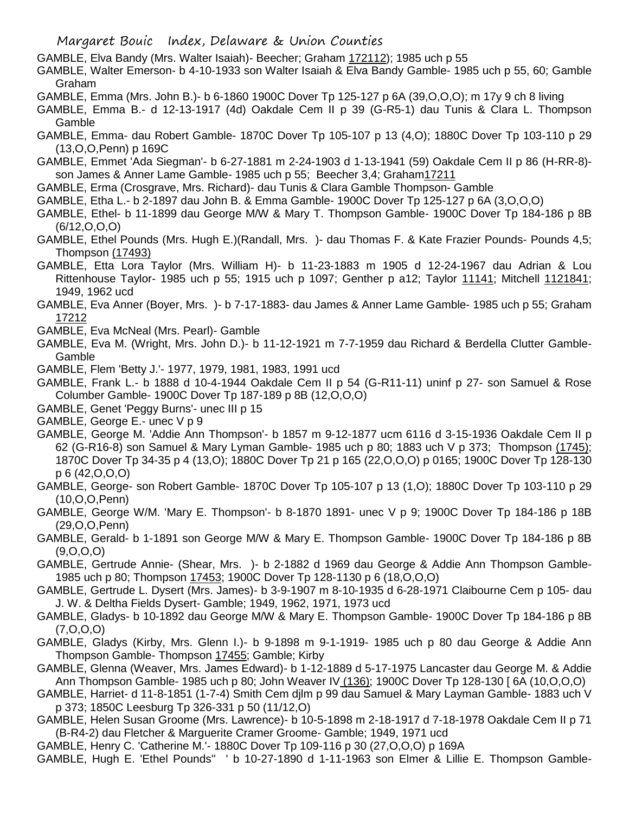- GAMBLE, Elva Bandy (Mrs. Walter Isaiah)- Beecher; Graham 172112); 1985 uch p 55
- GAMBLE, Walter Emerson- b 4-10-1933 son Walter Isaiah & Elva Bandy Gamble- 1985 uch p 55, 60; Gamble Graham
- GAMBLE, Emma (Mrs. John B.)- b 6-1860 1900C Dover Tp 125-127 p 6A (39,O,O,O); m 17y 9 ch 8 living
- GAMBLE, Emma B.- d 12-13-1917 (4d) Oakdale Cem II p 39 (G-R5-1) dau Tunis & Clara L. Thompson Gamble
- GAMBLE, Emma- dau Robert Gamble- 1870C Dover Tp 105-107 p 13 (4,O); 1880C Dover Tp 103-110 p 29 (13,O,O,Penn) p 169C
- GAMBLE, Emmet 'Ada Siegman'- b 6-27-1881 m 2-24-1903 d 1-13-1941 (59) Oakdale Cem II p 86 (H-RR-8) son James & Anner Lame Gamble- 1985 uch p 55; Beecher 3,4; Graham17211
- GAMBLE, Erma (Crosgrave, Mrs. Richard)- dau Tunis & Clara Gamble Thompson- Gamble
- GAMBLE, Etha L.- b 2-1897 dau John B. & Emma Gamble- 1900C Dover Tp 125-127 p 6A (3,O,O,O)
- GAMBLE, Ethel- b 11-1899 dau George M/W & Mary T. Thompson Gamble- 1900C Dover Tp 184-186 p 8B (6/12,O,O,O)
- GAMBLE, Ethel Pounds (Mrs. Hugh E.)(Randall, Mrs. )- dau Thomas F. & Kate Frazier Pounds- Pounds 4,5; Thompson (17493)
- GAMBLE, Etta Lora Taylor (Mrs. William H)- b 11-23-1883 m 1905 d 12-24-1967 dau Adrian & Lou Rittenhouse Taylor- 1985 uch p 55; 1915 uch p 1097; Genther p a12; Taylor 11141; Mitchell 1121841; 1949, 1962 ucd
- GAMBLE, Eva Anner (Boyer, Mrs. )- b 7-17-1883- dau James & Anner Lame Gamble- 1985 uch p 55; Graham 17212
- GAMBLE, Eva McNeal (Mrs. Pearl)- Gamble
- GAMBLE, Eva M. (Wright, Mrs. John D.)- b 11-12-1921 m 7-7-1959 dau Richard & Berdella Clutter Gamble-Gamble
- GAMBLE, Flem 'Betty J.'- 1977, 1979, 1981, 1983, 1991 ucd
- GAMBLE, Frank L.- b 1888 d 10-4-1944 Oakdale Cem II p 54 (G-R11-11) uninf p 27- son Samuel & Rose Columber Gamble- 1900C Dover Tp 187-189 p 8B (12,O,O,O)
- GAMBLE, Genet 'Peggy Burns'- unec III p 15
- GAMBLE, George E.- unec V p 9
- GAMBLE, George M. 'Addie Ann Thompson'- b 1857 m 9-12-1877 ucm 6116 d 3-15-1936 Oakdale Cem II p 62 (G-R16-8) son Samuel & Mary Lyman Gamble- 1985 uch p 80; 1883 uch V p 373; Thompson (1745); 1870C Dover Tp 34-35 p 4 (13,O); 1880C Dover Tp 21 p 165 (22,O,O,O) p 0165; 1900C Dover Tp 128-130 p 6 (42,O,O,O)
- GAMBLE, George- son Robert Gamble- 1870C Dover Tp 105-107 p 13 (1,O); 1880C Dover Tp 103-110 p 29 (10,O,O,Penn)
- GAMBLE, George W/M. 'Mary E. Thompson'- b 8-1870 1891- unec V p 9; 1900C Dover Tp 184-186 p 18B (29,O,O,Penn)
- GAMBLE, Gerald- b 1-1891 son George M/W & Mary E. Thompson Gamble- 1900C Dover Tp 184-186 p 8B (9,O,O,O)
- GAMBLE, Gertrude Annie- (Shear, Mrs. )- b 2-1882 d 1969 dau George & Addie Ann Thompson Gamble-1985 uch p 80; Thompson 17453; 1900C Dover Tp 128-1130 p 6 (18,O,O,O)
- GAMBLE, Gertrude L. Dysert (Mrs. James)- b 3-9-1907 m 8-10-1935 d 6-28-1971 Claibourne Cem p 105- dau J. W. & Deltha Fields Dysert- Gamble; 1949, 1962, 1971, 1973 ucd
- GAMBLE, Gladys- b 10-1892 dau George M/W & Mary E. Thompson Gamble- 1900C Dover Tp 184-186 p 8B (7,O,O,O)
- GAMBLE, Gladys (Kirby, Mrs. Glenn I.)- b 9-1898 m 9-1-1919- 1985 uch p 80 dau George & Addie Ann Thompson Gamble- Thompson 17455; Gamble; Kirby
- GAMBLE, Glenna (Weaver, Mrs. James Edward)- b 1-12-1889 d 5-17-1975 Lancaster dau George M. & Addie Ann Thompson Gamble- 1985 uch p 80; John Weaver IV (136); 1900C Dover Tp 128-130 [ 6A (10,O,O,O)
- GAMBLE, Harriet- d 11-8-1851 (1-7-4) Smith Cem djlm p 99 dau Samuel & Mary Layman Gamble- 1883 uch V p 373; 1850C Leesburg Tp 326-331 p 50 (11/12,O)
- GAMBLE, Helen Susan Groome (Mrs. Lawrence)- b 10-5-1898 m 2-18-1917 d 7-18-1978 Oakdale Cem II p 71 (B-R4-2) dau Fletcher & Marguerite Cramer Groome- Gamble; 1949, 1971 ucd
- GAMBLE, Henry C. 'Catherine M.'- 1880C Dover Tp 109-116 p 30 (27,O,O,O) p 169A
- GAMBLE, Hugh E. 'Ethel Pounds'' ' b 10-27-1890 d 1-11-1963 son Elmer & Lillie E. Thompson Gamble-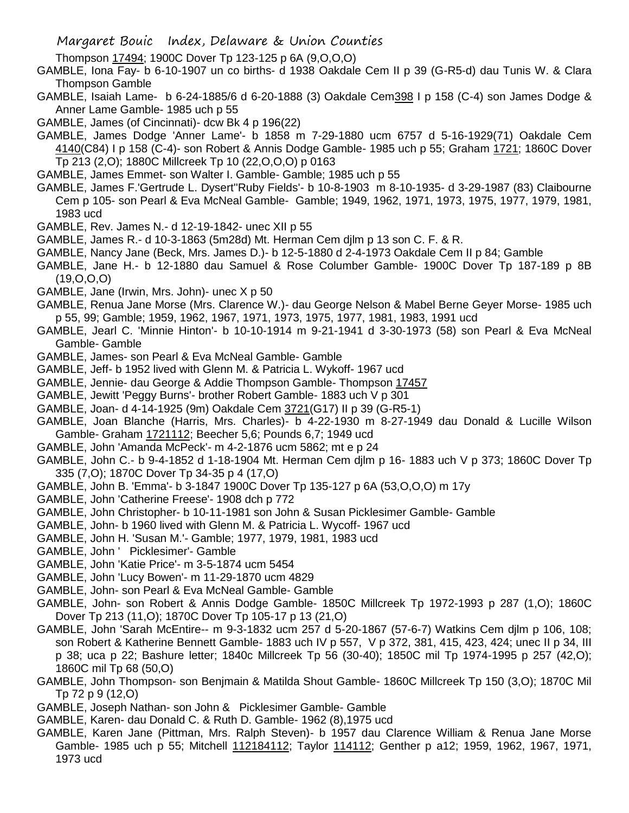- Margaret Bouic Index, Delaware & Union Counties
- Thompson 17494; 1900C Dover Tp 123-125 p 6A (9,O,O,O)
- GAMBLE, Iona Fay- b 6-10-1907 un co births- d 1938 Oakdale Cem II p 39 (G-R5-d) dau Tunis W. & Clara Thompson Gamble
- GAMBLE, Isaiah Lame- b 6-24-1885/6 d 6-20-1888 (3) Oakdale Cem398 I p 158 (C-4) son James Dodge & Anner Lame Gamble- 1985 uch p 55
- GAMBLE, James (of Cincinnati)- dcw Bk 4 p 196(22)
- GAMBLE, James Dodge 'Anner Lame'- b 1858 m 7-29-1880 ucm 6757 d 5-16-1929(71) Oakdale Cem 4140(C84) I p 158 (C-4)- son Robert & Annis Dodge Gamble- 1985 uch p 55; Graham 1721; 1860C Dover Tp 213 (2,O); 1880C Millcreek Tp 10 (22,O,O,O) p 0163
- GAMBLE, James Emmet- son Walter I. Gamble- Gamble; 1985 uch p 55
- GAMBLE, James F.'Gertrude L. Dysert''Ruby Fields'- b 10-8-1903 m 8-10-1935- d 3-29-1987 (83) Claibourne Cem p 105- son Pearl & Eva McNeal Gamble- Gamble; 1949, 1962, 1971, 1973, 1975, 1977, 1979, 1981, 1983 ucd
- GAMBLE, Rev. James N.- d 12-19-1842- unec XII p 55
- GAMBLE, James R.- d 10-3-1863 (5m28d) Mt. Herman Cem djlm p 13 son C. F. & R.
- GAMBLE, Nancy Jane (Beck, Mrs. James D.)- b 12-5-1880 d 2-4-1973 Oakdale Cem II p 84; Gamble
- GAMBLE, Jane H.- b 12-1880 dau Samuel & Rose Columber Gamble- 1900C Dover Tp 187-189 p 8B  $(19,0,0,0)$
- GAMBLE, Jane (Irwin, Mrs. John)- unec X p 50
- GAMBLE, Renua Jane Morse (Mrs. Clarence W.)- dau George Nelson & Mabel Berne Geyer Morse- 1985 uch p 55, 99; Gamble; 1959, 1962, 1967, 1971, 1973, 1975, 1977, 1981, 1983, 1991 ucd
- GAMBLE, Jearl C. 'Minnie Hinton'- b 10-10-1914 m 9-21-1941 d 3-30-1973 (58) son Pearl & Eva McNeal Gamble- Gamble
- GAMBLE, James- son Pearl & Eva McNeal Gamble- Gamble
- GAMBLE, Jeff- b 1952 lived with Glenn M. & Patricia L. Wykoff- 1967 ucd
- GAMBLE, Jennie- dau George & Addie Thompson Gamble- Thompson 17457
- GAMBLE, Jewitt 'Peggy Burns'- brother Robert Gamble- 1883 uch V p 301
- GAMBLE, Joan- d 4-14-1925 (9m) Oakdale Cem 3721(G17) II p 39 (G-R5-1)
- GAMBLE, Joan Blanche (Harris, Mrs. Charles)- b 4-22-1930 m 8-27-1949 dau Donald & Lucille Wilson Gamble- Graham 1721112; Beecher 5,6; Pounds 6,7; 1949 ucd
- GAMBLE, John 'Amanda McPeck'- m 4-2-1876 ucm 5862; mt e p 24
- GAMBLE, John C.- b 9-4-1852 d 1-18-1904 Mt. Herman Cem djlm p 16- 1883 uch V p 373; 1860C Dover Tp 335 (7,O); 1870C Dover Tp 34-35 p 4 (17,O)
- GAMBLE, John B. 'Emma'- b 3-1847 1900C Dover Tp 135-127 p 6A (53,O,O,O) m 17y
- GAMBLE, John 'Catherine Freese'- 1908 dch p 772
- GAMBLE, John Christopher- b 10-11-1981 son John & Susan Picklesimer Gamble- Gamble
- GAMBLE, John- b 1960 lived with Glenn M. & Patricia L. Wycoff- 1967 ucd
- GAMBLE, John H. 'Susan M.'- Gamble; 1977, 1979, 1981, 1983 ucd
- GAMBLE, John ' Picklesimer'- Gamble
- GAMBLE, John 'Katie Price'- m 3-5-1874 ucm 5454
- GAMBLE, John 'Lucy Bowen'- m 11-29-1870 ucm 4829
- GAMBLE, John- son Pearl & Eva McNeal Gamble- Gamble
- GAMBLE, John- son Robert & Annis Dodge Gamble- 1850C Millcreek Tp 1972-1993 p 287 (1,O); 1860C Dover Tp 213 (11,O); 1870C Dover Tp 105-17 p 13 (21,O)
- GAMBLE, John 'Sarah McEntire-- m 9-3-1832 ucm 257 d 5-20-1867 (57-6-7) Watkins Cem djlm p 106, 108; son Robert & Katherine Bennett Gamble- 1883 uch IV p 557, V p 372, 381, 415, 423, 424; unec II p 34, III p 38; uca p 22; Bashure letter; 1840c Millcreek Tp 56 (30-40); 1850C mil Tp 1974-1995 p 257 (42,O); 1860C mil Tp 68 (50,O)
- GAMBLE, John Thompson- son Benjmain & Matilda Shout Gamble- 1860C Millcreek Tp 150 (3,O); 1870C Mil Tp 72 p 9 (12,O)
- GAMBLE, Joseph Nathan- son John & Picklesimer Gamble- Gamble
- GAMBLE, Karen- dau Donald C. & Ruth D. Gamble- 1962 (8),1975 ucd
- GAMBLE, Karen Jane (Pittman, Mrs. Ralph Steven)- b 1957 dau Clarence William & Renua Jane Morse Gamble- 1985 uch p 55; Mitchell 112184112; Taylor 114112; Genther p a12; 1959, 1962, 1967, 1971, 1973 ucd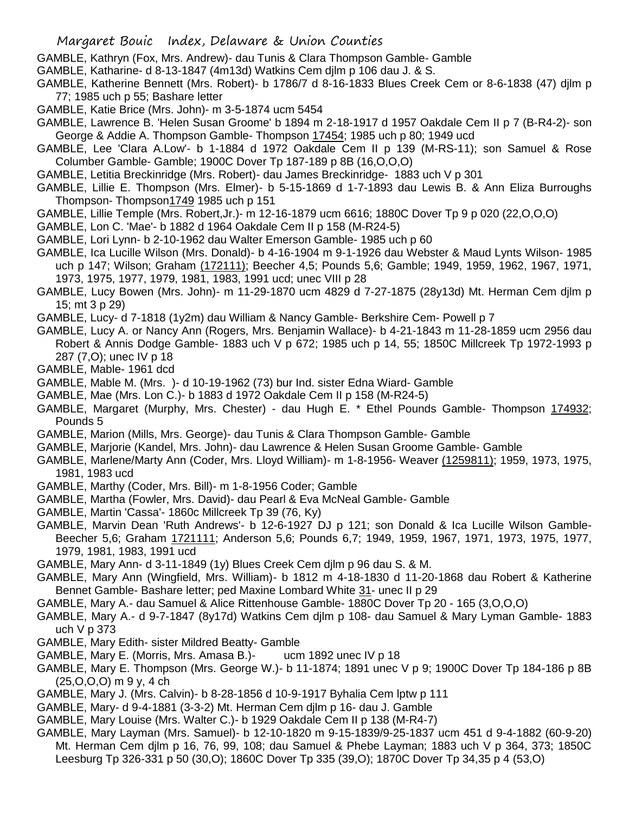- GAMBLE, Kathryn (Fox, Mrs. Andrew)- dau Tunis & Clara Thompson Gamble- Gamble
- GAMBLE, Katharine- d 8-13-1847 (4m13d) Watkins Cem djlm p 106 dau J. & S.
- GAMBLE, Katherine Bennett (Mrs. Robert)- b 1786/7 d 8-16-1833 Blues Creek Cem or 8-6-1838 (47) djlm p 77; 1985 uch p 55; Bashare letter
- GAMBLE, Katie Brice (Mrs. John)- m 3-5-1874 ucm 5454
- GAMBLE, Lawrence B. 'Helen Susan Groome' b 1894 m 2-18-1917 d 1957 Oakdale Cem II p 7 (B-R4-2)- son George & Addie A. Thompson Gamble- Thompson 17454; 1985 uch p 80; 1949 ucd
- GAMBLE, Lee 'Clara A.Low'- b 1-1884 d 1972 Oakdale Cem II p 139 (M-RS-11); son Samuel & Rose Columber Gamble- Gamble; 1900C Dover Tp 187-189 p 8B (16,O,O,O)
- GAMBLE, Letitia Breckinridge (Mrs. Robert)- dau James Breckinridge- 1883 uch V p 301
- GAMBLE, Lillie E. Thompson (Mrs. Elmer)- b 5-15-1869 d 1-7-1893 dau Lewis B. & Ann Eliza Burroughs Thompson- Thompson1749 1985 uch p 151
- GAMBLE, Lillie Temple (Mrs. Robert,Jr.)- m 12-16-1879 ucm 6616; 1880C Dover Tp 9 p 020 (22,O,O,O)
- GAMBLE, Lon C. 'Mae'- b 1882 d 1964 Oakdale Cem II p 158 (M-R24-5)
- GAMBLE, Lori Lynn- b 2-10-1962 dau Walter Emerson Gamble- 1985 uch p 60
- GAMBLE, Ica Lucille Wilson (Mrs. Donald)- b 4-16-1904 m 9-1-1926 dau Webster & Maud Lynts Wilson- 1985 uch p 147; Wilson; Graham (172111); Beecher 4,5; Pounds 5,6; Gamble; 1949, 1959, 1962, 1967, 1971, 1973, 1975, 1977, 1979, 1981, 1983, 1991 ucd; unec VIII p 28
- GAMBLE, Lucy Bowen (Mrs. John)- m 11-29-1870 ucm 4829 d 7-27-1875 (28y13d) Mt. Herman Cem djlm p 15; mt 3 p 29)
- GAMBLE, Lucy- d 7-1818 (1y2m) dau William & Nancy Gamble- Berkshire Cem- Powell p 7
- GAMBLE, Lucy A. or Nancy Ann (Rogers, Mrs. Benjamin Wallace)- b 4-21-1843 m 11-28-1859 ucm 2956 dau Robert & Annis Dodge Gamble- 1883 uch V p 672; 1985 uch p 14, 55; 1850C Millcreek Tp 1972-1993 p 287 (7,O); unec IV p 18
- GAMBLE, Mable- 1961 dcd
- GAMBLE, Mable M. (Mrs. )- d 10-19-1962 (73) bur Ind. sister Edna Wiard- Gamble
- GAMBLE, Mae (Mrs. Lon C.)- b 1883 d 1972 Oakdale Cem II p 158 (M-R24-5)
- GAMBLE, Margaret (Murphy, Mrs. Chester) dau Hugh E. \* Ethel Pounds Gamble- Thompson 174932; Pounds 5
- GAMBLE, Marion (Mills, Mrs. George)- dau Tunis & Clara Thompson Gamble- Gamble
- GAMBLE, Marjorie (Kandel, Mrs. John)- dau Lawrence & Helen Susan Groome Gamble- Gamble
- GAMBLE, Marlene/Marty Ann (Coder, Mrs. Lloyd William)- m 1-8-1956- Weaver (1259811); 1959, 1973, 1975, 1981, 1983 ucd
- GAMBLE, Marthy (Coder, Mrs. Bill)- m 1-8-1956 Coder; Gamble
- GAMBLE, Martha (Fowler, Mrs. David)- dau Pearl & Eva McNeal Gamble- Gamble
- GAMBLE, Martin 'Cassa'- 1860c Millcreek Tp 39 (76, Ky)
- GAMBLE, Marvin Dean 'Ruth Andrews'- b 12-6-1927 DJ p 121; son Donald & Ica Lucille Wilson Gamble-Beecher 5,6; Graham 1721111; Anderson 5,6; Pounds 6,7; 1949, 1959, 1967, 1971, 1973, 1975, 1977, 1979, 1981, 1983, 1991 ucd
- GAMBLE, Mary Ann- d 3-11-1849 (1y) Blues Creek Cem djlm p 96 dau S. & M.
- GAMBLE, Mary Ann (Wingfield, Mrs. William)- b 1812 m 4-18-1830 d 11-20-1868 dau Robert & Katherine Bennet Gamble- Bashare letter; ped Maxine Lombard White 31- unec II p 29
- GAMBLE, Mary A.- dau Samuel & Alice Rittenhouse Gamble- 1880C Dover Tp 20 165 (3,O,O,O)
- GAMBLE, Mary A.- d 9-7-1847 (8y17d) Watkins Cem djlm p 108- dau Samuel & Mary Lyman Gamble- 1883 uch V p 373
- GAMBLE, Mary Edith- sister Mildred Beatty- Gamble
- GAMBLE, Mary E. (Morris, Mrs. Amasa B.)- ucm 1892 unec IV p 18
- GAMBLE, Mary E. Thompson (Mrs. George W.)- b 11-1874; 1891 unec V p 9; 1900C Dover Tp 184-186 p 8B (25,O,O,O) m 9 y, 4 ch
- GAMBLE, Mary J. (Mrs. Calvin)- b 8-28-1856 d 10-9-1917 Byhalia Cem lptw p 111
- GAMBLE, Mary- d 9-4-1881 (3-3-2) Mt. Herman Cem djlm p 16- dau J. Gamble
- GAMBLE, Mary Louise (Mrs. Walter C.)- b 1929 Oakdale Cem II p 138 (M-R4-7)
- GAMBLE, Mary Layman (Mrs. Samuel)- b 12-10-1820 m 9-15-1839/9-25-1837 ucm 451 d 9-4-1882 (60-9-20) Mt. Herman Cem djlm p 16, 76, 99, 108; dau Samuel & Phebe Layman; 1883 uch V p 364, 373; 1850C Leesburg Tp 326-331 p 50 (30,O); 1860C Dover Tp 335 (39,O); 1870C Dover Tp 34,35 p 4 (53,O)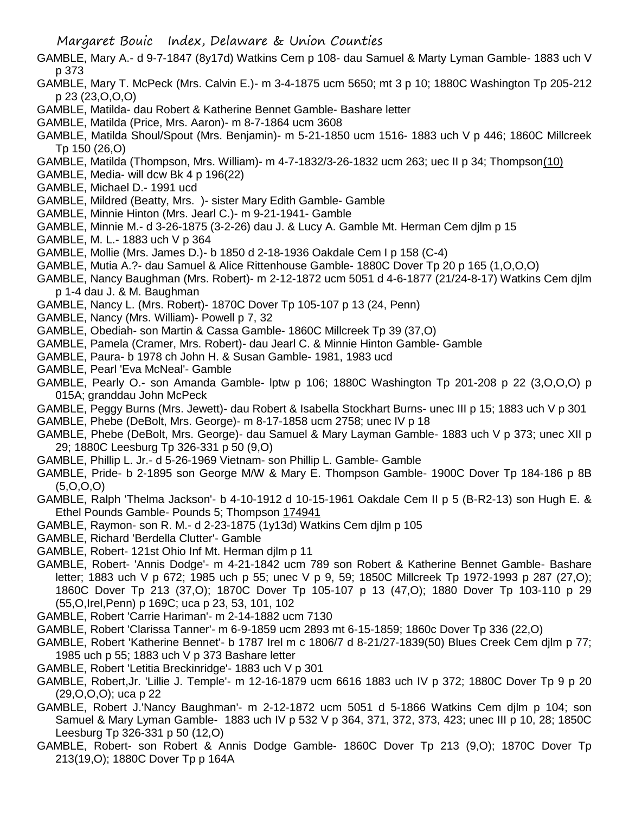- GAMBLE, Mary A.- d 9-7-1847 (8y17d) Watkins Cem p 108- dau Samuel & Marty Lyman Gamble- 1883 uch V p 373
- GAMBLE, Mary T. McPeck (Mrs. Calvin E.)- m 3-4-1875 ucm 5650; mt 3 p 10; 1880C Washington Tp 205-212 p 23 (23,O,O,O)
- GAMBLE, Matilda- dau Robert & Katherine Bennet Gamble- Bashare letter
- GAMBLE, Matilda (Price, Mrs. Aaron)- m 8-7-1864 ucm 3608
- GAMBLE, Matilda Shoul/Spout (Mrs. Benjamin)- m 5-21-1850 ucm 1516- 1883 uch V p 446; 1860C Millcreek Tp 150 (26,O)
- GAMBLE, Matilda (Thompson, Mrs. William)- m 4-7-1832/3-26-1832 ucm 263; uec II p 34; Thompson(10)
- GAMBLE, Media- will dcw Bk 4 p 196(22)
- GAMBLE, Michael D.- 1991 ucd
- GAMBLE, Mildred (Beatty, Mrs. )- sister Mary Edith Gamble- Gamble
- GAMBLE, Minnie Hinton (Mrs. Jearl C.)- m 9-21-1941- Gamble
- GAMBLE, Minnie M.- d 3-26-1875 (3-2-26) dau J. & Lucy A. Gamble Mt. Herman Cem djlm p 15
- GAMBLE, M. L.- 1883 uch V p 364
- GAMBLE, Mollie (Mrs. James D.)- b 1850 d 2-18-1936 Oakdale Cem I p 158 (C-4)
- GAMBLE, Mutia A.?- dau Samuel & Alice Rittenhouse Gamble- 1880C Dover Tp 20 p 165 (1,O,O,O)
- GAMBLE, Nancy Baughman (Mrs. Robert)- m 2-12-1872 ucm 5051 d 4-6-1877 (21/24-8-17) Watkins Cem djlm p 1-4 dau J. & M. Baughman
- GAMBLE, Nancy L. (Mrs. Robert)- 1870C Dover Tp 105-107 p 13 (24, Penn)
- GAMBLE, Nancy (Mrs. William)- Powell p 7, 32
- GAMBLE, Obediah- son Martin & Cassa Gamble- 1860C Millcreek Tp 39 (37,O)
- GAMBLE, Pamela (Cramer, Mrs. Robert)- dau Jearl C. & Minnie Hinton Gamble- Gamble
- GAMBLE, Paura- b 1978 ch John H. & Susan Gamble- 1981, 1983 ucd
- GAMBLE, Pearl 'Eva McNeal'- Gamble
- GAMBLE, Pearly O.- son Amanda Gamble- lptw p 106; 1880C Washington Tp 201-208 p 22 (3,O,O,O) p 015A; granddau John McPeck
- GAMBLE, Peggy Burns (Mrs. Jewett)- dau Robert & Isabella Stockhart Burns- unec III p 15; 1883 uch V p 301
- GAMBLE, Phebe (DeBolt, Mrs. George)- m 8-17-1858 ucm 2758; unec IV p 18
- GAMBLE, Phebe (DeBolt, Mrs. George)- dau Samuel & Mary Layman Gamble- 1883 uch V p 373; unec XII p 29; 1880C Leesburg Tp 326-331 p 50 (9,O)
- GAMBLE, Phillip L. Jr.- d 5-26-1969 Vietnam- son Phillip L. Gamble- Gamble
- GAMBLE, Pride- b 2-1895 son George M/W & Mary E. Thompson Gamble- 1900C Dover Tp 184-186 p 8B  $(5,0,0,0)$
- GAMBLE, Ralph 'Thelma Jackson'- b 4-10-1912 d 10-15-1961 Oakdale Cem II p 5 (B-R2-13) son Hugh E. & Ethel Pounds Gamble- Pounds 5; Thompson 174941
- GAMBLE, Raymon- son R. M.- d 2-23-1875 (1y13d) Watkins Cem djlm p 105
- GAMBLE, Richard 'Berdella Clutter'- Gamble
- GAMBLE, Robert- 121st Ohio Inf Mt. Herman djlm p 11
- GAMBLE, Robert- 'Annis Dodge'- m 4-21-1842 ucm 789 son Robert & Katherine Bennet Gamble- Bashare letter; 1883 uch V p 672; 1985 uch p 55; unec V p 9, 59; 1850C Millcreek Tp 1972-1993 p 287 (27,O); 1860C Dover Tp 213 (37,O); 1870C Dover Tp 105-107 p 13 (47,O); 1880 Dover Tp 103-110 p 29 (55,O,Irel,Penn) p 169C; uca p 23, 53, 101, 102
- GAMBLE, Robert 'Carrie Hariman'- m 2-14-1882 ucm 7130
- GAMBLE, Robert 'Clarissa Tanner'- m 6-9-1859 ucm 2893 mt 6-15-1859; 1860c Dover Tp 336 (22,O)
- GAMBLE, Robert 'Katherine Bennet'- b 1787 Irel m c 1806/7 d 8-21/27-1839(50) Blues Creek Cem djlm p 77; 1985 uch p 55; 1883 uch V p 373 Bashare letter
- GAMBLE, Robert 'Letitia Breckinridge'- 1883 uch V p 301
- GAMBLE, Robert,Jr. 'Lillie J. Temple'- m 12-16-1879 ucm 6616 1883 uch IV p 372; 1880C Dover Tp 9 p 20 (29,O,O,O); uca p 22
- GAMBLE, Robert J.'Nancy Baughman'- m 2-12-1872 ucm 5051 d 5-1866 Watkins Cem djlm p 104; son Samuel & Mary Lyman Gamble- 1883 uch IV p 532 V p 364, 371, 372, 373, 423; unec III p 10, 28; 1850C Leesburg Tp 326-331 p 50 (12,O)
- GAMBLE, Robert- son Robert & Annis Dodge Gamble- 1860C Dover Tp 213 (9,O); 1870C Dover Tp 213(19,O); 1880C Dover Tp p 164A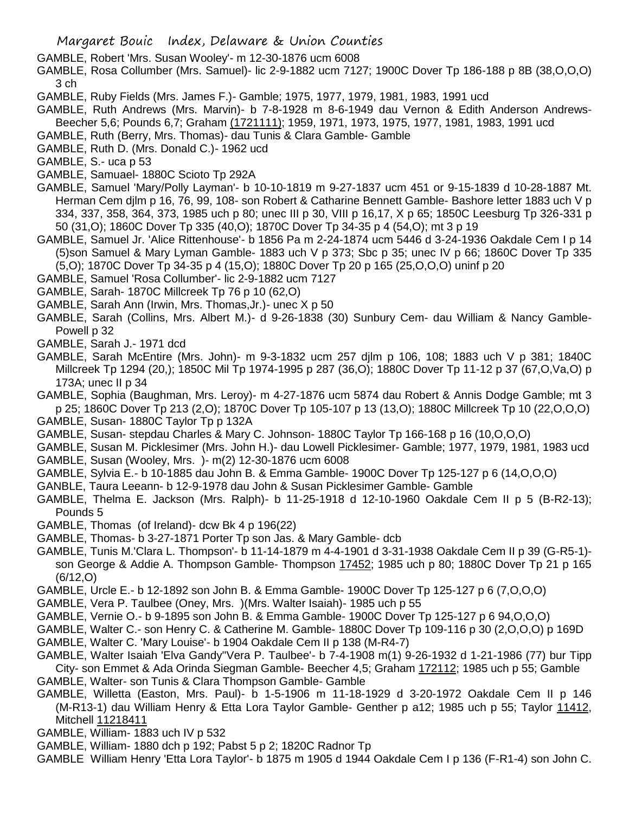- GAMBLE, Robert 'Mrs. Susan Wooley'- m 12-30-1876 ucm 6008
- GAMBLE, Rosa Collumber (Mrs. Samuel)- lic 2-9-1882 ucm 7127; 1900C Dover Tp 186-188 p 8B (38,O,O,O) 3 ch
- GAMBLE, Ruby Fields (Mrs. James F.)- Gamble; 1975, 1977, 1979, 1981, 1983, 1991 ucd
- GAMBLE, Ruth Andrews (Mrs. Marvin)- b 7-8-1928 m 8-6-1949 dau Vernon & Edith Anderson Andrews-Beecher 5,6; Pounds 6,7; Graham (1721111); 1959, 1971, 1973, 1975, 1977, 1981, 1983, 1991 ucd
- GAMBLE, Ruth (Berry, Mrs. Thomas)- dau Tunis & Clara Gamble- Gamble
- GAMBLE, Ruth D. (Mrs. Donald C.)- 1962 ucd
- GAMBLE, S.- uca p 53
- GAMBLE, Samuael- 1880C Scioto Tp 292A
- GAMBLE, Samuel 'Mary/Polly Layman'- b 10-10-1819 m 9-27-1837 ucm 451 or 9-15-1839 d 10-28-1887 Mt. Herman Cem djlm p 16, 76, 99, 108- son Robert & Catharine Bennett Gamble- Bashore letter 1883 uch V p 334, 337, 358, 364, 373, 1985 uch p 80; unec III p 30, VIII p 16,17, X p 65; 1850C Leesburg Tp 326-331 p 50 (31,O); 1860C Dover Tp 335 (40,O); 1870C Dover Tp 34-35 p 4 (54,O); mt 3 p 19
- GAMBLE, Samuel Jr. 'Alice Rittenhouse'- b 1856 Pa m 2-24-1874 ucm 5446 d 3-24-1936 Oakdale Cem I p 14 (5)son Samuel & Mary Lyman Gamble- 1883 uch V p 373; Sbc p 35; unec IV p 66; 1860C Dover Tp 335 (5,O); 1870C Dover Tp 34-35 p 4 (15,O); 1880C Dover Tp 20 p 165 (25,O,O,O) uninf p 20
- GAMBLE, Samuel 'Rosa Collumber'- lic 2-9-1882 ucm 7127
- GAMBLE, Sarah- 1870C Millcreek Tp 76 p 10 (62,O)
- GAMBLE, Sarah Ann (Irwin, Mrs. Thomas,Jr.)- unec X p 50
- GAMBLE, Sarah (Collins, Mrs. Albert M.)- d 9-26-1838 (30) Sunbury Cem- dau William & Nancy Gamble-Powell p 32
- GAMBLE, Sarah J.- 1971 dcd
- GAMBLE, Sarah McEntire (Mrs. John)- m 9-3-1832 ucm 257 djlm p 106, 108; 1883 uch V p 381; 1840C Millcreek Tp 1294 (20,); 1850C Mil Tp 1974-1995 p 287 (36,O); 1880C Dover Tp 11-12 p 37 (67,O,Va,O) p 173A; unec II p 34
- GAMBLE, Sophia (Baughman, Mrs. Leroy)- m 4-27-1876 ucm 5874 dau Robert & Annis Dodge Gamble; mt 3 p 25; 1860C Dover Tp 213 (2,O); 1870C Dover Tp 105-107 p 13 (13,O); 1880C Millcreek Tp 10 (22,O,O,O)
- GAMBLE, Susan- 1880C Taylor Tp p 132A
- GAMBLE, Susan- stepdau Charles & Mary C. Johnson- 1880C Taylor Tp 166-168 p 16 (10,O,O,O)
- GAMBLE, Susan M. Picklesimer (Mrs. John H.)- dau Lowell Picklesimer- Gamble; 1977, 1979, 1981, 1983 ucd
- GAMBLE, Susan (Wooley, Mrs. )- m(2) 12-30-1876 ucm 6008
- GAMBLE, Sylvia E.- b 10-1885 dau John B. & Emma Gamble- 1900C Dover Tp 125-127 p 6 (14,O,O,O)
- GANBLE, Taura Leeann- b 12-9-1978 dau John & Susan Picklesimer Gamble- Gamble
- GAMBLE, Thelma E. Jackson (Mrs. Ralph)- b 11-25-1918 d 12-10-1960 Oakdale Cem II p 5 (B-R2-13); Pounds 5
- GAMBLE, Thomas (of Ireland)- dcw Bk 4 p 196(22)
- GAMBLE, Thomas- b 3-27-1871 Porter Tp son Jas. & Mary Gamble- dcb
- GAMBLE, Tunis M.'Clara L. Thompson'- b 11-14-1879 m 4-4-1901 d 3-31-1938 Oakdale Cem II p 39 (G-R5-1) son George & Addie A. Thompson Gamble- Thompson 17452; 1985 uch p 80; 1880C Dover Tp 21 p 165 (6/12,O)
- GAMBLE, Urcle E.- b 12-1892 son John B. & Emma Gamble- 1900C Dover Tp 125-127 p 6 (7,O,O,O)
- GAMBLE, Vera P. Taulbee (Oney, Mrs. )(Mrs. Walter Isaiah)- 1985 uch p 55
- GAMBLE, Vernie O.- b 9-1895 son John B. & Emma Gamble- 1900C Dover Tp 125-127 p 6 94,O,O,O)
- GAMBLE, Walter C.- son Henry C. & Catherine M. Gamble- 1880C Dover Tp 109-116 p 30 (2,O,O,O) p 169D
- GAMBLE, Walter C. 'Mary Louise'- b 1904 Oakdale Cem II p 138 (M-R4-7)
- GAMBLE, Walter Isaiah 'Elva Gandy''Vera P. Taulbee'- b 7-4-1908 m(1) 9-26-1932 d 1-21-1986 (77) bur Tipp City- son Emmet & Ada Orinda Siegman Gamble- Beecher 4,5; Graham 172112; 1985 uch p 55; Gamble
- GAMBLE, Walter- son Tunis & Clara Thompson Gamble- Gamble
- GAMBLE, Willetta (Easton, Mrs. Paul)- b 1-5-1906 m 11-18-1929 d 3-20-1972 Oakdale Cem II p 146 (M-R13-1) dau William Henry & Etta Lora Taylor Gamble- Genther p a12; 1985 uch p 55; Taylor 11412, Mitchell 11218411
- GAMBLE, William- 1883 uch IV p 532
- GAMBLE, William- 1880 dch p 192; Pabst 5 p 2; 1820C Radnor Tp
- GAMBLE William Henry 'Etta Lora Taylor'- b 1875 m 1905 d 1944 Oakdale Cem I p 136 (F-R1-4) son John C.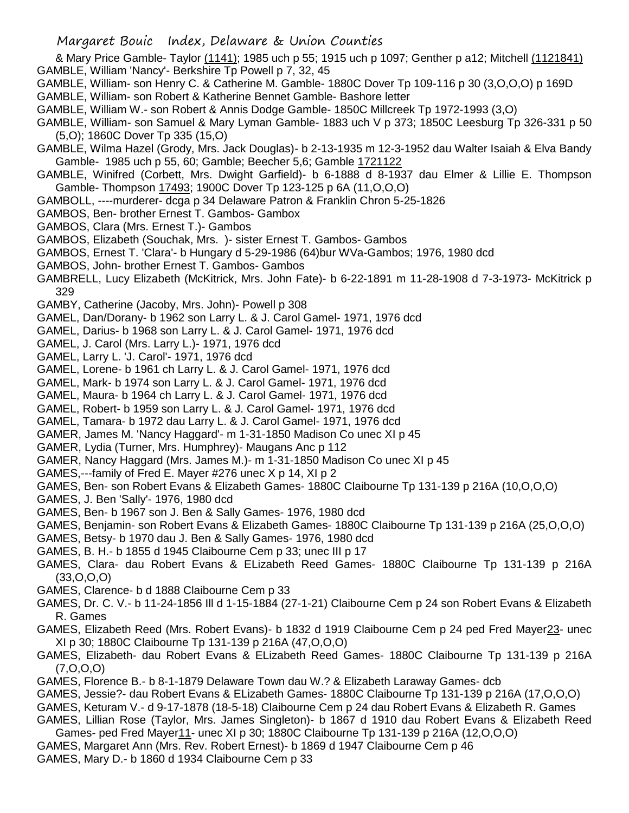- & Mary Price Gamble- Taylor (1141); 1985 uch p 55; 1915 uch p 1097; Genther p a12; Mitchell (1121841) GAMBLE, William 'Nancy'- Berkshire Tp Powell p 7, 32, 45
- GAMBLE, William- son Henry C. & Catherine M. Gamble- 1880C Dover Tp 109-116 p 30 (3,O,O,O) p 169D
- GAMBLE, William- son Robert & Katherine Bennet Gamble- Bashore letter
- GAMBLE, William W.- son Robert & Annis Dodge Gamble- 1850C Millcreek Tp 1972-1993 (3,O)
- GAMBLE, William- son Samuel & Mary Lyman Gamble- 1883 uch V p 373; 1850C Leesburg Tp 326-331 p 50 (5,O); 1860C Dover Tp 335 (15,O)
- GAMBLE, Wilma Hazel (Grody, Mrs. Jack Douglas)- b 2-13-1935 m 12-3-1952 dau Walter Isaiah & Elva Bandy Gamble- 1985 uch p 55, 60; Gamble; Beecher 5,6; Gamble 1721122
- GAMBLE, Winifred (Corbett, Mrs. Dwight Garfield)- b 6-1888 d 8-1937 dau Elmer & Lillie E. Thompson Gamble- Thompson 17493; 1900C Dover Tp 123-125 p 6A (11,O,O,O)
- GAMBOLL, ----murderer- dcga p 34 Delaware Patron & Franklin Chron 5-25-1826
- GAMBOS, Ben- brother Ernest T. Gambos- Gambox
- GAMBOS, Clara (Mrs. Ernest T.)- Gambos
- GAMBOS, Elizabeth (Souchak, Mrs. )- sister Ernest T. Gambos- Gambos
- GAMBOS, Ernest T. 'Clara'- b Hungary d 5-29-1986 (64)bur WVa-Gambos; 1976, 1980 dcd
- GAMBOS, John- brother Ernest T. Gambos- Gambos
- GAMBRELL, Lucy Elizabeth (McKitrick, Mrs. John Fate)- b 6-22-1891 m 11-28-1908 d 7-3-1973- McKitrick p 329
- GAMBY, Catherine (Jacoby, Mrs. John)- Powell p 308
- GAMEL, Dan/Dorany- b 1962 son Larry L. & J. Carol Gamel- 1971, 1976 dcd
- GAMEL, Darius- b 1968 son Larry L. & J. Carol Gamel- 1971, 1976 dcd
- GAMEL, J. Carol (Mrs. Larry L.)- 1971, 1976 dcd
- GAMEL, Larry L. 'J. Carol'- 1971, 1976 dcd
- GAMEL, Lorene- b 1961 ch Larry L. & J. Carol Gamel- 1971, 1976 dcd
- GAMEL, Mark- b 1974 son Larry L. & J. Carol Gamel- 1971, 1976 dcd
- GAMEL, Maura- b 1964 ch Larry L. & J. Carol Gamel- 1971, 1976 dcd
- GAMEL, Robert- b 1959 son Larry L. & J. Carol Gamel- 1971, 1976 dcd
- GAMEL, Tamara- b 1972 dau Larry L. & J. Carol Gamel- 1971, 1976 dcd
- GAMER, James M. 'Nancy Haggard'- m 1-31-1850 Madison Co unec XI p 45
- GAMER, Lydia (Turner, Mrs. Humphrey)- Maugans Anc p 112
- GAMER, Nancy Haggard (Mrs. James M.)- m 1-31-1850 Madison Co unec XI p 45
- GAMES,---family of Fred E. Mayer #276 unec X p 14, XI p 2
- GAMES, Ben- son Robert Evans & Elizabeth Games- 1880C Claibourne Tp 131-139 p 216A (10,O,O,O)
- GAMES, J. Ben 'Sally'- 1976, 1980 dcd
- GAMES, Ben- b 1967 son J. Ben & Sally Games- 1976, 1980 dcd
- GAMES, Benjamin- son Robert Evans & Elizabeth Games- 1880C Claibourne Tp 131-139 p 216A (25,O,O,O)
- GAMES, Betsy- b 1970 dau J. Ben & Sally Games- 1976, 1980 dcd
- GAMES, B. H.- b 1855 d 1945 Claibourne Cem p 33; unec III p 17
- GAMES, Clara- dau Robert Evans & ELizabeth Reed Games- 1880C Claibourne Tp 131-139 p 216A  $(33,0,0,0)$
- GAMES, Clarence- b d 1888 Claibourne Cem p 33
- GAMES, Dr. C. V.- b 11-24-1856 Ill d 1-15-1884 (27-1-21) Claibourne Cem p 24 son Robert Evans & Elizabeth R. Games
- GAMES, Elizabeth Reed (Mrs. Robert Evans)- b 1832 d 1919 Claibourne Cem p 24 ped Fred Mayer23- unec XI p 30; 1880C Claibourne Tp 131-139 p 216A (47,O,O,O)
- GAMES, Elizabeth- dau Robert Evans & ELizabeth Reed Games- 1880C Claibourne Tp 131-139 p 216A (7,O,O,O)
- GAMES, Florence B.- b 8-1-1879 Delaware Town dau W.? & Elizabeth Laraway Games- dcb
- GAMES, Jessie?- dau Robert Evans & ELizabeth Games- 1880C Claibourne Tp 131-139 p 216A (17,O,O,O)
- GAMES, Keturam V.- d 9-17-1878 (18-5-18) Claibourne Cem p 24 dau Robert Evans & Elizabeth R. Games
- GAMES, Lillian Rose (Taylor, Mrs. James Singleton)- b 1867 d 1910 dau Robert Evans & Elizabeth Reed Games- ped Fred Mayer11- unec XI p 30; 1880C Claibourne Tp 131-139 p 216A (12,O,O,O)
- GAMES, Margaret Ann (Mrs. Rev. Robert Ernest)- b 1869 d 1947 Claibourne Cem p 46
- GAMES, Mary D.- b 1860 d 1934 Claibourne Cem p 33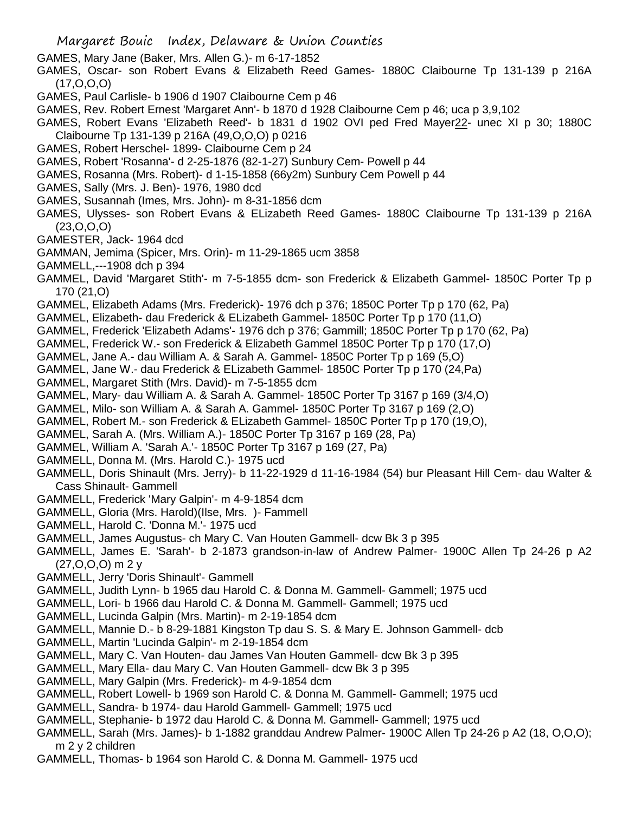- GAMES, Mary Jane (Baker, Mrs. Allen G.)- m 6-17-1852
- GAMES, Oscar- son Robert Evans & Elizabeth Reed Games- 1880C Claibourne Tp 131-139 p 216A (17,O,O,O)
- GAMES, Paul Carlisle- b 1906 d 1907 Claibourne Cem p 46
- GAMES, Rev. Robert Ernest 'Margaret Ann'- b 1870 d 1928 Claibourne Cem p 46; uca p 3,9,102
- GAMES, Robert Evans 'Elizabeth Reed'- b 1831 d 1902 OVI ped Fred Mayer22- unec XI p 30; 1880C Claibourne Tp 131-139 p 216A (49,O,O,O) p 0216
- GAMES, Robert Herschel- 1899- Claibourne Cem p 24
- GAMES, Robert 'Rosanna'- d 2-25-1876 (82-1-27) Sunbury Cem- Powell p 44
- GAMES, Rosanna (Mrs. Robert)- d 1-15-1858 (66y2m) Sunbury Cem Powell p 44
- GAMES, Sally (Mrs. J. Ben)- 1976, 1980 dcd
- GAMES, Susannah (Imes, Mrs. John)- m 8-31-1856 dcm
- GAMES, Ulysses- son Robert Evans & ELizabeth Reed Games- 1880C Claibourne Tp 131-139 p 216A (23,O,O,O)
- GAMESTER, Jack- 1964 dcd
- GAMMAN, Jemima (Spicer, Mrs. Orin)- m 11-29-1865 ucm 3858
- GAMMELL,---1908 dch p 394
- GAMMEL, David 'Margaret Stith'- m 7-5-1855 dcm- son Frederick & Elizabeth Gammel- 1850C Porter Tp p 170 (21,O)
- GAMMEL, Elizabeth Adams (Mrs. Frederick)- 1976 dch p 376; 1850C Porter Tp p 170 (62, Pa)
- GAMMEL, Elizabeth- dau Frederick & ELizabeth Gammel- 1850C Porter Tp p 170 (11,O)
- GAMMEL, Frederick 'Elizabeth Adams'- 1976 dch p 376; Gammill; 1850C Porter Tp p 170 (62, Pa)
- GAMMEL, Frederick W.- son Frederick & Elizabeth Gammel 1850C Porter Tp p 170 (17,O)
- GAMMEL, Jane A.- dau William A. & Sarah A. Gammel- 1850C Porter Tp p 169 (5,O)
- GAMMEL, Jane W.- dau Frederick & ELizabeth Gammel- 1850C Porter Tp p 170 (24,Pa)
- GAMMEL, Margaret Stith (Mrs. David)- m 7-5-1855 dcm
- GAMMEL, Mary- dau William A. & Sarah A. Gammel- 1850C Porter Tp 3167 p 169 (3/4,O)
- GAMMEL, Milo- son William A. & Sarah A. Gammel- 1850C Porter Tp 3167 p 169 (2,O)
- GAMMEL, Robert M.- son Frederick & ELizabeth Gammel- 1850C Porter Tp p 170 (19,O),
- GAMMEL, Sarah A. (Mrs. William A.)- 1850C Porter Tp 3167 p 169 (28, Pa)
- GAMMEL, William A. 'Sarah A.'- 1850C Porter Tp 3167 p 169 (27, Pa)
- GAMMELL, Donna M. (Mrs. Harold C.)- 1975 ucd
- GAMMELL, Doris Shinault (Mrs. Jerry)- b 11-22-1929 d 11-16-1984 (54) bur Pleasant Hill Cem- dau Walter & Cass Shinault- Gammell
- GAMMELL, Frederick 'Mary Galpin'- m 4-9-1854 dcm
- GAMMELL, Gloria (Mrs. Harold)(Ilse, Mrs. )- Fammell
- GAMMELL, Harold C. 'Donna M.'- 1975 ucd
- GAMMELL, James Augustus- ch Mary C. Van Houten Gammell- dcw Bk 3 p 395
- GAMMELL, James E. 'Sarah'- b 2-1873 grandson-in-law of Andrew Palmer- 1900C Allen Tp 24-26 p A2 (27,O,O,O) m 2 y
- GAMMELL, Jerry 'Doris Shinault'- Gammell
- GAMMELL, Judith Lynn- b 1965 dau Harold C. & Donna M. Gammell- Gammell; 1975 ucd
- GAMMELL, Lori- b 1966 dau Harold C. & Donna M. Gammell- Gammell; 1975 ucd
- GAMMELL, Lucinda Galpin (Mrs. Martin)- m 2-19-1854 dcm
- GAMMELL, Mannie D.- b 8-29-1881 Kingston Tp dau S. S. & Mary E. Johnson Gammell- dcb
- GAMMELL, Martin 'Lucinda Galpin'- m 2-19-1854 dcm
- GAMMELL, Mary C. Van Houten- dau James Van Houten Gammell- dcw Bk 3 p 395
- GAMMELL, Mary Ella- dau Mary C. Van Houten Gammell- dcw Bk 3 p 395
- GAMMELL, Mary Galpin (Mrs. Frederick)- m 4-9-1854 dcm
- GAMMELL, Robert Lowell- b 1969 son Harold C. & Donna M. Gammell- Gammell; 1975 ucd
- GAMMELL, Sandra- b 1974- dau Harold Gammell- Gammell; 1975 ucd
- GAMMELL, Stephanie- b 1972 dau Harold C. & Donna M. Gammell- Gammell; 1975 ucd
- GAMMELL, Sarah (Mrs. James)- b 1-1882 granddau Andrew Palmer- 1900C Allen Tp 24-26 p A2 (18, O,O,O); m 2 y 2 children
- GAMMELL, Thomas- b 1964 son Harold C. & Donna M. Gammell- 1975 ucd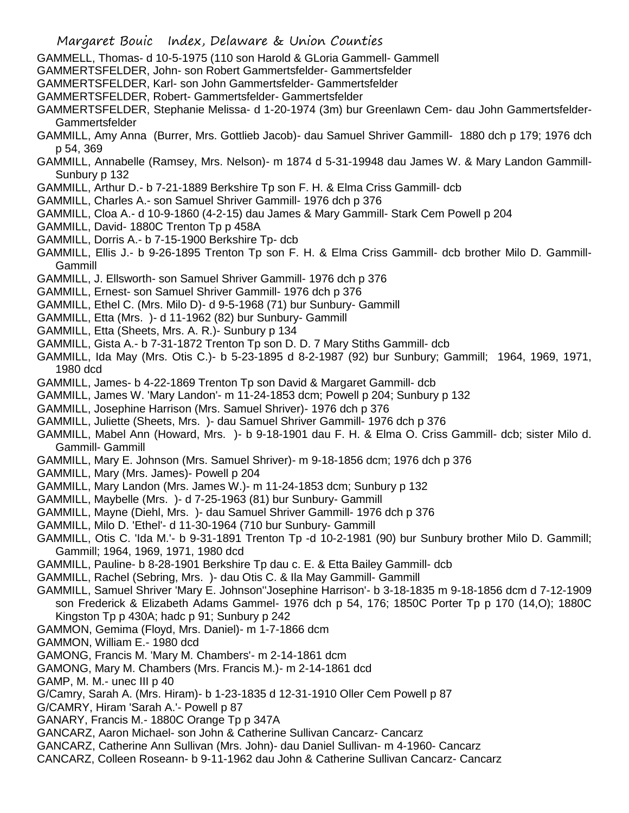- GAMMELL, Thomas- d 10-5-1975 (110 son Harold & GLoria Gammell- Gammell
- GAMMERTSFELDER, John- son Robert Gammertsfelder- Gammertsfelder
- GAMMERTSFELDER, Karl- son John Gammertsfelder- Gammertsfelder
- GAMMERTSFELDER, Robert- Gammertsfelder- Gammertsfelder
- GAMMERTSFELDER, Stephanie Melissa- d 1-20-1974 (3m) bur Greenlawn Cem- dau John Gammertsfelder-Gammertsfelder
- GAMMILL, Amy Anna (Burrer, Mrs. Gottlieb Jacob)- dau Samuel Shriver Gammill- 1880 dch p 179; 1976 dch p 54, 369
- GAMMILL, Annabelle (Ramsey, Mrs. Nelson)- m 1874 d 5-31-19948 dau James W. & Mary Landon Gammill-Sunbury p 132
- GAMMILL, Arthur D.- b 7-21-1889 Berkshire Tp son F. H. & Elma Criss Gammill- dcb
- GAMMILL, Charles A.- son Samuel Shriver Gammill- 1976 dch p 376
- GAMMILL, Cloa A.- d 10-9-1860 (4-2-15) dau James & Mary Gammill- Stark Cem Powell p 204
- GAMMILL, David- 1880C Trenton Tp p 458A
- GAMMILL, Dorris A.- b 7-15-1900 Berkshire Tp- dcb
- GAMMILL, Ellis J.- b 9-26-1895 Trenton Tp son F. H. & Elma Criss Gammill- dcb brother Milo D. Gammill-Gammill
- GAMMILL, J. Ellsworth- son Samuel Shriver Gammill- 1976 dch p 376
- GAMMILL, Ernest- son Samuel Shriver Gammill- 1976 dch p 376
- GAMMILL, Ethel C. (Mrs. Milo D)- d 9-5-1968 (71) bur Sunbury- Gammill
- GAMMILL, Etta (Mrs. )- d 11-1962 (82) bur Sunbury- Gammill
- GAMMILL, Etta (Sheets, Mrs. A. R.)- Sunbury p 134
- GAMMILL, Gista A.- b 7-31-1872 Trenton Tp son D. D. 7 Mary Stiths Gammill- dcb
- GAMMILL, Ida May (Mrs. Otis C.)- b 5-23-1895 d 8-2-1987 (92) bur Sunbury; Gammill; 1964, 1969, 1971, 1980 dcd
- GAMMILL, James- b 4-22-1869 Trenton Tp son David & Margaret Gammill- dcb
- GAMMILL, James W. 'Mary Landon'- m 11-24-1853 dcm; Powell p 204; Sunbury p 132
- GAMMILL, Josephine Harrison (Mrs. Samuel Shriver)- 1976 dch p 376
- GAMMILL, Juliette (Sheets, Mrs. )- dau Samuel Shriver Gammill- 1976 dch p 376
- GAMMILL, Mabel Ann (Howard, Mrs. )- b 9-18-1901 dau F. H. & Elma O. Criss Gammill- dcb; sister Milo d. Gammill- Gammill
- GAMMILL, Mary E. Johnson (Mrs. Samuel Shriver)- m 9-18-1856 dcm; 1976 dch p 376
- GAMMILL, Mary (Mrs. James)- Powell p 204
- GAMMILL, Mary Landon (Mrs. James W.)- m 11-24-1853 dcm; Sunbury p 132
- GAMMILL, Maybelle (Mrs. )- d 7-25-1963 (81) bur Sunbury- Gammill
- GAMMILL, Mayne (Diehl, Mrs. )- dau Samuel Shriver Gammill- 1976 dch p 376
- GAMMILL, Milo D. 'Ethel'- d 11-30-1964 (710 bur Sunbury- Gammill
- GAMMILL, Otis C. 'Ida M.'- b 9-31-1891 Trenton Tp -d 10-2-1981 (90) bur Sunbury brother Milo D. Gammill; Gammill; 1964, 1969, 1971, 1980 dcd
- GAMMILL, Pauline- b 8-28-1901 Berkshire Tp dau c. E. & Etta Bailey Gammill- dcb
- GAMMILL, Rachel (Sebring, Mrs. )- dau Otis C. & Ila May Gammill- Gammill
- GAMMILL, Samuel Shriver 'Mary E. Johnson''Josephine Harrison'- b 3-18-1835 m 9-18-1856 dcm d 7-12-1909 son Frederick & Elizabeth Adams Gammel- 1976 dch p 54, 176; 1850C Porter Tp p 170 (14,O); 1880C Kingston Tp p 430A; hadc p 91; Sunbury p 242
- GAMMON, Gemima (Floyd, Mrs. Daniel)- m 1-7-1866 dcm
- GAMMON, William E.- 1980 dcd
- GAMONG, Francis M. 'Mary M. Chambers'- m 2-14-1861 dcm
- GAMONG, Mary M. Chambers (Mrs. Francis M.)- m 2-14-1861 dcd
- GAMP, M. M.- unec III p 40
- G/Camry, Sarah A. (Mrs. Hiram)- b 1-23-1835 d 12-31-1910 Oller Cem Powell p 87
- G/CAMRY, Hiram 'Sarah A.'- Powell p 87
- GANARY, Francis M.- 1880C Orange Tp p 347A
- GANCARZ, Aaron Michael- son John & Catherine Sullivan Cancarz- Cancarz
- GANCARZ, Catherine Ann Sullivan (Mrs. John)- dau Daniel Sullivan- m 4-1960- Cancarz
- CANCARZ, Colleen Roseann- b 9-11-1962 dau John & Catherine Sullivan Cancarz- Cancarz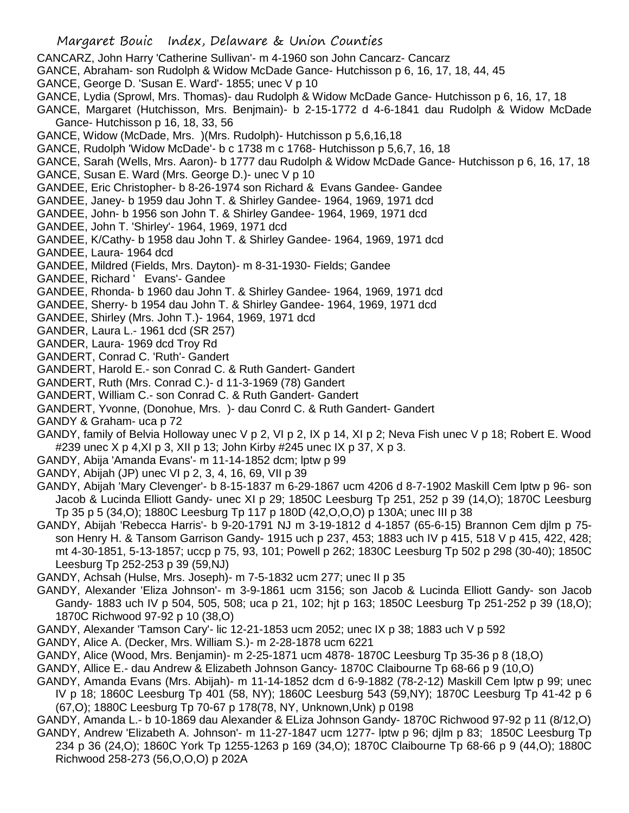- CANCARZ, John Harry 'Catherine Sullivan'- m 4-1960 son John Cancarz- Cancarz
- GANCE, Abraham- son Rudolph & Widow McDade Gance- Hutchisson p 6, 16, 17, 18, 44, 45
- GANCE, George D. 'Susan E. Ward'- 1855; unec V p 10
- GANCE, Lydia (Sprowl, Mrs. Thomas)- dau Rudolph & Widow McDade Gance- Hutchisson p 6, 16, 17, 18
- GANCE, Margaret (Hutchisson, Mrs. Benjmain)- b 2-15-1772 d 4-6-1841 dau Rudolph & Widow McDade Gance- Hutchisson p 16, 18, 33, 56
- GANCE, Widow (McDade, Mrs. )(Mrs. Rudolph)- Hutchisson p 5,6,16,18
- GANCE, Rudolph 'Widow McDade'- b c 1738 m c 1768- Hutchisson p 5,6,7, 16, 18
- GANCE, Sarah (Wells, Mrs. Aaron)- b 1777 dau Rudolph & Widow McDade Gance- Hutchisson p 6, 16, 17, 18 GANCE, Susan E. Ward (Mrs. George D.)- unec V p 10
- GANDEE, Eric Christopher- b 8-26-1974 son Richard & Evans Gandee- Gandee
- GANDEE, Janey- b 1959 dau John T. & Shirley Gandee- 1964, 1969, 1971 dcd
- GANDEE, John- b 1956 son John T. & Shirley Gandee- 1964, 1969, 1971 dcd
- GANDEE, John T. 'Shirley'- 1964, 1969, 1971 dcd
- GANDEE, K/Cathy- b 1958 dau John T. & Shirley Gandee- 1964, 1969, 1971 dcd
- GANDEE, Laura- 1964 dcd
- GANDEE, Mildred (Fields, Mrs. Dayton)- m 8-31-1930- Fields; Gandee
- GANDEE, Richard ' Evans'- Gandee
- GANDEE, Rhonda- b 1960 dau John T. & Shirley Gandee- 1964, 1969, 1971 dcd
- GANDEE, Sherry- b 1954 dau John T. & Shirley Gandee- 1964, 1969, 1971 dcd
- GANDEE, Shirley (Mrs. John T.)- 1964, 1969, 1971 dcd
- GANDER, Laura L.- 1961 dcd (SR 257)
- GANDER, Laura- 1969 dcd Troy Rd
- GANDERT, Conrad C. 'Ruth'- Gandert
- GANDERT, Harold E.- son Conrad C. & Ruth Gandert- Gandert
- GANDERT, Ruth (Mrs. Conrad C.)- d 11-3-1969 (78) Gandert
- GANDERT, William C.- son Conrad C. & Ruth Gandert- Gandert
- GANDERT, Yvonne, (Donohue, Mrs. )- dau Conrd C. & Ruth Gandert- Gandert
- GANDY & Graham- uca p 72
- GANDY, family of Belvia Holloway unec V p 2, VI p 2, IX p 14, XI p 2; Neva Fish unec V p 18; Robert E. Wood #239 unec X p 4,XI p 3, XII p 13; John Kirby #245 unec IX p 37, X p 3.
- GANDY, Abija 'Amanda Evans'- m 11-14-1852 dcm; lptw p 99
- GANDY, Abijah (JP) unec VI p 2, 3, 4, 16, 69, VII p 39
- GANDY, Abijah 'Mary Clevenger'- b 8-15-1837 m 6-29-1867 ucm 4206 d 8-7-1902 Maskill Cem lptw p 96- son Jacob & Lucinda Elliott Gandy- unec XI p 29; 1850C Leesburg Tp 251, 252 p 39 (14,O); 1870C Leesburg Tp 35 p 5 (34,O); 1880C Leesburg Tp 117 p 180D (42,O,O,O) p 130A; unec III p 38
- GANDY, Abijah 'Rebecca Harris'- b 9-20-1791 NJ m 3-19-1812 d 4-1857 (65-6-15) Brannon Cem djlm p 75 son Henry H. & Tansom Garrison Gandy- 1915 uch p 237, 453; 1883 uch IV p 415, 518 V p 415, 422, 428; mt 4-30-1851, 5-13-1857; uccp p 75, 93, 101; Powell p 262; 1830C Leesburg Tp 502 p 298 (30-40); 1850C Leesburg Tp 252-253 p 39 (59,NJ)
- GANDY, Achsah (Hulse, Mrs. Joseph)- m 7-5-1832 ucm 277; unec II p 35
- GANDY, Alexander 'Eliza Johnson'- m 3-9-1861 ucm 3156; son Jacob & Lucinda Elliott Gandy- son Jacob Gandy- 1883 uch IV p 504, 505, 508; uca p 21, 102; hjt p 163; 1850C Leesburg Tp 251-252 p 39 (18,O); 1870C Richwood 97-92 p 10 (38,O)
- GANDY, Alexander 'Tamson Cary'- lic 12-21-1853 ucm 2052; unec IX p 38; 1883 uch V p 592
- GANDY, Alice A. (Decker, Mrs. William S.)- m 2-28-1878 ucm 6221
- GANDY, Alice (Wood, Mrs. Benjamin)- m 2-25-1871 ucm 4878- 1870C Leesburg Tp 35-36 p 8 (18,O)
- GANDY, Allice E.- dau Andrew & Elizabeth Johnson Gancy- 1870C Claibourne Tp 68-66 p 9 (10,O)
- GANDY, Amanda Evans (Mrs. Abijah)- m 11-14-1852 dcm d 6-9-1882 (78-2-12) Maskill Cem lptw p 99; unec IV p 18; 1860C Leesburg Tp 401 (58, NY); 1860C Leesburg 543 (59,NY); 1870C Leesburg Tp 41-42 p 6 (67,O); 1880C Leesburg Tp 70-67 p 178(78, NY, Unknown,Unk) p 0198

GANDY, Amanda L.- b 10-1869 dau Alexander & ELiza Johnson Gandy- 1870C Richwood 97-92 p 11 (8/12,O)

GANDY, Andrew 'Elizabeth A. Johnson'- m 11-27-1847 ucm 1277- lptw p 96; djlm p 83; 1850C Leesburg Tp 234 p 36 (24,O); 1860C York Tp 1255-1263 p 169 (34,O); 1870C Claibourne Tp 68-66 p 9 (44,O); 1880C Richwood 258-273 (56,O,O,O) p 202A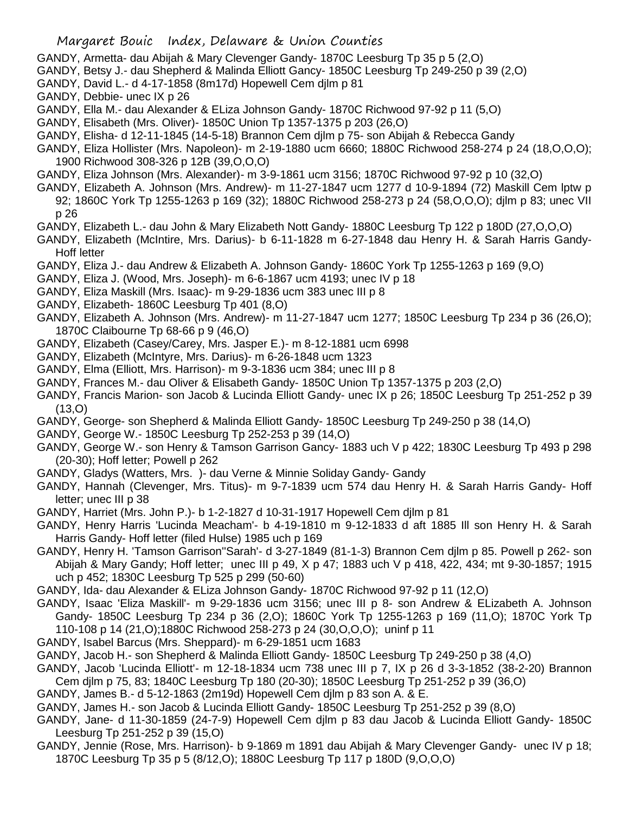- GANDY, Armetta- dau Abijah & Mary Clevenger Gandy- 1870C Leesburg Tp 35 p 5 (2,O)
- GANDY, Betsy J.- dau Shepherd & Malinda Elliott Gancy- 1850C Leesburg Tp 249-250 p 39 (2,O)
- GANDY, David L.- d 4-17-1858 (8m17d) Hopewell Cem djlm p 81
- GANDY, Debbie- unec IX p 26
- GANDY, Ella M.- dau Alexander & ELiza Johnson Gandy- 1870C Richwood 97-92 p 11 (5,O)
- GANDY, Elisabeth (Mrs. Oliver)- 1850C Union Tp 1357-1375 p 203 (26,O)
- GANDY, Elisha- d 12-11-1845 (14-5-18) Brannon Cem djlm p 75- son Abijah & Rebecca Gandy
- GANDY, Eliza Hollister (Mrs. Napoleon)- m 2-19-1880 ucm 6660; 1880C Richwood 258-274 p 24 (18,O,O,O); 1900 Richwood 308-326 p 12B (39,O,O,O)
- GANDY, Eliza Johnson (Mrs. Alexander)- m 3-9-1861 ucm 3156; 1870C Richwood 97-92 p 10 (32,O)
- GANDY, Elizabeth A. Johnson (Mrs. Andrew)- m 11-27-1847 ucm 1277 d 10-9-1894 (72) Maskill Cem lptw p 92; 1860C York Tp 1255-1263 p 169 (32); 1880C Richwood 258-273 p 24 (58,O,O,O); djlm p 83; unec VII p 26
- GANDY, Elizabeth L.- dau John & Mary Elizabeth Nott Gandy- 1880C Leesburg Tp 122 p 180D (27,O,O,O)
- GANDY, Elizabeth (McIntire, Mrs. Darius)- b 6-11-1828 m 6-27-1848 dau Henry H. & Sarah Harris Gandy-Hoff letter
- GANDY, Eliza J.- dau Andrew & Elizabeth A. Johnson Gandy- 1860C York Tp 1255-1263 p 169 (9,O)
- GANDY, Eliza J. (Wood, Mrs. Joseph)- m 6-6-1867 ucm 4193; unec IV p 18
- GANDY, Eliza Maskill (Mrs. Isaac)- m 9-29-1836 ucm 383 unec III p 8
- GANDY, Elizabeth- 1860C Leesburg Tp 401 (8,O)
- GANDY, Elizabeth A. Johnson (Mrs. Andrew)- m 11-27-1847 ucm 1277; 1850C Leesburg Tp 234 p 36 (26,O); 1870C Claibourne Tp 68-66 p 9 (46,O)
- GANDY, Elizabeth (Casey/Carey, Mrs. Jasper E.)- m 8-12-1881 ucm 6998
- GANDY, Elizabeth (McIntyre, Mrs. Darius)- m 6-26-1848 ucm 1323
- GANDY, Elma (Elliott, Mrs. Harrison)- m 9-3-1836 ucm 384; unec III p 8
- GANDY, Frances M.- dau Oliver & Elisabeth Gandy- 1850C Union Tp 1357-1375 p 203 (2,O)
- GANDY, Francis Marion- son Jacob & Lucinda Elliott Gandy- unec IX p 26; 1850C Leesburg Tp 251-252 p 39 (13,O)
- GANDY, George- son Shepherd & Malinda Elliott Gandy- 1850C Leesburg Tp 249-250 p 38 (14,O)
- GANDY, George W.- 1850C Leesburg Tp 252-253 p 39 (14,O)
- GANDY, George W.- son Henry & Tamson Garrison Gancy- 1883 uch V p 422; 1830C Leesburg Tp 493 p 298 (20-30); Hoff letter; Powell p 262
- GANDY, Gladys (Watters, Mrs. )- dau Verne & Minnie Soliday Gandy- Gandy
- GANDY, Hannah (Clevenger, Mrs. Titus)- m 9-7-1839 ucm 574 dau Henry H. & Sarah Harris Gandy- Hoff letter; unec III p 38
- GANDY, Harriet (Mrs. John P.)- b 1-2-1827 d 10-31-1917 Hopewell Cem djlm p 81
- GANDY, Henry Harris 'Lucinda Meacham'- b 4-19-1810 m 9-12-1833 d aft 1885 Ill son Henry H. & Sarah Harris Gandy- Hoff letter (filed Hulse) 1985 uch p 169
- GANDY, Henry H. 'Tamson Garrison''Sarah'- d 3-27-1849 (81-1-3) Brannon Cem djlm p 85. Powell p 262- son Abijah & Mary Gandy; Hoff letter; unec III p 49, X p 47; 1883 uch V p 418, 422, 434; mt 9-30-1857; 1915 uch p 452; 1830C Leesburg Tp 525 p 299 (50-60)
- GANDY, Ida- dau Alexander & ELiza Johnson Gandy- 1870C Richwood 97-92 p 11 (12,O)
- GANDY, Isaac 'Eliza Maskill'- m 9-29-1836 ucm 3156; unec III p 8- son Andrew & ELizabeth A. Johnson Gandy- 1850C Leesburg Tp 234 p 36 (2,O); 1860C York Tp 1255-1263 p 169 (11,O); 1870C York Tp 110-108 p 14 (21,O);1880C Richwood 258-273 p 24 (30,O,O,O); uninf p 11
- GANDY, Isabel Barcus (Mrs. Sheppard)- m 6-29-1851 ucm 1683
- GANDY, Jacob H.- son Shepherd & Malinda Elliott Gandy- 1850C Leesburg Tp 249-250 p 38 (4,O)
- GANDY, Jacob 'Lucinda Elliott'- m 12-18-1834 ucm 738 unec III p 7, IX p 26 d 3-3-1852 (38-2-20) Brannon Cem djlm p 75, 83; 1840C Leesburg Tp 180 (20-30); 1850C Leesburg Tp 251-252 p 39 (36,O)
- GANDY, James B.- d 5-12-1863 (2m19d) Hopewell Cem djlm p 83 son A. & E.
- GANDY, James H.- son Jacob & Lucinda Elliott Gandy- 1850C Leesburg Tp 251-252 p 39 (8,O)
- GANDY, Jane- d 11-30-1859 (24-7-9) Hopewell Cem djlm p 83 dau Jacob & Lucinda Elliott Gandy- 1850C Leesburg Tp 251-252 p 39 (15,O)
- GANDY, Jennie (Rose, Mrs. Harrison)- b 9-1869 m 1891 dau Abijah & Mary Clevenger Gandy- unec IV p 18; 1870C Leesburg Tp 35 p 5 (8/12,O); 1880C Leesburg Tp 117 p 180D (9,O,O,O)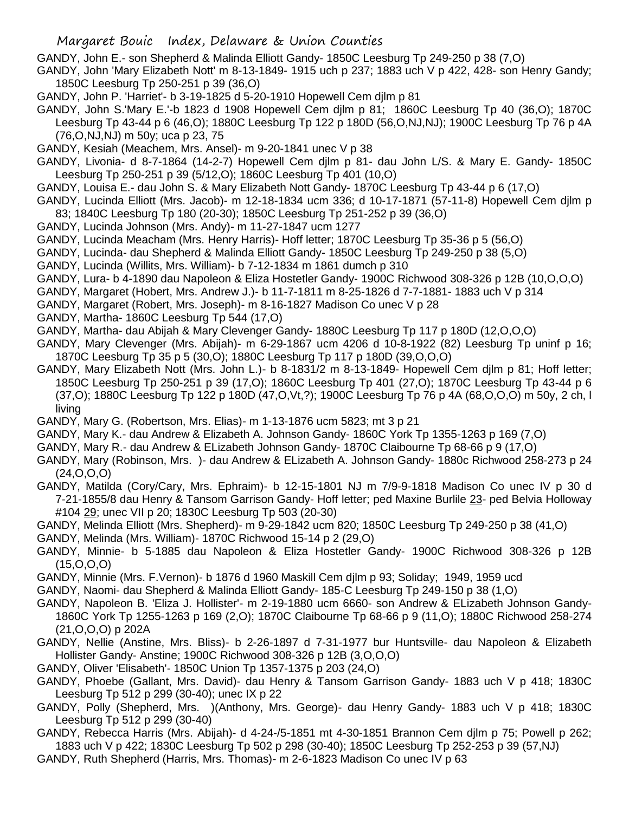GANDY, John E.- son Shepherd & Malinda Elliott Gandy- 1850C Leesburg Tp 249-250 p 38 (7,O)

GANDY, John 'Mary Elizabeth Nott' m 8-13-1849- 1915 uch p 237; 1883 uch V p 422, 428- son Henry Gandy; 1850C Leesburg Tp 250-251 p 39 (36,O)

GANDY, John P. 'Harriet'- b 3-19-1825 d 5-20-1910 Hopewell Cem djlm p 81

GANDY, John S.'Mary E.'-b 1823 d 1908 Hopewell Cem djlm p 81; 1860C Leesburg Tp 40 (36,O); 1870C Leesburg Tp 43-44 p 6 (46,O); 1880C Leesburg Tp 122 p 180D (56,O,NJ,NJ); 1900C Leesburg Tp 76 p 4A (76,O,NJ,NJ) m 50y; uca p 23, 75

- GANDY, Kesiah (Meachem, Mrs. Ansel)- m 9-20-1841 unec V p 38
- GANDY, Livonia- d 8-7-1864 (14-2-7) Hopewell Cem djlm p 81- dau John L/S. & Mary E. Gandy- 1850C Leesburg Tp 250-251 p 39 (5/12,O); 1860C Leesburg Tp 401 (10,O)
- GANDY, Louisa E.- dau John S. & Mary Elizabeth Nott Gandy- 1870C Leesburg Tp 43-44 p 6 (17,O)
- GANDY, Lucinda Elliott (Mrs. Jacob)- m 12-18-1834 ucm 336; d 10-17-1871 (57-11-8) Hopewell Cem djlm p 83; 1840C Leesburg Tp 180 (20-30); 1850C Leesburg Tp 251-252 p 39 (36,O)
- GANDY, Lucinda Johnson (Mrs. Andy)- m 11-27-1847 ucm 1277
- GANDY, Lucinda Meacham (Mrs. Henry Harris)- Hoff letter; 1870C Leesburg Tp 35-36 p 5 (56,O)
- GANDY, Lucinda- dau Shepherd & Malinda Elliott Gandy- 1850C Leesburg Tp 249-250 p 38 (5,O)
- GANDY, Lucinda (Willits, Mrs. William)- b 7-12-1834 m 1861 dumch p 310
- GANDY, Lura- b 4-1890 dau Napoleon & Eliza Hostetler Gandy- 1900C Richwood 308-326 p 12B (10,O,O,O)
- GANDY, Margaret (Hobert, Mrs. Andrew J.)- b 11-7-1811 m 8-25-1826 d 7-7-1881- 1883 uch V p 314
- GANDY, Margaret (Robert, Mrs. Joseph)- m 8-16-1827 Madison Co unec V p 28
- GANDY, Martha- 1860C Leesburg Tp 544 (17,O)
- GANDY, Martha- dau Abijah & Mary Clevenger Gandy- 1880C Leesburg Tp 117 p 180D (12,O,O,O)
- GANDY, Mary Clevenger (Mrs. Abijah)- m 6-29-1867 ucm 4206 d 10-8-1922 (82) Leesburg Tp uninf p 16; 1870C Leesburg Tp 35 p 5 (30,O); 1880C Leesburg Tp 117 p 180D (39,O,O,O)
- GANDY, Mary Elizabeth Nott (Mrs. John L.)- b 8-1831/2 m 8-13-1849- Hopewell Cem djlm p 81; Hoff letter; 1850C Leesburg Tp 250-251 p 39 (17,O); 1860C Leesburg Tp 401 (27,O); 1870C Leesburg Tp 43-44 p 6 (37,O); 1880C Leesburg Tp 122 p 180D (47,O,Vt,?); 1900C Leesburg Tp 76 p 4A (68,O,O,O) m 50y, 2 ch, l living
- GANDY, Mary G. (Robertson, Mrs. Elias)- m 1-13-1876 ucm 5823; mt 3 p 21
- GANDY, Mary K.- dau Andrew & Elizabeth A. Johnson Gandy- 1860C York Tp 1355-1263 p 169 (7,O)
- GANDY, Mary R.- dau Andrew & ELizabeth Johnson Gandy- 1870C Claibourne Tp 68-66 p 9 (17,O)
- GANDY, Mary (Robinson, Mrs. )- dau Andrew & ELizabeth A. Johnson Gandy- 1880c Richwood 258-273 p 24 (24,O,O,O)
- GANDY, Matilda (Cory/Cary, Mrs. Ephraim)- b 12-15-1801 NJ m 7/9-9-1818 Madison Co unec IV p 30 d 7-21-1855/8 dau Henry & Tansom Garrison Gandy- Hoff letter; ped Maxine Burlile 23- ped Belvia Holloway #104 29; unec VII p 20; 1830C Leesburg Tp 503 (20-30)
- GANDY, Melinda Elliott (Mrs. Shepherd)- m 9-29-1842 ucm 820; 1850C Leesburg Tp 249-250 p 38 (41,O)
- GANDY, Melinda (Mrs. William)- 1870C Richwood 15-14 p 2 (29,O)
- GANDY, Minnie- b 5-1885 dau Napoleon & Eliza Hostetler Gandy- 1900C Richwood 308-326 p 12B (15,O,O,O)
- GANDY, Minnie (Mrs. F.Vernon)- b 1876 d 1960 Maskill Cem djlm p 93; Soliday; 1949, 1959 ucd
- GANDY, Naomi- dau Shepherd & Malinda Elliott Gandy- 185-C Leesburg Tp 249-150 p 38 (1,O)
- GANDY, Napoleon B. 'Eliza J. Hollister'- m 2-19-1880 ucm 6660- son Andrew & ELizabeth Johnson Gandy-1860C York Tp 1255-1263 p 169 (2,O); 1870C Claibourne Tp 68-66 p 9 (11,O); 1880C Richwood 258-274 (21,O,O,O) p 202A
- GANDY, Nellie (Anstine, Mrs. Bliss)- b 2-26-1897 d 7-31-1977 bur Huntsville- dau Napoleon & Elizabeth Hollister Gandy- Anstine; 1900C Richwood 308-326 p 12B (3,O,O,O)
- GANDY, Oliver 'Elisabeth'- 1850C Union Tp 1357-1375 p 203 (24,O)
- GANDY, Phoebe (Gallant, Mrs. David)- dau Henry & Tansom Garrison Gandy- 1883 uch V p 418; 1830C Leesburg Tp 512 p 299 (30-40); unec IX p 22
- GANDY, Polly (Shepherd, Mrs. )(Anthony, Mrs. George)- dau Henry Gandy- 1883 uch V p 418; 1830C Leesburg Tp 512 p 299 (30-40)
- GANDY, Rebecca Harris (Mrs. Abijah)- d 4-24-/5-1851 mt 4-30-1851 Brannon Cem djlm p 75; Powell p 262; 1883 uch V p 422; 1830C Leesburg Tp 502 p 298 (30-40); 1850C Leesburg Tp 252-253 p 39 (57,NJ)
- GANDY, Ruth Shepherd (Harris, Mrs. Thomas)- m 2-6-1823 Madison Co unec IV p 63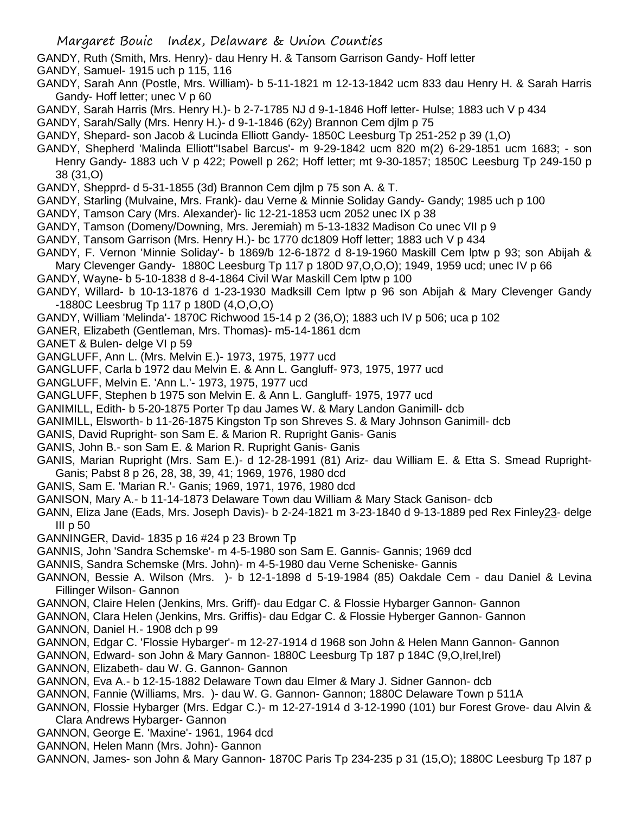- GANDY, Ruth (Smith, Mrs. Henry)- dau Henry H. & Tansom Garrison Gandy- Hoff letter
- GANDY, Samuel- 1915 uch p 115, 116
- GANDY, Sarah Ann (Postle, Mrs. William)- b 5-11-1821 m 12-13-1842 ucm 833 dau Henry H. & Sarah Harris Gandy- Hoff letter; unec V p 60
- GANDY, Sarah Harris (Mrs. Henry H.)- b 2-7-1785 NJ d 9-1-1846 Hoff letter- Hulse; 1883 uch V p 434
- GANDY, Sarah/Sally (Mrs. Henry H.)- d 9-1-1846 (62y) Brannon Cem djlm p 75
- GANDY, Shepard- son Jacob & Lucinda Elliott Gandy- 1850C Leesburg Tp 251-252 p 39 (1,O)
- GANDY, Shepherd 'Malinda Elliott''Isabel Barcus'- m 9-29-1842 ucm 820 m(2) 6-29-1851 ucm 1683; son Henry Gandy- 1883 uch V p 422; Powell p 262; Hoff letter; mt 9-30-1857; 1850C Leesburg Tp 249-150 p 38 (31,O)
- GANDY, Shepprd- d 5-31-1855 (3d) Brannon Cem djlm p 75 son A. & T.
- GANDY, Starling (Mulvaine, Mrs. Frank)- dau Verne & Minnie Soliday Gandy- Gandy; 1985 uch p 100
- GANDY, Tamson Cary (Mrs. Alexander)- lic 12-21-1853 ucm 2052 unec IX p 38
- GANDY, Tamson (Domeny/Downing, Mrs. Jeremiah) m 5-13-1832 Madison Co unec VII p 9
- GANDY, Tansom Garrison (Mrs. Henry H.)- bc 1770 dc1809 Hoff letter; 1883 uch V p 434
- GANDY, F. Vernon 'Minnie Soliday'- b 1869/b 12-6-1872 d 8-19-1960 Maskill Cem lptw p 93; son Abijah & Mary Clevenger Gandy- 1880C Leesburg Tp 117 p 180D 97,O,O,O); 1949, 1959 ucd; unec IV p 66
- GANDY, Wayne- b 5-10-1838 d 8-4-1864 Civil War Maskill Cem lptw p 100
- GANDY, Willard- b 10-13-1876 d 1-23-1930 Madksill Cem lptw p 96 son Abijah & Mary Clevenger Gandy -1880C Leesbrug Tp 117 p 180D (4,O,O,O)
- GANDY, William 'Melinda'- 1870C Richwood 15-14 p 2 (36,O); 1883 uch IV p 506; uca p 102
- GANER, Elizabeth (Gentleman, Mrs. Thomas)- m5-14-1861 dcm
- GANET & Bulen- delge VI p 59
- GANGLUFF, Ann L. (Mrs. Melvin E.)- 1973, 1975, 1977 ucd
- GANGLUFF, Carla b 1972 dau Melvin E. & Ann L. Gangluff- 973, 1975, 1977 ucd
- GANGLUFF, Melvin E. 'Ann L.'- 1973, 1975, 1977 ucd
- GANGLUFF, Stephen b 1975 son Melvin E. & Ann L. Gangluff- 1975, 1977 ucd
- GANIMILL, Edith- b 5-20-1875 Porter Tp dau James W. & Mary Landon Ganimill- dcb
- GANIMILL, Elsworth- b 11-26-1875 Kingston Tp son Shreves S. & Mary Johnson Ganimill- dcb
- GANIS, David Rupright- son Sam E. & Marion R. Rupright Ganis- Ganis
- GANIS, John B.- son Sam E. & Marion R. Rupright Ganis- Ganis
- GANIS, Marian Rupright (Mrs. Sam E.)- d 12-28-1991 (81) Ariz- dau William E. & Etta S. Smead Rupright-Ganis; Pabst 8 p 26, 28, 38, 39, 41; 1969, 1976, 1980 dcd
- GANIS, Sam E. 'Marian R.'- Ganis; 1969, 1971, 1976, 1980 dcd
- GANISON, Mary A.- b 11-14-1873 Delaware Town dau William & Mary Stack Ganison- dcb
- GANN, Eliza Jane (Eads, Mrs. Joseph Davis)- b 2-24-1821 m 3-23-1840 d 9-13-1889 ped Rex Finley23- delge III p 50
- GANNINGER, David- 1835 p 16 #24 p 23 Brown Tp
- GANNIS, John 'Sandra Schemske'- m 4-5-1980 son Sam E. Gannis- Gannis; 1969 dcd
- GANNIS, Sandra Schemske (Mrs. John)- m 4-5-1980 dau Verne Scheniske- Gannis
- GANNON, Bessie A. Wilson (Mrs. )- b 12-1-1898 d 5-19-1984 (85) Oakdale Cem dau Daniel & Levina Fillinger Wilson- Gannon
- GANNON, Claire Helen (Jenkins, Mrs. Griff)- dau Edgar C. & Flossie Hybarger Gannon- Gannon
- GANNON, Clara Helen (Jenkins, Mrs. Griffis)- dau Edgar C. & Flossie Hyberger Gannon- Gannon
- GANNON, Daniel H.- 1908 dch p 99
- GANNON, Edgar C. 'Flossie Hybarger'- m 12-27-1914 d 1968 son John & Helen Mann Gannon- Gannon
- GANNON, Edward- son John & Mary Gannon- 1880C Leesburg Tp 187 p 184C (9,O,Irel,Irel)
- GANNON, Elizabeth- dau W. G. Gannon- Gannon
- GANNON, Eva A.- b 12-15-1882 Delaware Town dau Elmer & Mary J. Sidner Gannon- dcb
- GANNON, Fannie (Williams, Mrs. )- dau W. G. Gannon- Gannon; 1880C Delaware Town p 511A
- GANNON, Flossie Hybarger (Mrs. Edgar C.)- m 12-27-1914 d 3-12-1990 (101) bur Forest Grove- dau Alvin & Clara Andrews Hybarger- Gannon
- GANNON, George E. 'Maxine'- 1961, 1964 dcd
- GANNON, Helen Mann (Mrs. John)- Gannon
- GANNON, James- son John & Mary Gannon- 1870C Paris Tp 234-235 p 31 (15,O); 1880C Leesburg Tp 187 p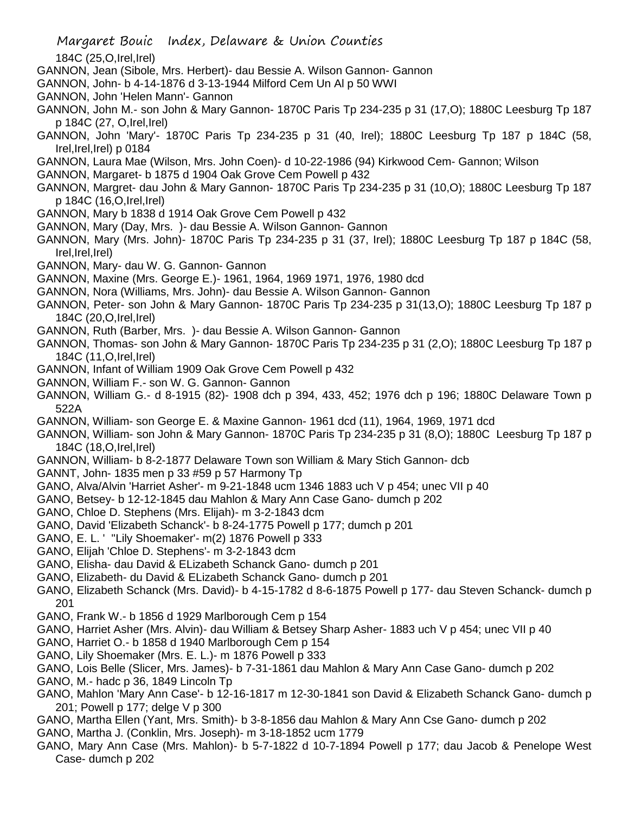184C (25,O,Irel,Irel)

- GANNON, Jean (Sibole, Mrs. Herbert)- dau Bessie A. Wilson Gannon- Gannon
- GANNON, John- b 4-14-1876 d 3-13-1944 Milford Cem Un Al p 50 WWI
- GANNON, John 'Helen Mann'- Gannon
- GANNON, John M.- son John & Mary Gannon- 1870C Paris Tp 234-235 p 31 (17,O); 1880C Leesburg Tp 187 p 184C (27, O,Irel,Irel)
- GANNON, John 'Mary'- 1870C Paris Tp 234-235 p 31 (40, Irel); 1880C Leesburg Tp 187 p 184C (58, Irel,Irel,Irel) p 0184
- GANNON, Laura Mae (Wilson, Mrs. John Coen)- d 10-22-1986 (94) Kirkwood Cem- Gannon; Wilson
- GANNON, Margaret- b 1875 d 1904 Oak Grove Cem Powell p 432
- GANNON, Margret- dau John & Mary Gannon- 1870C Paris Tp 234-235 p 31 (10,O); 1880C Leesburg Tp 187 p 184C (16,O,Irel,Irel)
- GANNON, Mary b 1838 d 1914 Oak Grove Cem Powell p 432
- GANNON, Mary (Day, Mrs. )- dau Bessie A. Wilson Gannon- Gannon
- GANNON, Mary (Mrs. John)- 1870C Paris Tp 234-235 p 31 (37, Irel); 1880C Leesburg Tp 187 p 184C (58, Irel,Irel,Irel)
- GANNON, Mary- dau W. G. Gannon- Gannon
- GANNON, Maxine (Mrs. George E.)- 1961, 1964, 1969 1971, 1976, 1980 dcd
- GANNON, Nora (Williams, Mrs. John)- dau Bessie A. Wilson Gannon- Gannon
- GANNON, Peter- son John & Mary Gannon- 1870C Paris Tp 234-235 p 31(13,O); 1880C Leesburg Tp 187 p 184C (20,O,Irel,Irel)
- GANNON, Ruth (Barber, Mrs. )- dau Bessie A. Wilson Gannon- Gannon
- GANNON, Thomas- son John & Mary Gannon- 1870C Paris Tp 234-235 p 31 (2,O); 1880C Leesburg Tp 187 p 184C (11,O,Irel,Irel)
- GANNON, Infant of William 1909 Oak Grove Cem Powell p 432
- GANNON, William F.- son W. G. Gannon- Gannon
- GANNON, William G.- d 8-1915 (82)- 1908 dch p 394, 433, 452; 1976 dch p 196; 1880C Delaware Town p 522A
- GANNON, William- son George E. & Maxine Gannon- 1961 dcd (11), 1964, 1969, 1971 dcd
- GANNON, William- son John & Mary Gannon- 1870C Paris Tp 234-235 p 31 (8,O); 1880C Leesburg Tp 187 p 184C (18,O,Irel,Irel)
- GANNON, William- b 8-2-1877 Delaware Town son William & Mary Stich Gannon- dcb
- GANNT, John- 1835 men p 33 #59 p 57 Harmony Tp
- GANO, Alva/Alvin 'Harriet Asher'- m 9-21-1848 ucm 1346 1883 uch V p 454; unec VII p 40
- GANO, Betsey- b 12-12-1845 dau Mahlon & Mary Ann Case Gano- dumch p 202
- GANO, Chloe D. Stephens (Mrs. Elijah)- m 3-2-1843 dcm
- GANO, David 'Elizabeth Schanck'- b 8-24-1775 Powell p 177; dumch p 201
- GANO, E. L. ' ''Lily Shoemaker'- m(2) 1876 Powell p 333
- GANO, Elijah 'Chloe D. Stephens'- m 3-2-1843 dcm
- GANO, Elisha- dau David & ELizabeth Schanck Gano- dumch p 201
- GANO, Elizabeth- du David & ELizabeth Schanck Gano- dumch p 201
- GANO, Elizabeth Schanck (Mrs. David)- b 4-15-1782 d 8-6-1875 Powell p 177- dau Steven Schanck- dumch p 201
- GANO, Frank W.- b 1856 d 1929 Marlborough Cem p 154
- GANO, Harriet Asher (Mrs. Alvin)- dau William & Betsey Sharp Asher- 1883 uch V p 454; unec VII p 40
- GANO, Harriet O.- b 1858 d 1940 Marlborough Cem p 154
- GANO, Lily Shoemaker (Mrs. E. L.)- m 1876 Powell p 333
- GANO, Lois Belle (Slicer, Mrs. James)- b 7-31-1861 dau Mahlon & Mary Ann Case Gano- dumch p 202
- GANO, M.- hadc p 36, 1849 Lincoln Tp
- GANO, Mahlon 'Mary Ann Case'- b 12-16-1817 m 12-30-1841 son David & Elizabeth Schanck Gano- dumch p 201; Powell p 177; delge V p 300
- GANO, Martha Ellen (Yant, Mrs. Smith)- b 3-8-1856 dau Mahlon & Mary Ann Cse Gano- dumch p 202
- GANO, Martha J. (Conklin, Mrs. Joseph)- m 3-18-1852 ucm 1779
- GANO, Mary Ann Case (Mrs. Mahlon)- b 5-7-1822 d 10-7-1894 Powell p 177; dau Jacob & Penelope West Case- dumch p 202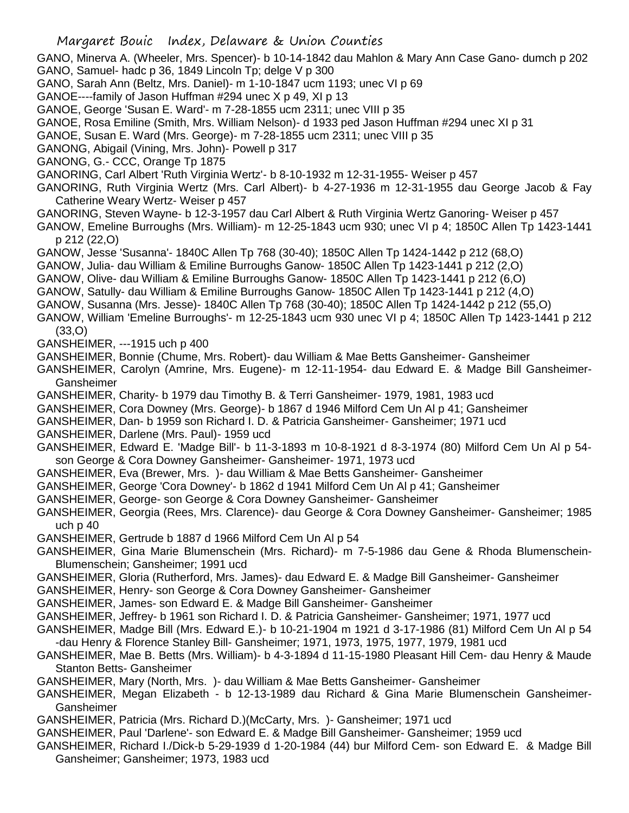GANO, Minerva A. (Wheeler, Mrs. Spencer)- b 10-14-1842 dau Mahlon & Mary Ann Case Gano- dumch p 202 GANO, Samuel- hadc p 36, 1849 Lincoln Tp; delge V p 300

GANO, Sarah Ann (Beltz, Mrs. Daniel)- m 1-10-1847 ucm 1193; unec VI p 69

GANOE----family of Jason Huffman #294 unec X p 49, XI p 13

GANOE, George 'Susan E. Ward'- m 7-28-1855 ucm 2311; unec VIII p 35

GANOE, Rosa Emiline (Smith, Mrs. William Nelson)- d 1933 ped Jason Huffman #294 unec XI p 31

GANOE, Susan E. Ward (Mrs. George)- m 7-28-1855 ucm 2311; unec VIII p 35

GANONG, Abigail (Vining, Mrs. John)- Powell p 317

GANONG, G.- CCC, Orange Tp 1875

GANORING, Carl Albert 'Ruth Virginia Wertz'- b 8-10-1932 m 12-31-1955- Weiser p 457

GANORING, Ruth Virginia Wertz (Mrs. Carl Albert)- b 4-27-1936 m 12-31-1955 dau George Jacob & Fay Catherine Weary Wertz- Weiser p 457

GANORING, Steven Wayne- b 12-3-1957 dau Carl Albert & Ruth Virginia Wertz Ganoring- Weiser p 457

GANOW, Emeline Burroughs (Mrs. William)- m 12-25-1843 ucm 930; unec VI p 4; 1850C Allen Tp 1423-1441 p 212 (22,O)

GANOW, Jesse 'Susanna'- 1840C Allen Tp 768 (30-40); 1850C Allen Tp 1424-1442 p 212 (68,O)

GANOW, Julia- dau William & Emiline Burroughs Ganow- 1850C Allen Tp 1423-1441 p 212 (2,O)

GANOW, Olive- dau William & Emiline Burroughs Ganow- 1850C Allen Tp 1423-1441 p 212 (6,O)

GANOW, Satully- dau William & Emiline Burroughs Ganow- 1850C Allen Tp 1423-1441 p 212 (4,O)

GANOW, Susanna (Mrs. Jesse)- 1840C Allen Tp 768 (30-40); 1850C Allen Tp 1424-1442 p 212 (55,O)

GANOW, William 'Emeline Burroughs'- m 12-25-1843 ucm 930 unec VI p 4; 1850C Allen Tp 1423-1441 p 212 (33,O)

GANSHEIMER, ---1915 uch p 400

GANSHEIMER, Bonnie (Chume, Mrs. Robert)- dau William & Mae Betts Gansheimer- Gansheimer

GANSHEIMER, Carolyn (Amrine, Mrs. Eugene)- m 12-11-1954- dau Edward E. & Madge Bill Gansheimer-Gansheimer

GANSHEIMER, Charity- b 1979 dau Timothy B. & Terri Gansheimer- 1979, 1981, 1983 ucd

GANSHEIMER, Cora Downey (Mrs. George)- b 1867 d 1946 Milford Cem Un Al p 41; Gansheimer

GANSHEIMER, Dan- b 1959 son Richard I. D. & Patricia Gansheimer- Gansheimer; 1971 ucd

GANSHEIMER, Darlene (Mrs. Paul)- 1959 ucd

GANSHEIMER, Edward E. 'Madge Bill'- b 11-3-1893 m 10-8-1921 d 8-3-1974 (80) Milford Cem Un Al p 54 son George & Cora Downey Gansheimer- Gansheimer- 1971, 1973 ucd

GANSHEIMER, Eva (Brewer, Mrs. )- dau William & Mae Betts Gansheimer- Gansheimer

- GANSHEIMER, George 'Cora Downey'- b 1862 d 1941 Milford Cem Un Al p 41; Gansheimer
- GANSHEIMER, George- son George & Cora Downey Gansheimer- Gansheimer

GANSHEIMER, Georgia (Rees, Mrs. Clarence)- dau George & Cora Downey Gansheimer- Gansheimer; 1985 uch p 40

GANSHEIMER, Gertrude b 1887 d 1966 Milford Cem Un Al p 54

GANSHEIMER, Gina Marie Blumenschein (Mrs. Richard)- m 7-5-1986 dau Gene & Rhoda Blumenschein-Blumenschein; Gansheimer; 1991 ucd

GANSHEIMER, Gloria (Rutherford, Mrs. James)- dau Edward E. & Madge Bill Gansheimer- Gansheimer

GANSHEIMER, Henry- son George & Cora Downey Gansheimer- Gansheimer

GANSHEIMER, James- son Edward E. & Madge Bill Gansheimer- Gansheimer

GANSHEIMER, Jeffrey- b 1961 son Richard I. D. & Patricia Gansheimer- Gansheimer; 1971, 1977 ucd

GANSHEIMER, Madge Bill (Mrs. Edward E.)- b 10-21-1904 m 1921 d 3-17-1986 (81) Milford Cem Un Al p 54 -dau Henry & Florence Stanley Bill- Gansheimer; 1971, 1973, 1975, 1977, 1979, 1981 ucd

GANSHEIMER, Mae B. Betts (Mrs. William)- b 4-3-1894 d 11-15-1980 Pleasant Hill Cem- dau Henry & Maude Stanton Betts- Gansheimer

GANSHEIMER, Mary (North, Mrs. )- dau William & Mae Betts Gansheimer- Gansheimer

GANSHEIMER, Megan Elizabeth - b 12-13-1989 dau Richard & Gina Marie Blumenschein Gansheimer-Gansheimer

GANSHEIMER, Patricia (Mrs. Richard D.)(McCarty, Mrs. )- Gansheimer; 1971 ucd

GANSHEIMER, Paul 'Darlene'- son Edward E. & Madge Bill Gansheimer- Gansheimer; 1959 ucd

GANSHEIMER, Richard I./Dick-b 5-29-1939 d 1-20-1984 (44) bur Milford Cem- son Edward E. & Madge Bill Gansheimer; Gansheimer; 1973, 1983 ucd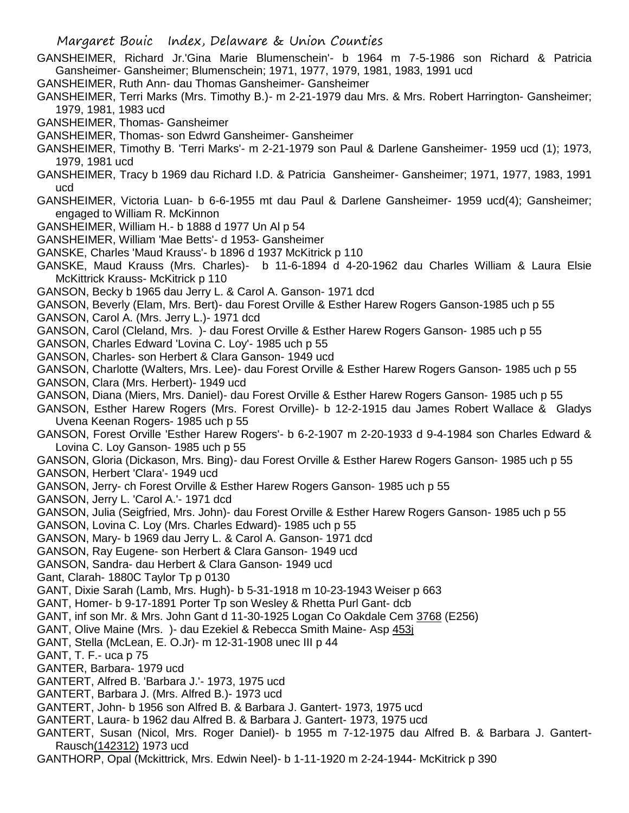- GANSHEIMER, Richard Jr.'Gina Marie Blumenschein'- b 1964 m 7-5-1986 son Richard & Patricia Gansheimer- Gansheimer; Blumenschein; 1971, 1977, 1979, 1981, 1983, 1991 ucd
- GANSHEIMER, Ruth Ann- dau Thomas Gansheimer- Gansheimer
- GANSHEIMER, Terri Marks (Mrs. Timothy B.)- m 2-21-1979 dau Mrs. & Mrs. Robert Harrington- Gansheimer; 1979, 1981, 1983 ucd
- GANSHEIMER, Thomas- Gansheimer
- GANSHEIMER, Thomas- son Edwrd Gansheimer- Gansheimer
- GANSHEIMER, Timothy B. 'Terri Marks'- m 2-21-1979 son Paul & Darlene Gansheimer- 1959 ucd (1); 1973, 1979, 1981 ucd
- GANSHEIMER, Tracy b 1969 dau Richard I.D. & Patricia Gansheimer- Gansheimer; 1971, 1977, 1983, 1991 ucd
- GANSHEIMER, Victoria Luan- b 6-6-1955 mt dau Paul & Darlene Gansheimer- 1959 ucd(4); Gansheimer; engaged to William R. McKinnon
- GANSHEIMER, William H.- b 1888 d 1977 Un Al p 54
- GANSHEIMER, William 'Mae Betts'- d 1953- Gansheimer
- GANSKE, Charles 'Maud Krauss'- b 1896 d 1937 McKitrick p 110
- GANSKE, Maud Krauss (Mrs. Charles)- b 11-6-1894 d 4-20-1962 dau Charles William & Laura Elsie McKittrick Krauss- McKitrick p 110
- GANSON, Becky b 1965 dau Jerry L. & Carol A. Ganson- 1971 dcd
- GANSON, Beverly (Elam, Mrs. Bert)- dau Forest Orville & Esther Harew Rogers Ganson-1985 uch p 55
- GANSON, Carol A. (Mrs. Jerry L.)- 1971 dcd
- GANSON, Carol (Cleland, Mrs. )- dau Forest Orville & Esther Harew Rogers Ganson- 1985 uch p 55
- GANSON, Charles Edward 'Lovina C. Loy'- 1985 uch p 55
- GANSON, Charles- son Herbert & Clara Ganson- 1949 ucd
- GANSON, Charlotte (Walters, Mrs. Lee)- dau Forest Orville & Esther Harew Rogers Ganson- 1985 uch p 55
- GANSON, Clara (Mrs. Herbert)- 1949 ucd
- GANSON, Diana (Miers, Mrs. Daniel)- dau Forest Orville & Esther Harew Rogers Ganson- 1985 uch p 55
- GANSON, Esther Harew Rogers (Mrs. Forest Orville)- b 12-2-1915 dau James Robert Wallace & Gladys Uvena Keenan Rogers- 1985 uch p 55
- GANSON, Forest Orville 'Esther Harew Rogers'- b 6-2-1907 m 2-20-1933 d 9-4-1984 son Charles Edward & Lovina C. Loy Ganson- 1985 uch p 55
- GANSON, Gloria (Dickason, Mrs. Bing)- dau Forest Orville & Esther Harew Rogers Ganson- 1985 uch p 55
- GANSON, Herbert 'Clara'- 1949 ucd
- GANSON, Jerry- ch Forest Orville & Esther Harew Rogers Ganson- 1985 uch p 55
- GANSON, Jerry L. 'Carol A.'- 1971 dcd
- GANSON, Julia (Seigfried, Mrs. John)- dau Forest Orville & Esther Harew Rogers Ganson- 1985 uch p 55
- GANSON, Lovina C. Loy (Mrs. Charles Edward)- 1985 uch p 55
- GANSON, Mary- b 1969 dau Jerry L. & Carol A. Ganson- 1971 dcd
- GANSON, Ray Eugene- son Herbert & Clara Ganson- 1949 ucd
- GANSON, Sandra- dau Herbert & Clara Ganson- 1949 ucd
- Gant, Clarah- 1880C Taylor Tp p 0130
- GANT, Dixie Sarah (Lamb, Mrs. Hugh)- b 5-31-1918 m 10-23-1943 Weiser p 663
- GANT, Homer- b 9-17-1891 Porter Tp son Wesley & Rhetta Purl Gant- dcb
- GANT, inf son Mr. & Mrs. John Gant d 11-30-1925 Logan Co Oakdale Cem 3768 (E256)
- GANT, Olive Maine (Mrs. )- dau Ezekiel & Rebecca Smith Maine- Asp 453j
- GANT, Stella (McLean, E. O.Jr)- m 12-31-1908 unec III p 44
- GANT, T. F.- uca p 75
- GANTER, Barbara- 1979 ucd
- GANTERT, Alfred B. 'Barbara J.'- 1973, 1975 ucd
- GANTERT, Barbara J. (Mrs. Alfred B.)- 1973 ucd
- GANTERT, John- b 1956 son Alfred B. & Barbara J. Gantert- 1973, 1975 ucd
- GANTERT, Laura- b 1962 dau Alfred B. & Barbara J. Gantert- 1973, 1975 ucd
- GANTERT, Susan (Nicol, Mrs. Roger Daniel)- b 1955 m 7-12-1975 dau Alfred B. & Barbara J. Gantert-Rausch(142312) 1973 ucd
- GANTHORP, Opal (Mckittrick, Mrs. Edwin Neel)- b 1-11-1920 m 2-24-1944- McKitrick p 390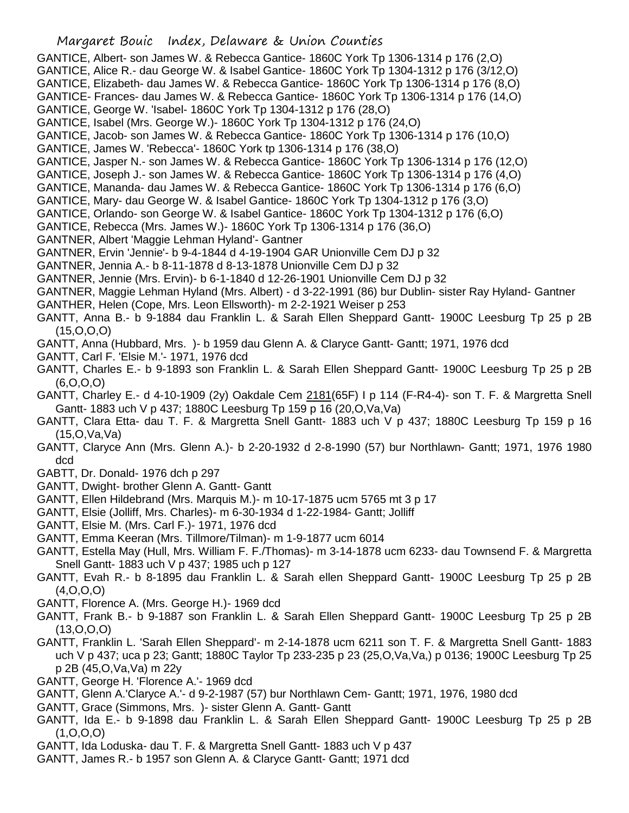- GANTICE, Albert- son James W. & Rebecca Gantice- 1860C York Tp 1306-1314 p 176 (2,O)
- GANTICE, Alice R.- dau George W. & Isabel Gantice- 1860C York Tp 1304-1312 p 176 (3/12,O)
- GANTICE, Elizabeth- dau James W. & Rebecca Gantice- 1860C York Tp 1306-1314 p 176 (8,O)
- GANTICE- Frances- dau James W. & Rebecca Gantice- 1860C York Tp 1306-1314 p 176 (14,O)
- GANTICE, George W. 'Isabel- 1860C York Tp 1304-1312 p 176 (28,O)
- GANTICE, Isabel (Mrs. George W.)- 1860C York Tp 1304-1312 p 176 (24,O)
- GANTICE, Jacob- son James W. & Rebecca Gantice- 1860C York Tp 1306-1314 p 176 (10,O)
- GANTICE, James W. 'Rebecca'- 1860C York tp 1306-1314 p 176 (38,O)
- GANTICE, Jasper N.- son James W. & Rebecca Gantice- 1860C York Tp 1306-1314 p 176 (12,O)
- GANTICE, Joseph J.- son James W. & Rebecca Gantice- 1860C York Tp 1306-1314 p 176 (4,O)
- GANTICE, Mananda- dau James W. & Rebecca Gantice- 1860C York Tp 1306-1314 p 176 (6,O)
- GANTICE, Mary- dau George W. & Isabel Gantice- 1860C York Tp 1304-1312 p 176 (3,O)
- GANTICE, Orlando- son George W. & Isabel Gantice- 1860C York Tp 1304-1312 p 176 (6,O)
- GANTICE, Rebecca (Mrs. James W.)- 1860C York Tp 1306-1314 p 176 (36,O)
- GANTNER, Albert 'Maggie Lehman Hyland'- Gantner
- GANTNER, Ervin 'Jennie'- b 9-4-1844 d 4-19-1904 GAR Unionville Cem DJ p 32
- GANTNER, Jennia A.- b 8-11-1878 d 8-13-1878 Unionville Cem DJ p 32
- GANTNER, Jennie (Mrs. Ervin)- b 6-1-1840 d 12-26-1901 Unionville Cem DJ p 32
- GANTNER, Maggie Lehman Hyland (Mrs. Albert) d 3-22-1991 (86) bur Dublin- sister Ray Hyland- Gantner
- GANTHER, Helen (Cope, Mrs. Leon Ellsworth)- m 2-2-1921 Weiser p 253
- GANTT, Anna B.- b 9-1884 dau Franklin L. & Sarah Ellen Sheppard Gantt- 1900C Leesburg Tp 25 p 2B (15,O,O,O)
- GANTT, Anna (Hubbard, Mrs. )- b 1959 dau Glenn A. & Claryce Gantt- Gantt; 1971, 1976 dcd
- GANTT, Carl F. 'Elsie M.'- 1971, 1976 dcd
- GANTT, Charles E.- b 9-1893 son Franklin L. & Sarah Ellen Sheppard Gantt- 1900C Leesburg Tp 25 p 2B (6,O,O,O)
- GANTT, Charley E.- d 4-10-1909 (2y) Oakdale Cem 2181(65F) I p 114 (F-R4-4)- son T. F. & Margretta Snell Gantt- 1883 uch V p 437; 1880C Leesburg Tp 159 p 16 (20,O,Va,Va)
- GANTT, Clara Etta- dau T. F. & Margretta Snell Gantt- 1883 uch V p 437; 1880C Leesburg Tp 159 p 16 (15,O,Va,Va)
- GANTT, Claryce Ann (Mrs. Glenn A.)- b 2-20-1932 d 2-8-1990 (57) bur Northlawn- Gantt; 1971, 1976 1980 dcd
- GABTT, Dr. Donald- 1976 dch p 297
- GANTT, Dwight- brother Glenn A. Gantt- Gantt
- GANTT, Ellen Hildebrand (Mrs. Marquis M.)- m 10-17-1875 ucm 5765 mt 3 p 17
- GANTT, Elsie (Jolliff, Mrs. Charles)- m 6-30-1934 d 1-22-1984- Gantt; Jolliff
- GANTT, Elsie M. (Mrs. Carl F.)- 1971, 1976 dcd
- GANTT, Emma Keeran (Mrs. Tillmore/Tilman)- m 1-9-1877 ucm 6014
- GANTT, Estella May (Hull, Mrs. William F. F./Thomas)- m 3-14-1878 ucm 6233- dau Townsend F. & Margretta Snell Gantt- 1883 uch V p 437; 1985 uch p 127
- GANTT, Evah R.- b 8-1895 dau Franklin L. & Sarah ellen Sheppard Gantt- 1900C Leesburg Tp 25 p 2B (4,O,O,O)
- GANTT, Florence A. (Mrs. George H.)- 1969 dcd
- GANTT, Frank B.- b 9-1887 son Franklin L. & Sarah Ellen Sheppard Gantt- 1900C Leesburg Tp 25 p 2B (13,O,O,O)
- GANTT, Franklin L. 'Sarah Ellen Sheppard'- m 2-14-1878 ucm 6211 son T. F. & Margretta Snell Gantt- 1883 uch V p 437; uca p 23; Gantt; 1880C Taylor Tp 233-235 p 23 (25,O,Va,Va,) p 0136; 1900C Leesburg Tp 25 p 2B (45,O,Va,Va) m 22y
- GANTT, George H. 'Florence A.'- 1969 dcd
- GANTT, Glenn A.'Claryce A.'- d 9-2-1987 (57) bur Northlawn Cem- Gantt; 1971, 1976, 1980 dcd
- GANTT, Grace (Simmons, Mrs. )- sister Glenn A. Gantt- Gantt
- GANTT, Ida E.- b 9-1898 dau Franklin L. & Sarah Ellen Sheppard Gantt- 1900C Leesburg Tp 25 p 2B (1,O,O,O)
- GANTT, Ida Loduska- dau T. F. & Margretta Snell Gantt- 1883 uch V p 437
- GANTT, James R.- b 1957 son Glenn A. & Claryce Gantt- Gantt; 1971 dcd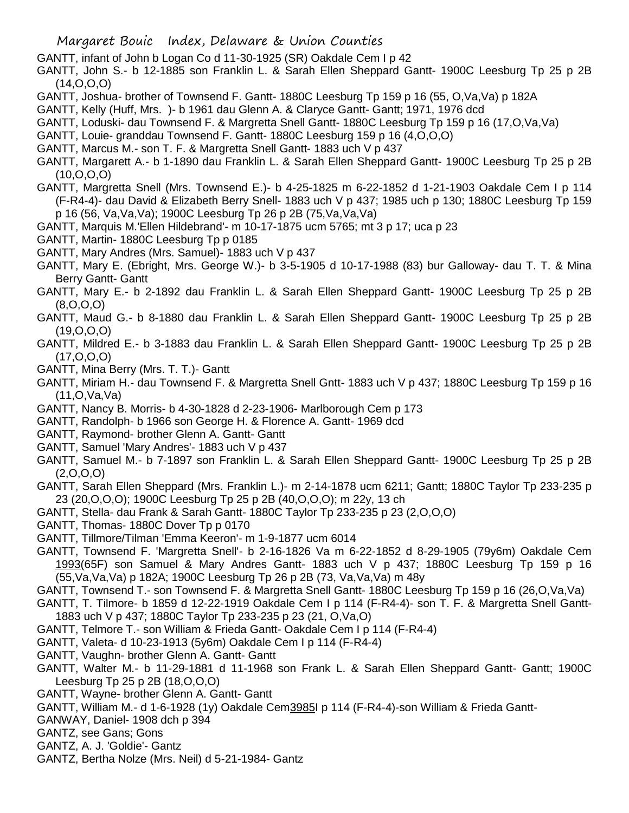GANTT, infant of John b Logan Co d 11-30-1925 (SR) Oakdale Cem I p 42

- GANTT, John S.- b 12-1885 son Franklin L. & Sarah Ellen Sheppard Gantt- 1900C Leesburg Tp 25 p 2B (14,O,O,O)
- GANTT, Joshua- brother of Townsend F. Gantt- 1880C Leesburg Tp 159 p 16 (55, O,Va,Va) p 182A
- GANTT, Kelly (Huff, Mrs. )- b 1961 dau Glenn A. & Claryce Gantt- Gantt; 1971, 1976 dcd
- GANTT, Loduski- dau Townsend F. & Margretta Snell Gantt- 1880C Leesburg Tp 159 p 16 (17,O,Va,Va)
- GANTT, Louie- granddau Townsend F. Gantt- 1880C Leesburg 159 p 16 (4,O,O,O)
- GANTT, Marcus M.- son T. F. & Margretta Snell Gantt- 1883 uch V p 437
- GANTT, Margarett A.- b 1-1890 dau Franklin L. & Sarah Ellen Sheppard Gantt- 1900C Leesburg Tp 25 p 2B (10,O,O,O)
- GANTT, Margretta Snell (Mrs. Townsend E.)- b 4-25-1825 m 6-22-1852 d 1-21-1903 Oakdale Cem I p 114 (F-R4-4)- dau David & Elizabeth Berry Snell- 1883 uch V p 437; 1985 uch p 130; 1880C Leesburg Tp 159 p 16 (56, Va,Va,Va); 1900C Leesburg Tp 26 p 2B (75,Va,Va,Va)
- GANTT, Marquis M.'Ellen Hildebrand'- m 10-17-1875 ucm 5765; mt 3 p 17; uca p 23
- GANTT, Martin- 1880C Leesburg Tp p 0185
- GANTT, Mary Andres (Mrs. Samuel)- 1883 uch V p 437
- GANTT, Mary E. (Ebright, Mrs. George W.)- b 3-5-1905 d 10-17-1988 (83) bur Galloway- dau T. T. & Mina Berry Gantt- Gantt
- GANTT, Mary E.- b 2-1892 dau Franklin L. & Sarah Ellen Sheppard Gantt- 1900C Leesburg Tp 25 p 2B (8,O,O,O)
- GANTT, Maud G.- b 8-1880 dau Franklin L. & Sarah Ellen Sheppard Gantt- 1900C Leesburg Tp 25 p 2B (19,O,O,O)
- GANTT, Mildred E.- b 3-1883 dau Franklin L. & Sarah Ellen Sheppard Gantt- 1900C Leesburg Tp 25 p 2B (17,O,O,O)
- GANTT, Mina Berry (Mrs. T. T.)- Gantt
- GANTT, Miriam H.- dau Townsend F. & Margretta Snell Gntt- 1883 uch V p 437; 1880C Leesburg Tp 159 p 16 (11,O,Va,Va)
- GANTT, Nancy B. Morris- b 4-30-1828 d 2-23-1906- Marlborough Cem p 173
- GANTT, Randolph- b 1966 son George H. & Florence A. Gantt- 1969 dcd
- GANTT, Raymond- brother Glenn A. Gantt- Gantt
- GANTT, Samuel 'Mary Andres'- 1883 uch V p 437
- GANTT, Samuel M.- b 7-1897 son Franklin L. & Sarah Ellen Sheppard Gantt- 1900C Leesburg Tp 25 p 2B (2,O,O,O)
- GANTT, Sarah Ellen Sheppard (Mrs. Franklin L.)- m 2-14-1878 ucm 6211; Gantt; 1880C Taylor Tp 233-235 p 23 (20,O,O,O); 1900C Leesburg Tp 25 p 2B (40,O,O,O); m 22y, 13 ch
- GANTT, Stella- dau Frank & Sarah Gantt- 1880C Taylor Tp 233-235 p 23 (2,O,O,O)
- GANTT, Thomas- 1880C Dover Tp p 0170
- GANTT, Tillmore/Tilman 'Emma Keeron'- m 1-9-1877 ucm 6014
- GANTT, Townsend F. 'Margretta Snell'- b 2-16-1826 Va m 6-22-1852 d 8-29-1905 (79y6m) Oakdale Cem 1993(65F) son Samuel & Mary Andres Gantt- 1883 uch V p 437; 1880C Leesburg Tp 159 p 16 (55,Va,Va,Va) p 182A; 1900C Leesburg Tp 26 p 2B (73, Va,Va,Va) m 48y
- GANTT, Townsend T.- son Townsend F. & Margretta Snell Gantt- 1880C Leesburg Tp 159 p 16 (26,O,Va,Va)
- GANTT, T. Tilmore- b 1859 d 12-22-1919 Oakdale Cem I p 114 (F-R4-4)- son T. F. & Margretta Snell Gantt-1883 uch V p 437; 1880C Taylor Tp 233-235 p 23 (21, O,Va,O)
- GANTT, Telmore T.- son William & Frieda Gantt- Oakdale Cem I p 114 (F-R4-4)
- GANTT, Valeta- d 10-23-1913 (5y6m) Oakdale Cem I p 114 (F-R4-4)
- GANTT, Vaughn- brother Glenn A. Gantt- Gantt
- GANTT, Walter M.- b 11-29-1881 d 11-1968 son Frank L. & Sarah Ellen Sheppard Gantt- Gantt; 1900C Leesburg Tp 25 p 2B (18,O,O,O)
- GANTT, Wayne- brother Glenn A. Gantt- Gantt
- GANTT, William M.- d 1-6-1928 (1y) Oakdale Cem3985I p 114 (F-R4-4)-son William & Frieda Gantt-
- GANWAY, Daniel- 1908 dch p 394
- GANTZ, see Gans; Gons
- GANTZ, A. J. 'Goldie'- Gantz
- GANTZ, Bertha Nolze (Mrs. Neil) d 5-21-1984- Gantz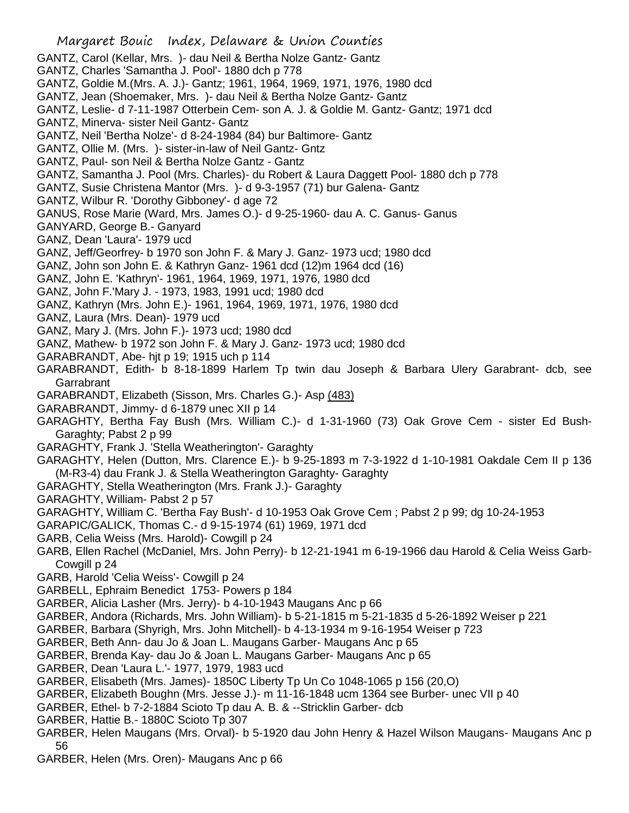- GANTZ, Carol (Kellar, Mrs. )- dau Neil & Bertha Nolze Gantz- Gantz
- GANTZ, Charles 'Samantha J. Pool'- 1880 dch p 778
- GANTZ, Goldie M.(Mrs. A. J.)- Gantz; 1961, 1964, 1969, 1971, 1976, 1980 dcd
- GANTZ, Jean (Shoemaker, Mrs. )- dau Neil & Bertha Nolze Gantz- Gantz
- GANTZ, Leslie- d 7-11-1987 Otterbein Cem- son A. J. & Goldie M. Gantz- Gantz; 1971 dcd
- GANTZ, Minerva- sister Neil Gantz- Gantz
- GANTZ, Neil 'Bertha Nolze'- d 8-24-1984 (84) bur Baltimore- Gantz
- GANTZ, Ollie M. (Mrs. )- sister-in-law of Neil Gantz- Gntz
- GANTZ, Paul- son Neil & Bertha Nolze Gantz Gantz
- GANTZ, Samantha J. Pool (Mrs. Charles)- du Robert & Laura Daggett Pool- 1880 dch p 778
- GANTZ, Susie Christena Mantor (Mrs. )- d 9-3-1957 (71) bur Galena- Gantz
- GANTZ, Wilbur R. 'Dorothy Gibboney'- d age 72
- GANUS, Rose Marie (Ward, Mrs. James O.)- d 9-25-1960- dau A. C. Ganus- Ganus
- GANYARD, George B.- Ganyard
- GANZ, Dean 'Laura'- 1979 ucd
- GANZ, Jeff/Georfrey- b 1970 son John F. & Mary J. Ganz- 1973 ucd; 1980 dcd
- GANZ, John son John E. & Kathryn Ganz- 1961 dcd (12)m 1964 dcd (16)
- GANZ, John E. 'Kathryn'- 1961, 1964, 1969, 1971, 1976, 1980 dcd
- GANZ, John F.'Mary J. 1973, 1983, 1991 ucd; 1980 dcd
- GANZ, Kathryn (Mrs. John E.)- 1961, 1964, 1969, 1971, 1976, 1980 dcd
- GANZ, Laura (Mrs. Dean)- 1979 ucd
- GANZ, Mary J. (Mrs. John F.)- 1973 ucd; 1980 dcd
- GANZ, Mathew- b 1972 son John F. & Mary J. Ganz- 1973 ucd; 1980 dcd
- GARABRANDT, Abe- hjt p 19; 1915 uch p 114
- GARABRANDT, Edith- b 8-18-1899 Harlem Tp twin dau Joseph & Barbara Ulery Garabrant- dcb, see Garrabrant
- GARABRANDT, Elizabeth (Sisson, Mrs. Charles G.)- Asp (483)
- GARABRANDT, Jimmy- d 6-1879 unec XII p 14
- GARAGHTY, Bertha Fay Bush (Mrs. William C.)- d 1-31-1960 (73) Oak Grove Cem sister Ed Bush-Garaghty; Pabst 2 p 99
- GARAGHTY, Frank J. 'Stella Weatherington'- Garaghty
- GARAGHTY, Helen (Dutton, Mrs. Clarence E.)- b 9-25-1893 m 7-3-1922 d 1-10-1981 Oakdale Cem II p 136 (M-R3-4) dau Frank J. & Stella Weatherington Garaghty- Garaghty
- GARAGHTY, Stella Weatherington (Mrs. Frank J.)- Garaghty
- GARAGHTY, William- Pabst 2 p 57
- GARAGHTY, William C. 'Bertha Fay Bush'- d 10-1953 Oak Grove Cem ; Pabst 2 p 99; dg 10-24-1953
- GARAPIC/GALICK, Thomas C.- d 9-15-1974 (61) 1969, 1971 dcd
- GARB, Celia Weiss (Mrs. Harold)- Cowgill p 24
- GARB, Ellen Rachel (McDaniel, Mrs. John Perry)- b 12-21-1941 m 6-19-1966 dau Harold & Celia Weiss Garb-Cowgill p 24
- GARB, Harold 'Celia Weiss'- Cowgill p 24
- GARBELL, Ephraim Benedict 1753- Powers p 184
- GARBER, Alicia Lasher (Mrs. Jerry)- b 4-10-1943 Maugans Anc p 66
- GARBER, Andora (Richards, Mrs. John William)- b 5-21-1815 m 5-21-1835 d 5-26-1892 Weiser p 221
- GARBER, Barbara (Shyrigh, Mrs. John Mitchell)- b 4-13-1934 m 9-16-1954 Weiser p 723
- GARBER, Beth Ann- dau Jo & Joan L. Maugans Garber- Maugans Anc p 65
- GARBER, Brenda Kay- dau Jo & Joan L. Maugans Garber- Maugans Anc p 65
- GARBER, Dean 'Laura L.'- 1977, 1979, 1983 ucd
- GARBER, Elisabeth (Mrs. James)- 1850C Liberty Tp Un Co 1048-1065 p 156 (20,O)
- GARBER, Elizabeth Boughn (Mrs. Jesse J.)- m 11-16-1848 ucm 1364 see Burber- unec VII p 40
- GARBER, Ethel- b 7-2-1884 Scioto Tp dau A. B. & --Stricklin Garber- dcb
- GARBER, Hattie B.- 1880C Scioto Tp 307
- GARBER, Helen Maugans (Mrs. Orval)- b 5-1920 dau John Henry & Hazel Wilson Maugans- Maugans Anc p 56
- GARBER, Helen (Mrs. Oren)- Maugans Anc p 66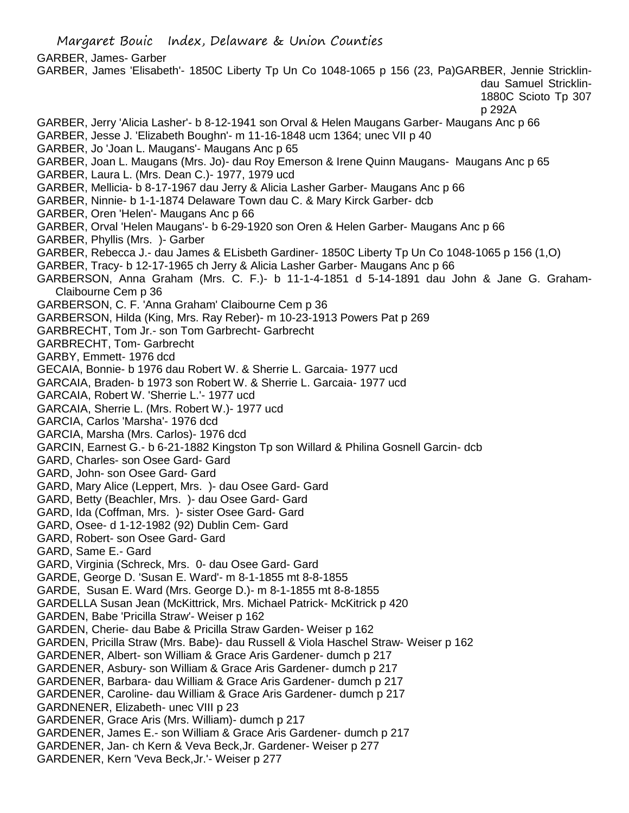Margaret Bouic Index, Delaware & Union Counties GARBER, James- Garber GARBER, James 'Elisabeth'- 1850C Liberty Tp Un Co 1048-1065 p 156 (23, Pa)GARBER, Jennie Stricklindau Samuel Stricklin-1880C Scioto Tp 307 p 292A GARBER, Jerry 'Alicia Lasher'- b 8-12-1941 son Orval & Helen Maugans Garber- Maugans Anc p 66 GARBER, Jesse J. 'Elizabeth Boughn'- m 11-16-1848 ucm 1364; unec VII p 40 GARBER, Jo 'Joan L. Maugans'- Maugans Anc p 65 GARBER, Joan L. Maugans (Mrs. Jo)- dau Roy Emerson & Irene Quinn Maugans- Maugans Anc p 65 GARBER, Laura L. (Mrs. Dean C.)- 1977, 1979 ucd GARBER, Mellicia- b 8-17-1967 dau Jerry & Alicia Lasher Garber- Maugans Anc p 66 GARBER, Ninnie- b 1-1-1874 Delaware Town dau C. & Mary Kirck Garber- dcb GARBER, Oren 'Helen'- Maugans Anc p 66 GARBER, Orval 'Helen Maugans'- b 6-29-1920 son Oren & Helen Garber- Maugans Anc p 66 GARBER, Phyllis (Mrs. )- Garber GARBER, Rebecca J.- dau James & ELisbeth Gardiner- 1850C Liberty Tp Un Co 1048-1065 p 156 (1,O) GARBER, Tracy- b 12-17-1965 ch Jerry & Alicia Lasher Garber- Maugans Anc p 66 GARBERSON, Anna Graham (Mrs. C. F.)- b 11-1-4-1851 d 5-14-1891 dau John & Jane G. Graham-Claibourne Cem p 36 GARBERSON, C. F. 'Anna Graham' Claibourne Cem p 36 GARBERSON, Hilda (King, Mrs. Ray Reber)- m 10-23-1913 Powers Pat p 269 GARBRECHT, Tom Jr.- son Tom Garbrecht- Garbrecht GARBRECHT, Tom- Garbrecht GARBY, Emmett- 1976 dcd GECAIA, Bonnie- b 1976 dau Robert W. & Sherrie L. Garcaia- 1977 ucd GARCAIA, Braden- b 1973 son Robert W. & Sherrie L. Garcaia- 1977 ucd GARCAIA, Robert W. 'Sherrie L.'- 1977 ucd GARCAIA, Sherrie L. (Mrs. Robert W.)- 1977 ucd GARCIA, Carlos 'Marsha'- 1976 dcd GARCIA, Marsha (Mrs. Carlos)- 1976 dcd GARCIN, Earnest G.- b 6-21-1882 Kingston Tp son Willard & Philina Gosnell Garcin- dcb GARD, Charles- son Osee Gard- Gard GARD, John- son Osee Gard- Gard GARD, Mary Alice (Leppert, Mrs. )- dau Osee Gard- Gard GARD, Betty (Beachler, Mrs. )- dau Osee Gard- Gard GARD, Ida (Coffman, Mrs. )- sister Osee Gard- Gard GARD, Osee- d 1-12-1982 (92) Dublin Cem- Gard GARD, Robert- son Osee Gard- Gard GARD, Same E.- Gard GARD, Virginia (Schreck, Mrs. 0- dau Osee Gard- Gard GARDE, George D. 'Susan E. Ward'- m 8-1-1855 mt 8-8-1855 GARDE, Susan E. Ward (Mrs. George D.)- m 8-1-1855 mt 8-8-1855 GARDELLA Susan Jean (McKittrick, Mrs. Michael Patrick- McKitrick p 420 GARDEN, Babe 'Pricilla Straw'- Weiser p 162 GARDEN, Cherie- dau Babe & Pricilla Straw Garden- Weiser p 162 GARDEN, Pricilla Straw (Mrs. Babe)- dau Russell & Viola Haschel Straw- Weiser p 162 GARDENER, Albert- son William & Grace Aris Gardener- dumch p 217 GARDENER, Asbury- son William & Grace Aris Gardener- dumch p 217 GARDENER, Barbara- dau William & Grace Aris Gardener- dumch p 217 GARDENER, Caroline- dau William & Grace Aris Gardener- dumch p 217 GARDNENER, Elizabeth- unec VIII p 23 GARDENER, Grace Aris (Mrs. William)- dumch p 217 GARDENER, James E.- son William & Grace Aris Gardener- dumch p 217 GARDENER, Jan- ch Kern & Veva Beck,Jr. Gardener- Weiser p 277 GARDENER, Kern 'Veva Beck,Jr.'- Weiser p 277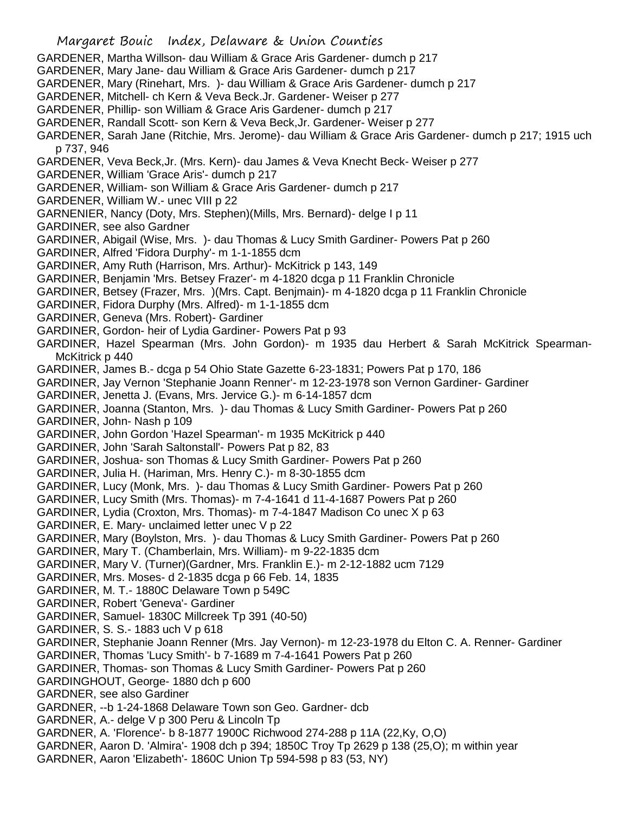Margaret Bouic Index, Delaware & Union Counties GARDENER, Martha Willson- dau William & Grace Aris Gardener- dumch p 217 GARDENER, Mary Jane- dau William & Grace Aris Gardener- dumch p 217 GARDENER, Mary (Rinehart, Mrs. )- dau William & Grace Aris Gardener- dumch p 217 GARDENER, Mitchell- ch Kern & Veva Beck.Jr. Gardener- Weiser p 277 GARDENER, Phillip- son William & Grace Aris Gardener- dumch p 217 GARDENER, Randall Scott- son Kern & Veva Beck,Jr. Gardener- Weiser p 277 GARDENER, Sarah Jane (Ritchie, Mrs. Jerome)- dau William & Grace Aris Gardener- dumch p 217; 1915 uch p 737, 946 GARDENER, Veva Beck,Jr. (Mrs. Kern)- dau James & Veva Knecht Beck- Weiser p 277 GARDENER, William 'Grace Aris'- dumch p 217 GARDENER, William- son William & Grace Aris Gardener- dumch p 217 GARDENER, William W.- unec VIII p 22 GARNENIER, Nancy (Doty, Mrs. Stephen)(Mills, Mrs. Bernard)- delge I p 11 GARDINER, see also Gardner GARDINER, Abigail (Wise, Mrs. )- dau Thomas & Lucy Smith Gardiner- Powers Pat p 260 GARDINER, Alfred 'Fidora Durphy'- m 1-1-1855 dcm GARDINER, Amy Ruth (Harrison, Mrs. Arthur)- McKitrick p 143, 149 GARDINER, Benjamin 'Mrs. Betsey Frazer'- m 4-1820 dcga p 11 Franklin Chronicle GARDINER, Betsey (Frazer, Mrs. )(Mrs. Capt. Benjmain)- m 4-1820 dcga p 11 Franklin Chronicle GARDINER, Fidora Durphy (Mrs. Alfred)- m 1-1-1855 dcm GARDINER, Geneva (Mrs. Robert)- Gardiner GARDINER, Gordon- heir of Lydia Gardiner- Powers Pat p 93 GARDINER, Hazel Spearman (Mrs. John Gordon)- m 1935 dau Herbert & Sarah McKitrick Spearman-McKitrick p 440 GARDINER, James B.- dcga p 54 Ohio State Gazette 6-23-1831; Powers Pat p 170, 186 GARDINER, Jay Vernon 'Stephanie Joann Renner'- m 12-23-1978 son Vernon Gardiner- Gardiner GARDINER, Jenetta J. (Evans, Mrs. Jervice G.)- m 6-14-1857 dcm GARDINER, Joanna (Stanton, Mrs. )- dau Thomas & Lucy Smith Gardiner- Powers Pat p 260 GARDINER, John- Nash p 109 GARDINER, John Gordon 'Hazel Spearman'- m 1935 McKitrick p 440 GARDINER, John 'Sarah Saltonstall'- Powers Pat p 82, 83 GARDINER, Joshua- son Thomas & Lucy Smith Gardiner- Powers Pat p 260 GARDINER, Julia H. (Hariman, Mrs. Henry C.)- m 8-30-1855 dcm GARDINER, Lucy (Monk, Mrs. )- dau Thomas & Lucy Smith Gardiner- Powers Pat p 260 GARDINER, Lucy Smith (Mrs. Thomas)- m 7-4-1641 d 11-4-1687 Powers Pat p 260 GARDINER, Lydia (Croxton, Mrs. Thomas)- m 7-4-1847 Madison Co unec X p 63 GARDINER, E. Mary- unclaimed letter unec V p 22 GARDINER, Mary (Boylston, Mrs. )- dau Thomas & Lucy Smith Gardiner- Powers Pat p 260 GARDINER, Mary T. (Chamberlain, Mrs. William)- m 9-22-1835 dcm GARDINER, Mary V. (Turner)(Gardner, Mrs. Franklin E.)- m 2-12-1882 ucm 7129 GARDINER, Mrs. Moses- d 2-1835 dcga p 66 Feb. 14, 1835 GARDINER, M. T.- 1880C Delaware Town p 549C GARDINER, Robert 'Geneva'- Gardiner GARDINER, Samuel- 1830C Millcreek Tp 391 (40-50) GARDINER, S. S.- 1883 uch V p 618 GARDINER, Stephanie Joann Renner (Mrs. Jay Vernon)- m 12-23-1978 du Elton C. A. Renner- Gardiner GARDINER, Thomas 'Lucy Smith'- b 7-1689 m 7-4-1641 Powers Pat p 260 GARDINER, Thomas- son Thomas & Lucy Smith Gardiner- Powers Pat p 260 GARDINGHOUT, George- 1880 dch p 600 GARDNER, see also Gardiner GARDNER, --b 1-24-1868 Delaware Town son Geo. Gardner- dcb GARDNER, A.- delge V p 300 Peru & Lincoln Tp GARDNER, A. 'Florence'- b 8-1877 1900C Richwood 274-288 p 11A (22,Ky, O,O) GARDNER, Aaron D. 'Almira'- 1908 dch p 394; 1850C Troy Tp 2629 p 138 (25,O); m within year GARDNER, Aaron 'Elizabeth'- 1860C Union Tp 594-598 p 83 (53, NY)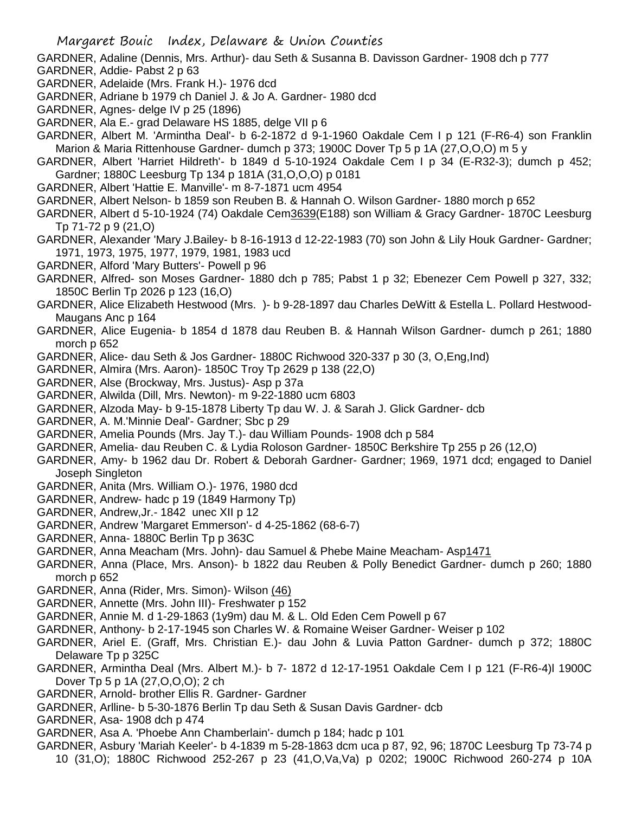GARDNER, Adaline (Dennis, Mrs. Arthur)- dau Seth & Susanna B. Davisson Gardner- 1908 dch p 777 GARDNER, Addie- Pabst 2 p 63

- GARDNER, Adelaide (Mrs. Frank H.)- 1976 dcd
- GARDNER, Adriane b 1979 ch Daniel J. & Jo A. Gardner- 1980 dcd
- GARDNER, Agnes- delge IV p 25 (1896)
- GARDNER, Ala E.- grad Delaware HS 1885, delge VII p 6
- GARDNER, Albert M. 'Armintha Deal'- b 6-2-1872 d 9-1-1960 Oakdale Cem I p 121 (F-R6-4) son Franklin Marion & Maria Rittenhouse Gardner- dumch p 373; 1900C Dover Tp 5 p 1A (27,O,O,O) m 5 y
- GARDNER, Albert 'Harriet Hildreth'- b 1849 d 5-10-1924 Oakdale Cem I p 34 (E-R32-3); dumch p 452; Gardner; 1880C Leesburg Tp 134 p 181A (31,O,O,O) p 0181
- GARDNER, Albert 'Hattie E. Manville'- m 8-7-1871 ucm 4954
- GARDNER, Albert Nelson- b 1859 son Reuben B. & Hannah O. Wilson Gardner- 1880 morch p 652
- GARDNER, Albert d 5-10-1924 (74) Oakdale Cem3639(E188) son William & Gracy Gardner- 1870C Leesburg Tp 71-72 p 9 (21,O)
- GARDNER, Alexander 'Mary J.Bailey- b 8-16-1913 d 12-22-1983 (70) son John & Lily Houk Gardner- Gardner; 1971, 1973, 1975, 1977, 1979, 1981, 1983 ucd
- GARDNER, Alford 'Mary Butters'- Powell p 96
- GARDNER, Alfred- son Moses Gardner- 1880 dch p 785; Pabst 1 p 32; Ebenezer Cem Powell p 327, 332; 1850C Berlin Tp 2026 p 123 (16,O)
- GARDNER, Alice Elizabeth Hestwood (Mrs. )- b 9-28-1897 dau Charles DeWitt & Estella L. Pollard Hestwood-Maugans Anc p 164
- GARDNER, Alice Eugenia- b 1854 d 1878 dau Reuben B. & Hannah Wilson Gardner- dumch p 261; 1880 morch p 652
- GARDNER, Alice- dau Seth & Jos Gardner- 1880C Richwood 320-337 p 30 (3, O,Eng,Ind)
- GARDNER, Almira (Mrs. Aaron)- 1850C Troy Tp 2629 p 138 (22,O)
- GARDNER, Alse (Brockway, Mrs. Justus)- Asp p 37a
- GARDNER, Alwilda (Dill, Mrs. Newton)- m 9-22-1880 ucm 6803
- GARDNER, Alzoda May- b 9-15-1878 Liberty Tp dau W. J. & Sarah J. Glick Gardner- dcb
- GARDNER, A. M.'Minnie Deal'- Gardner; Sbc p 29
- GARDNER, Amelia Pounds (Mrs. Jay T.)- dau William Pounds- 1908 dch p 584
- GARDNER, Amelia- dau Reuben C. & Lydia Roloson Gardner- 1850C Berkshire Tp 255 p 26 (12,O)
- GARDNER, Amy- b 1962 dau Dr. Robert & Deborah Gardner- Gardner; 1969, 1971 dcd; engaged to Daniel Joseph Singleton
- GARDNER, Anita (Mrs. William O.)- 1976, 1980 dcd
- GARDNER, Andrew- hadc p 19 (1849 Harmony Tp)
- GARDNER, Andrew,Jr.- 1842 unec XII p 12
- GARDNER, Andrew 'Margaret Emmerson'- d 4-25-1862 (68-6-7)
- GARDNER, Anna- 1880C Berlin Tp p 363C
- GARDNER, Anna Meacham (Mrs. John)- dau Samuel & Phebe Maine Meacham- Asp1471
- GARDNER, Anna (Place, Mrs. Anson)- b 1822 dau Reuben & Polly Benedict Gardner- dumch p 260; 1880 morch p 652
- GARDNER, Anna (Rider, Mrs. Simon)- Wilson (46)
- GARDNER, Annette (Mrs. John III)- Freshwater p 152
- GARDNER, Annie M. d 1-29-1863 (1y9m) dau M. & L. Old Eden Cem Powell p 67
- GARDNER, Anthony- b 2-17-1945 son Charles W. & Romaine Weiser Gardner- Weiser p 102
- GARDNER, Ariel E. (Graff, Mrs. Christian E.)- dau John & Luvia Patton Gardner- dumch p 372; 1880C Delaware Tp p 325C
- GARDNER, Armintha Deal (Mrs. Albert M.)- b 7- 1872 d 12-17-1951 Oakdale Cem I p 121 (F-R6-4)l 1900C Dover Tp 5 p 1A (27,O,O,O); 2 ch
- GARDNER, Arnold- brother Ellis R. Gardner- Gardner
- GARDNER, Arlline- b 5-30-1876 Berlin Tp dau Seth & Susan Davis Gardner- dcb
- GARDNER, Asa- 1908 dch p 474
- GARDNER, Asa A. 'Phoebe Ann Chamberlain'- dumch p 184; hadc p 101
- GARDNER, Asbury 'Mariah Keeler'- b 4-1839 m 5-28-1863 dcm uca p 87, 92, 96; 1870C Leesburg Tp 73-74 p 10 (31,O); 1880C Richwood 252-267 p 23 (41,O,Va,Va) p 0202; 1900C Richwood 260-274 p 10A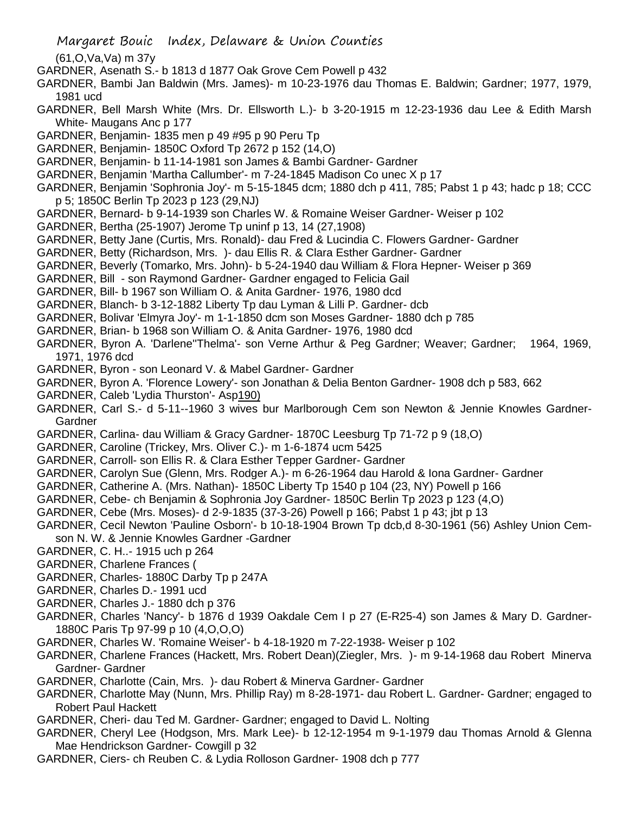(61,O,Va,Va) m 37y

- GARDNER, Asenath S.- b 1813 d 1877 Oak Grove Cem Powell p 432
- GARDNER, Bambi Jan Baldwin (Mrs. James)- m 10-23-1976 dau Thomas E. Baldwin; Gardner; 1977, 1979, 1981 ucd
- GARDNER, Bell Marsh White (Mrs. Dr. Ellsworth L.)- b 3-20-1915 m 12-23-1936 dau Lee & Edith Marsh White- Maugans Anc p 177
- GARDNER, Benjamin- 1835 men p 49 #95 p 90 Peru Tp
- GARDNER, Benjamin- 1850C Oxford Tp 2672 p 152 (14,O)
- GARDNER, Benjamin- b 11-14-1981 son James & Bambi Gardner- Gardner
- GARDNER, Benjamin 'Martha Callumber'- m 7-24-1845 Madison Co unec X p 17
- GARDNER, Benjamin 'Sophronia Joy'- m 5-15-1845 dcm; 1880 dch p 411, 785; Pabst 1 p 43; hadc p 18; CCC p 5; 1850C Berlin Tp 2023 p 123 (29,NJ)
- GARDNER, Bernard- b 9-14-1939 son Charles W. & Romaine Weiser Gardner- Weiser p 102
- GARDNER, Bertha (25-1907) Jerome Tp uninf p 13, 14 (27,1908)
- GARDNER, Betty Jane (Curtis, Mrs. Ronald)- dau Fred & Lucindia C. Flowers Gardner- Gardner
- GARDNER, Betty (Richardson, Mrs. )- dau Ellis R. & Clara Esther Gardner- Gardner
- GARDNER, Beverly (Tomarko, Mrs. John)- b 5-24-1940 dau William & Flora Hepner- Weiser p 369
- GARDNER, Bill son Raymond Gardner- Gardner engaged to Felicia Gail
- GARDNER, Bill- b 1967 son William O. & Anita Gardner- 1976, 1980 dcd
- GARDNER, Blanch- b 3-12-1882 Liberty Tp dau Lyman & Lilli P. Gardner- dcb
- GARDNER, Bolivar 'Elmyra Joy'- m 1-1-1850 dcm son Moses Gardner- 1880 dch p 785
- GARDNER, Brian- b 1968 son William O. & Anita Gardner- 1976, 1980 dcd
- GARDNER, Byron A. 'Darlene''Thelma'- son Verne Arthur & Peg Gardner; Weaver; Gardner; 1964, 1969, 1971, 1976 dcd
- GARDNER, Byron son Leonard V. & Mabel Gardner- Gardner
- GARDNER, Byron A. 'Florence Lowery'- son Jonathan & Delia Benton Gardner- 1908 dch p 583, 662
- GARDNER, Caleb 'Lydia Thurston'- Asp190)
- GARDNER, Carl S.- d 5-11--1960 3 wives bur Marlborough Cem son Newton & Jennie Knowles Gardner-**Gardner**
- GARDNER, Carlina- dau William & Gracy Gardner- 1870C Leesburg Tp 71-72 p 9 (18,O)
- GARDNER, Caroline (Trickey, Mrs. Oliver C.)- m 1-6-1874 ucm 5425
- GARDNER, Carroll- son Ellis R. & Clara Esther Tepper Gardner- Gardner
- GARDNER, Carolyn Sue (Glenn, Mrs. Rodger A.)- m 6-26-1964 dau Harold & Iona Gardner- Gardner
- GARDNER, Catherine A. (Mrs. Nathan)- 1850C Liberty Tp 1540 p 104 (23, NY) Powell p 166
- GARDNER, Cebe- ch Benjamin & Sophronia Joy Gardner- 1850C Berlin Tp 2023 p 123 (4,O)
- GARDNER, Cebe (Mrs. Moses)- d 2-9-1835 (37-3-26) Powell p 166; Pabst 1 p 43; jbt p 13
- GARDNER, Cecil Newton 'Pauline Osborn'- b 10-18-1904 Brown Tp dcb,d 8-30-1961 (56) Ashley Union Cemson N. W. & Jennie Knowles Gardner -Gardner
- GARDNER, C. H..- 1915 uch p 264
- GARDNER, Charlene Frances (
- GARDNER, Charles- 1880C Darby Tp p 247A
- GARDNER, Charles D.- 1991 ucd
- GARDNER, Charles J.- 1880 dch p 376
- GARDNER, Charles 'Nancy'- b 1876 d 1939 Oakdale Cem I p 27 (E-R25-4) son James & Mary D. Gardner-1880C Paris Tp 97-99 p 10 (4,O,O,O)
- GARDNER, Charles W. 'Romaine Weiser'- b 4-18-1920 m 7-22-1938- Weiser p 102
- GARDNER, Charlene Frances (Hackett, Mrs. Robert Dean)(Ziegler, Mrs. )- m 9-14-1968 dau Robert Minerva Gardner- Gardner
- GARDNER, Charlotte (Cain, Mrs. )- dau Robert & Minerva Gardner- Gardner
- GARDNER, Charlotte May (Nunn, Mrs. Phillip Ray) m 8-28-1971- dau Robert L. Gardner- Gardner; engaged to Robert Paul Hackett
- GARDNER, Cheri- dau Ted M. Gardner- Gardner; engaged to David L. Nolting
- GARDNER, Cheryl Lee (Hodgson, Mrs. Mark Lee)- b 12-12-1954 m 9-1-1979 dau Thomas Arnold & Glenna Mae Hendrickson Gardner- Cowgill p 32
- GARDNER, Ciers- ch Reuben C. & Lydia Rolloson Gardner- 1908 dch p 777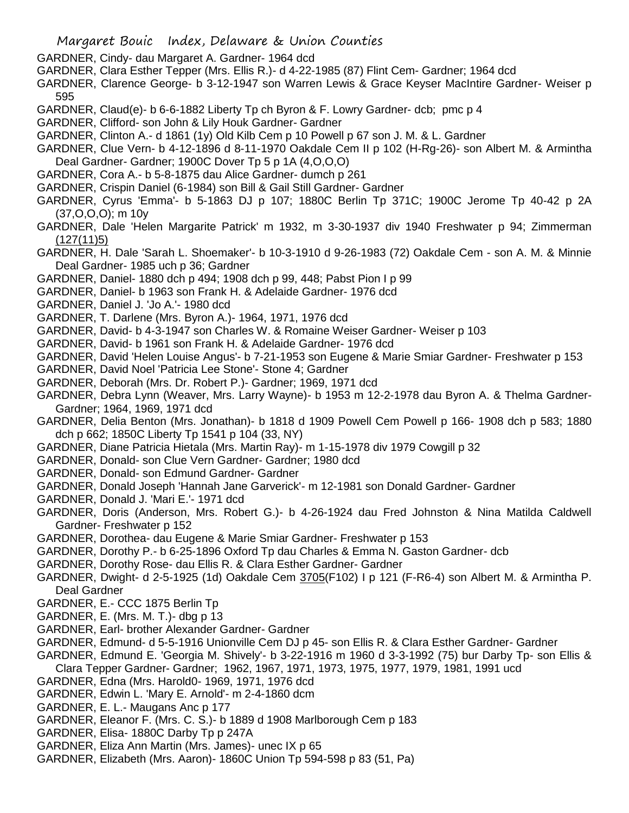- GARDNER, Cindy- dau Margaret A. Gardner- 1964 dcd
- GARDNER, Clara Esther Tepper (Mrs. Ellis R.)- d 4-22-1985 (87) Flint Cem- Gardner; 1964 dcd
- GARDNER, Clarence George- b 3-12-1947 son Warren Lewis & Grace Keyser MacIntire Gardner- Weiser p 595
- GARDNER, Claud(e)- b 6-6-1882 Liberty Tp ch Byron & F. Lowry Gardner- dcb; pmc p 4
- GARDNER, Clifford- son John & Lily Houk Gardner- Gardner
- GARDNER, Clinton A.- d 1861 (1y) Old Kilb Cem p 10 Powell p 67 son J. M. & L. Gardner
- GARDNER, Clue Vern- b 4-12-1896 d 8-11-1970 Oakdale Cem II p 102 (H-Rg-26)- son Albert M. & Armintha Deal Gardner- Gardner; 1900C Dover Tp 5 p 1A (4,O,O,O)
- GARDNER, Cora A.- b 5-8-1875 dau Alice Gardner- dumch p 261
- GARDNER, Crispin Daniel (6-1984) son Bill & Gail Still Gardner- Gardner
- GARDNER, Cyrus 'Emma'- b 5-1863 DJ p 107; 1880C Berlin Tp 371C; 1900C Jerome Tp 40-42 p 2A (37,O,O,O); m 10y
- GARDNER, Dale 'Helen Margarite Patrick' m 1932, m 3-30-1937 div 1940 Freshwater p 94; Zimmerman (127(11)5)
- GARDNER, H. Dale 'Sarah L. Shoemaker'- b 10-3-1910 d 9-26-1983 (72) Oakdale Cem son A. M. & Minnie Deal Gardner- 1985 uch p 36; Gardner
- GARDNER, Daniel- 1880 dch p 494; 1908 dch p 99, 448; Pabst Pion I p 99
- GARDNER, Daniel- b 1963 son Frank H. & Adelaide Gardner- 1976 dcd
- GARDNER, Daniel J. 'Jo A.'- 1980 dcd
- GARDNER, T. Darlene (Mrs. Byron A.)- 1964, 1971, 1976 dcd
- GARDNER, David- b 4-3-1947 son Charles W. & Romaine Weiser Gardner- Weiser p 103
- GARDNER, David- b 1961 son Frank H. & Adelaide Gardner- 1976 dcd
- GARDNER, David 'Helen Louise Angus'- b 7-21-1953 son Eugene & Marie Smiar Gardner- Freshwater p 153
- GARDNER, David Noel 'Patricia Lee Stone'- Stone 4; Gardner
- GARDNER, Deborah (Mrs. Dr. Robert P.)- Gardner; 1969, 1971 dcd
- GARDNER, Debra Lynn (Weaver, Mrs. Larry Wayne)- b 1953 m 12-2-1978 dau Byron A. & Thelma Gardner-Gardner; 1964, 1969, 1971 dcd
- GARDNER, Delia Benton (Mrs. Jonathan)- b 1818 d 1909 Powell Cem Powell p 166- 1908 dch p 583; 1880 dch p 662; 1850C Liberty Tp 1541 p 104 (33, NY)
- GARDNER, Diane Patricia Hietala (Mrs. Martin Ray)- m 1-15-1978 div 1979 Cowgill p 32
- GARDNER, Donald- son Clue Vern Gardner- Gardner; 1980 dcd
- GARDNER, Donald- son Edmund Gardner- Gardner
- GARDNER, Donald Joseph 'Hannah Jane Garverick'- m 12-1981 son Donald Gardner- Gardner
- GARDNER, Donald J. 'Mari E.'- 1971 dcd
- GARDNER, Doris (Anderson, Mrs. Robert G.)- b 4-26-1924 dau Fred Johnston & Nina Matilda Caldwell Gardner- Freshwater p 152
- GARDNER, Dorothea- dau Eugene & Marie Smiar Gardner- Freshwater p 153
- GARDNER, Dorothy P.- b 6-25-1896 Oxford Tp dau Charles & Emma N. Gaston Gardner- dcb
- GARDNER, Dorothy Rose- dau Ellis R. & Clara Esther Gardner- Gardner
- GARDNER, Dwight- d 2-5-1925 (1d) Oakdale Cem 3705(F102) I p 121 (F-R6-4) son Albert M. & Armintha P. Deal Gardner
- GARDNER, E.- CCC 1875 Berlin Tp
- GARDNER, E. (Mrs. M. T.)- dbg p 13
- GARDNER, Earl- brother Alexander Gardner- Gardner
- GARDNER, Edmund- d 5-5-1916 Unionville Cem DJ p 45- son Ellis R. & Clara Esther Gardner- Gardner
- GARDNER, Edmund E. 'Georgia M. Shively'- b 3-22-1916 m 1960 d 3-3-1992 (75) bur Darby Tp- son Ellis & Clara Tepper Gardner- Gardner; 1962, 1967, 1971, 1973, 1975, 1977, 1979, 1981, 1991 ucd
- GARDNER, Edna (Mrs. Harold0- 1969, 1971, 1976 dcd
- GARDNER, Edwin L. 'Mary E. Arnold'- m 2-4-1860 dcm
- GARDNER, E. L.- Maugans Anc p 177
- GARDNER, Eleanor F. (Mrs. C. S.)- b 1889 d 1908 Marlborough Cem p 183
- GARDNER, Elisa- 1880C Darby Tp p 247A
- GARDNER, Eliza Ann Martin (Mrs. James)- unec IX p 65
- GARDNER, Elizabeth (Mrs. Aaron)- 1860C Union Tp 594-598 p 83 (51, Pa)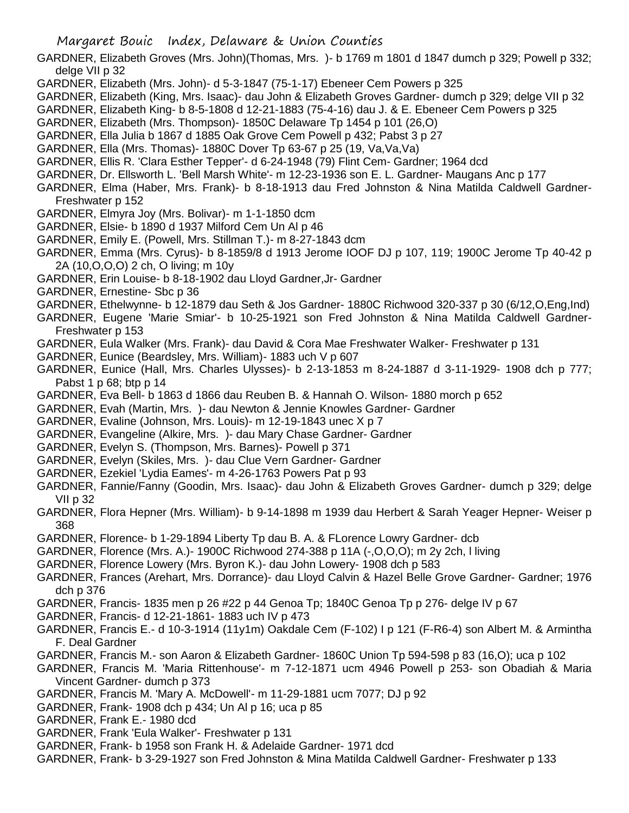- GARDNER, Elizabeth Groves (Mrs. John)(Thomas, Mrs. )- b 1769 m 1801 d 1847 dumch p 329; Powell p 332; delge VII p 32
- GARDNER, Elizabeth (Mrs. John)- d 5-3-1847 (75-1-17) Ebeneer Cem Powers p 325
- GARDNER, Elizabeth (King, Mrs. Isaac)- dau John & Elizabeth Groves Gardner- dumch p 329; delge VII p 32
- GARDNER, Elizabeth King- b 8-5-1808 d 12-21-1883 (75-4-16) dau J. & E. Ebeneer Cem Powers p 325
- GARDNER, Elizabeth (Mrs. Thompson)- 1850C Delaware Tp 1454 p 101 (26,O)
- GARDNER, Ella Julia b 1867 d 1885 Oak Grove Cem Powell p 432; Pabst 3 p 27
- GARDNER, Ella (Mrs. Thomas)- 1880C Dover Tp 63-67 p 25 (19, Va,Va,Va)
- GARDNER, Ellis R. 'Clara Esther Tepper'- d 6-24-1948 (79) Flint Cem- Gardner; 1964 dcd
- GARDNER, Dr. Ellsworth L. 'Bell Marsh White'- m 12-23-1936 son E. L. Gardner- Maugans Anc p 177
- GARDNER, Elma (Haber, Mrs. Frank)- b 8-18-1913 dau Fred Johnston & Nina Matilda Caldwell Gardner-Freshwater p 152
- GARDNER, Elmyra Joy (Mrs. Bolivar)- m 1-1-1850 dcm
- GARDNER, Elsie- b 1890 d 1937 Milford Cem Un Al p 46
- GARDNER, Emily E. (Powell, Mrs. Stillman T.)- m 8-27-1843 dcm
- GARDNER, Emma (Mrs. Cyrus)- b 8-1859/8 d 1913 Jerome IOOF DJ p 107, 119; 1900C Jerome Tp 40-42 p 2A (10,O,O,O) 2 ch, O living; m 10y
- GARDNER, Erin Louise- b 8-18-1902 dau Lloyd Gardner,Jr- Gardner
- GARDNER, Ernestine- Sbc p 36
- GARDNER, Ethelwynne- b 12-1879 dau Seth & Jos Gardner- 1880C Richwood 320-337 p 30 (6/12,O,Eng,Ind)
- GARDNER, Eugene 'Marie Smiar'- b 10-25-1921 son Fred Johnston & Nina Matilda Caldwell Gardner-Freshwater p 153
- GARDNER, Eula Walker (Mrs. Frank)- dau David & Cora Mae Freshwater Walker- Freshwater p 131
- GARDNER, Eunice (Beardsley, Mrs. William)- 1883 uch V p 607
- GARDNER, Eunice (Hall, Mrs. Charles Ulysses)- b 2-13-1853 m 8-24-1887 d 3-11-1929- 1908 dch p 777; Pabst 1 p 68; btp p 14
- GARDNER, Eva Bell- b 1863 d 1866 dau Reuben B. & Hannah O. Wilson- 1880 morch p 652
- GARDNER, Evah (Martin, Mrs. )- dau Newton & Jennie Knowles Gardner- Gardner
- GARDNER, Evaline (Johnson, Mrs. Louis)- m 12-19-1843 unec X p 7
- GARDNER, Evangeline (Alkire, Mrs. )- dau Mary Chase Gardner- Gardner
- GARDNER, Evelyn S. (Thompson, Mrs. Barnes)- Powell p 371
- GARDNER, Evelyn (Skiles, Mrs. )- dau Clue Vern Gardner- Gardner
- GARDNER, Ezekiel 'Lydia Eames'- m 4-26-1763 Powers Pat p 93
- GARDNER, Fannie/Fanny (Goodin, Mrs. Isaac)- dau John & Elizabeth Groves Gardner- dumch p 329; delge VII p 32
- GARDNER, Flora Hepner (Mrs. William)- b 9-14-1898 m 1939 dau Herbert & Sarah Yeager Hepner- Weiser p 368
- GARDNER, Florence- b 1-29-1894 Liberty Tp dau B. A. & FLorence Lowry Gardner- dcb
- GARDNER, Florence (Mrs. A.)- 1900C Richwood 274-388 p 11A (-,O,O,O); m 2y 2ch, l living
- GARDNER, Florence Lowery (Mrs. Byron K.)- dau John Lowery- 1908 dch p 583
- GARDNER, Frances (Arehart, Mrs. Dorrance)- dau Lloyd Calvin & Hazel Belle Grove Gardner- Gardner; 1976 dch p 376
- GARDNER, Francis- 1835 men p 26 #22 p 44 Genoa Tp; 1840C Genoa Tp p 276- delge IV p 67
- GARDNER, Francis- d 12-21-1861- 1883 uch IV p 473
- GARDNER, Francis E.- d 10-3-1914 (11y1m) Oakdale Cem (F-102) I p 121 (F-R6-4) son Albert M. & Armintha F. Deal Gardner
- GARDNER, Francis M.- son Aaron & Elizabeth Gardner- 1860C Union Tp 594-598 p 83 (16,O); uca p 102
- GARDNER, Francis M. 'Maria Rittenhouse'- m 7-12-1871 ucm 4946 Powell p 253- son Obadiah & Maria Vincent Gardner- dumch p 373
- GARDNER, Francis M. 'Mary A. McDowell'- m 11-29-1881 ucm 7077; DJ p 92
- GARDNER, Frank- 1908 dch p 434; Un Al p 16; uca p 85
- GARDNER, Frank E.- 1980 dcd
- GARDNER, Frank 'Eula Walker'- Freshwater p 131
- GARDNER, Frank- b 1958 son Frank H. & Adelaide Gardner- 1971 dcd
- GARDNER, Frank- b 3-29-1927 son Fred Johnston & Mina Matilda Caldwell Gardner- Freshwater p 133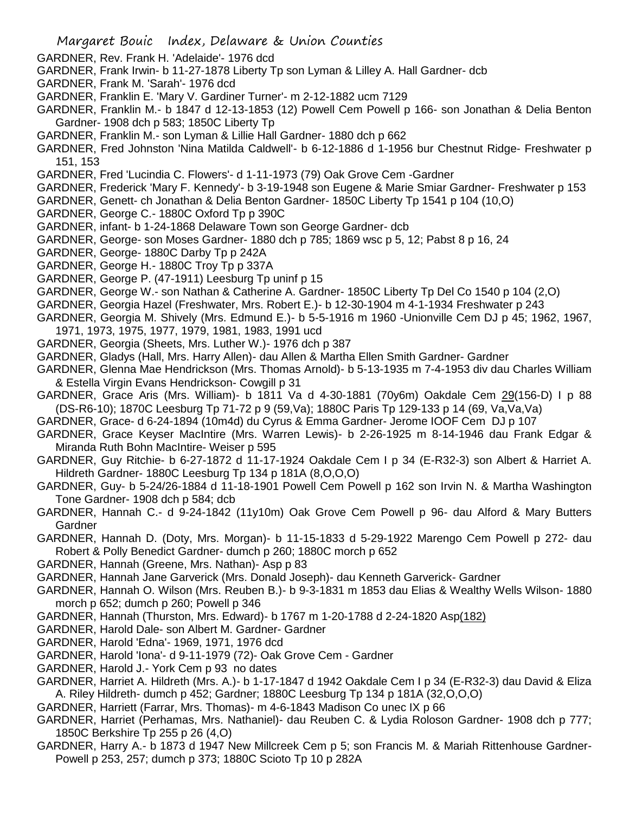- GARDNER, Rev. Frank H. 'Adelaide'- 1976 dcd
- GARDNER, Frank Irwin- b 11-27-1878 Liberty Tp son Lyman & Lilley A. Hall Gardner- dcb
- GARDNER, Frank M. 'Sarah'- 1976 dcd
- GARDNER, Franklin E. 'Mary V. Gardiner Turner'- m 2-12-1882 ucm 7129
- GARDNER, Franklin M.- b 1847 d 12-13-1853 (12) Powell Cem Powell p 166- son Jonathan & Delia Benton Gardner- 1908 dch p 583; 1850C Liberty Tp
- GARDNER, Franklin M.- son Lyman & Lillie Hall Gardner- 1880 dch p 662
- GARDNER, Fred Johnston 'Nina Matilda Caldwell'- b 6-12-1886 d 1-1956 bur Chestnut Ridge- Freshwater p 151, 153
- GARDNER, Fred 'Lucindia C. Flowers'- d 1-11-1973 (79) Oak Grove Cem -Gardner
- GARDNER, Frederick 'Mary F. Kennedy'- b 3-19-1948 son Eugene & Marie Smiar Gardner- Freshwater p 153
- GARDNER, Genett- ch Jonathan & Delia Benton Gardner- 1850C Liberty Tp 1541 p 104 (10,O)
- GARDNER, George C.- 1880C Oxford Tp p 390C
- GARDNER, infant- b 1-24-1868 Delaware Town son George Gardner- dcb
- GARDNER, George- son Moses Gardner- 1880 dch p 785; 1869 wsc p 5, 12; Pabst 8 p 16, 24
- GARDNER, George- 1880C Darby Tp p 242A
- GARDNER, George H.- 1880C Troy Tp p 337A
- GARDNER, George P. (47-1911) Leesburg Tp uninf p 15
- GARDNER, George W.- son Nathan & Catherine A. Gardner- 1850C Liberty Tp Del Co 1540 p 104 (2,O)
- GARDNER, Georgia Hazel (Freshwater, Mrs. Robert E.)- b 12-30-1904 m 4-1-1934 Freshwater p 243
- GARDNER, Georgia M. Shively (Mrs. Edmund E.)- b 5-5-1916 m 1960 -Unionville Cem DJ p 45; 1962, 1967, 1971, 1973, 1975, 1977, 1979, 1981, 1983, 1991 ucd
- GARDNER, Georgia (Sheets, Mrs. Luther W.)- 1976 dch p 387
- GARDNER, Gladys (Hall, Mrs. Harry Allen)- dau Allen & Martha Ellen Smith Gardner- Gardner
- GARDNER, Glenna Mae Hendrickson (Mrs. Thomas Arnold)- b 5-13-1935 m 7-4-1953 div dau Charles William & Estella Virgin Evans Hendrickson- Cowgill p 31
- GARDNER, Grace Aris (Mrs. William)- b 1811 Va d 4-30-1881 (70y6m) Oakdale Cem 29(156-D) I p 88 (DS-R6-10); 1870C Leesburg Tp 71-72 p 9 (59,Va); 1880C Paris Tp 129-133 p 14 (69, Va,Va,Va)
- GARDNER, Grace- d 6-24-1894 (10m4d) du Cyrus & Emma Gardner- Jerome IOOF Cem DJ p 107
- GARDNER, Grace Keyser MacIntire (Mrs. Warren Lewis)- b 2-26-1925 m 8-14-1946 dau Frank Edgar & Miranda Ruth Bohn MacIntire- Weiser p 595
- GARDNER, Guy Ritchie- b 6-27-1872 d 11-17-1924 Oakdale Cem I p 34 (E-R32-3) son Albert & Harriet A. Hildreth Gardner- 1880C Leesburg Tp 134 p 181A (8,O,O,O)
- GARDNER, Guy- b 5-24/26-1884 d 11-18-1901 Powell Cem Powell p 162 son Irvin N. & Martha Washington Tone Gardner- 1908 dch p 584; dcb
- GARDNER, Hannah C.- d 9-24-1842 (11y10m) Oak Grove Cem Powell p 96- dau Alford & Mary Butters **Gardner**
- GARDNER, Hannah D. (Doty, Mrs. Morgan)- b 11-15-1833 d 5-29-1922 Marengo Cem Powell p 272- dau Robert & Polly Benedict Gardner- dumch p 260; 1880C morch p 652
- GARDNER, Hannah (Greene, Mrs. Nathan)- Asp p 83
- GARDNER, Hannah Jane Garverick (Mrs. Donald Joseph)- dau Kenneth Garverick- Gardner
- GARDNER, Hannah O. Wilson (Mrs. Reuben B.)- b 9-3-1831 m 1853 dau Elias & Wealthy Wells Wilson- 1880 morch p 652; dumch p 260; Powell p 346
- GARDNER, Hannah (Thurston, Mrs. Edward)- b 1767 m 1-20-1788 d 2-24-1820 Asp(182)
- GARDNER, Harold Dale- son Albert M. Gardner- Gardner
- GARDNER, Harold 'Edna'- 1969, 1971, 1976 dcd
- GARDNER, Harold 'Iona'- d 9-11-1979 (72)- Oak Grove Cem Gardner
- GARDNER, Harold J.- York Cem p 93 no dates
- GARDNER, Harriet A. Hildreth (Mrs. A.)- b 1-17-1847 d 1942 Oakdale Cem I p 34 (E-R32-3) dau David & Eliza A. Riley Hildreth- dumch p 452; Gardner; 1880C Leesburg Tp 134 p 181A (32,O,O,O)
- GARDNER, Harriett (Farrar, Mrs. Thomas)- m 4-6-1843 Madison Co unec IX p 66
- GARDNER, Harriet (Perhamas, Mrs. Nathaniel)- dau Reuben C. & Lydia Roloson Gardner- 1908 dch p 777; 1850C Berkshire Tp 255 p 26 (4,O)
- GARDNER, Harry A.- b 1873 d 1947 New Millcreek Cem p 5; son Francis M. & Mariah Rittenhouse Gardner-Powell p 253, 257; dumch p 373; 1880C Scioto Tp 10 p 282A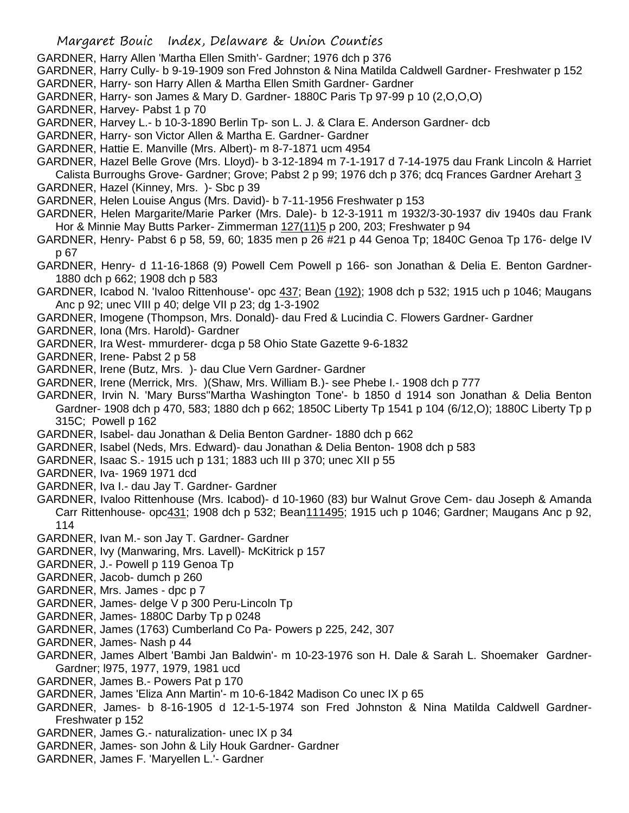- GARDNER, Harry Allen 'Martha Ellen Smith'- Gardner; 1976 dch p 376
- GARDNER, Harry Cully- b 9-19-1909 son Fred Johnston & Nina Matilda Caldwell Gardner- Freshwater p 152
- GARDNER, Harry- son Harry Allen & Martha Ellen Smith Gardner- Gardner
- GARDNER, Harry- son James & Mary D. Gardner- 1880C Paris Tp 97-99 p 10 (2,O,O,O)
- GARDNER, Harvey- Pabst 1 p 70
- GARDNER, Harvey L.- b 10-3-1890 Berlin Tp- son L. J. & Clara E. Anderson Gardner- dcb
- GARDNER, Harry- son Victor Allen & Martha E. Gardner- Gardner
- GARDNER, Hattie E. Manville (Mrs. Albert)- m 8-7-1871 ucm 4954
- GARDNER, Hazel Belle Grove (Mrs. Lloyd)- b 3-12-1894 m 7-1-1917 d 7-14-1975 dau Frank Lincoln & Harriet Calista Burroughs Grove- Gardner; Grove; Pabst 2 p 99; 1976 dch p 376; dcq Frances Gardner Arehart 3 GARDNER, Hazel (Kinney, Mrs. )- Sbc p 39
- GARDNER, Helen Louise Angus (Mrs. David)- b 7-11-1956 Freshwater p 153
- GARDNER, Helen Margarite/Marie Parker (Mrs. Dale)- b 12-3-1911 m 1932/3-30-1937 div 1940s dau Frank Hor & Minnie May Butts Parker- Zimmerman 127(11)5 p 200, 203; Freshwater p 94
- GARDNER, Henry- Pabst 6 p 58, 59, 60; 1835 men p 26 #21 p 44 Genoa Tp; 1840C Genoa Tp 176- delge IV p 67
- GARDNER, Henry- d 11-16-1868 (9) Powell Cem Powell p 166- son Jonathan & Delia E. Benton Gardner-1880 dch p 662; 1908 dch p 583
- GARDNER, Icabod N. 'Ivaloo Rittenhouse'- opc 437; Bean (192); 1908 dch p 532; 1915 uch p 1046; Maugans Anc p 92; unec VIII p 40; delge VII p 23; dg 1-3-1902
- GARDNER, Imogene (Thompson, Mrs. Donald)- dau Fred & Lucindia C. Flowers Gardner- Gardner
- GARDNER, Iona (Mrs. Harold)- Gardner
- GARDNER, Ira West- mmurderer- dcga p 58 Ohio State Gazette 9-6-1832
- GARDNER, Irene- Pabst 2 p 58
- GARDNER, Irene (Butz, Mrs. )- dau Clue Vern Gardner- Gardner
- GARDNER, Irene (Merrick, Mrs. )(Shaw, Mrs. William B.)- see Phebe I.- 1908 dch p 777
- GARDNER, Irvin N. 'Mary Burss''Martha Washington Tone'- b 1850 d 1914 son Jonathan & Delia Benton Gardner- 1908 dch p 470, 583; 1880 dch p 662; 1850C Liberty Tp 1541 p 104 (6/12,O); 1880C Liberty Tp p 315C; Powell p 162
- GARDNER, Isabel- dau Jonathan & Delia Benton Gardner- 1880 dch p 662
- GARDNER, Isabel (Neds, Mrs. Edward)- dau Jonathan & Delia Benton- 1908 dch p 583
- GARDNER, Isaac S.- 1915 uch p 131; 1883 uch III p 370; unec XII p 55
- GARDNER, Iva- 1969 1971 dcd
- GARDNER, Iva I.- dau Jay T. Gardner- Gardner
- GARDNER, Ivaloo Rittenhouse (Mrs. Icabod)- d 10-1960 (83) bur Walnut Grove Cem- dau Joseph & Amanda Carr Rittenhouse- opc 431; 1908 dch p 532; Bean 111495; 1915 uch p 1046; Gardner; Maugans Anc p 92, 114
- GARDNER, Ivan M.- son Jay T. Gardner- Gardner
- GARDNER, Ivy (Manwaring, Mrs. Lavell)- McKitrick p 157
- GARDNER, J.- Powell p 119 Genoa Tp
- GARDNER, Jacob- dumch p 260
- GARDNER, Mrs. James dpc p 7
- GARDNER, James- delge V p 300 Peru-Lincoln Tp
- GARDNER, James- 1880C Darby Tp p 0248
- GARDNER, James (1763) Cumberland Co Pa- Powers p 225, 242, 307
- GARDNER, James- Nash p 44
- GARDNER, James Albert 'Bambi Jan Baldwin'- m 10-23-1976 son H. Dale & Sarah L. Shoemaker Gardner-Gardner; l975, 1977, 1979, 1981 ucd
- GARDNER, James B.- Powers Pat p 170
- GARDNER, James 'Eliza Ann Martin'- m 10-6-1842 Madison Co unec IX p 65
- GARDNER, James- b 8-16-1905 d 12-1-5-1974 son Fred Johnston & Nina Matilda Caldwell Gardner-Freshwater p 152
- GARDNER, James G.- naturalization- unec IX p 34
- GARDNER, James- son John & Lily Houk Gardner- Gardner
- GARDNER, James F. 'Maryellen L.'- Gardner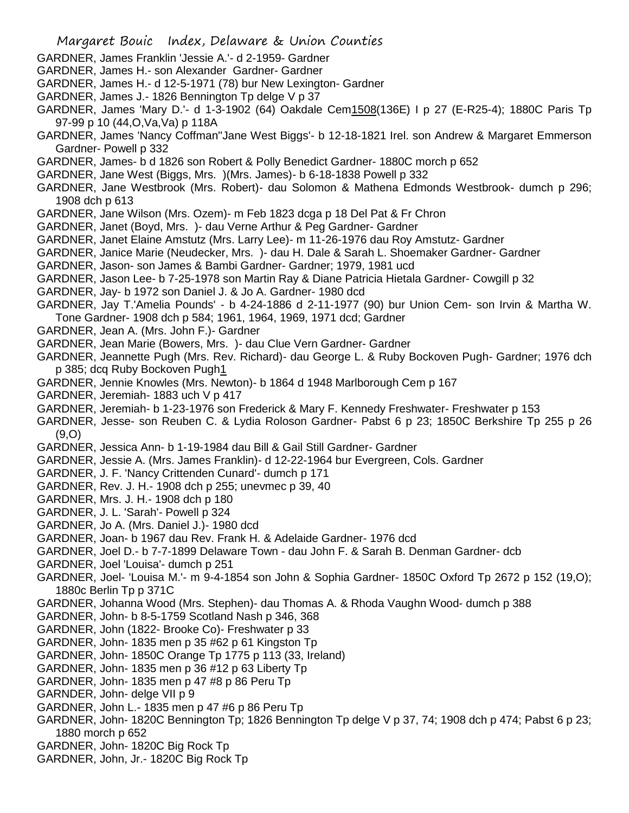- GARDNER, James Franklin 'Jessie A.'- d 2-1959- Gardner
- GARDNER, James H.- son Alexander Gardner- Gardner
- GARDNER, James H.- d 12-5-1971 (78) bur New Lexington- Gardner
- GARDNER, James J.- 1826 Bennington Tp delge V p 37
- GARDNER, James 'Mary D.'- d 1-3-1902 (64) Oakdale Cem1508(136E) I p 27 (E-R25-4); 1880C Paris Tp 97-99 p 10 (44,O,Va,Va) p 118A
- GARDNER, James 'Nancy Coffman''Jane West Biggs'- b 12-18-1821 Irel. son Andrew & Margaret Emmerson Gardner- Powell p 332
- GARDNER, James- b d 1826 son Robert & Polly Benedict Gardner- 1880C morch p 652
- GARDNER, Jane West (Biggs, Mrs. )(Mrs. James)- b 6-18-1838 Powell p 332
- GARDNER, Jane Westbrook (Mrs. Robert)- dau Solomon & Mathena Edmonds Westbrook- dumch p 296; 1908 dch p 613
- GARDNER, Jane Wilson (Mrs. Ozem)- m Feb 1823 dcga p 18 Del Pat & Fr Chron
- GARDNER, Janet (Boyd, Mrs. )- dau Verne Arthur & Peg Gardner- Gardner
- GARDNER, Janet Elaine Amstutz (Mrs. Larry Lee)- m 11-26-1976 dau Roy Amstutz- Gardner
- GARDNER, Janice Marie (Neudecker, Mrs. )- dau H. Dale & Sarah L. Shoemaker Gardner- Gardner
- GARDNER, Jason- son James & Bambi Gardner- Gardner; 1979, 1981 ucd
- GARDNER, Jason Lee- b 7-25-1978 son Martin Ray & Diane Patricia Hietala Gardner- Cowgill p 32
- GARDNER, Jay- b 1972 son Daniel J. & Jo A. Gardner- 1980 dcd
- GARDNER, Jay T.'Amelia Pounds' b 4-24-1886 d 2-11-1977 (90) bur Union Cem- son Irvin & Martha W. Tone Gardner- 1908 dch p 584; 1961, 1964, 1969, 1971 dcd; Gardner
- GARDNER, Jean A. (Mrs. John F.)- Gardner
- GARDNER, Jean Marie (Bowers, Mrs. )- dau Clue Vern Gardner- Gardner
- GARDNER, Jeannette Pugh (Mrs. Rev. Richard)- dau George L. & Ruby Bockoven Pugh- Gardner; 1976 dch p 385; dcq Ruby Bockoven Pugh1
- GARDNER, Jennie Knowles (Mrs. Newton)- b 1864 d 1948 Marlborough Cem p 167
- GARDNER, Jeremiah- 1883 uch V p 417
- GARDNER, Jeremiah- b 1-23-1976 son Frederick & Mary F. Kennedy Freshwater- Freshwater p 153
- GARDNER, Jesse- son Reuben C. & Lydia Roloson Gardner- Pabst 6 p 23; 1850C Berkshire Tp 255 p 26 (9,O)
- GARDNER, Jessica Ann- b 1-19-1984 dau Bill & Gail Still Gardner- Gardner
- GARDNER, Jessie A. (Mrs. James Franklin)- d 12-22-1964 bur Evergreen, Cols. Gardner
- GARDNER, J. F. 'Nancy Crittenden Cunard'- dumch p 171
- GARDNER, Rev. J. H.- 1908 dch p 255; unevmec p 39, 40
- GARDNER, Mrs. J. H.- 1908 dch p 180
- GARDNER, J. L. 'Sarah'- Powell p 324
- GARDNER, Jo A. (Mrs. Daniel J.)- 1980 dcd
- GARDNER, Joan- b 1967 dau Rev. Frank H. & Adelaide Gardner- 1976 dcd
- GARDNER, Joel D.- b 7-7-1899 Delaware Town dau John F. & Sarah B. Denman Gardner- dcb
- GARDNER, Joel 'Louisa'- dumch p 251
- GARDNER, Joel- 'Louisa M.'- m 9-4-1854 son John & Sophia Gardner- 1850C Oxford Tp 2672 p 152 (19,O); 1880c Berlin Tp p 371C
- GARDNER, Johanna Wood (Mrs. Stephen)- dau Thomas A. & Rhoda Vaughn Wood- dumch p 388
- GARDNER, John- b 8-5-1759 Scotland Nash p 346, 368
- GARDNER, John (1822- Brooke Co)- Freshwater p 33
- GARDNER, John- 1835 men p 35 #62 p 61 Kingston Tp
- GARDNER, John- 1850C Orange Tp 1775 p 113 (33, Ireland)
- GARDNER, John- 1835 men p 36 #12 p 63 Liberty Tp
- GARDNER, John- 1835 men p 47 #8 p 86 Peru Tp
- GARNDER, John- delge VII p 9
- GARDNER, John L.- 1835 men p 47 #6 p 86 Peru Tp
- GARDNER, John- 1820C Bennington Tp; 1826 Bennington Tp delge V p 37, 74; 1908 dch p 474; Pabst 6 p 23; 1880 morch p 652
- GARDNER, John- 1820C Big Rock Tp
- GARDNER, John, Jr.- 1820C Big Rock Tp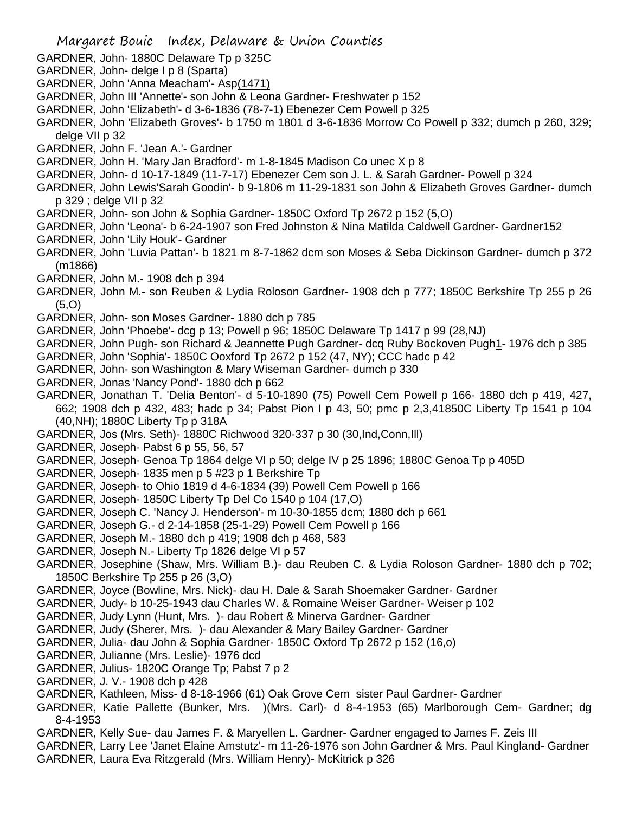- GARDNER, John- 1880C Delaware Tp p 325C
- GARDNER, John- delge I p 8 (Sparta)
- GARDNER, John 'Anna Meacham'- Asp(1471)
- GARDNER, John III 'Annette'- son John & Leona Gardner- Freshwater p 152
- GARDNER, John 'Elizabeth'- d 3-6-1836 (78-7-1) Ebenezer Cem Powell p 325
- GARDNER, John 'Elizabeth Groves'- b 1750 m 1801 d 3-6-1836 Morrow Co Powell p 332; dumch p 260, 329; delge VII p 32
- GARDNER, John F. 'Jean A.'- Gardner
- GARDNER, John H. 'Mary Jan Bradford'- m 1-8-1845 Madison Co unec X p 8
- GARDNER, John- d 10-17-1849 (11-7-17) Ebenezer Cem son J. L. & Sarah Gardner- Powell p 324
- GARDNER, John Lewis'Sarah Goodin'- b 9-1806 m 11-29-1831 son John & Elizabeth Groves Gardner- dumch p 329 ; delge VII p 32
- GARDNER, John- son John & Sophia Gardner- 1850C Oxford Tp 2672 p 152 (5,O)
- GARDNER, John 'Leona'- b 6-24-1907 son Fred Johnston & Nina Matilda Caldwell Gardner- Gardner152
- GARDNER, John 'Lily Houk'- Gardner
- GARDNER, John 'Luvia Pattan'- b 1821 m 8-7-1862 dcm son Moses & Seba Dickinson Gardner- dumch p 372 (m1866)
- GARDNER, John M.- 1908 dch p 394
- GARDNER, John M.- son Reuben & Lydia Roloson Gardner- 1908 dch p 777; 1850C Berkshire Tp 255 p 26 (5,O)
- GARDNER, John- son Moses Gardner- 1880 dch p 785
- GARDNER, John 'Phoebe'- dcg p 13; Powell p 96; 1850C Delaware Tp 1417 p 99 (28,NJ)
- GARDNER, John Pugh- son Richard & Jeannette Pugh Gardner- dcq Ruby Bockoven Pugh1- 1976 dch p 385
- GARDNER, John 'Sophia'- 1850C Ooxford Tp 2672 p 152 (47, NY); CCC hadc p 42
- GARDNER, John- son Washington & Mary Wiseman Gardner- dumch p 330
- GARDNER, Jonas 'Nancy Pond'- 1880 dch p 662
- GARDNER, Jonathan T. 'Delia Benton'- d 5-10-1890 (75) Powell Cem Powell p 166- 1880 dch p 419, 427, 662; 1908 dch p 432, 483; hadc p 34; Pabst Pion I p 43, 50; pmc p 2,3,41850C Liberty Tp 1541 p 104 (40,NH); 1880C Liberty Tp p 318A
- GARDNER, Jos (Mrs. Seth)- 1880C Richwood 320-337 p 30 (30,Ind,Conn,Ill)
- GARDNER, Joseph- Pabst 6 p 55, 56, 57
- GARDNER, Joseph- Genoa Tp 1864 delge VI p 50; delge IV p 25 1896; 1880C Genoa Tp p 405D
- GARDNER, Joseph- 1835 men p 5 #23 p 1 Berkshire Tp
- GARDNER, Joseph- to Ohio 1819 d 4-6-1834 (39) Powell Cem Powell p 166
- GARDNER, Joseph- 1850C Liberty Tp Del Co 1540 p 104 (17,O)
- GARDNER, Joseph C. 'Nancy J. Henderson'- m 10-30-1855 dcm; 1880 dch p 661
- GARDNER, Joseph G.- d 2-14-1858 (25-1-29) Powell Cem Powell p 166
- GARDNER, Joseph M.- 1880 dch p 419; 1908 dch p 468, 583
- GARDNER, Joseph N.- Liberty Tp 1826 delge VI p 57
- GARDNER, Josephine (Shaw, Mrs. William B.)- dau Reuben C. & Lydia Roloson Gardner- 1880 dch p 702; 1850C Berkshire Tp 255 p 26 (3,O)
- GARDNER, Joyce (Bowline, Mrs. Nick)- dau H. Dale & Sarah Shoemaker Gardner- Gardner
- GARDNER, Judy- b 10-25-1943 dau Charles W. & Romaine Weiser Gardner- Weiser p 102
- GARDNER, Judy Lynn (Hunt, Mrs. )- dau Robert & Minerva Gardner- Gardner
- GARDNER, Judy (Sherer, Mrs. )- dau Alexander & Mary Bailey Gardner- Gardner
- GARDNER, Julia- dau John & Sophia Gardner- 1850C Oxford Tp 2672 p 152 (16,o)
- GARDNER, Julianne (Mrs. Leslie)- 1976 dcd
- GARDNER, Julius- 1820C Orange Tp; Pabst 7 p 2
- GARDNER, J. V.- 1908 dch p 428
- GARDNER, Kathleen, Miss- d 8-18-1966 (61) Oak Grove Cem sister Paul Gardner- Gardner
- GARDNER, Katie Pallette (Bunker, Mrs. )(Mrs. Carl)- d 8-4-1953 (65) Marlborough Cem- Gardner; dg 8-4-1953
- GARDNER, Kelly Sue- dau James F. & Maryellen L. Gardner- Gardner engaged to James F. Zeis III
- GARDNER, Larry Lee 'Janet Elaine Amstutz'- m 11-26-1976 son John Gardner & Mrs. Paul Kingland- Gardner GARDNER, Laura Eva Ritzgerald (Mrs. William Henry)- McKitrick p 326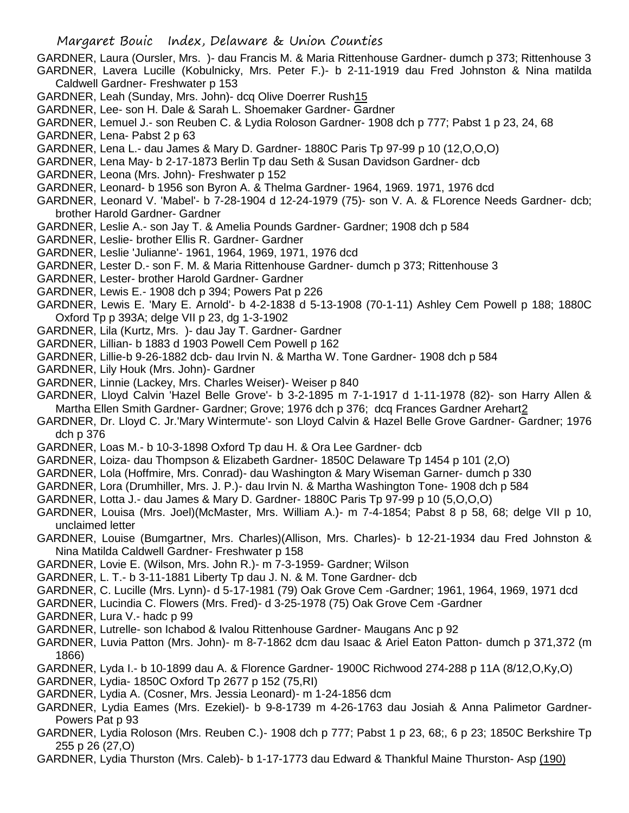GARDNER, Laura (Oursler, Mrs. )- dau Francis M. & Maria Rittenhouse Gardner- dumch p 373; Rittenhouse 3 GARDNER, Lavera Lucille (Kobulnicky, Mrs. Peter F.)- b 2-11-1919 dau Fred Johnston & Nina matilda Caldwell Gardner- Freshwater p 153

- GARDNER, Leah (Sunday, Mrs. John)- dcq Olive Doerrer Rush15
- GARDNER, Lee- son H. Dale & Sarah L. Shoemaker Gardner- Gardner
- GARDNER, Lemuel J.- son Reuben C. & Lydia Roloson Gardner- 1908 dch p 777; Pabst 1 p 23, 24, 68
- GARDNER, Lena- Pabst 2 p 63
- GARDNER, Lena L.- dau James & Mary D. Gardner- 1880C Paris Tp 97-99 p 10 (12,O,O,O)
- GARDNER, Lena May- b 2-17-1873 Berlin Tp dau Seth & Susan Davidson Gardner- dcb
- GARDNER, Leona (Mrs. John)- Freshwater p 152
- GARDNER, Leonard- b 1956 son Byron A. & Thelma Gardner- 1964, 1969. 1971, 1976 dcd
- GARDNER, Leonard V. 'Mabel'- b 7-28-1904 d 12-24-1979 (75)- son V. A. & FLorence Needs Gardner- dcb; brother Harold Gardner- Gardner
- GARDNER, Leslie A.- son Jay T. & Amelia Pounds Gardner- Gardner; 1908 dch p 584
- GARDNER, Leslie- brother Ellis R. Gardner- Gardner
- GARDNER, Leslie 'Julianne'- 1961, 1964, 1969, 1971, 1976 dcd
- GARDNER, Lester D.- son F. M. & Maria Rittenhouse Gardner- dumch p 373; Rittenhouse 3
- GARDNER, Lester- brother Harold Gardner- Gardner
- GARDNER, Lewis E.- 1908 dch p 394; Powers Pat p 226
- GARDNER, Lewis E. 'Mary E. Arnold'- b 4-2-1838 d 5-13-1908 (70-1-11) Ashley Cem Powell p 188; 1880C Oxford Tp p 393A; delge VII p 23, dg 1-3-1902
- GARDNER, Lila (Kurtz, Mrs. )- dau Jay T. Gardner- Gardner
- GARDNER, Lillian- b 1883 d 1903 Powell Cem Powell p 162
- GARDNER, Lillie-b 9-26-1882 dcb- dau Irvin N. & Martha W. Tone Gardner- 1908 dch p 584
- GARDNER, Lily Houk (Mrs. John)- Gardner
- GARDNER, Linnie (Lackey, Mrs. Charles Weiser)- Weiser p 840
- GARDNER, Lloyd Calvin 'Hazel Belle Grove'- b 3-2-1895 m 7-1-1917 d 1-11-1978 (82)- son Harry Allen & Martha Ellen Smith Gardner- Gardner; Grove; 1976 dch p 376; dcq Frances Gardner Arehart2
- GARDNER, Dr. Lloyd C. Jr.'Mary Wintermute'- son Lloyd Calvin & Hazel Belle Grove Gardner- Gardner; 1976 dch p 376
- GARDNER, Loas M.- b 10-3-1898 Oxford Tp dau H. & Ora Lee Gardner- dcb
- GARDNER, Loiza- dau Thompson & Elizabeth Gardner- 1850C Delaware Tp 1454 p 101 (2,O)
- GARDNER, Lola (Hoffmire, Mrs. Conrad)- dau Washington & Mary Wiseman Garner- dumch p 330
- GARDNER, Lora (Drumhiller, Mrs. J. P.)- dau Irvin N. & Martha Washington Tone- 1908 dch p 584
- GARDNER, Lotta J.- dau James & Mary D. Gardner- 1880C Paris Tp 97-99 p 10 (5,O,O,O)
- GARDNER, Louisa (Mrs. Joel)(McMaster, Mrs. William A.)- m 7-4-1854; Pabst 8 p 58, 68; delge VII p 10, unclaimed letter
- GARDNER, Louise (Bumgartner, Mrs. Charles)(Allison, Mrs. Charles)- b 12-21-1934 dau Fred Johnston & Nina Matilda Caldwell Gardner- Freshwater p 158
- GARDNER, Lovie E. (Wilson, Mrs. John R.)- m 7-3-1959- Gardner; Wilson
- GARDNER, L. T.- b 3-11-1881 Liberty Tp dau J. N. & M. Tone Gardner- dcb
- GARDNER, C. Lucille (Mrs. Lynn)- d 5-17-1981 (79) Oak Grove Cem -Gardner; 1961, 1964, 1969, 1971 dcd
- GARDNER, Lucindia C. Flowers (Mrs. Fred)- d 3-25-1978 (75) Oak Grove Cem -Gardner
- GARDNER, Lura V.- hadc p 99
- GARDNER, Lutrelle- son Ichabod & Ivalou Rittenhouse Gardner- Maugans Anc p 92
- GARDNER, Luvia Patton (Mrs. John)- m 8-7-1862 dcm dau Isaac & Ariel Eaton Patton- dumch p 371,372 (m 1866)
- GARDNER, Lyda I.- b 10-1899 dau A. & Florence Gardner- 1900C Richwood 274-288 p 11A (8/12,O,Ky,O)
- GARDNER, Lydia- 1850C Oxford Tp 2677 p 152 (75,RI)
- GARDNER, Lydia A. (Cosner, Mrs. Jessia Leonard)- m 1-24-1856 dcm
- GARDNER, Lydia Eames (Mrs. Ezekiel)- b 9-8-1739 m 4-26-1763 dau Josiah & Anna Palimetor Gardner-Powers Pat p 93
- GARDNER, Lydia Roloson (Mrs. Reuben C.)- 1908 dch p 777; Pabst 1 p 23, 68;, 6 p 23; 1850C Berkshire Tp 255 p 26 (27,O)
- GARDNER, Lydia Thurston (Mrs. Caleb)- b 1-17-1773 dau Edward & Thankful Maine Thurston- Asp (190)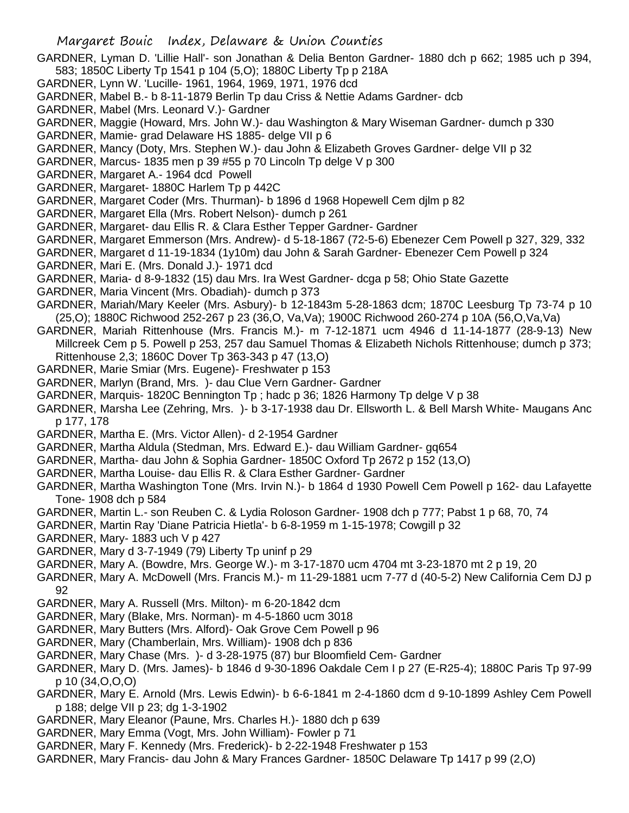- GARDNER, Lyman D. 'Lillie Hall'- son Jonathan & Delia Benton Gardner- 1880 dch p 662; 1985 uch p 394, 583; 1850C Liberty Tp 1541 p 104 (5,O); 1880C Liberty Tp p 218A
- GARDNER, Lynn W. 'Lucille- 1961, 1964, 1969, 1971, 1976 dcd
- GARDNER, Mabel B.- b 8-11-1879 Berlin Tp dau Criss & Nettie Adams Gardner- dcb
- GARDNER, Mabel (Mrs. Leonard V.)- Gardner
- GARDNER, Maggie (Howard, Mrs. John W.)- dau Washington & Mary Wiseman Gardner- dumch p 330
- GARDNER, Mamie- grad Delaware HS 1885- delge VII p 6
- GARDNER, Mancy (Doty, Mrs. Stephen W.)- dau John & Elizabeth Groves Gardner- delge VII p 32
- GARDNER, Marcus- 1835 men p 39 #55 p 70 Lincoln Tp delge V p 300
- GARDNER, Margaret A.- 1964 dcd Powell
- GARDNER, Margaret- 1880C Harlem Tp p 442C
- GARDNER, Margaret Coder (Mrs. Thurman)- b 1896 d 1968 Hopewell Cem djlm p 82
- GARDNER, Margaret Ella (Mrs. Robert Nelson)- dumch p 261
- GARDNER, Margaret- dau Ellis R. & Clara Esther Tepper Gardner- Gardner
- GARDNER, Margaret Emmerson (Mrs. Andrew)- d 5-18-1867 (72-5-6) Ebenezer Cem Powell p 327, 329, 332
- GARDNER, Margaret d 11-19-1834 (1y10m) dau John & Sarah Gardner- Ebenezer Cem Powell p 324
- GARDNER, Mari E. (Mrs. Donald J.)- 1971 dcd
- GARDNER, Maria- d 8-9-1832 (15) dau Mrs. Ira West Gardner- dcga p 58; Ohio State Gazette
- GARDNER, Maria Vincent (Mrs. Obadiah)- dumch p 373
- GARDNER, Mariah/Mary Keeler (Mrs. Asbury)- b 12-1843m 5-28-1863 dcm; 1870C Leesburg Tp 73-74 p 10 (25,O); 1880C Richwood 252-267 p 23 (36,O, Va,Va); 1900C Richwood 260-274 p 10A (56,O,Va,Va)
- GARDNER, Mariah Rittenhouse (Mrs. Francis M.)- m 7-12-1871 ucm 4946 d 11-14-1877 (28-9-13) New Millcreek Cem p 5. Powell p 253, 257 dau Samuel Thomas & Elizabeth Nichols Rittenhouse; dumch p 373; Rittenhouse 2,3; 1860C Dover Tp 363-343 p 47 (13,O)
- GARDNER, Marie Smiar (Mrs. Eugene)- Freshwater p 153
- GARDNER, Marlyn (Brand, Mrs. )- dau Clue Vern Gardner- Gardner
- GARDNER, Marquis- 1820C Bennington Tp ; hadc p 36; 1826 Harmony Tp delge V p 38
- GARDNER, Marsha Lee (Zehring, Mrs. )- b 3-17-1938 dau Dr. Ellsworth L. & Bell Marsh White- Maugans Anc p 177, 178
- GARDNER, Martha E. (Mrs. Victor Allen)- d 2-1954 Gardner
- GARDNER, Martha Aldula (Stedman, Mrs. Edward E.)- dau William Gardner- gq654
- GARDNER, Martha- dau John & Sophia Gardner- 1850C Oxford Tp 2672 p 152 (13,O)
- GARDNER, Martha Louise- dau Ellis R. & Clara Esther Gardner- Gardner
- GARDNER, Martha Washington Tone (Mrs. Irvin N.)- b 1864 d 1930 Powell Cem Powell p 162- dau Lafayette Tone- 1908 dch p 584
- GARDNER, Martin L.- son Reuben C. & Lydia Roloson Gardner- 1908 dch p 777; Pabst 1 p 68, 70, 74
- GARDNER, Martin Ray 'Diane Patricia Hietla'- b 6-8-1959 m 1-15-1978; Cowgill p 32
- GARDNER, Mary- 1883 uch V p 427
- GARDNER, Mary d 3-7-1949 (79) Liberty Tp uninf p 29
- GARDNER, Mary A. (Bowdre, Mrs. George W.)- m 3-17-1870 ucm 4704 mt 3-23-1870 mt 2 p 19, 20
- GARDNER, Mary A. McDowell (Mrs. Francis M.)- m 11-29-1881 ucm 7-77 d (40-5-2) New California Cem DJ p 92
- GARDNER, Mary A. Russell (Mrs. Milton)- m 6-20-1842 dcm
- GARDNER, Mary (Blake, Mrs. Norman)- m 4-5-1860 ucm 3018
- GARDNER, Mary Butters (Mrs. Alford)- Oak Grove Cem Powell p 96
- GARDNER, Mary (Chamberlain, Mrs. William)- 1908 dch p 836
- GARDNER, Mary Chase (Mrs. )- d 3-28-1975 (87) bur Bloomfield Cem- Gardner
- GARDNER, Mary D. (Mrs. James)- b 1846 d 9-30-1896 Oakdale Cem I p 27 (E-R25-4); 1880C Paris Tp 97-99 p 10 (34,O,O,O)
- GARDNER, Mary E. Arnold (Mrs. Lewis Edwin)- b 6-6-1841 m 2-4-1860 dcm d 9-10-1899 Ashley Cem Powell p 188; delge VII p 23; dg 1-3-1902
- GARDNER, Mary Eleanor (Paune, Mrs. Charles H.)- 1880 dch p 639
- GARDNER, Mary Emma (Vogt, Mrs. John William)- Fowler p 71
- GARDNER, Mary F. Kennedy (Mrs. Frederick)- b 2-22-1948 Freshwater p 153
- GARDNER, Mary Francis- dau John & Mary Frances Gardner- 1850C Delaware Tp 1417 p 99 (2,O)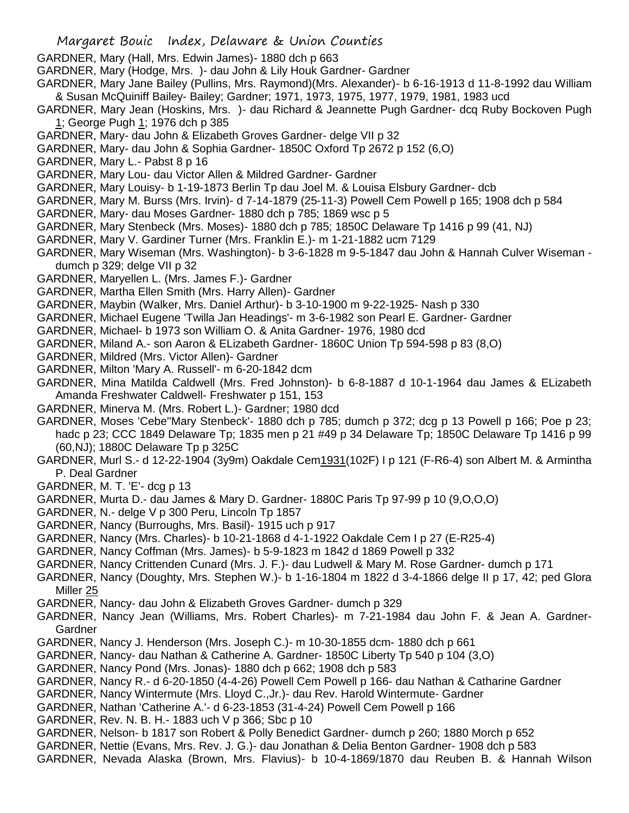GARDNER, Mary (Hall, Mrs. Edwin James)- 1880 dch p 663

GARDNER, Mary (Hodge, Mrs. )- dau John & Lily Houk Gardner- Gardner

GARDNER, Mary Jane Bailey (Pullins, Mrs. Raymond)(Mrs. Alexander)- b 6-16-1913 d 11-8-1992 dau William & Susan McQuiniff Bailey- Bailey; Gardner; 1971, 1973, 1975, 1977, 1979, 1981, 1983 ucd

GARDNER, Mary Jean (Hoskins, Mrs. )- dau Richard & Jeannette Pugh Gardner- dcq Ruby Bockoven Pugh 1; George Pugh 1; 1976 dch p 385

- GARDNER, Mary- dau John & Elizabeth Groves Gardner- delge VII p 32
- GARDNER, Mary- dau John & Sophia Gardner- 1850C Oxford Tp 2672 p 152 (6,O)
- GARDNER, Mary L.- Pabst 8 p 16
- GARDNER, Mary Lou- dau Victor Allen & Mildred Gardner- Gardner
- GARDNER, Mary Louisy- b 1-19-1873 Berlin Tp dau Joel M. & Louisa Elsbury Gardner- dcb
- GARDNER, Mary M. Burss (Mrs. Irvin)- d 7-14-1879 (25-11-3) Powell Cem Powell p 165; 1908 dch p 584
- GARDNER, Mary- dau Moses Gardner- 1880 dch p 785; 1869 wsc p 5
- GARDNER, Mary Stenbeck (Mrs. Moses)- 1880 dch p 785; 1850C Delaware Tp 1416 p 99 (41, NJ)
- GARDNER, Mary V. Gardiner Turner (Mrs. Franklin E.)- m 1-21-1882 ucm 7129
- GARDNER, Mary Wiseman (Mrs. Washington)- b 3-6-1828 m 9-5-1847 dau John & Hannah Culver Wiseman dumch p 329; delge VII p 32
- GARDNER, Maryellen L. (Mrs. James F.)- Gardner
- GARDNER, Martha Ellen Smith (Mrs. Harry Allen)- Gardner
- GARDNER, Maybin (Walker, Mrs. Daniel Arthur)- b 3-10-1900 m 9-22-1925- Nash p 330
- GARDNER, Michael Eugene 'Twilla Jan Headings'- m 3-6-1982 son Pearl E. Gardner- Gardner
- GARDNER, Michael- b 1973 son William O. & Anita Gardner- 1976, 1980 dcd
- GARDNER, Miland A.- son Aaron & ELizabeth Gardner- 1860C Union Tp 594-598 p 83 (8,O)
- GARDNER, Mildred (Mrs. Victor Allen)- Gardner
- GARDNER, Milton 'Mary A. Russell'- m 6-20-1842 dcm
- GARDNER, Mina Matilda Caldwell (Mrs. Fred Johnston)- b 6-8-1887 d 10-1-1964 dau James & ELizabeth Amanda Freshwater Caldwell- Freshwater p 151, 153
- GARDNER, Minerva M. (Mrs. Robert L.)- Gardner; 1980 dcd
- GARDNER, Moses 'Cebe''Mary Stenbeck'- 1880 dch p 785; dumch p 372; dcg p 13 Powell p 166; Poe p 23; hadc p 23; CCC 1849 Delaware Tp; 1835 men p 21 #49 p 34 Delaware Tp; 1850C Delaware Tp 1416 p 99 (60,NJ); 1880C Delaware Tp p 325C
- GARDNER, Murl S.- d 12-22-1904 (3y9m) Oakdale Cem1931(102F) I p 121 (F-R6-4) son Albert M. & Armintha P. Deal Gardner
- GARDNER, M. T. 'E'- dcg p 13
- GARDNER, Murta D.- dau James & Mary D. Gardner- 1880C Paris Tp 97-99 p 10 (9,O,O,O)
- GARDNER, N.- delge V p 300 Peru, Lincoln Tp 1857
- GARDNER, Nancy (Burroughs, Mrs. Basil)- 1915 uch p 917
- GARDNER, Nancy (Mrs. Charles)- b 10-21-1868 d 4-1-1922 Oakdale Cem I p 27 (E-R25-4)
- GARDNER, Nancy Coffman (Mrs. James)- b 5-9-1823 m 1842 d 1869 Powell p 332
- GARDNER, Nancy Crittenden Cunard (Mrs. J. F.)- dau Ludwell & Mary M. Rose Gardner- dumch p 171
- GARDNER, Nancy (Doughty, Mrs. Stephen W.)- b 1-16-1804 m 1822 d 3-4-1866 delge II p 17, 42; ped Glora Miller 25
- GARDNER, Nancy- dau John & Elizabeth Groves Gardner- dumch p 329
- GARDNER, Nancy Jean (Williams, Mrs. Robert Charles)- m 7-21-1984 dau John F. & Jean A. Gardner-Gardner
- GARDNER, Nancy J. Henderson (Mrs. Joseph C.)- m 10-30-1855 dcm- 1880 dch p 661
- GARDNER, Nancy- dau Nathan & Catherine A. Gardner- 1850C Liberty Tp 540 p 104 (3,O)
- GARDNER, Nancy Pond (Mrs. Jonas)- 1880 dch p 662; 1908 dch p 583
- GARDNER, Nancy R.- d 6-20-1850 (4-4-26) Powell Cem Powell p 166- dau Nathan & Catharine Gardner
- GARDNER, Nancy Wintermute (Mrs. Lloyd C.,Jr.)- dau Rev. Harold Wintermute- Gardner
- GARDNER, Nathan 'Catherine A.'- d 6-23-1853 (31-4-24) Powell Cem Powell p 166
- GARDNER, Rev. N. B. H.- 1883 uch V p 366; Sbc p 10
- GARDNER, Nelson- b 1817 son Robert & Polly Benedict Gardner- dumch p 260; 1880 Morch p 652
- GARDNER, Nettie (Evans, Mrs. Rev. J. G.)- dau Jonathan & Delia Benton Gardner- 1908 dch p 583
- GARDNER, Nevada Alaska (Brown, Mrs. Flavius)- b 10-4-1869/1870 dau Reuben B. & Hannah Wilson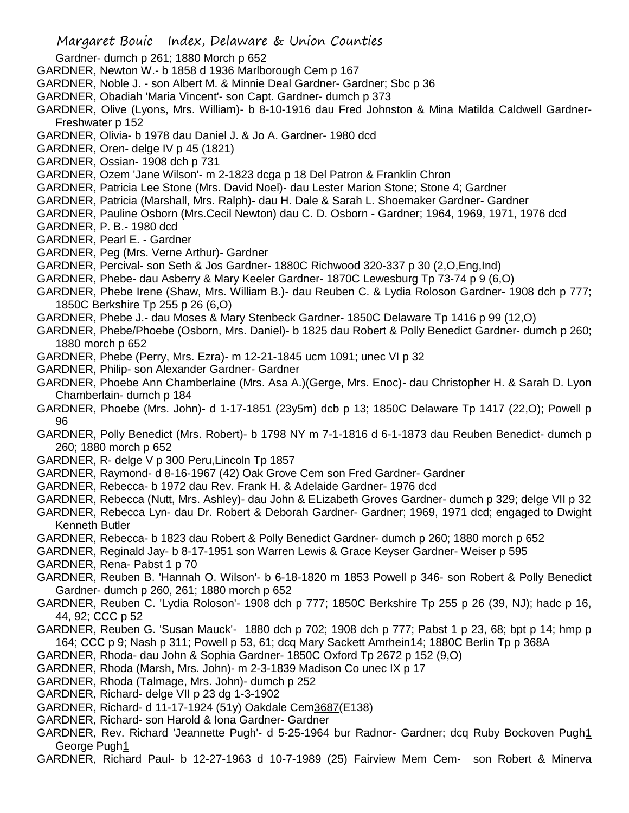- Gardner- dumch p 261; 1880 Morch p 652
- GARDNER, Newton W.- b 1858 d 1936 Marlborough Cem p 167
- GARDNER, Noble J. son Albert M. & Minnie Deal Gardner- Gardner; Sbc p 36
- GARDNER, Obadiah 'Maria Vincent'- son Capt. Gardner- dumch p 373
- GARDNER, Olive (Lyons, Mrs. William)- b 8-10-1916 dau Fred Johnston & Mina Matilda Caldwell Gardner-Freshwater p 152
- GARDNER, Olivia- b 1978 dau Daniel J. & Jo A. Gardner- 1980 dcd
- GARDNER, Oren- delge IV p 45 (1821)
- GARDNER, Ossian- 1908 dch p 731
- GARDNER, Ozem 'Jane Wilson'- m 2-1823 dcga p 18 Del Patron & Franklin Chron
- GARDNER, Patricia Lee Stone (Mrs. David Noel)- dau Lester Marion Stone; Stone 4; Gardner
- GARDNER, Patricia (Marshall, Mrs. Ralph)- dau H. Dale & Sarah L. Shoemaker Gardner- Gardner
- GARDNER, Pauline Osborn (Mrs.Cecil Newton) dau C. D. Osborn Gardner; 1964, 1969, 1971, 1976 dcd
- GARDNER, P. B.- 1980 dcd
- GARDNER, Pearl E. Gardner
- GARDNER, Peg (Mrs. Verne Arthur)- Gardner
- GARDNER, Percival- son Seth & Jos Gardner- 1880C Richwood 320-337 p 30 (2,O,Eng,Ind)
- GARDNER, Phebe- dau Asberry & Mary Keeler Gardner- 1870C Lewesburg Tp 73-74 p 9 (6,O)
- GARDNER, Phebe Irene (Shaw, Mrs. William B.)- dau Reuben C. & Lydia Roloson Gardner- 1908 dch p 777; 1850C Berkshire Tp 255 p 26 (6,O)
- GARDNER, Phebe J.- dau Moses & Mary Stenbeck Gardner- 1850C Delaware Tp 1416 p 99 (12,O)
- GARDNER, Phebe/Phoebe (Osborn, Mrs. Daniel)- b 1825 dau Robert & Polly Benedict Gardner- dumch p 260; 1880 morch p 652
- GARDNER, Phebe (Perry, Mrs. Ezra)- m 12-21-1845 ucm 1091; unec VI p 32
- GARDNER, Philip- son Alexander Gardner- Gardner
- GARDNER, Phoebe Ann Chamberlaine (Mrs. Asa A.)(Gerge, Mrs. Enoc)- dau Christopher H. & Sarah D. Lyon Chamberlain- dumch p 184
- GARDNER, Phoebe (Mrs. John)- d 1-17-1851 (23y5m) dcb p 13; 1850C Delaware Tp 1417 (22,O); Powell p 96
- GARDNER, Polly Benedict (Mrs. Robert)- b 1798 NY m 7-1-1816 d 6-1-1873 dau Reuben Benedict- dumch p 260; 1880 morch p 652
- GARDNER, R- delge V p 300 Peru,Lincoln Tp 1857
- GARDNER, Raymond- d 8-16-1967 (42) Oak Grove Cem son Fred Gardner- Gardner
- GARDNER, Rebecca- b 1972 dau Rev. Frank H. & Adelaide Gardner- 1976 dcd
- GARDNER, Rebecca (Nutt, Mrs. Ashley)- dau John & ELizabeth Groves Gardner- dumch p 329; delge VII p 32
- GARDNER, Rebecca Lyn- dau Dr. Robert & Deborah Gardner- Gardner; 1969, 1971 dcd; engaged to Dwight Kenneth Butler
- GARDNER, Rebecca- b 1823 dau Robert & Polly Benedict Gardner- dumch p 260; 1880 morch p 652
- GARDNER, Reginald Jay- b 8-17-1951 son Warren Lewis & Grace Keyser Gardner- Weiser p 595
- GARDNER, Rena- Pabst 1 p 70
- GARDNER, Reuben B. 'Hannah O. Wilson'- b 6-18-1820 m 1853 Powell p 346- son Robert & Polly Benedict Gardner- dumch p 260, 261; 1880 morch p 652
- GARDNER, Reuben C. 'Lydia Roloson'- 1908 dch p 777; 1850C Berkshire Tp 255 p 26 (39, NJ); hadc p 16, 44, 92; CCC p 52
- GARDNER, Reuben G. 'Susan Mauck'- 1880 dch p 702; 1908 dch p 777; Pabst 1 p 23, 68; bpt p 14; hmp p 164; CCC p 9; Nash p 311; Powell p 53, 61; dcq Mary Sackett Amrhein14; 1880C Berlin Tp p 368A
- GARDNER, Rhoda- dau John & Sophia Gardner- 1850C Oxford Tp 2672 p 152 (9,O)
- GARDNER, Rhoda (Marsh, Mrs. John)- m 2-3-1839 Madison Co unec IX p 17
- GARDNER, Rhoda (Talmage, Mrs. John)- dumch p 252
- GARDNER, Richard- delge VII p 23 dg 1-3-1902
- GARDNER, Richard- d 11-17-1924 (51y) Oakdale Cem3687(E138)
- GARDNER, Richard- son Harold & Iona Gardner- Gardner
- GARDNER, Rev. Richard 'Jeannette Pugh'- d 5-25-1964 bur Radnor- Gardner; dcq Ruby Bockoven Pugh1 George Pugh1
- GARDNER, Richard Paul- b 12-27-1963 d 10-7-1989 (25) Fairview Mem Cem- son Robert & Minerva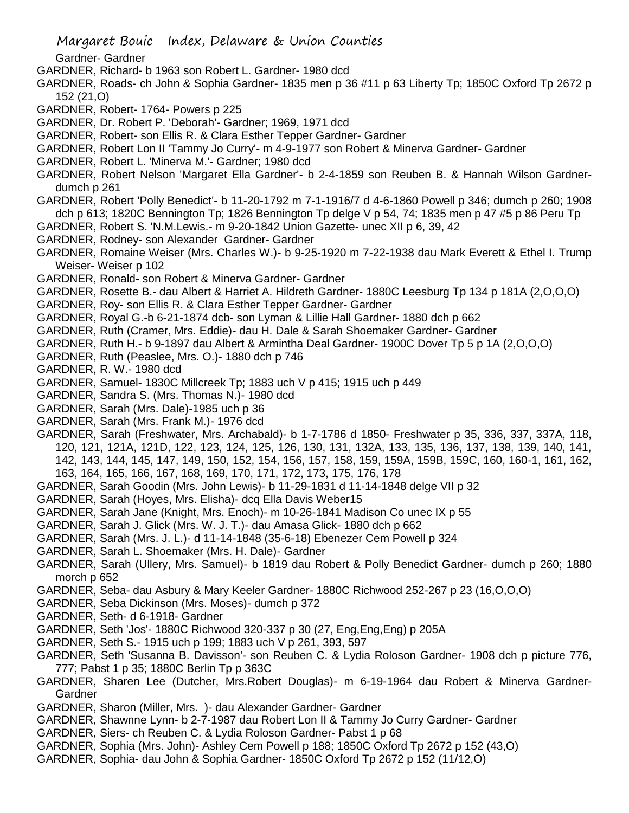Margaret Bouic Index, Delaware & Union Counties

Gardner- Gardner

- GARDNER, Richard- b 1963 son Robert L. Gardner- 1980 dcd
- GARDNER, Roads- ch John & Sophia Gardner- 1835 men p 36 #11 p 63 Liberty Tp; 1850C Oxford Tp 2672 p 152 (21,O)
- GARDNER, Robert- 1764- Powers p 225
- GARDNER, Dr. Robert P. 'Deborah'- Gardner; 1969, 1971 dcd
- GARDNER, Robert- son Ellis R. & Clara Esther Tepper Gardner- Gardner
- GARDNER, Robert Lon II 'Tammy Jo Curry'- m 4-9-1977 son Robert & Minerva Gardner- Gardner
- GARDNER, Robert L. 'Minerva M.'- Gardner; 1980 dcd
- GARDNER, Robert Nelson 'Margaret Ella Gardner'- b 2-4-1859 son Reuben B. & Hannah Wilson Gardnerdumch p 261
- GARDNER, Robert 'Polly Benedict'- b 11-20-1792 m 7-1-1916/7 d 4-6-1860 Powell p 346; dumch p 260; 1908 dch p 613; 1820C Bennington Tp; 1826 Bennington Tp delge V p 54, 74; 1835 men p 47 #5 p 86 Peru Tp
- GARDNER, Robert S. 'N.M.Lewis.- m 9-20-1842 Union Gazette- unec XII p 6, 39, 42
- GARDNER, Rodney- son Alexander Gardner- Gardner
- GARDNER, Romaine Weiser (Mrs. Charles W.)- b 9-25-1920 m 7-22-1938 dau Mark Everett & Ethel I. Trump Weiser- Weiser p 102
- GARDNER, Ronald- son Robert & Minerva Gardner- Gardner
- GARDNER, Rosette B.- dau Albert & Harriet A. Hildreth Gardner- 1880C Leesburg Tp 134 p 181A (2,O,O,O)
- GARDNER, Roy- son Ellis R. & Clara Esther Tepper Gardner- Gardner
- GARDNER, Royal G.-b 6-21-1874 dcb- son Lyman & Lillie Hall Gardner- 1880 dch p 662
- GARDNER, Ruth (Cramer, Mrs. Eddie)- dau H. Dale & Sarah Shoemaker Gardner- Gardner
- GARDNER, Ruth H.- b 9-1897 dau Albert & Armintha Deal Gardner- 1900C Dover Tp 5 p 1A (2,O,O,O)
- GARDNER, Ruth (Peaslee, Mrs. O.)- 1880 dch p 746
- GARDNER, R. W.- 1980 dcd
- GARDNER, Samuel- 1830C Millcreek Tp; 1883 uch V p 415; 1915 uch p 449
- GARDNER, Sandra S. (Mrs. Thomas N.)- 1980 dcd
- GARDNER, Sarah (Mrs. Dale)-1985 uch p 36
- GARDNER, Sarah (Mrs. Frank M.)- 1976 dcd
- GARDNER, Sarah (Freshwater, Mrs. Archabald)- b 1-7-1786 d 1850- Freshwater p 35, 336, 337, 337A, 118, 120, 121, 121A, 121D, 122, 123, 124, 125, 126, 130, 131, 132A, 133, 135, 136, 137, 138, 139, 140, 141, 142, 143, 144, 145, 147, 149, 150, 152, 154, 156, 157, 158, 159, 159A, 159B, 159C, 160, 160-1, 161, 162, 163, 164, 165, 166, 167, 168, 169, 170, 171, 172, 173, 175, 176, 178
- GARDNER, Sarah Goodin (Mrs. John Lewis)- b 11-29-1831 d 11-14-1848 delge VII p 32
- GARDNER, Sarah (Hoyes, Mrs. Elisha)- dcq Ella Davis Weber15
- GARDNER, Sarah Jane (Knight, Mrs. Enoch)- m 10-26-1841 Madison Co unec IX p 55
- GARDNER, Sarah J. Glick (Mrs. W. J. T.)- dau Amasa Glick- 1880 dch p 662
- GARDNER, Sarah (Mrs. J. L.)- d 11-14-1848 (35-6-18) Ebenezer Cem Powell p 324
- GARDNER, Sarah L. Shoemaker (Mrs. H. Dale)- Gardner
- GARDNER, Sarah (Ullery, Mrs. Samuel)- b 1819 dau Robert & Polly Benedict Gardner- dumch p 260; 1880 morch p 652
- GARDNER, Seba- dau Asbury & Mary Keeler Gardner- 1880C Richwood 252-267 p 23 (16,O,O,O)
- GARDNER, Seba Dickinson (Mrs. Moses)- dumch p 372
- GARDNER, Seth- d 6-1918- Gardner
- GARDNER, Seth 'Jos'- 1880C Richwood 320-337 p 30 (27, Eng,Eng,Eng) p 205A
- GARDNER, Seth S.- 1915 uch p 199; 1883 uch V p 261, 393, 597
- GARDNER, Seth 'Susanna B. Davisson'- son Reuben C. & Lydia Roloson Gardner- 1908 dch p picture 776, 777; Pabst 1 p 35; 1880C Berlin Tp p 363C
- GARDNER, Sharen Lee (Dutcher, Mrs.Robert Douglas)- m 6-19-1964 dau Robert & Minerva Gardner-**Gardner**
- GARDNER, Sharon (Miller, Mrs. )- dau Alexander Gardner- Gardner
- GARDNER, Shawnne Lynn- b 2-7-1987 dau Robert Lon II & Tammy Jo Curry Gardner- Gardner
- GARDNER, Siers- ch Reuben C. & Lydia Roloson Gardner- Pabst 1 p 68
- GARDNER, Sophia (Mrs. John)- Ashley Cem Powell p 188; 1850C Oxford Tp 2672 p 152 (43,O)
- GARDNER, Sophia- dau John & Sophia Gardner- 1850C Oxford Tp 2672 p 152 (11/12,O)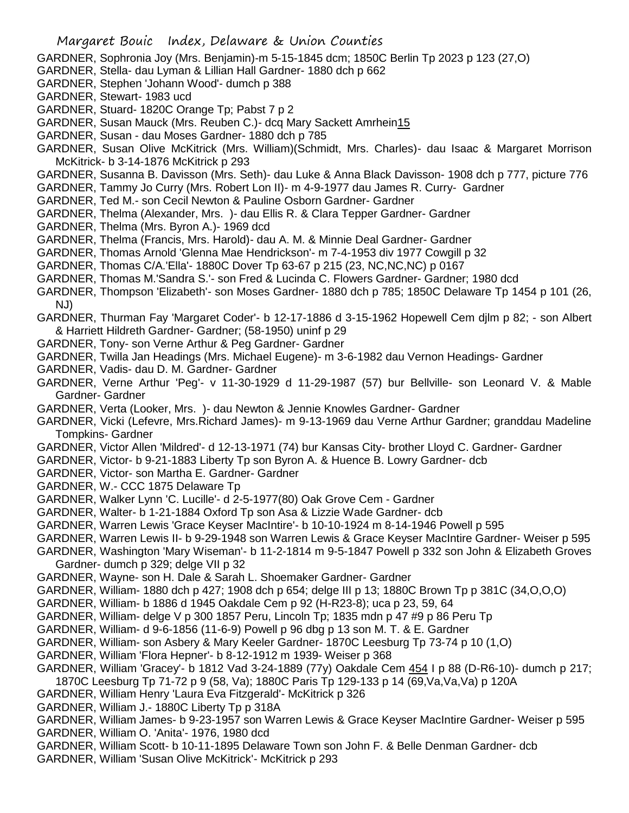- GARDNER, Sophronia Joy (Mrs. Benjamin)-m 5-15-1845 dcm; 1850C Berlin Tp 2023 p 123 (27,O)
- GARDNER, Stella- dau Lyman & Lillian Hall Gardner- 1880 dch p 662
- GARDNER, Stephen 'Johann Wood'- dumch p 388
- GARDNER, Stewart- 1983 ucd
- GARDNER, Stuard- 1820C Orange Tp; Pabst 7 p 2
- GARDNER, Susan Mauck (Mrs. Reuben C.)- dcq Mary Sackett Amrhein15
- GARDNER, Susan dau Moses Gardner- 1880 dch p 785
- GARDNER, Susan Olive McKitrick (Mrs. William)(Schmidt, Mrs. Charles)- dau Isaac & Margaret Morrison McKitrick- b 3-14-1876 McKitrick p 293
- GARDNER, Susanna B. Davisson (Mrs. Seth)- dau Luke & Anna Black Davisson- 1908 dch p 777, picture 776
- GARDNER, Tammy Jo Curry (Mrs. Robert Lon II)- m 4-9-1977 dau James R. Curry- Gardner
- GARDNER, Ted M.- son Cecil Newton & Pauline Osborn Gardner- Gardner
- GARDNER, Thelma (Alexander, Mrs. )- dau Ellis R. & Clara Tepper Gardner- Gardner
- GARDNER, Thelma (Mrs. Byron A.)- 1969 dcd
- GARDNER, Thelma (Francis, Mrs. Harold)- dau A. M. & Minnie Deal Gardner- Gardner
- GARDNER, Thomas Arnold 'Glenna Mae Hendrickson'- m 7-4-1953 div 1977 Cowgill p 32
- GARDNER, Thomas C/A.'Ella'- 1880C Dover Tp 63-67 p 215 (23, NC,NC,NC) p 0167
- GARDNER, Thomas M.'Sandra S.'- son Fred & Lucinda C. Flowers Gardner- Gardner; 1980 dcd
- GARDNER, Thompson 'Elizabeth'- son Moses Gardner- 1880 dch p 785; 1850C Delaware Tp 1454 p 101 (26, NJ)
- GARDNER, Thurman Fay 'Margaret Coder'- b 12-17-1886 d 3-15-1962 Hopewell Cem djlm p 82; son Albert & Harriett Hildreth Gardner- Gardner; (58-1950) uninf p 29
- GARDNER, Tony- son Verne Arthur & Peg Gardner- Gardner
- GARDNER, Twilla Jan Headings (Mrs. Michael Eugene)- m 3-6-1982 dau Vernon Headings- Gardner
- GARDNER, Vadis- dau D. M. Gardner- Gardner
- GARDNER, Verne Arthur 'Peg'- v 11-30-1929 d 11-29-1987 (57) bur Bellville- son Leonard V. & Mable Gardner- Gardner
- GARDNER, Verta (Looker, Mrs. )- dau Newton & Jennie Knowles Gardner- Gardner
- GARDNER, Vicki (Lefevre, Mrs.Richard James)- m 9-13-1969 dau Verne Arthur Gardner; granddau Madeline Tompkins- Gardner
- GARDNER, Victor Allen 'Mildred'- d 12-13-1971 (74) bur Kansas City- brother Lloyd C. Gardner- Gardner
- GARDNER, Victor- b 9-21-1883 Liberty Tp son Byron A. & Huence B. Lowry Gardner- dcb
- GARDNER, Victor- son Martha E. Gardner- Gardner
- GARDNER, W.- CCC 1875 Delaware Tp
- GARDNER, Walker Lynn 'C. Lucille'- d 2-5-1977(80) Oak Grove Cem Gardner
- GARDNER, Walter- b 1-21-1884 Oxford Tp son Asa & Lizzie Wade Gardner- dcb
- GARDNER, Warren Lewis 'Grace Keyser MacIntire'- b 10-10-1924 m 8-14-1946 Powell p 595
- GARDNER, Warren Lewis II- b 9-29-1948 son Warren Lewis & Grace Keyser MacIntire Gardner- Weiser p 595
- GARDNER, Washington 'Mary Wiseman'- b 11-2-1814 m 9-5-1847 Powell p 332 son John & Elizabeth Groves Gardner- dumch p 329; delge VII p 32
- GARDNER, Wayne- son H. Dale & Sarah L. Shoemaker Gardner- Gardner
- GARDNER, William- 1880 dch p 427; 1908 dch p 654; delge III p 13; 1880C Brown Tp p 381C (34,O,O,O)
- GARDNER, William- b 1886 d 1945 Oakdale Cem p 92 (H-R23-8); uca p 23, 59, 64
- GARDNER, William- delge V p 300 1857 Peru, Lincoln Tp; 1835 mdn p 47 #9 p 86 Peru Tp
- GARDNER, William- d 9-6-1856 (11-6-9) Powell p 96 dbg p 13 son M. T. & E. Gardner
- GARDNER, William- son Asbery & Mary Keeler Gardner- 1870C Leesburg Tp 73-74 p 10 (1,O)
- GARDNER, William 'Flora Hepner'- b 8-12-1912 m 1939- Weiser p 368
- GARDNER, William 'Gracey'- b 1812 Vad 3-24-1889 (77y) Oakdale Cem 454 I p 88 (D-R6-10)- dumch p 217;
- 1870C Leesburg Tp 71-72 p 9 (58, Va); 1880C Paris Tp 129-133 p 14 (69,Va,Va,Va) p 120A
- GARDNER, William Henry 'Laura Eva Fitzgerald'- McKitrick p 326
- GARDNER, William J.- 1880C Liberty Tp p 318A
- GARDNER, William James- b 9-23-1957 son Warren Lewis & Grace Keyser MacIntire Gardner- Weiser p 595 GARDNER, William O. 'Anita'- 1976, 1980 dcd
- GARDNER, William Scott- b 10-11-1895 Delaware Town son John F. & Belle Denman Gardner- dcb GARDNER, William 'Susan Olive McKitrick'- McKitrick p 293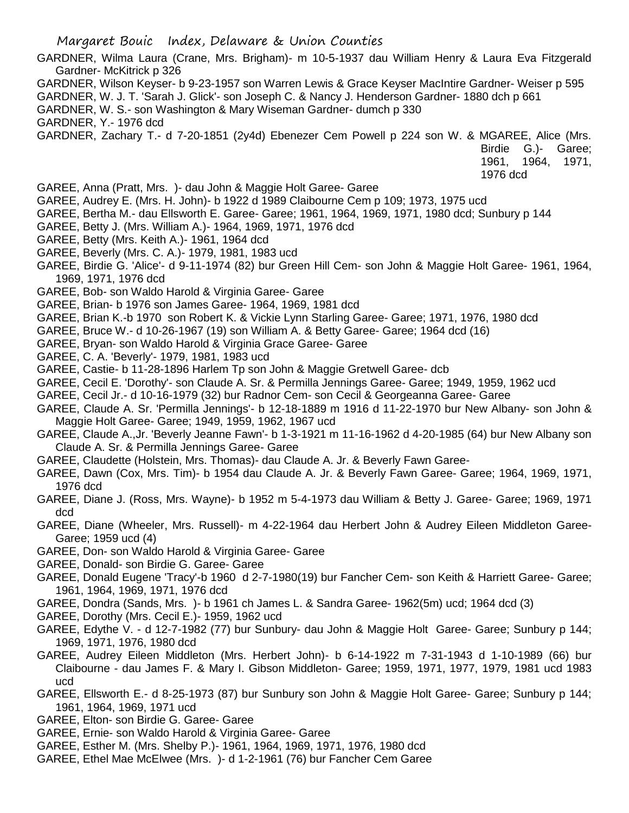- GARDNER, Wilma Laura (Crane, Mrs. Brigham)- m 10-5-1937 dau William Henry & Laura Eva Fitzgerald Gardner- McKitrick p 326
- GARDNER, Wilson Keyser- b 9-23-1957 son Warren Lewis & Grace Keyser MacIntire Gardner- Weiser p 595
- GARDNER, W. J. T. 'Sarah J. Glick'- son Joseph C. & Nancy J. Henderson Gardner- 1880 dch p 661
- GARDNER, W. S.- son Washington & Mary Wiseman Gardner- dumch p 330
- GARDNER, Y.- 1976 dcd
- GARDNER, Zachary T.- d 7-20-1851 (2y4d) Ebenezer Cem Powell p 224 son W. & MGAREE, Alice (Mrs.

Birdie G.)- Garee; 1961, 1964, 1971, 1976 dcd

- GAREE, Anna (Pratt, Mrs. )- dau John & Maggie Holt Garee- Garee
- GAREE, Audrey E. (Mrs. H. John)- b 1922 d 1989 Claibourne Cem p 109; 1973, 1975 ucd
- GAREE, Bertha M.- dau Ellsworth E. Garee- Garee; 1961, 1964, 1969, 1971, 1980 dcd; Sunbury p 144
- GAREE, Betty J. (Mrs. William A.)- 1964, 1969, 1971, 1976 dcd
- GAREE, Betty (Mrs. Keith A.)- 1961, 1964 dcd
- GAREE, Beverly (Mrs. C. A.)- 1979, 1981, 1983 ucd
- GAREE, Birdie G. 'Alice'- d 9-11-1974 (82) bur Green Hill Cem- son John & Maggie Holt Garee- 1961, 1964, 1969, 1971, 1976 dcd
- GAREE, Bob- son Waldo Harold & Virginia Garee- Garee
- GAREE, Brian- b 1976 son James Garee- 1964, 1969, 1981 dcd
- GAREE, Brian K.-b 1970 son Robert K. & Vickie Lynn Starling Garee- Garee; 1971, 1976, 1980 dcd
- GAREE, Bruce W.- d 10-26-1967 (19) son William A. & Betty Garee- Garee; 1964 dcd (16)
- GAREE, Bryan- son Waldo Harold & Virginia Grace Garee- Garee
- GAREE, C. A. 'Beverly'- 1979, 1981, 1983 ucd
- GAREE, Castie- b 11-28-1896 Harlem Tp son John & Maggie Gretwell Garee- dcb
- GAREE, Cecil E. 'Dorothy'- son Claude A. Sr. & Permilla Jennings Garee- Garee; 1949, 1959, 1962 ucd
- GAREE, Cecil Jr.- d 10-16-1979 (32) bur Radnor Cem- son Cecil & Georgeanna Garee- Garee
- GAREE, Claude A. Sr. 'Permilla Jennings'- b 12-18-1889 m 1916 d 11-22-1970 bur New Albany- son John & Maggie Holt Garee- Garee; 1949, 1959, 1962, 1967 ucd
- GAREE, Claude A.,Jr. 'Beverly Jeanne Fawn'- b 1-3-1921 m 11-16-1962 d 4-20-1985 (64) bur New Albany son Claude A. Sr. & Permilla Jennings Garee- Garee
- GAREE, Claudette (Holstein, Mrs. Thomas)- dau Claude A. Jr. & Beverly Fawn Garee-
- GAREE, Dawn (Cox, Mrs. Tim)- b 1954 dau Claude A. Jr. & Beverly Fawn Garee- Garee; 1964, 1969, 1971, 1976 dcd
- GAREE, Diane J. (Ross, Mrs. Wayne)- b 1952 m 5-4-1973 dau William & Betty J. Garee- Garee; 1969, 1971 dcd
- GAREE, Diane (Wheeler, Mrs. Russell)- m 4-22-1964 dau Herbert John & Audrey Eileen Middleton Garee-Garee; 1959 ucd (4)
- GAREE, Don- son Waldo Harold & Virginia Garee- Garee
- GAREE, Donald- son Birdie G. Garee- Garee
- GAREE, Donald Eugene 'Tracy'-b 1960 d 2-7-1980(19) bur Fancher Cem- son Keith & Harriett Garee- Garee; 1961, 1964, 1969, 1971, 1976 dcd
- GAREE, Dondra (Sands, Mrs. )- b 1961 ch James L. & Sandra Garee- 1962(5m) ucd; 1964 dcd (3)
- GAREE, Dorothy (Mrs. Cecil E.)- 1959, 1962 ucd
- GAREE, Edythe V. d 12-7-1982 (77) bur Sunbury- dau John & Maggie Holt Garee- Garee; Sunbury p 144; 1969, 1971, 1976, 1980 dcd
- GAREE, Audrey Eileen Middleton (Mrs. Herbert John)- b 6-14-1922 m 7-31-1943 d 1-10-1989 (66) bur Claibourne - dau James F. & Mary I. Gibson Middleton- Garee; 1959, 1971, 1977, 1979, 1981 ucd 1983 ucd
- GAREE, Ellsworth E.- d 8-25-1973 (87) bur Sunbury son John & Maggie Holt Garee- Garee; Sunbury p 144; 1961, 1964, 1969, 1971 ucd
- GAREE, Elton- son Birdie G. Garee- Garee
- GAREE, Ernie- son Waldo Harold & Virginia Garee- Garee
- GAREE, Esther M. (Mrs. Shelby P.)- 1961, 1964, 1969, 1971, 1976, 1980 dcd
- GAREE, Ethel Mae McElwee (Mrs. )- d 1-2-1961 (76) bur Fancher Cem Garee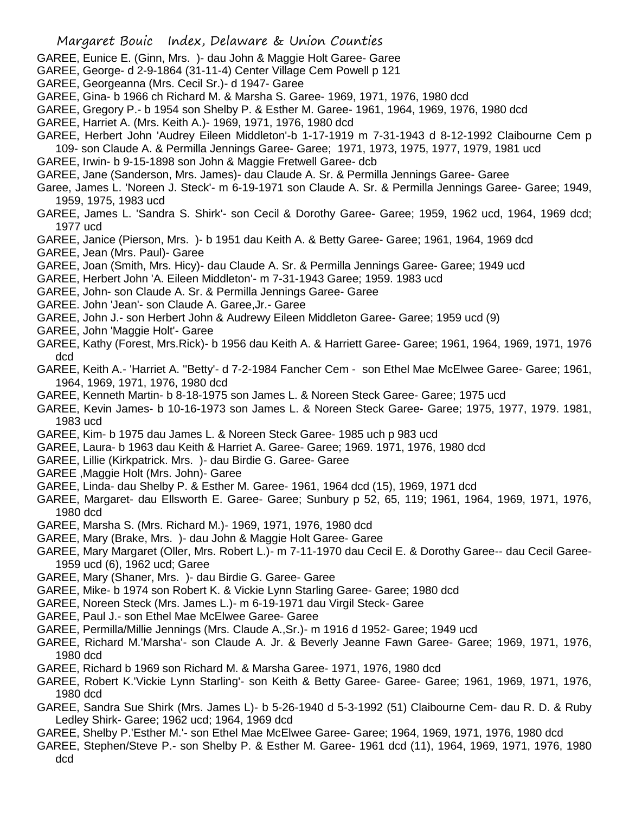- GAREE, Eunice E. (Ginn, Mrs. )- dau John & Maggie Holt Garee- Garee
- GAREE, George- d 2-9-1864 (31-11-4) Center Village Cem Powell p 121
- GAREE, Georgeanna (Mrs. Cecil Sr.)- d 1947- Garee
- GAREE, Gina- b 1966 ch Richard M. & Marsha S. Garee- 1969, 1971, 1976, 1980 dcd
- GAREE, Gregory P.- b 1954 son Shelby P. & Esther M. Garee- 1961, 1964, 1969, 1976, 1980 dcd
- GAREE, Harriet A. (Mrs. Keith A.)- 1969, 1971, 1976, 1980 dcd
- GAREE, Herbert John 'Audrey Eileen Middleton'-b 1-17-1919 m 7-31-1943 d 8-12-1992 Claibourne Cem p 109- son Claude A. & Permilla Jennings Garee- Garee; 1971, 1973, 1975, 1977, 1979, 1981 ucd
- GAREE, Irwin- b 9-15-1898 son John & Maggie Fretwell Garee- dcb
- GAREE, Jane (Sanderson, Mrs. James)- dau Claude A. Sr. & Permilla Jennings Garee- Garee
- Garee, James L. 'Noreen J. Steck'- m 6-19-1971 son Claude A. Sr. & Permilla Jennings Garee- Garee; 1949, 1959, 1975, 1983 ucd
- GAREE, James L. 'Sandra S. Shirk'- son Cecil & Dorothy Garee- Garee; 1959, 1962 ucd, 1964, 1969 dcd; 1977 ucd
- GAREE, Janice (Pierson, Mrs. )- b 1951 dau Keith A. & Betty Garee- Garee; 1961, 1964, 1969 dcd
- GAREE, Jean (Mrs. Paul)- Garee
- GAREE, Joan (Smith, Mrs. Hicy)- dau Claude A. Sr. & Permilla Jennings Garee- Garee; 1949 ucd
- GAREE, Herbert John 'A. Eileen Middleton'- m 7-31-1943 Garee; 1959. 1983 ucd
- GAREE, John- son Claude A. Sr. & Permilla Jennings Garee- Garee
- GAREE. John 'Jean'- son Claude A. Garee,Jr.- Garee
- GAREE, John J.- son Herbert John & Audrewy Eileen Middleton Garee- Garee; 1959 ucd (9)
- GAREE, John 'Maggie Holt'- Garee
- GAREE, Kathy (Forest, Mrs.Rick)- b 1956 dau Keith A. & Harriett Garee- Garee; 1961, 1964, 1969, 1971, 1976 dcd
- GAREE, Keith A.- 'Harriet A. ''Betty'- d 7-2-1984 Fancher Cem son Ethel Mae McElwee Garee- Garee; 1961, 1964, 1969, 1971, 1976, 1980 dcd
- GAREE, Kenneth Martin- b 8-18-1975 son James L. & Noreen Steck Garee- Garee; 1975 ucd
- GAREE, Kevin James- b 10-16-1973 son James L. & Noreen Steck Garee- Garee; 1975, 1977, 1979. 1981, 1983 ucd
- GAREE, Kim- b 1975 dau James L. & Noreen Steck Garee- 1985 uch p 983 ucd
- GAREE, Laura- b 1963 dau Keith & Harriet A. Garee- Garee; 1969. 1971, 1976, 1980 dcd
- GAREE, Lillie (Kirkpatrick. Mrs. )- dau Birdie G. Garee- Garee
- GAREE ,Maggie Holt (Mrs. John)- Garee
- GAREE, Linda- dau Shelby P. & Esther M. Garee- 1961, 1964 dcd (15), 1969, 1971 dcd
- GAREE, Margaret- dau Ellsworth E. Garee- Garee; Sunbury p 52, 65, 119; 1961, 1964, 1969, 1971, 1976, 1980 dcd
- GAREE, Marsha S. (Mrs. Richard M.)- 1969, 1971, 1976, 1980 dcd
- GAREE, Mary (Brake, Mrs. )- dau John & Maggie Holt Garee- Garee
- GAREE, Mary Margaret (Oller, Mrs. Robert L.)- m 7-11-1970 dau Cecil E. & Dorothy Garee-- dau Cecil Garee-1959 ucd (6), 1962 ucd; Garee
- GAREE, Mary (Shaner, Mrs. )- dau Birdie G. Garee- Garee
- GAREE, Mike- b 1974 son Robert K. & Vickie Lynn Starling Garee- Garee; 1980 dcd
- GAREE, Noreen Steck (Mrs. James L.)- m 6-19-1971 dau Virgil Steck- Garee
- GAREE, Paul J.- son Ethel Mae McElwee Garee- Garee
- GAREE, Permilla/Millie Jennings (Mrs. Claude A.,Sr.)- m 1916 d 1952- Garee; 1949 ucd
- GAREE, Richard M.'Marsha'- son Claude A. Jr. & Beverly Jeanne Fawn Garee- Garee; 1969, 1971, 1976, 1980 dcd
- GAREE, Richard b 1969 son Richard M. & Marsha Garee- 1971, 1976, 1980 dcd
- GAREE, Robert K.'Vickie Lynn Starling'- son Keith & Betty Garee- Garee- Garee; 1961, 1969, 1971, 1976, 1980 dcd
- GAREE, Sandra Sue Shirk (Mrs. James L)- b 5-26-1940 d 5-3-1992 (51) Claibourne Cem- dau R. D. & Ruby Ledley Shirk- Garee; 1962 ucd; 1964, 1969 dcd
- GAREE, Shelby P.'Esther M.'- son Ethel Mae McElwee Garee- Garee; 1964, 1969, 1971, 1976, 1980 dcd
- GAREE, Stephen/Steve P.- son Shelby P. & Esther M. Garee- 1961 dcd (11), 1964, 1969, 1971, 1976, 1980 dcd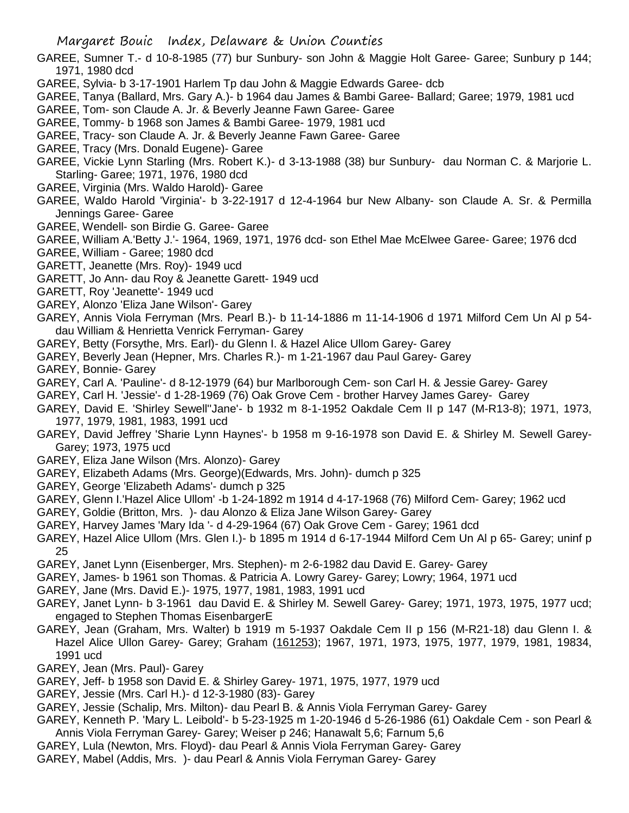- GAREE, Sumner T.- d 10-8-1985 (77) bur Sunbury- son John & Maggie Holt Garee- Garee; Sunbury p 144; 1971, 1980 dcd
- GAREE, Sylvia- b 3-17-1901 Harlem Tp dau John & Maggie Edwards Garee- dcb
- GAREE, Tanya (Ballard, Mrs. Gary A.)- b 1964 dau James & Bambi Garee- Ballard; Garee; 1979, 1981 ucd
- GAREE, Tom- son Claude A. Jr. & Beverly Jeanne Fawn Garee- Garee
- GAREE, Tommy- b 1968 son James & Bambi Garee- 1979, 1981 ucd
- GAREE, Tracy- son Claude A. Jr. & Beverly Jeanne Fawn Garee- Garee
- GAREE, Tracy (Mrs. Donald Eugene)- Garee
- GAREE, Vickie Lynn Starling (Mrs. Robert K.)- d 3-13-1988 (38) bur Sunbury- dau Norman C. & Marjorie L. Starling- Garee; 1971, 1976, 1980 dcd
- GAREE, Virginia (Mrs. Waldo Harold)- Garee
- GAREE, Waldo Harold 'Virginia'- b 3-22-1917 d 12-4-1964 bur New Albany- son Claude A. Sr. & Permilla Jennings Garee- Garee
- GAREE, Wendell- son Birdie G. Garee- Garee
- GAREE, William A.'Betty J.'- 1964, 1969, 1971, 1976 dcd- son Ethel Mae McElwee Garee- Garee; 1976 dcd
- GAREE, William Garee; 1980 dcd
- GARETT, Jeanette (Mrs. Roy)- 1949 ucd
- GARETT, Jo Ann- dau Roy & Jeanette Garett- 1949 ucd
- GARETT, Roy 'Jeanette'- 1949 ucd
- GAREY, Alonzo 'Eliza Jane Wilson'- Garey
- GAREY, Annis Viola Ferryman (Mrs. Pearl B.)- b 11-14-1886 m 11-14-1906 d 1971 Milford Cem Un Al p 54 dau William & Henrietta Venrick Ferryman- Garey
- GAREY, Betty (Forsythe, Mrs. Earl)- du Glenn I. & Hazel Alice Ullom Garey- Garey
- GAREY, Beverly Jean (Hepner, Mrs. Charles R.)- m 1-21-1967 dau Paul Garey- Garey
- GAREY, Bonnie- Garey
- GAREY, Carl A. 'Pauline'- d 8-12-1979 (64) bur Marlborough Cem- son Carl H. & Jessie Garey- Garey
- GAREY, Carl H. 'Jessie'- d 1-28-1969 (76) Oak Grove Cem brother Harvey James Garey- Garey
- GAREY, David E. 'Shirley Sewell''Jane'- b 1932 m 8-1-1952 Oakdale Cem II p 147 (M-R13-8); 1971, 1973, 1977, 1979, 1981, 1983, 1991 ucd
- GAREY, David Jeffrey 'Sharie Lynn Haynes'- b 1958 m 9-16-1978 son David E. & Shirley M. Sewell Garey-Garey; 1973, 1975 ucd
- GAREY, Eliza Jane Wilson (Mrs. Alonzo)- Garey
- GAREY, Elizabeth Adams (Mrs. George)(Edwards, Mrs. John)- dumch p 325
- GAREY, George 'Elizabeth Adams'- dumch p 325
- GAREY, Glenn I.'Hazel Alice Ullom' -b 1-24-1892 m 1914 d 4-17-1968 (76) Milford Cem- Garey; 1962 ucd
- GAREY, Goldie (Britton, Mrs. )- dau Alonzo & Eliza Jane Wilson Garey- Garey
- GAREY, Harvey James 'Mary Ida '- d 4-29-1964 (67) Oak Grove Cem Garey; 1961 dcd
- GAREY, Hazel Alice Ullom (Mrs. Glen I.)- b 1895 m 1914 d 6-17-1944 Milford Cem Un Al p 65- Garey; uninf p 25
- GAREY, Janet Lynn (Eisenberger, Mrs. Stephen)- m 2-6-1982 dau David E. Garey- Garey
- GAREY, James- b 1961 son Thomas. & Patricia A. Lowry Garey- Garey; Lowry; 1964, 1971 ucd
- GAREY, Jane (Mrs. David E.)- 1975, 1977, 1981, 1983, 1991 ucd
- GAREY, Janet Lynn- b 3-1961 dau David E. & Shirley M. Sewell Garey- Garey; 1971, 1973, 1975, 1977 ucd; engaged to Stephen Thomas EisenbargerE
- GAREY, Jean (Graham, Mrs. Walter) b 1919 m 5-1937 Oakdale Cem II p 156 (M-R21-18) dau Glenn I. & Hazel Alice Ullon Garey- Garey; Graham (161253); 1967, 1971, 1973, 1975, 1977, 1979, 1981, 19834, 1991 ucd
- GAREY, Jean (Mrs. Paul)- Garey
- GAREY, Jeff- b 1958 son David E. & Shirley Garey- 1971, 1975, 1977, 1979 ucd
- GAREY, Jessie (Mrs. Carl H.)- d 12-3-1980 (83)- Garey
- GAREY, Jessie (Schalip, Mrs. Milton)- dau Pearl B. & Annis Viola Ferryman Garey- Garey
- GAREY, Kenneth P. 'Mary L. Leibold'- b 5-23-1925 m 1-20-1946 d 5-26-1986 (61) Oakdale Cem son Pearl & Annis Viola Ferryman Garey- Garey; Weiser p 246; Hanawalt 5,6; Farnum 5,6
- GAREY, Lula (Newton, Mrs. Floyd)- dau Pearl & Annis Viola Ferryman Garey- Garey
- GAREY, Mabel (Addis, Mrs. )- dau Pearl & Annis Viola Ferryman Garey- Garey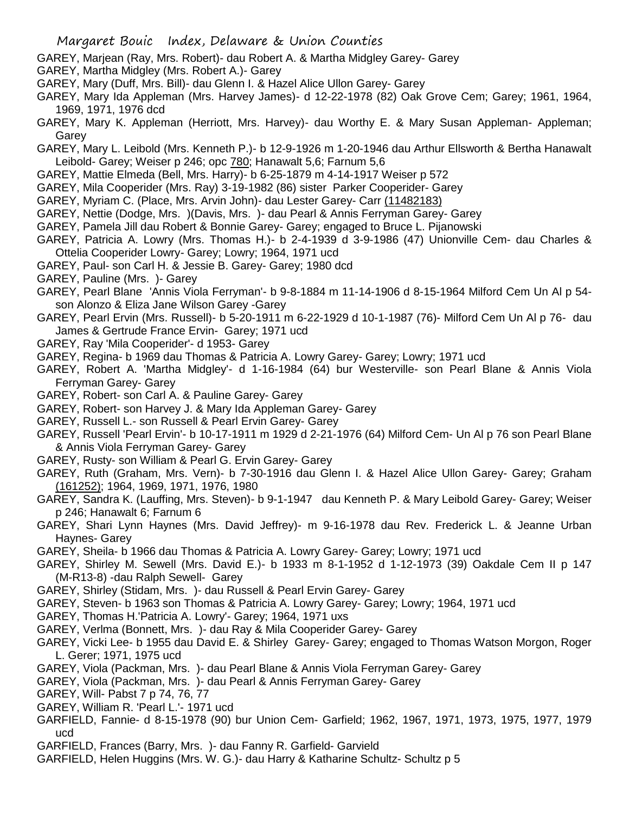- GAREY, Marjean (Ray, Mrs. Robert)- dau Robert A. & Martha Midgley Garey- Garey
- GAREY, Martha Midgley (Mrs. Robert A.)- Garey
- GAREY, Mary (Duff, Mrs. Bill)- dau Glenn I. & Hazel Alice Ullon Garey- Garey
- GAREY, Mary Ida Appleman (Mrs. Harvey James)- d 12-22-1978 (82) Oak Grove Cem; Garey; 1961, 1964, 1969, 1971, 1976 dcd
- GAREY, Mary K. Appleman (Herriott, Mrs. Harvey)- dau Worthy E. & Mary Susan Appleman- Appleman; Garey
- GAREY, Mary L. Leibold (Mrs. Kenneth P.)- b 12-9-1926 m 1-20-1946 dau Arthur Ellsworth & Bertha Hanawalt Leibold- Garey; Weiser p 246; opc 780; Hanawalt 5,6; Farnum 5,6
- GAREY, Mattie Elmeda (Bell, Mrs. Harry)- b 6-25-1879 m 4-14-1917 Weiser p 572
- GAREY, Mila Cooperider (Mrs. Ray) 3-19-1982 (86) sister Parker Cooperider- Garey
- GAREY, Myriam C. (Place, Mrs. Arvin John)- dau Lester Garey- Carr (11482183)
- GAREY, Nettie (Dodge, Mrs. )(Davis, Mrs. )- dau Pearl & Annis Ferryman Garey- Garey
- GAREY, Pamela Jill dau Robert & Bonnie Garey- Garey; engaged to Bruce L. Pijanowski
- GAREY, Patricia A. Lowry (Mrs. Thomas H.)- b 2-4-1939 d 3-9-1986 (47) Unionville Cem- dau Charles & Ottelia Cooperider Lowry- Garey; Lowry; 1964, 1971 ucd
- GAREY, Paul- son Carl H. & Jessie B. Garey- Garey; 1980 dcd
- GAREY, Pauline (Mrs. )- Garey
- GAREY, Pearl Blane 'Annis Viola Ferryman'- b 9-8-1884 m 11-14-1906 d 8-15-1964 Milford Cem Un Al p 54 son Alonzo & Eliza Jane Wilson Garey -Garey
- GAREY, Pearl Ervin (Mrs. Russell)- b 5-20-1911 m 6-22-1929 d 10-1-1987 (76)- Milford Cem Un Al p 76- dau James & Gertrude France Ervin- Garey; 1971 ucd
- GAREY, Ray 'Mila Cooperider'- d 1953- Garey
- GAREY, Regina- b 1969 dau Thomas & Patricia A. Lowry Garey- Garey; Lowry; 1971 ucd
- GAREY, Robert A. 'Martha Midgley'- d 1-16-1984 (64) bur Westerville- son Pearl Blane & Annis Viola Ferryman Garey- Garey
- GAREY, Robert- son Carl A. & Pauline Garey- Garey
- GAREY, Robert- son Harvey J. & Mary Ida Appleman Garey- Garey
- GAREY, Russell L.- son Russell & Pearl Ervin Garey- Garey
- GAREY, Russell 'Pearl Ervin'- b 10-17-1911 m 1929 d 2-21-1976 (64) Milford Cem- Un Al p 76 son Pearl Blane & Annis Viola Ferryman Garey- Garey
- GAREY, Rusty- son William & Pearl G. Ervin Garey- Garey
- GAREY, Ruth (Graham, Mrs. Vern)- b 7-30-1916 dau Glenn I. & Hazel Alice Ullon Garey- Garey; Graham (161252); 1964, 1969, 1971, 1976, 1980
- GAREY, Sandra K. (Lauffing, Mrs. Steven)- b 9-1-1947 dau Kenneth P. & Mary Leibold Garey- Garey; Weiser p 246; Hanawalt 6; Farnum 6
- GAREY, Shari Lynn Haynes (Mrs. David Jeffrey)- m 9-16-1978 dau Rev. Frederick L. & Jeanne Urban Haynes- Garey
- GAREY, Sheila- b 1966 dau Thomas & Patricia A. Lowry Garey- Garey; Lowry; 1971 ucd
- GAREY, Shirley M. Sewell (Mrs. David E.)- b 1933 m 8-1-1952 d 1-12-1973 (39) Oakdale Cem II p 147 (M-R13-8) -dau Ralph Sewell- Garey
- GAREY, Shirley (Stidam, Mrs. )- dau Russell & Pearl Ervin Garey- Garey
- GAREY, Steven- b 1963 son Thomas & Patricia A. Lowry Garey- Garey; Lowry; 1964, 1971 ucd
- GAREY, Thomas H.'Patricia A. Lowry'- Garey; 1964, 1971 uxs
- GAREY, Verlma (Bonnett, Mrs. )- dau Ray & Mila Cooperider Garey- Garey
- GAREY, Vicki Lee- b 1955 dau David E. & Shirley Garey- Garey; engaged to Thomas Watson Morgon, Roger L. Gerer; 1971, 1975 ucd
- GAREY, Viola (Packman, Mrs. )- dau Pearl Blane & Annis Viola Ferryman Garey- Garey
- GAREY, Viola (Packman, Mrs. )- dau Pearl & Annis Ferryman Garey- Garey
- GAREY, Will- Pabst 7 p 74, 76, 77
- GAREY, William R. 'Pearl L.'- 1971 ucd
- GARFIELD, Fannie- d 8-15-1978 (90) bur Union Cem- Garfield; 1962, 1967, 1971, 1973, 1975, 1977, 1979 ucd
- GARFIELD, Frances (Barry, Mrs. )- dau Fanny R. Garfield- Garvield
- GARFIELD, Helen Huggins (Mrs. W. G.)- dau Harry & Katharine Schultz- Schultz p 5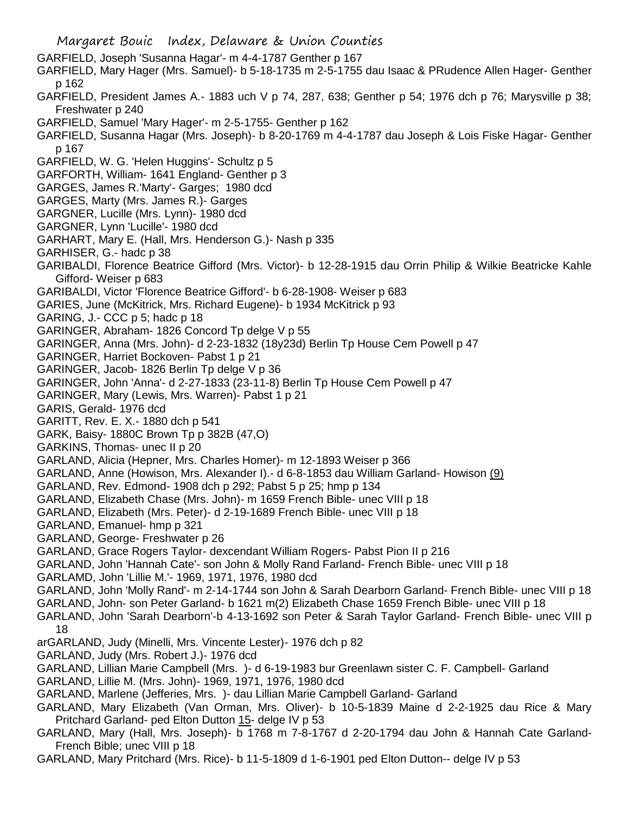- Margaret Bouic Index, Delaware & Union Counties
- GARFIELD, Joseph 'Susanna Hagar'- m 4-4-1787 Genther p 167
- GARFIELD, Mary Hager (Mrs. Samuel)- b 5-18-1735 m 2-5-1755 dau Isaac & PRudence Allen Hager- Genther p 162
- GARFIELD, President James A.- 1883 uch V p 74, 287, 638; Genther p 54; 1976 dch p 76; Marysville p 38; Freshwater p 240
- GARFIELD, Samuel 'Mary Hager'- m 2-5-1755- Genther p 162
- GARFIELD, Susanna Hagar (Mrs. Joseph)- b 8-20-1769 m 4-4-1787 dau Joseph & Lois Fiske Hagar- Genther p 167
- GARFIELD, W. G. 'Helen Huggins'- Schultz p 5
- GARFORTH, William- 1641 England- Genther p 3
- GARGES, James R.'Marty'- Garges; 1980 dcd
- GARGES, Marty (Mrs. James R.)- Garges
- GARGNER, Lucille (Mrs. Lynn)- 1980 dcd
- GARGNER, Lynn 'Lucille'- 1980 dcd
- GARHART, Mary E. (Hall, Mrs. Henderson G.)- Nash p 335
- GARHISER, G.- hadc p 38
- GARIBALDI, Florence Beatrice Gifford (Mrs. Victor)- b 12-28-1915 dau Orrin Philip & Wilkie Beatricke Kahle Gifford- Weiser p 683
- GARIBALDI, Victor 'Florence Beatrice Gifford'- b 6-28-1908- Weiser p 683
- GARIES, June (McKitrick, Mrs. Richard Eugene)- b 1934 McKitrick p 93
- GARING, J.- CCC p 5; hadc p 18
- GARINGER, Abraham- 1826 Concord Tp delge V p 55
- GARINGER, Anna (Mrs. John)- d 2-23-1832 (18y23d) Berlin Tp House Cem Powell p 47
- GARINGER, Harriet Bockoven- Pabst 1 p 21
- GARINGER, Jacob- 1826 Berlin Tp delge V p 36
- GARINGER, John 'Anna'- d 2-27-1833 (23-11-8) Berlin Tp House Cem Powell p 47
- GARINGER, Mary (Lewis, Mrs. Warren)- Pabst 1 p 21
- GARIS, Gerald- 1976 dcd
- GARITT, Rev. E. X.- 1880 dch p 541
- GARK, Baisy- 1880C Brown Tp p 382B (47,O)
- GARKINS, Thomas- unec II p 20
- GARLAND, Alicia (Hepner, Mrs. Charles Homer)- m 12-1893 Weiser p 366
- GARLAND, Anne (Howison, Mrs. Alexander I).- d 6-8-1853 dau William Garland- Howison (9)
- GARLAND, Rev. Edmond- 1908 dch p 292; Pabst 5 p 25; hmp p 134
- GARLAND, Elizabeth Chase (Mrs. John)- m 1659 French Bible- unec VIII p 18
- GARLAND, Elizabeth (Mrs. Peter)- d 2-19-1689 French Bible- unec VIII p 18
- GARLAND, Emanuel- hmp p 321
- GARLAND, George- Freshwater p 26
- GARLAND, Grace Rogers Taylor- dexcendant William Rogers- Pabst Pion II p 216
- GARLAND, John 'Hannah Cate'- son John & Molly Rand Farland- French Bible- unec VIII p 18
- GARLAMD, John 'Lillie M.'- 1969, 1971, 1976, 1980 dcd
- GARLAND, John 'Molly Rand'- m 2-14-1744 son John & Sarah Dearborn Garland- French Bible- unec VIII p 18
- GARLAND, John- son Peter Garland- b 1621 m(2) Elizabeth Chase 1659 French Bible- unec VIII p 18
- GARLAND, John 'Sarah Dearborn'-b 4-13-1692 son Peter & Sarah Taylor Garland- French Bible- unec VIII p 18
- arGARLAND, Judy (Minelli, Mrs. Vincente Lester)- 1976 dch p 82
- GARLAND, Judy (Mrs. Robert J.)- 1976 dcd
- GARLAND, Lillian Marie Campbell (Mrs. )- d 6-19-1983 bur Greenlawn sister C. F. Campbell- Garland
- GARLAND, Lillie M. (Mrs. John)- 1969, 1971, 1976, 1980 dcd
- GARLAND, Marlene (Jefferies, Mrs. )- dau Lillian Marie Campbell Garland- Garland
- GARLAND, Mary Elizabeth (Van Orman, Mrs. Oliver)- b 10-5-1839 Maine d 2-2-1925 dau Rice & Mary Pritchard Garland- ped Elton Dutton 15- delge IV p 53
- GARLAND, Mary (Hall, Mrs. Joseph)- b 1768 m 7-8-1767 d 2-20-1794 dau John & Hannah Cate Garland-French Bible; unec VIII p 18
- GARLAND, Mary Pritchard (Mrs. Rice)- b 11-5-1809 d 1-6-1901 ped Elton Dutton-- delge IV p 53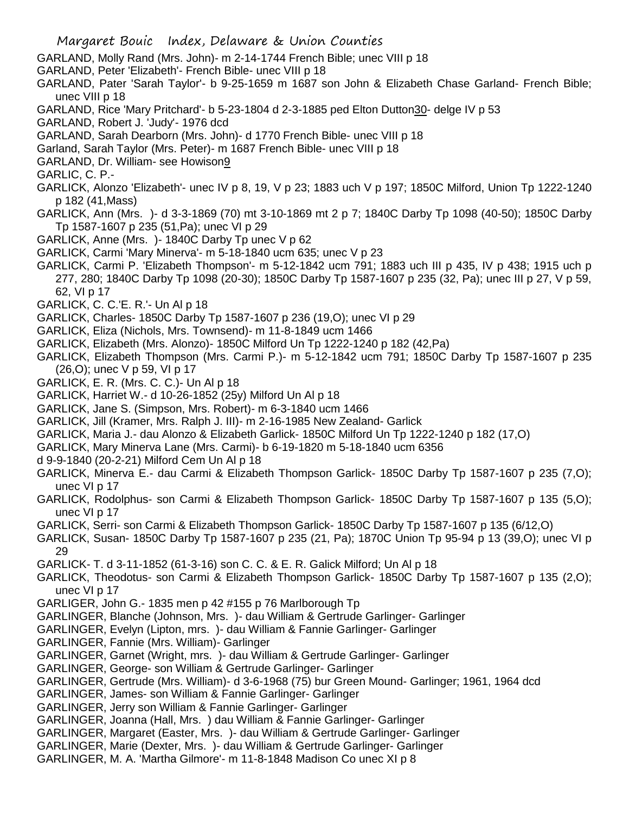- GARLAND, Molly Rand (Mrs. John)- m 2-14-1744 French Bible; unec VIII p 18
- GARLAND, Peter 'Elizabeth'- French Bible- unec VIII p 18
- GARLAND, Pater 'Sarah Taylor'- b 9-25-1659 m 1687 son John & Elizabeth Chase Garland- French Bible; unec VIII p 18
- GARLAND, Rice 'Mary Pritchard'- b 5-23-1804 d 2-3-1885 ped Elton Dutton30- delge IV p 53
- GARLAND, Robert J. 'Judy'- 1976 dcd
- GARLAND, Sarah Dearborn (Mrs. John)- d 1770 French Bible- unec VIII p 18
- Garland, Sarah Taylor (Mrs. Peter)- m 1687 French Bible- unec VIII p 18
- GARLAND, Dr. William- see Howison9
- GARLIC, C. P.-
- GARLICK, Alonzo 'Elizabeth'- unec IV p 8, 19, V p 23; 1883 uch V p 197; 1850C Milford, Union Tp 1222-1240 p 182 (41,Mass)
- GARLICK, Ann (Mrs. )- d 3-3-1869 (70) mt 3-10-1869 mt 2 p 7; 1840C Darby Tp 1098 (40-50); 1850C Darby Tp 1587-1607 p 235 (51,Pa); unec VI p 29
- GARLICK, Anne (Mrs. )- 1840C Darby Tp unec V p 62
- GARLICK, Carmi 'Mary Minerva'- m 5-18-1840 ucm 635; unec V p 23
- GARLICK, Carmi P. 'Elizabeth Thompson'- m 5-12-1842 ucm 791; 1883 uch III p 435, IV p 438; 1915 uch p 277, 280; 1840C Darby Tp 1098 (20-30); 1850C Darby Tp 1587-1607 p 235 (32, Pa); unec III p 27, V p 59, 62, VI p 17
- GARLICK, C. C.'E. R.'- Un Al p 18
- GARLICK, Charles- 1850C Darby Tp 1587-1607 p 236 (19,O); unec VI p 29
- GARLICK, Eliza (Nichols, Mrs. Townsend)- m 11-8-1849 ucm 1466
- GARLICK, Elizabeth (Mrs. Alonzo)- 1850C Milford Un Tp 1222-1240 p 182 (42,Pa)
- GARLICK, Elizabeth Thompson (Mrs. Carmi P.)- m 5-12-1842 ucm 791; 1850C Darby Tp 1587-1607 p 235 (26,O); unec V p 59, VI p 17
- GARLICK, E. R. (Mrs. C. C.)- Un Al p 18
- GARLICK, Harriet W.- d 10-26-1852 (25y) Milford Un Al p 18
- GARLICK, Jane S. (Simpson, Mrs. Robert)- m 6-3-1840 ucm 1466
- GARLICK, Jill (Kramer, Mrs. Ralph J. III)- m 2-16-1985 New Zealand- Garlick
- GARLICK, Maria J.- dau Alonzo & Elizabeth Garlick- 1850C Milford Un Tp 1222-1240 p 182 (17,O)
- GARLICK, Mary Minerva Lane (Mrs. Carmi)- b 6-19-1820 m 5-18-1840 ucm 6356
- d 9-9-1840 (20-2-21) Milford Cem Un Al p 18
- GARLICK, Minerva E.- dau Carmi & Elizabeth Thompson Garlick- 1850C Darby Tp 1587-1607 p 235 (7,O); unec VI p 17
- GARLICK, Rodolphus- son Carmi & Elizabeth Thompson Garlick- 1850C Darby Tp 1587-1607 p 135 (5,O); unec VI p 17
- GARLICK, Serri- son Carmi & Elizabeth Thompson Garlick- 1850C Darby Tp 1587-1607 p 135 (6/12,O)
- GARLICK, Susan- 1850C Darby Tp 1587-1607 p 235 (21, Pa); 1870C Union Tp 95-94 p 13 (39,O); unec VI p 29
- GARLICK- T. d 3-11-1852 (61-3-16) son C. C. & E. R. Galick Milford; Un Al p 18
- GARLICK, Theodotus- son Carmi & Elizabeth Thompson Garlick- 1850C Darby Tp 1587-1607 p 135 (2,O); unec VI p 17
- GARLIGER, John G.- 1835 men p 42 #155 p 76 Marlborough Tp
- GARLINGER, Blanche (Johnson, Mrs. )- dau William & Gertrude Garlinger- Garlinger
- GARLINGER, Evelyn (Lipton, mrs. )- dau William & Fannie Garlinger- Garlinger
- GARLINGER, Fannie (Mrs. William)- Garlinger
- GARLINGER, Garnet (Wright, mrs. )- dau William & Gertrude Garlinger- Garlinger
- GARLINGER, George- son William & Gertrude Garlinger- Garlinger
- GARLINGER, Gertrude (Mrs. William)- d 3-6-1968 (75) bur Green Mound- Garlinger; 1961, 1964 dcd
- GARLINGER, James- son William & Fannie Garlinger- Garlinger
- GARLINGER, Jerry son William & Fannie Garlinger- Garlinger
- GARLINGER, Joanna (Hall, Mrs. ) dau William & Fannie Garlinger- Garlinger
- GARLINGER, Margaret (Easter, Mrs. )- dau William & Gertrude Garlinger- Garlinger
- GARLINGER, Marie (Dexter, Mrs. )- dau William & Gertrude Garlinger- Garlinger
- GARLINGER, M. A. 'Martha Gilmore'- m 11-8-1848 Madison Co unec XI p 8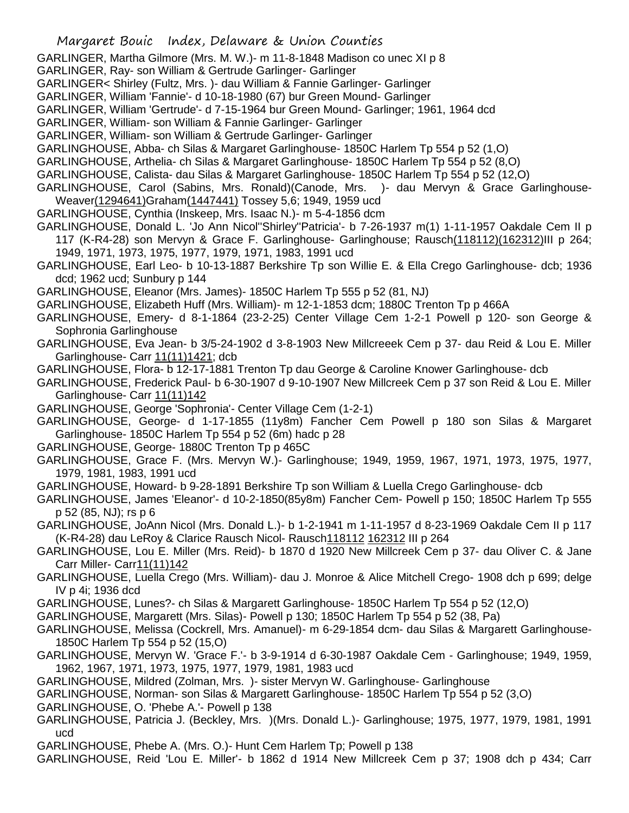GARLINGER, Martha Gilmore (Mrs. M. W.)- m 11-8-1848 Madison co unec XI p 8

GARLINGER, Ray- son William & Gertrude Garlinger- Garlinger

GARLINGER< Shirley (Fultz, Mrs. )- dau William & Fannie Garlinger- Garlinger

GARLINGER, William 'Fannie'- d 10-18-1980 (67) bur Green Mound- Garlinger

GARLINGER, William 'Gertrude'- d 7-15-1964 bur Green Mound- Garlinger; 1961, 1964 dcd

GARLINGER, William- son William & Fannie Garlinger- Garlinger

GARLINGER, William- son William & Gertrude Garlinger- Garlinger

GARLINGHOUSE, Abba- ch Silas & Margaret Garlinghouse- 1850C Harlem Tp 554 p 52 (1,O)

GARLINGHOUSE, Arthelia- ch Silas & Margaret Garlinghouse- 1850C Harlem Tp 554 p 52 (8,O)

GARLINGHOUSE, Calista- dau Silas & Margaret Garlinghouse- 1850C Harlem Tp 554 p 52 (12,O)

GARLINGHOUSE, Carol (Sabins, Mrs. Ronald)(Canode, Mrs. )- dau Mervyn & Grace Garlinghouse-Weaver(1294641)Graham(1447441) Tossey 5,6; 1949, 1959 ucd

GARLINGHOUSE, Cynthia (Inskeep, Mrs. Isaac N.)- m 5-4-1856 dcm

GARLINGHOUSE, Donald L. 'Jo Ann Nicol''Shirley''Patricia'- b 7-26-1937 m(1) 1-11-1957 Oakdale Cem II p 117 (K-R4-28) son Mervyn & Grace F. Garlinghouse- Garlinghouse; Rausch(118112)(162312)III p 264;

1949, 1971, 1973, 1975, 1977, 1979, 1971, 1983, 1991 ucd

GARLINGHOUSE, Earl Leo- b 10-13-1887 Berkshire Tp son Willie E. & Ella Crego Garlinghouse- dcb; 1936 dcd; 1962 ucd; Sunbury p 144

GARLINGHOUSE, Eleanor (Mrs. James)- 1850C Harlem Tp 555 p 52 (81, NJ)

GARLINGHOUSE, Elizabeth Huff (Mrs. William)- m 12-1-1853 dcm; 1880C Trenton Tp p 466A

GARLINGHOUSE, Emery- d 8-1-1864 (23-2-25) Center Village Cem 1-2-1 Powell p 120- son George & Sophronia Garlinghouse

GARLINGHOUSE, Eva Jean- b 3/5-24-1902 d 3-8-1903 New Millcreeek Cem p 37- dau Reid & Lou E. Miller Garlinghouse- Carr 11(11)1421; dcb

GARLINGHOUSE, Flora- b 12-17-1881 Trenton Tp dau George & Caroline Knower Garlinghouse- dcb

GARLINGHOUSE, Frederick Paul- b 6-30-1907 d 9-10-1907 New Millcreek Cem p 37 son Reid & Lou E. Miller Garlinghouse- Carr 11(11)142

GARLINGHOUSE, George 'Sophronia'- Center Village Cem (1-2-1)

GARLINGHOUSE, George- d 1-17-1855 (11y8m) Fancher Cem Powell p 180 son Silas & Margaret Garlinghouse- 1850C Harlem Tp 554 p 52 (6m) hadc p 28

GARLINGHOUSE, George- 1880C Trenton Tp p 465C

GARLINGHOUSE, Grace F. (Mrs. Mervyn W.)- Garlinghouse; 1949, 1959, 1967, 1971, 1973, 1975, 1977, 1979, 1981, 1983, 1991 ucd

GARLINGHOUSE, Howard- b 9-28-1891 Berkshire Tp son William & Luella Crego Garlinghouse- dcb

GARLINGHOUSE, James 'Eleanor'- d 10-2-1850(85y8m) Fancher Cem- Powell p 150; 1850C Harlem Tp 555 p 52 (85, NJ); rs p 6

GARLINGHOUSE, JoAnn Nicol (Mrs. Donald L.)- b 1-2-1941 m 1-11-1957 d 8-23-1969 Oakdale Cem II p 117 (K-R4-28) dau LeRoy & Clarice Rausch Nicol- Rausch118112 162312 III p 264

GARLINGHOUSE, Lou E. Miller (Mrs. Reid)- b 1870 d 1920 New Millcreek Cem p 37- dau Oliver C. & Jane Carr Miller- Carr11(11)142

GARLINGHOUSE, Luella Crego (Mrs. William)- dau J. Monroe & Alice Mitchell Crego- 1908 dch p 699; delge IV p 4i; 1936 dcd

GARLINGHOUSE, Lunes?- ch Silas & Margarett Garlinghouse- 1850C Harlem Tp 554 p 52 (12,O)

GARLINGHOUSE, Margarett (Mrs. Silas)- Powell p 130; 1850C Harlem Tp 554 p 52 (38, Pa)

GARLINGHOUSE, Melissa (Cockrell, Mrs. Amanuel)- m 6-29-1854 dcm- dau Silas & Margarett Garlinghouse-1850C Harlem Tp 554 p 52 (15,O)

GARLINGHOUSE, Mervyn W. 'Grace F.'- b 3-9-1914 d 6-30-1987 Oakdale Cem - Garlinghouse; 1949, 1959, 1962, 1967, 1971, 1973, 1975, 1977, 1979, 1981, 1983 ucd

GARLINGHOUSE, Mildred (Zolman, Mrs. )- sister Mervyn W. Garlinghouse- Garlinghouse

GARLINGHOUSE, Norman- son Silas & Margarett Garlinghouse- 1850C Harlem Tp 554 p 52 (3,O)

GARLINGHOUSE, O. 'Phebe A.'- Powell p 138

GARLINGHOUSE, Patricia J. (Beckley, Mrs. )(Mrs. Donald L.)- Garlinghouse; 1975, 1977, 1979, 1981, 1991 ucd

GARLINGHOUSE, Phebe A. (Mrs. O.)- Hunt Cem Harlem Tp; Powell p 138

GARLINGHOUSE, Reid 'Lou E. Miller'- b 1862 d 1914 New Millcreek Cem p 37; 1908 dch p 434; Carr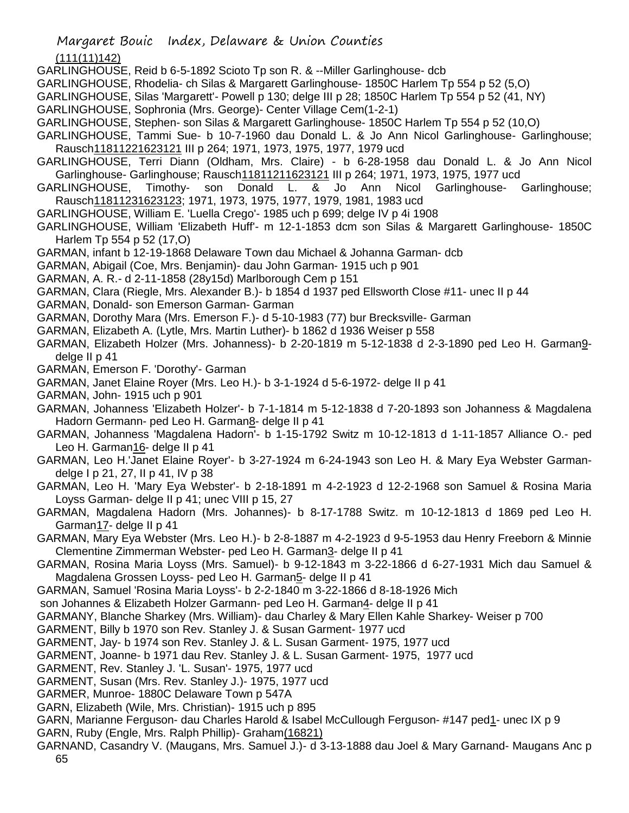(111(11)142)

GARLINGHOUSE, Reid b 6-5-1892 Scioto Tp son R. & --Miller Garlinghouse- dcb

GARLINGHOUSE, Rhodelia- ch Silas & Margarett Garlinghouse- 1850C Harlem Tp 554 p 52 (5,O)

GARLINGHOUSE, Silas 'Margarett'- Powell p 130; delge III p 28; 1850C Harlem Tp 554 p 52 (41, NY)

GARLINGHOUSE, Sophronia (Mrs. George)- Center Village Cem(1-2-1)

GARLINGHOUSE, Stephen- son Silas & Margarett Garlinghouse- 1850C Harlem Tp 554 p 52 (10,O)

GARLINGHOUSE, Tammi Sue- b 10-7-1960 dau Donald L. & Jo Ann Nicol Garlinghouse- Garlinghouse; Rausch11811221623121 III p 264; 1971, 1973, 1975, 1977, 1979 ucd

GARLINGHOUSE, Terri Diann (Oldham, Mrs. Claire) - b 6-28-1958 dau Donald L. & Jo Ann Nicol Garlinghouse- Garlinghouse; Rausch11811211623121 III p 264; 1971, 1973, 1975, 1977 ucd

GARLINGHOUSE, Timothy- son Donald L. & Jo Ann Nicol Garlinghouse- Garlinghouse; Rausch11811231623123; 1971, 1973, 1975, 1977, 1979, 1981, 1983 ucd

GARLINGHOUSE, William E. 'Luella Crego'- 1985 uch p 699; delge IV p 4i 1908

GARLINGHOUSE, William 'Elizabeth Huff'- m 12-1-1853 dcm son Silas & Margarett Garlinghouse- 1850C Harlem Tp 554 p 52 (17,O)

GARMAN, infant b 12-19-1868 Delaware Town dau Michael & Johanna Garman- dcb

GARMAN, Abigail (Coe, Mrs. Benjamin)- dau John Garman- 1915 uch p 901

- GARMAN, A. R.- d 2-11-1858 (28y15d) Marlborough Cem p 151
- GARMAN, Clara (Riegle, Mrs. Alexander B.)- b 1854 d 1937 ped Ellsworth Close #11- unec II p 44
- GARMAN, Donald- son Emerson Garman- Garman

GARMAN, Dorothy Mara (Mrs. Emerson F.)- d 5-10-1983 (77) bur Brecksville- Garman

GARMAN, Elizabeth A. (Lytle, Mrs. Martin Luther)- b 1862 d 1936 Weiser p 558

GARMAN, Elizabeth Holzer (Mrs. Johanness)- b 2-20-1819 m 5-12-1838 d 2-3-1890 ped Leo H. Garman9 delge II p 41

GARMAN, Emerson F. 'Dorothy'- Garman

GARMAN, Janet Elaine Royer (Mrs. Leo H.)- b 3-1-1924 d 5-6-1972- delge II p 41

GARMAN, John- 1915 uch p 901

GARMAN, Johanness 'Elizabeth Holzer'- b 7-1-1814 m 5-12-1838 d 7-20-1893 son Johanness & Magdalena Hadorn Germann- ped Leo H. Garman8- delge II p 41

GARMAN, Johanness 'Magdalena Hadorn'- b 1-15-1792 Switz m 10-12-1813 d 1-11-1857 Alliance O.- ped Leo H. Garman16- delge II p 41

GARMAN, Leo H.'Janet Elaine Royer'- b 3-27-1924 m 6-24-1943 son Leo H. & Mary Eya Webster Garmandelge I p 21, 27, II p 41, IV p 38

GARMAN, Leo H. 'Mary Eya Webster'- b 2-18-1891 m 4-2-1923 d 12-2-1968 son Samuel & Rosina Maria Loyss Garman- delge II p 41; unec VIII p 15, 27

GARMAN, Magdalena Hadorn (Mrs. Johannes)- b 8-17-1788 Switz. m 10-12-1813 d 1869 ped Leo H. Garman17- delge II p 41

GARMAN, Mary Eya Webster (Mrs. Leo H.)- b 2-8-1887 m 4-2-1923 d 9-5-1953 dau Henry Freeborn & Minnie Clementine Zimmerman Webster- ped Leo H. Garman3- delge II p 41

- GARMAN, Rosina Maria Loyss (Mrs. Samuel)- b 9-12-1843 m 3-22-1866 d 6-27-1931 Mich dau Samuel & Magdalena Grossen Loyss- ped Leo H. Garman5- delge II p 41
- GARMAN, Samuel 'Rosina Maria Loyss'- b 2-2-1840 m 3-22-1866 d 8-18-1926 Mich

son Johannes & Elizabeth Holzer Garmann- ped Leo H. Garman4- delge II p 41

GARMANY, Blanche Sharkey (Mrs. William)- dau Charley & Mary Ellen Kahle Sharkey- Weiser p 700

GARMENT, Billy b 1970 son Rev. Stanley J. & Susan Garment- 1977 ucd

GARMENT, Jay- b 1974 son Rev. Stanley J. & L. Susan Garment- 1975, 1977 ucd

GARMENT, Joanne- b 1971 dau Rev. Stanley J. & L. Susan Garment- 1975, 1977 ucd

GARMENT, Rev. Stanley J. 'L. Susan'- 1975, 1977 ucd

GARMENT, Susan (Mrs. Rev. Stanley J.)- 1975, 1977 ucd

GARMER, Munroe- 1880C Delaware Town p 547A

GARN, Elizabeth (Wile, Mrs. Christian)- 1915 uch p 895

GARN, Marianne Ferguson- dau Charles Harold & Isabel McCullough Ferguson- #147 ped1- unec IX p 9

GARN, Ruby (Engle, Mrs. Ralph Phillip)- Graham(16821)

GARNAND, Casandry V. (Maugans, Mrs. Samuel J.)- d 3-13-1888 dau Joel & Mary Garnand- Maugans Anc p 65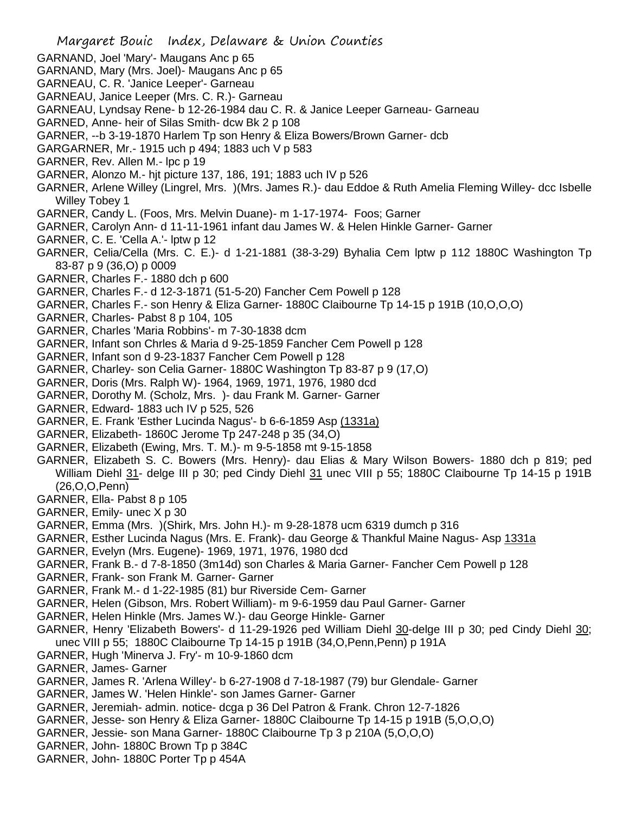- GARNAND, Joel 'Mary'- Maugans Anc p 65 GARNAND, Mary (Mrs. Joel)- Maugans Anc p 65 GARNEAU, C. R. 'Janice Leeper'- Garneau GARNEAU, Janice Leeper (Mrs. C. R.)- Garneau GARNEAU, Lyndsay Rene- b 12-26-1984 dau C. R. & Janice Leeper Garneau- Garneau GARNED, Anne- heir of Silas Smith- dcw Bk 2 p 108 GARNER, --b 3-19-1870 Harlem Tp son Henry & Eliza Bowers/Brown Garner- dcb GARGARNER, Mr.- 1915 uch p 494; 1883 uch V p 583 GARNER, Rev. Allen M.- lpc p 19 GARNER, Alonzo M.- hjt picture 137, 186, 191; 1883 uch IV p 526 GARNER, Arlene Willey (Lingrel, Mrs. )(Mrs. James R.)- dau Eddoe & Ruth Amelia Fleming Willey- dcc Isbelle Willey Tobey 1 GARNER, Candy L. (Foos, Mrs. Melvin Duane)- m 1-17-1974- Foos; Garner GARNER, Carolyn Ann- d 11-11-1961 infant dau James W. & Helen Hinkle Garner- Garner GARNER, C. E. 'Cella A.'- lptw p 12 GARNER, Celia/Cella (Mrs. C. E.)- d 1-21-1881 (38-3-29) Byhalia Cem lptw p 112 1880C Washington Tp 83-87 p 9 (36,O) p 0009 GARNER, Charles F.- 1880 dch p 600 GARNER, Charles F.- d 12-3-1871 (51-5-20) Fancher Cem Powell p 128 GARNER, Charles F.- son Henry & Eliza Garner- 1880C Claibourne Tp 14-15 p 191B (10,O,O,O) GARNER, Charles- Pabst 8 p 104, 105 GARNER, Charles 'Maria Robbins'- m 7-30-1838 dcm GARNER, Infant son Chrles & Maria d 9-25-1859 Fancher Cem Powell p 128 GARNER, Infant son d 9-23-1837 Fancher Cem Powell p 128 GARNER, Charley- son Celia Garner- 1880C Washington Tp 83-87 p 9 (17,O) GARNER, Doris (Mrs. Ralph W)- 1964, 1969, 1971, 1976, 1980 dcd GARNER, Dorothy M. (Scholz, Mrs. )- dau Frank M. Garner- Garner GARNER, Edward- 1883 uch IV p 525, 526 GARNER, E. Frank 'Esther Lucinda Nagus'- b 6-6-1859 Asp (1331a) GARNER, Elizabeth- 1860C Jerome Tp 247-248 p 35 (34,O) GARNER, Elizabeth (Ewing, Mrs. T. M.)- m 9-5-1858 mt 9-15-1858 GARNER, Elizabeth S. C. Bowers (Mrs. Henry)- dau Elias & Mary Wilson Bowers- 1880 dch p 819; ped William Diehl 31- delge III p 30; ped Cindy Diehl 31 unec VIII p 55; 1880C Claibourne Tp 14-15 p 191B (26,O,O,Penn) GARNER, Ella- Pabst 8 p 105 GARNER, Emily- unec X p 30 GARNER, Emma (Mrs. )(Shirk, Mrs. John H.)- m 9-28-1878 ucm 6319 dumch p 316 GARNER, Esther Lucinda Nagus (Mrs. E. Frank)- dau George & Thankful Maine Nagus- Asp 1331a GARNER, Evelyn (Mrs. Eugene)- 1969, 1971, 1976, 1980 dcd GARNER, Frank B.- d 7-8-1850 (3m14d) son Charles & Maria Garner- Fancher Cem Powell p 128 GARNER, Frank- son Frank M. Garner- Garner GARNER, Frank M.- d 1-22-1985 (81) bur Riverside Cem- Garner GARNER, Helen (Gibson, Mrs. Robert William)- m 9-6-1959 dau Paul Garner- Garner GARNER, Helen Hinkle (Mrs. James W.)- dau George Hinkle- Garner GARNER, Henry 'Elizabeth Bowers'- d 11-29-1926 ped William Diehl 30-delge III p 30; ped Cindy Diehl 30; unec VIII p 55; 1880C Claibourne Tp 14-15 p 191B (34,O,Penn,Penn) p 191A GARNER, Hugh 'Minerva J. Fry'- m 10-9-1860 dcm GARNER, James- Garner GARNER, James R. 'Arlena Willey'- b 6-27-1908 d 7-18-1987 (79) bur Glendale- Garner GARNER, James W. 'Helen Hinkle'- son James Garner- Garner GARNER, Jeremiah- admin. notice- dcga p 36 Del Patron & Frank. Chron 12-7-1826
- GARNER, Jesse- son Henry & Eliza Garner- 1880C Claibourne Tp 14-15 p 191B (5,O,O,O)
- GARNER, Jessie- son Mana Garner- 1880C Claibourne Tp 3 p 210A (5,O,O,O)

Margaret Bouic Index, Delaware & Union Counties

- GARNER, John- 1880C Brown Tp p 384C
- GARNER, John- 1880C Porter Tp p 454A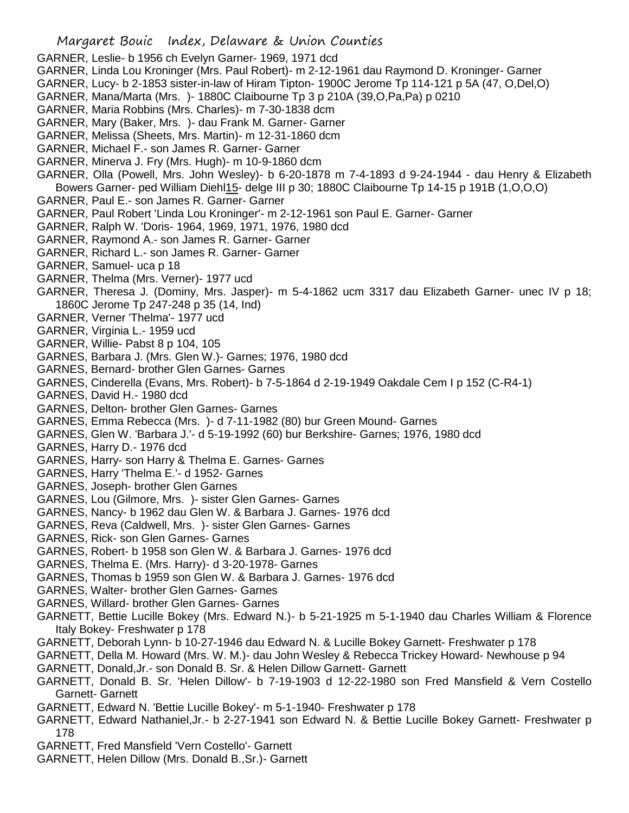- GARNER, Leslie- b 1956 ch Evelyn Garner- 1969, 1971 dcd
- GARNER, Linda Lou Kroninger (Mrs. Paul Robert)- m 2-12-1961 dau Raymond D. Kroninger- Garner
- GARNER, Lucy- b 2-1853 sister-in-law of Hiram Tipton- 1900C Jerome Tp 114-121 p 5A (47, O,Del,O)
- GARNER, Mana/Marta (Mrs. )- 1880C Claibourne Tp 3 p 210A (39,O,Pa,Pa) p 0210
- GARNER, Maria Robbins (Mrs. Charles)- m 7-30-1838 dcm
- GARNER, Mary (Baker, Mrs. )- dau Frank M. Garner- Garner
- GARNER, Melissa (Sheets, Mrs. Martin)- m 12-31-1860 dcm
- GARNER, Michael F.- son James R. Garner- Garner
- GARNER, Minerva J. Fry (Mrs. Hugh)- m 10-9-1860 dcm
- GARNER, Olla (Powell, Mrs. John Wesley)- b 6-20-1878 m 7-4-1893 d 9-24-1944 dau Henry & Elizabeth Bowers Garner- ped William Diehl15- delge III p 30; 1880C Claibourne Tp 14-15 p 191B (1,O,O,O)
- GARNER, Paul E.- son James R. Garner- Garner
- GARNER, Paul Robert 'Linda Lou Kroninger'- m 2-12-1961 son Paul E. Garner- Garner
- GARNER, Ralph W. 'Doris- 1964, 1969, 1971, 1976, 1980 dcd
- GARNER, Raymond A.- son James R. Garner- Garner
- GARNER, Richard L.- son James R. Garner- Garner
- GARNER, Samuel- uca p 18
- GARNER, Thelma (Mrs. Verner)- 1977 ucd
- GARNER, Theresa J. (Dominy, Mrs. Jasper)- m 5-4-1862 ucm 3317 dau Elizabeth Garner- unec IV p 18; 1860C Jerome Tp 247-248 p 35 (14, Ind)
- GARNER, Verner 'Thelma'- 1977 ucd
- GARNER, Virginia L.- 1959 ucd
- GARNER, Willie- Pabst 8 p 104, 105
- GARNES, Barbara J. (Mrs. Glen W.)- Garnes; 1976, 1980 dcd
- GARNES, Bernard- brother Glen Garnes- Garnes
- GARNES, Cinderella (Evans, Mrs. Robert)- b 7-5-1864 d 2-19-1949 Oakdale Cem I p 152 (C-R4-1)
- GARNES, David H.- 1980 dcd
- GARNES, Delton- brother Glen Garnes- Garnes
- GARNES, Emma Rebecca (Mrs. )- d 7-11-1982 (80) bur Green Mound- Garnes
- GARNES, Glen W. 'Barbara J.'- d 5-19-1992 (60) bur Berkshire- Garnes; 1976, 1980 dcd
- GARNES, Harry D.- 1976 dcd
- GARNES, Harry- son Harry & Thelma E. Garnes- Garnes
- GARNES, Harry 'Thelma E.'- d 1952- Garnes
- GARNES, Joseph- brother Glen Garnes
- GARNES, Lou (Gilmore, Mrs. )- sister Glen Garnes- Garnes
- GARNES, Nancy- b 1962 dau Glen W. & Barbara J. Garnes- 1976 dcd
- GARNES, Reva (Caldwell, Mrs. )- sister Glen Garnes- Garnes
- GARNES, Rick- son Glen Garnes- Garnes
- GARNES, Robert- b 1958 son Glen W. & Barbara J. Garnes- 1976 dcd
- GARNES, Thelma E. (Mrs. Harry)- d 3-20-1978- Garnes
- GARNES, Thomas b 1959 son Glen W. & Barbara J. Garnes- 1976 dcd
- GARNES, Walter- brother Glen Garnes- Garnes
- GARNES, Willard- brother Glen Garnes- Garnes
- GARNETT, Bettie Lucille Bokey (Mrs. Edward N.)- b 5-21-1925 m 5-1-1940 dau Charles William & Florence Italy Bokey- Freshwater p 178
- GARNETT, Deborah Lynn- b 10-27-1946 dau Edward N. & Lucille Bokey Garnett- Freshwater p 178
- GARNETT, Della M. Howard (Mrs. W. M.)- dau John Wesley & Rebecca Trickey Howard- Newhouse p 94
- GARNETT, Donald,Jr.- son Donald B. Sr. & Helen Dillow Garnett- Garnett
- GARNETT, Donald B. Sr. 'Helen Dillow'- b 7-19-1903 d 12-22-1980 son Fred Mansfield & Vern Costello Garnett- Garnett
- GARNETT, Edward N. 'Bettie Lucille Bokey'- m 5-1-1940- Freshwater p 178
- GARNETT, Edward Nathaniel,Jr.- b 2-27-1941 son Edward N. & Bettie Lucille Bokey Garnett- Freshwater p 178
- GARNETT, Fred Mansfield 'Vern Costello'- Garnett
- GARNETT, Helen Dillow (Mrs. Donald B.,Sr.)- Garnett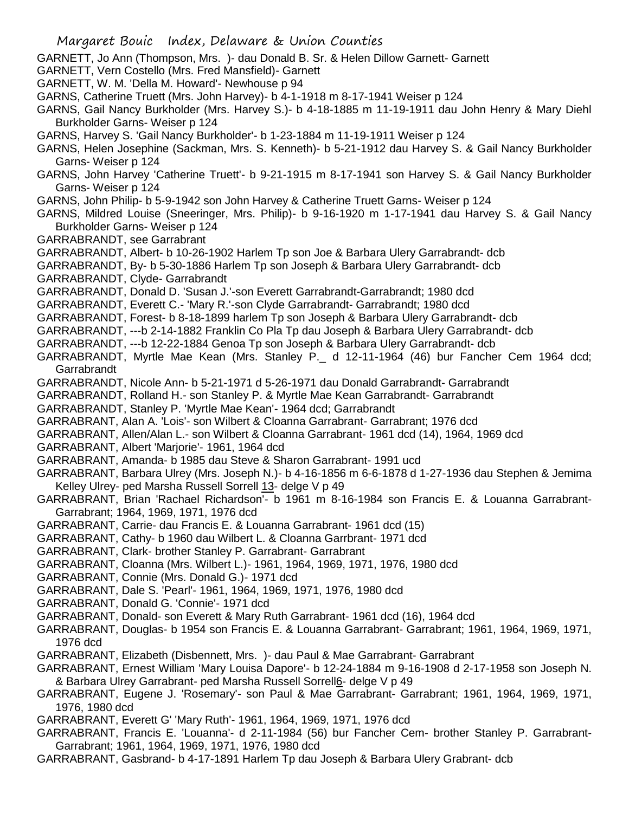- Margaret Bouic Index, Delaware & Union Counties GARNETT, Jo Ann (Thompson, Mrs. )- dau Donald B. Sr. & Helen Dillow Garnett- Garnett GARNETT, Vern Costello (Mrs. Fred Mansfield)- Garnett GARNETT, W. M. 'Della M. Howard'- Newhouse p 94 GARNS, Catherine Truett (Mrs. John Harvey)- b 4-1-1918 m 8-17-1941 Weiser p 124 GARNS, Gail Nancy Burkholder (Mrs. Harvey S.)- b 4-18-1885 m 11-19-1911 dau John Henry & Mary Diehl Burkholder Garns- Weiser p 124 GARNS, Harvey S. 'Gail Nancy Burkholder'- b 1-23-1884 m 11-19-1911 Weiser p 124 GARNS, Helen Josephine (Sackman, Mrs. S. Kenneth)- b 5-21-1912 dau Harvey S. & Gail Nancy Burkholder Garns- Weiser p 124 GARNS, John Harvey 'Catherine Truett'- b 9-21-1915 m 8-17-1941 son Harvey S. & Gail Nancy Burkholder Garns- Weiser p 124 GARNS, John Philip- b 5-9-1942 son John Harvey & Catherine Truett Garns- Weiser p 124 GARNS, Mildred Louise (Sneeringer, Mrs. Philip)- b 9-16-1920 m 1-17-1941 dau Harvey S. & Gail Nancy Burkholder Garns- Weiser p 124 GARRABRANDT, see Garrabrant GARRABRANDT, Albert- b 10-26-1902 Harlem Tp son Joe & Barbara Ulery Garrabrandt- dcb GARRABRANDT, By- b 5-30-1886 Harlem Tp son Joseph & Barbara Ulery Garrabrandt- dcb GARRABRANDT, Clyde- Garrabrandt GARRABRANDT, Donald D. 'Susan J.'-son Everett Garrabrandt-Garrabrandt; 1980 dcd GARRABRANDT, Everett C.- 'Mary R.'-son Clyde Garrabrandt- Garrabrandt; 1980 dcd GARRABRANDT, Forest- b 8-18-1899 harlem Tp son Joseph & Barbara Ulery Garrabrandt- dcb GARRABRANDT, ---b 2-14-1882 Franklin Co Pla Tp dau Joseph & Barbara Ulery Garrabrandt- dcb GARRABRANDT, ---b 12-22-1884 Genoa Tp son Joseph & Barbara Ulery Garrabrandt- dcb GARRABRANDT, Myrtle Mae Kean (Mrs. Stanley P.\_ d 12-11-1964 (46) bur Fancher Cem 1964 dcd; **Garrabrandt** GARRABRANDT, Nicole Ann- b 5-21-1971 d 5-26-1971 dau Donald Garrabrandt- Garrabrandt GARRABRANDT, Rolland H.- son Stanley P. & Myrtle Mae Kean Garrabrandt- Garrabrandt GARRABRANDT, Stanley P. 'Myrtle Mae Kean'- 1964 dcd; Garrabrandt GARRABRANT, Alan A. 'Lois'- son Wilbert & Cloanna Garrabrant- Garrabrant; 1976 dcd GARRABRANT, Allen/Alan L.- son Wilbert & Cloanna Garrabrant- 1961 dcd (14), 1964, 1969 dcd GARRABRANT, Albert 'Marjorie'- 1961, 1964 dcd GARRABRANT, Amanda- b 1985 dau Steve & Sharon Garrabrant- 1991 ucd GARRABRANT, Barbara Ulrey (Mrs. Joseph N.)- b 4-16-1856 m 6-6-1878 d 1-27-1936 dau Stephen & Jemima Kelley Ulrey- ped Marsha Russell Sorrell 13- delge V p 49 GARRABRANT, Brian 'Rachael Richardson'- b 1961 m 8-16-1984 son Francis E. & Louanna Garrabrant-Garrabrant; 1964, 1969, 1971, 1976 dcd GARRABRANT, Carrie- dau Francis E. & Louanna Garrabrant- 1961 dcd (15) GARRABRANT, Cathy- b 1960 dau Wilbert L. & Cloanna Garrbrant- 1971 dcd GARRABRANT, Clark- brother Stanley P. Garrabrant- Garrabrant GARRABRANT, Cloanna (Mrs. Wilbert L.)- 1961, 1964, 1969, 1971, 1976, 1980 dcd GARRABRANT, Connie (Mrs. Donald G.)- 1971 dcd GARRABRANT, Dale S. 'Pearl'- 1961, 1964, 1969, 1971, 1976, 1980 dcd GARRABRANT, Donald G. 'Connie'- 1971 dcd GARRABRANT, Donald- son Everett & Mary Ruth Garrabrant- 1961 dcd (16), 1964 dcd GARRABRANT, Douglas- b 1954 son Francis E. & Louanna Garrabrant- Garrabrant; 1961, 1964, 1969, 1971, 1976 dcd GARRABRANT, Elizabeth (Disbennett, Mrs. )- dau Paul & Mae Garrabrant- Garrabrant GARRABRANT, Ernest William 'Mary Louisa Dapore'- b 12-24-1884 m 9-16-1908 d 2-17-1958 son Joseph N. & Barbara Ulrey Garrabrant- ped Marsha Russell Sorrell6- delge V p 49 GARRABRANT, Eugene J. 'Rosemary'- son Paul & Mae Garrabrant- Garrabrant; 1961, 1964, 1969, 1971, 1976, 1980 dcd GARRABRANT, Everett G' 'Mary Ruth'- 1961, 1964, 1969, 1971, 1976 dcd
- GARRABRANT, Francis E. 'Louanna'- d 2-11-1984 (56) bur Fancher Cem- brother Stanley P. Garrabrant-Garrabrant; 1961, 1964, 1969, 1971, 1976, 1980 dcd
- GARRABRANT, Gasbrand- b 4-17-1891 Harlem Tp dau Joseph & Barbara Ulery Grabrant- dcb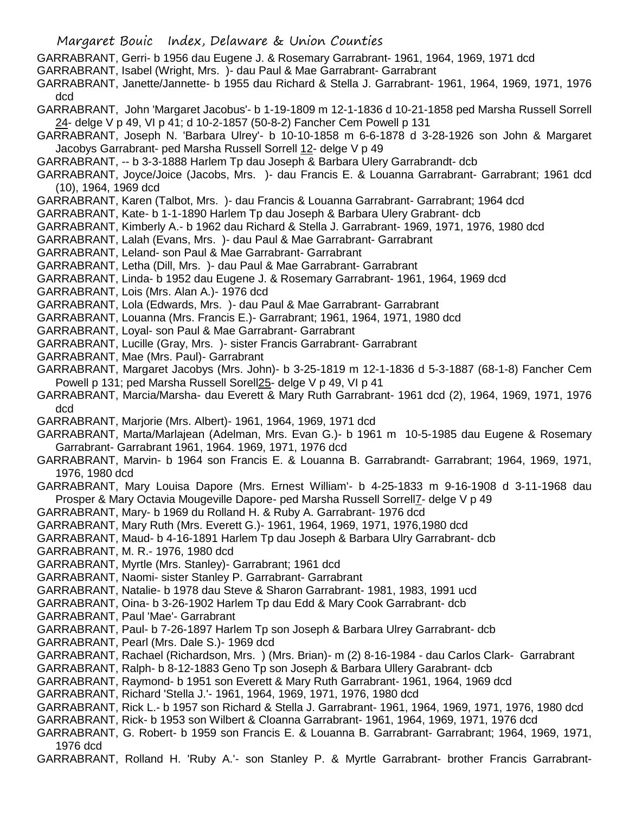GARRABRANT, Gerri- b 1956 dau Eugene J. & Rosemary Garrabrant- 1961, 1964, 1969, 1971 dcd

- GARRABRANT, Isabel (Wright, Mrs. )- dau Paul & Mae Garrabrant- Garrabrant
- GARRABRANT, Janette/Jannette- b 1955 dau Richard & Stella J. Garrabrant- 1961, 1964, 1969, 1971, 1976 dcd
- GARRABRANT, John 'Margaret Jacobus'- b 1-19-1809 m 12-1-1836 d 10-21-1858 ped Marsha Russell Sorrell 24- delge V p 49, VI p 41; d 10-2-1857 (50-8-2) Fancher Cem Powell p 131
- GARRABRANT, Joseph N. 'Barbara Ulrey'- b 10-10-1858 m 6-6-1878 d 3-28-1926 son John & Margaret Jacobys Garrabrant- ped Marsha Russell Sorrell 12- delge V p 49
- GARRABRANT, -- b 3-3-1888 Harlem Tp dau Joseph & Barbara Ulery Garrabrandt- dcb
- GARRABRANT, Joyce/Joice (Jacobs, Mrs. )- dau Francis E. & Louanna Garrabrant- Garrabrant; 1961 dcd (10), 1964, 1969 dcd
- GARRABRANT, Karen (Talbot, Mrs. )- dau Francis & Louanna Garrabrant- Garrabrant; 1964 dcd
- GARRABRANT, Kate- b 1-1-1890 Harlem Tp dau Joseph & Barbara Ulery Grabrant- dcb
- GARRABRANT, Kimberly A.- b 1962 dau Richard & Stella J. Garrabrant- 1969, 1971, 1976, 1980 dcd
- GARRABRANT, Lalah (Evans, Mrs. )- dau Paul & Mae Garrabrant- Garrabrant
- GARRABRANT, Leland- son Paul & Mae Garrabrant- Garrabrant
- GARRABRANT, Letha (Dill, Mrs. )- dau Paul & Mae Garrabrant- Garrabrant
- GARRABRANT, Linda- b 1952 dau Eugene J. & Rosemary Garrabrant- 1961, 1964, 1969 dcd
- GARRABRANT, Lois (Mrs. Alan A.)- 1976 dcd
- GARRABRANT, Lola (Edwards, Mrs. )- dau Paul & Mae Garrabrant- Garrabrant
- GARRABRANT, Louanna (Mrs. Francis E.)- Garrabrant; 1961, 1964, 1971, 1980 dcd
- GARRABRANT, Loyal- son Paul & Mae Garrabrant- Garrabrant
- GARRABRANT, Lucille (Gray, Mrs. )- sister Francis Garrabrant- Garrabrant
- GARRABRANT, Mae (Mrs. Paul)- Garrabrant
- GARRABRANT, Margaret Jacobys (Mrs. John)- b 3-25-1819 m 12-1-1836 d 5-3-1887 (68-1-8) Fancher Cem Powell p 131; ped Marsha Russell Sorell25- delge V p 49, VI p 41
- GARRABRANT, Marcia/Marsha- dau Everett & Mary Ruth Garrabrant- 1961 dcd (2), 1964, 1969, 1971, 1976 dcd
- GARRABRANT, Marjorie (Mrs. Albert)- 1961, 1964, 1969, 1971 dcd
- GARRABRANT, Marta/Marlajean (Adelman, Mrs. Evan G.)- b 1961 m 10-5-1985 dau Eugene & Rosemary Garrabrant- Garrabrant 1961, 1964. 1969, 1971, 1976 dcd
- GARRABRANT, Marvin- b 1964 son Francis E. & Louanna B. Garrabrandt- Garrabrant; 1964, 1969, 1971, 1976, 1980 dcd
- GARRABRANT, Mary Louisa Dapore (Mrs. Ernest William'- b 4-25-1833 m 9-16-1908 d 3-11-1968 dau Prosper & Mary Octavia Mougeville Dapore- ped Marsha Russell Sorrell7- delge V p 49
- GARRABRANT, Mary- b 1969 du Rolland H. & Ruby A. Garrabrant- 1976 dcd
- GARRABRANT, Mary Ruth (Mrs. Everett G.)- 1961, 1964, 1969, 1971, 1976,1980 dcd
- GARRABRANT, Maud- b 4-16-1891 Harlem Tp dau Joseph & Barbara Ulry Garrabrant- dcb
- GARRABRANT, M. R.- 1976, 1980 dcd
- GARRABRANT, Myrtle (Mrs. Stanley)- Garrabrant; 1961 dcd
- GARRABRANT, Naomi- sister Stanley P. Garrabrant- Garrabrant
- GARRABRANT, Natalie- b 1978 dau Steve & Sharon Garrabrant- 1981, 1983, 1991 ucd
- GARRABRANT, Oina- b 3-26-1902 Harlem Tp dau Edd & Mary Cook Garrabrant- dcb
- GARRABRANT, Paul 'Mae'- Garrabrant
- GARRABRANT, Paul- b 7-26-1897 Harlem Tp son Joseph & Barbara Ulrey Garrabrant- dcb
- GARRABRANT, Pearl (Mrs. Dale S.)- 1969 dcd
- GARRABRANT, Rachael (Richardson, Mrs. ) (Mrs. Brian)- m (2) 8-16-1984 dau Carlos Clark- Garrabrant
- GARRABRANT, Ralph- b 8-12-1883 Geno Tp son Joseph & Barbara Ullery Garabrant- dcb
- GARRABRANT, Raymond- b 1951 son Everett & Mary Ruth Garrabrant- 1961, 1964, 1969 dcd
- GARRABRANT, Richard 'Stella J.'- 1961, 1964, 1969, 1971, 1976, 1980 dcd
- GARRABRANT, Rick L.- b 1957 son Richard & Stella J. Garrabrant- 1961, 1964, 1969, 1971, 1976, 1980 dcd GARRABRANT, Rick- b 1953 son Wilbert & Cloanna Garrabrant- 1961, 1964, 1969, 1971, 1976 dcd
- GARRABRANT, G. Robert- b 1959 son Francis E. & Louanna B. Garrabrant- Garrabrant; 1964, 1969, 1971,
- 1976 dcd
- GARRABRANT, Rolland H. 'Ruby A.'- son Stanley P. & Myrtle Garrabrant- brother Francis Garrabrant-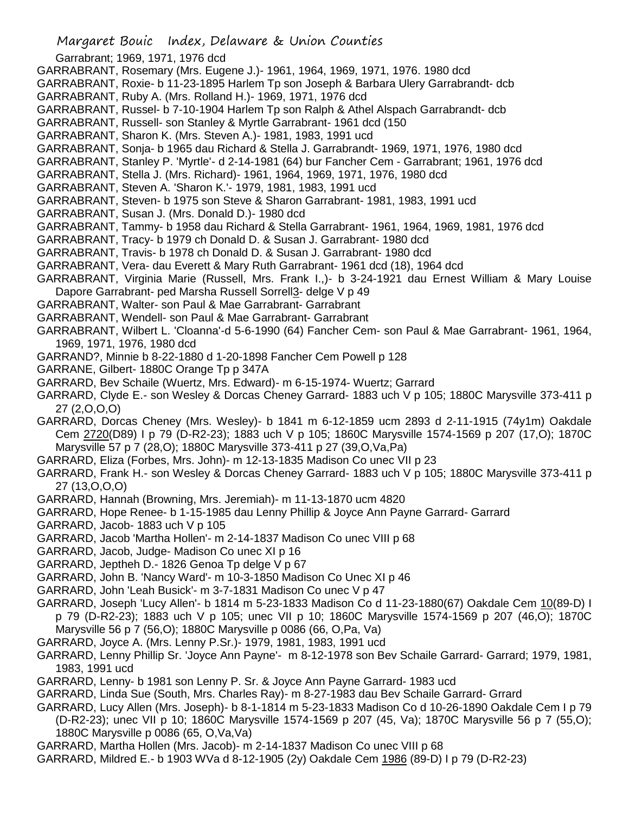GARRABRANT, Rosemary (Mrs. Eugene J.)- 1961, 1964, 1969, 1971, 1976. 1980 dcd

GARRABRANT, Roxie- b 11-23-1895 Harlem Tp son Joseph & Barbara Ulery Garrabrandt- dcb

- GARRABRANT, Ruby A. (Mrs. Rolland H.)- 1969, 1971, 1976 dcd
- GARRABRANT, Russel- b 7-10-1904 Harlem Tp son Ralph & Athel Alspach Garrabrandt- dcb
- GARRABRANT, Russell- son Stanley & Myrtle Garrabrant- 1961 dcd (150
- GARRABRANT, Sharon K. (Mrs. Steven A.)- 1981, 1983, 1991 ucd
- GARRABRANT, Sonja- b 1965 dau Richard & Stella J. Garrabrandt- 1969, 1971, 1976, 1980 dcd
- GARRABRANT, Stanley P. 'Myrtle'- d 2-14-1981 (64) bur Fancher Cem Garrabrant; 1961, 1976 dcd
- GARRABRANT, Stella J. (Mrs. Richard)- 1961, 1964, 1969, 1971, 1976, 1980 dcd
- GARRABRANT, Steven A. 'Sharon K.'- 1979, 1981, 1983, 1991 ucd
- GARRABRANT, Steven- b 1975 son Steve & Sharon Garrabrant- 1981, 1983, 1991 ucd
- GARRABRANT, Susan J. (Mrs. Donald D.)- 1980 dcd
- GARRABRANT, Tammy- b 1958 dau Richard & Stella Garrabrant- 1961, 1964, 1969, 1981, 1976 dcd
- GARRABRANT, Tracy- b 1979 ch Donald D. & Susan J. Garrabrant- 1980 dcd
- GARRABRANT, Travis- b 1978 ch Donald D. & Susan J. Garrabrant- 1980 dcd
- GARRABRANT, Vera- dau Everett & Mary Ruth Garrabrant- 1961 dcd (18), 1964 dcd
- GARRABRANT, Virginia Marie (Russell, Mrs. Frank I.,)- b 3-24-1921 dau Ernest William & Mary Louise Dapore Garrabrant- ped Marsha Russell Sorrell3- delge V p 49
- GARRABRANT, Walter- son Paul & Mae Garrabrant- Garrabrant
- GARRABRANT, Wendell- son Paul & Mae Garrabrant- Garrabrant
- GARRABRANT, Wilbert L. 'Cloanna'-d 5-6-1990 (64) Fancher Cem- son Paul & Mae Garrabrant- 1961, 1964, 1969, 1971, 1976, 1980 dcd
- GARRAND?, Minnie b 8-22-1880 d 1-20-1898 Fancher Cem Powell p 128
- GARRANE, Gilbert- 1880C Orange Tp p 347A
- GARRARD, Bev Schaile (Wuertz, Mrs. Edward)- m 6-15-1974- Wuertz; Garrard
- GARRARD, Clyde E.- son Wesley & Dorcas Cheney Garrard- 1883 uch V p 105; 1880C Marysville 373-411 p 27 (2,O,O,O)
- GARRARD, Dorcas Cheney (Mrs. Wesley)- b 1841 m 6-12-1859 ucm 2893 d 2-11-1915 (74y1m) Oakdale Cem 2720(D89) I p 79 (D-R2-23); 1883 uch V p 105; 1860C Marysville 1574-1569 p 207 (17,O); 1870C Marysville 57 p 7 (28,O); 1880C Marysville 373-411 p 27 (39,O,Va,Pa)
- GARRARD, Eliza (Forbes, Mrs. John)- m 12-13-1835 Madison Co unec VII p 23
- GARRARD, Frank H.- son Wesley & Dorcas Cheney Garrard- 1883 uch V p 105; 1880C Marysville 373-411 p 27 (13,O,O,O)
- GARRARD, Hannah (Browning, Mrs. Jeremiah)- m 11-13-1870 ucm 4820
- GARRARD, Hope Renee- b 1-15-1985 dau Lenny Phillip & Joyce Ann Payne Garrard- Garrard
- GARRARD, Jacob- 1883 uch V p 105
- GARRARD, Jacob 'Martha Hollen'- m 2-14-1837 Madison Co unec VIII p 68
- GARRARD, Jacob, Judge- Madison Co unec XI p 16
- GARRARD, Jeptheh D.- 1826 Genoa Tp delge V p 67
- GARRARD, John B. 'Nancy Ward'- m 10-3-1850 Madison Co Unec XI p 46
- GARRARD, John 'Leah Busick'- m 3-7-1831 Madison Co unec V p 47
- GARRARD, Joseph 'Lucy Allen'- b 1814 m 5-23-1833 Madison Co d 11-23-1880(67) Oakdale Cem 10(89-D) I p 79 (D-R2-23); 1883 uch V p 105; unec VII p 10; 1860C Marysville 1574-1569 p 207 (46,O); 1870C Marysville 56 p 7 (56,O); 1880C Marysville p 0086 (66, O,Pa, Va)
- GARRARD, Joyce A. (Mrs. Lenny P.Sr.)- 1979, 1981, 1983, 1991 ucd
- GARRARD, Lenny Phillip Sr. 'Joyce Ann Payne'- m 8-12-1978 son Bev Schaile Garrard- Garrard; 1979, 1981, 1983, 1991 ucd
- GARRARD, Lenny- b 1981 son Lenny P. Sr. & Joyce Ann Payne Garrard- 1983 ucd
- GARRARD, Linda Sue (South, Mrs. Charles Ray)- m 8-27-1983 dau Bev Schaile Garrard- Grrard
- GARRARD, Lucy Allen (Mrs. Joseph)- b 8-1-1814 m 5-23-1833 Madison Co d 10-26-1890 Oakdale Cem I p 79 (D-R2-23); unec VII p 10; 1860C Marysville 1574-1569 p 207 (45, Va); 1870C Marysville 56 p 7 (55,O); 1880C Marysville p 0086 (65, O,Va,Va)
- GARRARD, Martha Hollen (Mrs. Jacob)- m 2-14-1837 Madison Co unec VIII p 68
- GARRARD, Mildred E.- b 1903 WVa d 8-12-1905 (2y) Oakdale Cem 1986 (89-D) I p 79 (D-R2-23)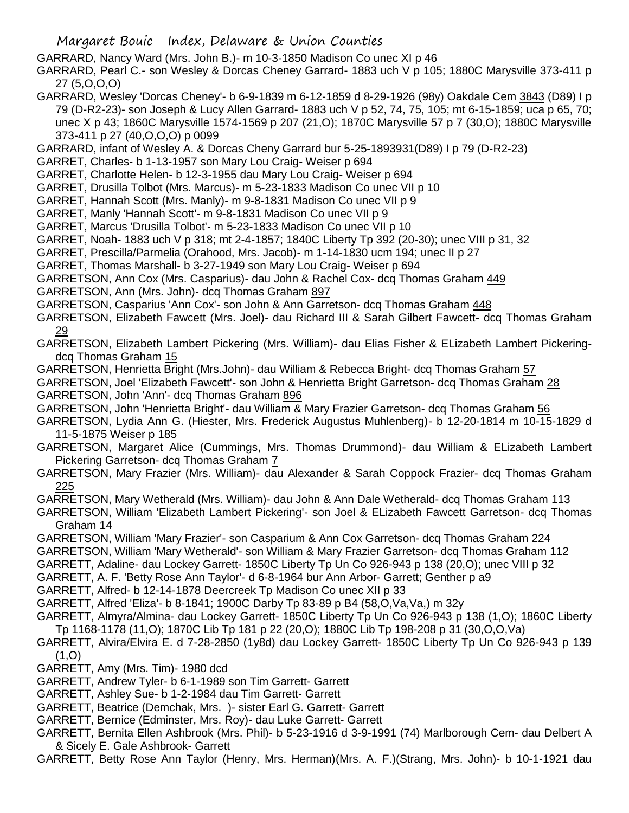GARRARD, Nancy Ward (Mrs. John B.)- m 10-3-1850 Madison Co unec XI p 46

GARRARD, Pearl C.- son Wesley & Dorcas Cheney Garrard- 1883 uch V p 105; 1880C Marysville 373-411 p 27 (5,O,O,O)

GARRARD, Wesley 'Dorcas Cheney'- b 6-9-1839 m 6-12-1859 d 8-29-1926 (98y) Oakdale Cem 3843 (D89) I p 79 (D-R2-23)- son Joseph & Lucy Allen Garrard- 1883 uch V p 52, 74, 75, 105; mt 6-15-1859; uca p 65, 70; unec X p 43; 1860C Marysville 1574-1569 p 207 (21,O); 1870C Marysville 57 p 7 (30,O); 1880C Marysville 373-411 p 27 (40,O,O,O) p 0099

GARRARD, infant of Wesley A. & Dorcas Cheny Garrard bur 5-25-1893931(D89) I p 79 (D-R2-23)

GARRET, Charles- b 1-13-1957 son Mary Lou Craig- Weiser p 694

GARRET, Charlotte Helen- b 12-3-1955 dau Mary Lou Craig- Weiser p 694

GARRET, Drusilla Tolbot (Mrs. Marcus)- m 5-23-1833 Madison Co unec VII p 10

GARRET, Hannah Scott (Mrs. Manly)- m 9-8-1831 Madison Co unec VII p 9

GARRET, Manly 'Hannah Scott'- m 9-8-1831 Madison Co unec VII p 9

GARRET, Marcus 'Drusilla Tolbot'- m 5-23-1833 Madison Co unec VII p 10

GARRET, Noah- 1883 uch V p 318; mt 2-4-1857; 1840C Liberty Tp 392 (20-30); unec VIII p 31, 32

GARRET, Prescilla/Parmelia (Orahood, Mrs. Jacob)- m 1-14-1830 ucm 194; unec II p 27

GARRET, Thomas Marshall- b 3-27-1949 son Mary Lou Craig- Weiser p 694

GARRETSON, Ann Cox (Mrs. Casparius)- dau John & Rachel Cox- dcq Thomas Graham 449

GARRETSON, Ann (Mrs. John)- dcq Thomas Graham 897

GARRETSON, Casparius 'Ann Cox'- son John & Ann Garretson- dcq Thomas Graham 448

GARRETSON, Elizabeth Fawcett (Mrs. Joel)- dau Richard III & Sarah Gilbert Fawcett- dcq Thomas Graham 29

GARRETSON, Elizabeth Lambert Pickering (Mrs. William)- dau Elias Fisher & ELizabeth Lambert Pickeringdcq Thomas Graham 15

GARRETSON, Henrietta Bright (Mrs.John)- dau William & Rebecca Bright- dcq Thomas Graham 57

GARRETSON, Joel 'Elizabeth Fawcett'- son John & Henrietta Bright Garretson- dcq Thomas Graham 28 GARRETSON, John 'Ann'- dcq Thomas Graham 896

GARRETSON, John 'Henrietta Bright'- dau William & Mary Frazier Garretson- dcq Thomas Graham 56

GARRETSON, Lydia Ann G. (Hiester, Mrs. Frederick Augustus Muhlenberg)- b 12-20-1814 m 10-15-1829 d 11-5-1875 Weiser p 185

- GARRETSON, Margaret Alice (Cummings, Mrs. Thomas Drummond)- dau William & ELizabeth Lambert Pickering Garretson- dcq Thomas Graham 7
- GARRETSON, Mary Frazier (Mrs. William)- dau Alexander & Sarah Coppock Frazier- dcq Thomas Graham 225
- GARRETSON, Mary Wetherald (Mrs. William)- dau John & Ann Dale Wetherald- dcq Thomas Graham 113

GARRETSON, William 'Elizabeth Lambert Pickering'- son Joel & ELizabeth Fawcett Garretson- dcq Thomas Graham 14

GARRETSON, William 'Mary Frazier'- son Casparium & Ann Cox Garretson- dcq Thomas Graham 224

GARRETSON, William 'Mary Wetherald'- son William & Mary Frazier Garretson- dcq Thomas Graham 112

GARRETT, Adaline- dau Lockey Garrett- 1850C Liberty Tp Un Co 926-943 p 138 (20,O); unec VIII p 32

GARRETT, A. F. 'Betty Rose Ann Taylor'- d 6-8-1964 bur Ann Arbor- Garrett; Genther p a9

GARRETT, Alfred- b 12-14-1878 Deercreek Tp Madison Co unec XII p 33

GARRETT, Alfred 'Eliza'- b 8-1841; 1900C Darby Tp 83-89 p B4 (58,O,Va,Va,) m 32y

- GARRETT, Almyra/Almina- dau Lockey Garrett- 1850C Liberty Tp Un Co 926-943 p 138 (1,O); 1860C Liberty Tp 1168-1178 (11,O); 1870C Lib Tp 181 p 22 (20,O); 1880C Lib Tp 198-208 p 31 (30,O,O,Va)
- GARRETT, Alvira/Elvira E. d 7-28-2850 (1y8d) dau Lockey Garrett- 1850C Liberty Tp Un Co 926-943 p 139 (1,O)

GARRETT, Amy (Mrs. Tim)- 1980 dcd

GARRETT, Andrew Tyler- b 6-1-1989 son Tim Garrett- Garrett

GARRETT, Ashley Sue- b 1-2-1984 dau Tim Garrett- Garrett

GARRETT, Beatrice (Demchak, Mrs. )- sister Earl G. Garrett- Garrett

GARRETT, Bernice (Edminster, Mrs. Roy)- dau Luke Garrett- Garrett

GARRETT, Bernita Ellen Ashbrook (Mrs. Phil)- b 5-23-1916 d 3-9-1991 (74) Marlborough Cem- dau Delbert A & Sicely E. Gale Ashbrook- Garrett

GARRETT, Betty Rose Ann Taylor (Henry, Mrs. Herman)(Mrs. A. F.)(Strang, Mrs. John)- b 10-1-1921 dau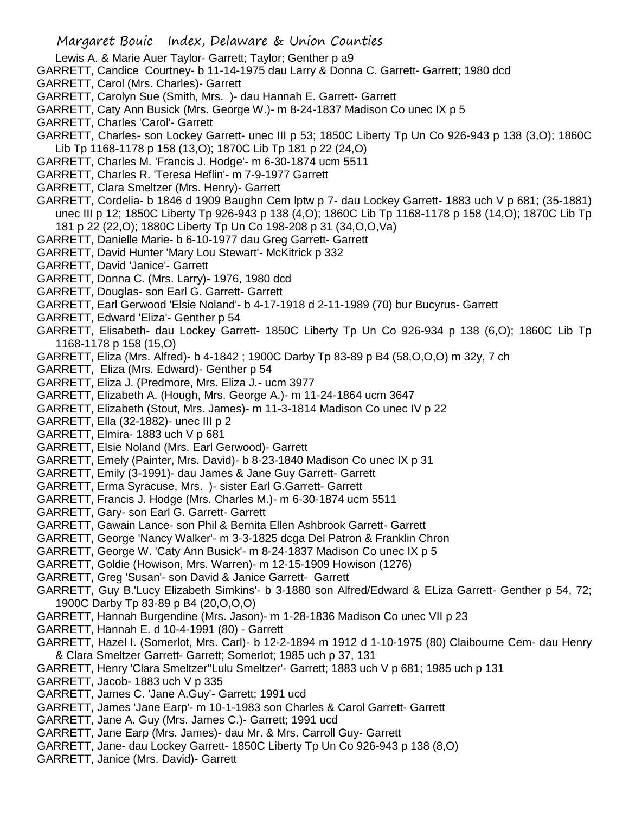- Lewis A. & Marie Auer Taylor- Garrett; Taylor; Genther p a9
- GARRETT, Candice Courtney- b 11-14-1975 dau Larry & Donna C. Garrett- Garrett; 1980 dcd
- GARRETT, Carol (Mrs. Charles)- Garrett
- GARRETT, Carolyn Sue (Smith, Mrs. )- dau Hannah E. Garrett- Garrett
- GARRETT, Caty Ann Busick (Mrs. George W.)- m 8-24-1837 Madison Co unec IX p 5
- GARRETT, Charles 'Carol'- Garrett
- GARRETT, Charles- son Lockey Garrett- unec III p 53; 1850C Liberty Tp Un Co 926-943 p 138 (3,O); 1860C Lib Tp 1168-1178 p 158 (13,O); 1870C Lib Tp 181 p 22 (24,O)
- GARRETT, Charles M. 'Francis J. Hodge'- m 6-30-1874 ucm 5511
- GARRETT, Charles R. 'Teresa Heflin'- m 7-9-1977 Garrett
- GARRETT, Clara Smeltzer (Mrs. Henry)- Garrett
- GARRETT, Cordelia- b 1846 d 1909 Baughn Cem lptw p 7- dau Lockey Garrett- 1883 uch V p 681; (35-1881) unec III p 12; 1850C Liberty Tp 926-943 p 138 (4,O); 1860C Lib Tp 1168-1178 p 158 (14,O); 1870C Lib Tp 181 p 22 (22,O); 1880C Liberty Tp Un Co 198-208 p 31 (34,O,O,Va)
- GARRETT, Danielle Marie- b 6-10-1977 dau Greg Garrett- Garrett
- GARRETT, David Hunter 'Mary Lou Stewart'- McKitrick p 332
- GARRETT, David 'Janice'- Garrett
- GARRETT, Donna C. (Mrs. Larry)- 1976, 1980 dcd
- GARRETT, Douglas- son Earl G. Garrett- Garrett
- GARRETT, Earl Gerwood 'Elsie Noland'- b 4-17-1918 d 2-11-1989 (70) bur Bucyrus- Garrett
- GARRETT, Edward 'Eliza'- Genther p 54
- GARRETT, Elisabeth- dau Lockey Garrett- 1850C Liberty Tp Un Co 926-934 p 138 (6,O); 1860C Lib Tp 1168-1178 p 158 (15,O)
- GARRETT, Eliza (Mrs. Alfred)- b 4-1842 ; 1900C Darby Tp 83-89 p B4 (58,O,O,O) m 32y, 7 ch
- GARRETT, Eliza (Mrs. Edward)- Genther p 54
- GARRETT, Eliza J. (Predmore, Mrs. Eliza J.- ucm 3977
- GARRETT, Elizabeth A. (Hough, Mrs. George A.)- m 11-24-1864 ucm 3647
- GARRETT, Elizabeth (Stout, Mrs. James)- m 11-3-1814 Madison Co unec IV p 22
- GARRETT, Ella (32-1882)- unec III p 2
- GARRETT, Elmira- 1883 uch V p 681
- GARRETT, Elsie Noland (Mrs. Earl Gerwood)- Garrett
- GARRETT, Emely (Painter, Mrs. David)- b 8-23-1840 Madison Co unec IX p 31
- GARRETT, Emily (3-1991)- dau James & Jane Guy Garrett- Garrett
- GARRETT, Erma Syracuse, Mrs. )- sister Earl G.Garrett- Garrett
- GARRETT, Francis J. Hodge (Mrs. Charles M.)- m 6-30-1874 ucm 5511
- GARRETT, Gary- son Earl G. Garrett- Garrett
- GARRETT, Gawain Lance- son Phil & Bernita Ellen Ashbrook Garrett- Garrett
- GARRETT, George 'Nancy Walker'- m 3-3-1825 dcga Del Patron & Franklin Chron
- GARRETT, George W. 'Caty Ann Busick'- m 8-24-1837 Madison Co unec IX p 5
- GARRETT, Goldie (Howison, Mrs. Warren)- m 12-15-1909 Howison (1276)
- GARRETT, Greg 'Susan'- son David & Janice Garrett- Garrett
- GARRETT, Guy B.'Lucy Elizabeth Simkins'- b 3-1880 son Alfred/Edward & ELiza Garrett- Genther p 54, 72; 1900C Darby Tp 83-89 p B4 (20,O,O,O)
- GARRETT, Hannah Burgendine (Mrs. Jason)- m 1-28-1836 Madison Co unec VII p 23
- GARRETT, Hannah E. d 10-4-1991 (80) Garrett
- GARRETT, Hazel I. (Somerlot, Mrs. Carl)- b 12-2-1894 m 1912 d 1-10-1975 (80) Claibourne Cem- dau Henry & Clara Smeltzer Garrett- Garrett; Somerlot; 1985 uch p 37, 131
- GARRETT, Henry 'Clara Smeltzer''Lulu Smeltzer'- Garrett; 1883 uch V p 681; 1985 uch p 131
- GARRETT, Jacob- 1883 uch V p 335
- GARRETT, James C. 'Jane A.Guy'- Garrett; 1991 ucd
- GARRETT, James 'Jane Earp'- m 10-1-1983 son Charles & Carol Garrett- Garrett
- GARRETT, Jane A. Guy (Mrs. James C.)- Garrett; 1991 ucd
- GARRETT, Jane Earp (Mrs. James)- dau Mr. & Mrs. Carroll Guy- Garrett
- GARRETT, Jane- dau Lockey Garrett- 1850C Liberty Tp Un Co 926-943 p 138 (8,O)
- GARRETT, Janice (Mrs. David)- Garrett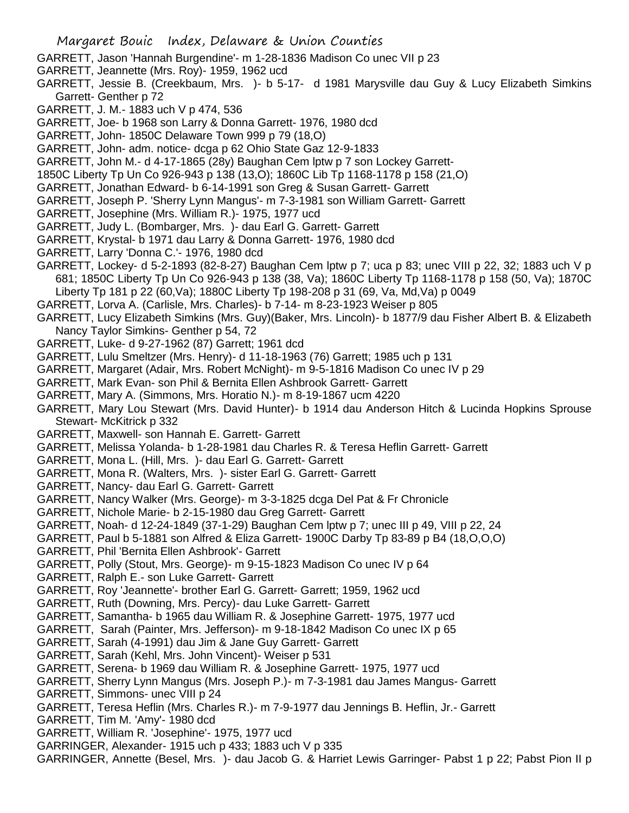- GARRETT, Jason 'Hannah Burgendine'- m 1-28-1836 Madison Co unec VII p 23
- GARRETT, Jeannette (Mrs. Roy)- 1959, 1962 ucd
- GARRETT, Jessie B. (Creekbaum, Mrs. )- b 5-17- d 1981 Marysville dau Guy & Lucy Elizabeth Simkins Garrett- Genther p 72
- GARRETT, J. M.- 1883 uch V p 474, 536
- GARRETT, Joe- b 1968 son Larry & Donna Garrett- 1976, 1980 dcd
- GARRETT, John- 1850C Delaware Town 999 p 79 (18,O)
- GARRETT, John- adm. notice- dcga p 62 Ohio State Gaz 12-9-1833
- GARRETT, John M.- d 4-17-1865 (28y) Baughan Cem lptw p 7 son Lockey Garrett-
- 1850C Liberty Tp Un Co 926-943 p 138 (13,O); 1860C Lib Tp 1168-1178 p 158 (21,O)
- GARRETT, Jonathan Edward- b 6-14-1991 son Greg & Susan Garrett- Garrett
- GARRETT, Joseph P. 'Sherry Lynn Mangus'- m 7-3-1981 son William Garrett- Garrett
- GARRETT, Josephine (Mrs. William R.)- 1975, 1977 ucd
- GARRETT, Judy L. (Bombarger, Mrs. )- dau Earl G. Garrett- Garrett
- GARRETT, Krystal- b 1971 dau Larry & Donna Garrett- 1976, 1980 dcd
- GARRETT, Larry 'Donna C.'- 1976, 1980 dcd
- GARRETT, Lockey- d 5-2-1893 (82-8-27) Baughan Cem lptw p 7; uca p 83; unec VIII p 22, 32; 1883 uch V p 681; 1850C Liberty Tp Un Co 926-943 p 138 (38, Va); 1860C Liberty Tp 1168-1178 p 158 (50, Va); 1870C Liberty Tp 181 p 22 (60,Va); 1880C Liberty Tp 198-208 p 31 (69, Va, Md,Va) p 0049
- GARRETT, Lorva A. (Carlisle, Mrs. Charles)- b 7-14- m 8-23-1923 Weiser p 805
- GARRETT, Lucy Elizabeth Simkins (Mrs. Guy)(Baker, Mrs. Lincoln)- b 1877/9 dau Fisher Albert B. & Elizabeth Nancy Taylor Simkins- Genther p 54, 72
- GARRETT, Luke- d 9-27-1962 (87) Garrett; 1961 dcd
- GARRETT, Lulu Smeltzer (Mrs. Henry)- d 11-18-1963 (76) Garrett; 1985 uch p 131
- GARRETT, Margaret (Adair, Mrs. Robert McNight)- m 9-5-1816 Madison Co unec IV p 29
- GARRETT, Mark Evan- son Phil & Bernita Ellen Ashbrook Garrett- Garrett
- GARRETT, Mary A. (Simmons, Mrs. Horatio N.)- m 8-19-1867 ucm 4220
- GARRETT, Mary Lou Stewart (Mrs. David Hunter)- b 1914 dau Anderson Hitch & Lucinda Hopkins Sprouse Stewart- McKitrick p 332
- GARRETT, Maxwell- son Hannah E. Garrett- Garrett
- GARRETT, Melissa Yolanda- b 1-28-1981 dau Charles R. & Teresa Heflin Garrett- Garrett
- GARRETT, Mona L. (Hill, Mrs. )- dau Earl G. Garrett- Garrett
- GARRETT, Mona R. (Walters, Mrs. )- sister Earl G. Garrett- Garrett
- GARRETT, Nancy- dau Earl G. Garrett- Garrett
- GARRETT, Nancy Walker (Mrs. George)- m 3-3-1825 dcga Del Pat & Fr Chronicle
- GARRETT, Nichole Marie- b 2-15-1980 dau Greg Garrett- Garrett
- GARRETT, Noah- d 12-24-1849 (37-1-29) Baughan Cem lptw p 7; unec III p 49, VIII p 22, 24
- GARRETT, Paul b 5-1881 son Alfred & Eliza Garrett- 1900C Darby Tp 83-89 p B4 (18,O,O,O)
- GARRETT, Phil 'Bernita Ellen Ashbrook'- Garrett
- GARRETT, Polly (Stout, Mrs. George)- m 9-15-1823 Madison Co unec IV p 64
- GARRETT, Ralph E.- son Luke Garrett- Garrett
- GARRETT, Roy 'Jeannette'- brother Earl G. Garrett- Garrett; 1959, 1962 ucd
- GARRETT, Ruth (Downing, Mrs. Percy)- dau Luke Garrett- Garrett
- GARRETT, Samantha- b 1965 dau William R. & Josephine Garrett- 1975, 1977 ucd
- GARRETT, Sarah (Painter, Mrs. Jefferson)- m 9-18-1842 Madison Co unec IX p 65
- GARRETT, Sarah (4-1991) dau Jim & Jane Guy Garrett- Garrett
- GARRETT, Sarah (Kehl, Mrs. John Vincent)- Weiser p 531
- GARRETT, Serena- b 1969 dau William R. & Josephine Garrett- 1975, 1977 ucd
- GARRETT, Sherry Lynn Mangus (Mrs. Joseph P.)- m 7-3-1981 dau James Mangus- Garrett
- GARRETT, Simmons- unec VIII p 24
- GARRETT, Teresa Heflin (Mrs. Charles R.)- m 7-9-1977 dau Jennings B. Heflin, Jr.- Garrett
- GARRETT, Tim M. 'Amy'- 1980 dcd
- GARRETT, William R. 'Josephine'- 1975, 1977 ucd
- GARRINGER, Alexander- 1915 uch p 433; 1883 uch V p 335
- GARRINGER, Annette (Besel, Mrs. )- dau Jacob G. & Harriet Lewis Garringer- Pabst 1 p 22; Pabst Pion II p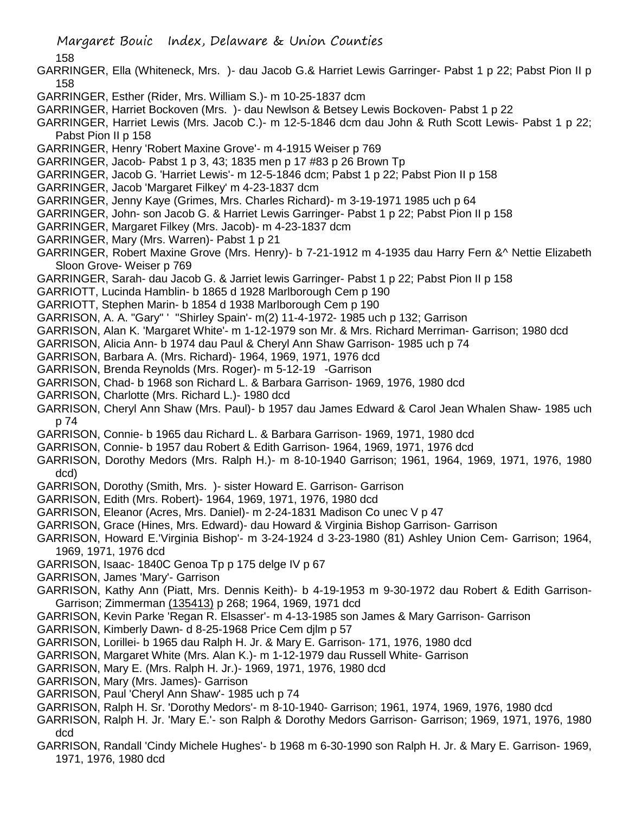158

- GARRINGER, Ella (Whiteneck, Mrs. )- dau Jacob G.& Harriet Lewis Garringer- Pabst 1 p 22; Pabst Pion II p 158
- GARRINGER, Esther (Rider, Mrs. William S.)- m 10-25-1837 dcm
- GARRINGER, Harriet Bockoven (Mrs. )- dau Newlson & Betsey Lewis Bockoven- Pabst 1 p 22
- GARRINGER, Harriet Lewis (Mrs. Jacob C.)- m 12-5-1846 dcm dau John & Ruth Scott Lewis- Pabst 1 p 22; Pabst Pion II p 158
- GARRINGER, Henry 'Robert Maxine Grove'- m 4-1915 Weiser p 769
- GARRINGER, Jacob- Pabst 1 p 3, 43; 1835 men p 17 #83 p 26 Brown Tp
- GARRINGER, Jacob G. 'Harriet Lewis'- m 12-5-1846 dcm; Pabst 1 p 22; Pabst Pion II p 158
- GARRINGER, Jacob 'Margaret Filkey' m 4-23-1837 dcm
- GARRINGER, Jenny Kaye (Grimes, Mrs. Charles Richard)- m 3-19-1971 1985 uch p 64
- GARRINGER, John- son Jacob G. & Harriet Lewis Garringer- Pabst 1 p 22; Pabst Pion II p 158
- GARRINGER, Margaret Filkey (Mrs. Jacob)- m 4-23-1837 dcm
- GARRINGER, Mary (Mrs. Warren)- Pabst 1 p 21
- GARRINGER, Robert Maxine Grove (Mrs. Henry)- b 7-21-1912 m 4-1935 dau Harry Fern &^ Nettie Elizabeth Sloon Grove- Weiser p 769
- GARRINGER, Sarah- dau Jacob G. & Jarriet lewis Garringer- Pabst 1 p 22; Pabst Pion II p 158
- GARRIOTT, Lucinda Hamblin- b 1865 d 1928 Marlborough Cem p 190
- GARRIOTT, Stephen Marin- b 1854 d 1938 Marlborough Cem p 190
- GARRISON, A. A. "Gary" ' ''Shirley Spain'- m(2) 11-4-1972- 1985 uch p 132; Garrison
- GARRISON, Alan K. 'Margaret White'- m 1-12-1979 son Mr. & Mrs. Richard Merriman- Garrison; 1980 dcd
- GARRISON, Alicia Ann- b 1974 dau Paul & Cheryl Ann Shaw Garrison- 1985 uch p 74
- GARRISON, Barbara A. (Mrs. Richard)- 1964, 1969, 1971, 1976 dcd
- GARRISON, Brenda Reynolds (Mrs. Roger)- m 5-12-19 -Garrison
- GARRISON, Chad- b 1968 son Richard L. & Barbara Garrison- 1969, 1976, 1980 dcd
- GARRISON, Charlotte (Mrs. Richard L.)- 1980 dcd
- GARRISON, Cheryl Ann Shaw (Mrs. Paul)- b 1957 dau James Edward & Carol Jean Whalen Shaw- 1985 uch p 74
- GARRISON, Connie- b 1965 dau Richard L. & Barbara Garrison- 1969, 1971, 1980 dcd
- GARRISON, Connie- b 1957 dau Robert & Edith Garrison- 1964, 1969, 1971, 1976 dcd
- GARRISON, Dorothy Medors (Mrs. Ralph H.)- m 8-10-1940 Garrison; 1961, 1964, 1969, 1971, 1976, 1980 dcd)
- GARRISON, Dorothy (Smith, Mrs. )- sister Howard E. Garrison- Garrison
- GARRISON, Edith (Mrs. Robert)- 1964, 1969, 1971, 1976, 1980 dcd
- GARRISON, Eleanor (Acres, Mrs. Daniel)- m 2-24-1831 Madison Co unec V p 47
- GARRISON, Grace (Hines, Mrs. Edward)- dau Howard & Virginia Bishop Garrison- Garrison
- GARRISON, Howard E.'Virginia Bishop'- m 3-24-1924 d 3-23-1980 (81) Ashley Union Cem- Garrison; 1964, 1969, 1971, 1976 dcd
- GARRISON, Isaac- 1840C Genoa Tp p 175 delge IV p 67
- GARRISON, James 'Mary'- Garrison
- GARRISON, Kathy Ann (Piatt, Mrs. Dennis Keith)- b 4-19-1953 m 9-30-1972 dau Robert & Edith Garrison-Garrison; Zimmerman (135413) p 268; 1964, 1969, 1971 dcd
- GARRISON, Kevin Parke 'Regan R. Elsasser'- m 4-13-1985 son James & Mary Garrison- Garrison
- GARRISON, Kimberly Dawn- d 8-25-1968 Price Cem djlm p 57
- GARRISON, Lorillei- b 1965 dau Ralph H. Jr. & Mary E. Garrison- 171, 1976, 1980 dcd
- GARRISON, Margaret White (Mrs. Alan K.)- m 1-12-1979 dau Russell White- Garrison
- GARRISON, Mary E. (Mrs. Ralph H. Jr.)- 1969, 1971, 1976, 1980 dcd
- GARRISON, Mary (Mrs. James)- Garrison
- GARRISON, Paul 'Cheryl Ann Shaw'- 1985 uch p 74
- GARRISON, Ralph H. Sr. 'Dorothy Medors'- m 8-10-1940- Garrison; 1961, 1974, 1969, 1976, 1980 dcd
- GARRISON, Ralph H. Jr. 'Mary E.'- son Ralph & Dorothy Medors Garrison- Garrison; 1969, 1971, 1976, 1980 dcd
- GARRISON, Randall 'Cindy Michele Hughes'- b 1968 m 6-30-1990 son Ralph H. Jr. & Mary E. Garrison- 1969, 1971, 1976, 1980 dcd

Margaret Bouic Index, Delaware & Union Counties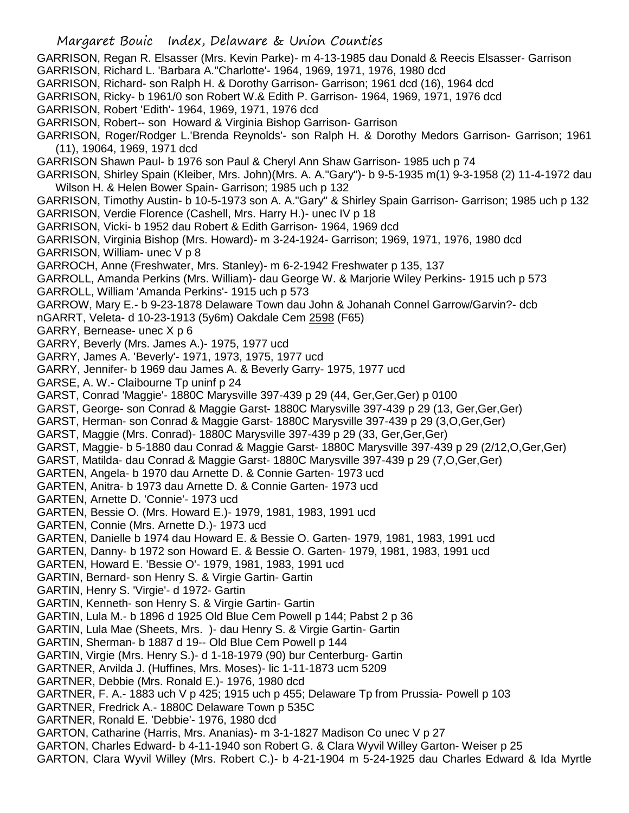GARRISON, Regan R. Elsasser (Mrs. Kevin Parke)- m 4-13-1985 dau Donald & Reecis Elsasser- Garrison GARRISON, Richard L. 'Barbara A.''Charlotte'- 1964, 1969, 1971, 1976, 1980 dcd GARRISON, Richard- son Ralph H. & Dorothy Garrison- Garrison; 1961 dcd (16), 1964 dcd GARRISON, Ricky- b 1961/0 son Robert W.& Edith P. Garrison- 1964, 1969, 1971, 1976 dcd GARRISON, Robert 'Edith'- 1964, 1969, 1971, 1976 dcd GARRISON, Robert-- son Howard & Virginia Bishop Garrison- Garrison GARRISON, Roger/Rodger L.'Brenda Reynolds'- son Ralph H. & Dorothy Medors Garrison- Garrison; 1961 (11), 19064, 1969, 1971 dcd GARRISON Shawn Paul- b 1976 son Paul & Cheryl Ann Shaw Garrison- 1985 uch p 74 GARRISON, Shirley Spain (Kleiber, Mrs. John)(Mrs. A. A."Gary")- b 9-5-1935 m(1) 9-3-1958 (2) 11-4-1972 dau Wilson H. & Helen Bower Spain- Garrison; 1985 uch p 132 GARRISON, Timothy Austin- b 10-5-1973 son A. A."Gary" & Shirley Spain Garrison- Garrison; 1985 uch p 132 GARRISON, Verdie Florence (Cashell, Mrs. Harry H.)- unec IV p 18 GARRISON, Vicki- b 1952 dau Robert & Edith Garrison- 1964, 1969 dcd GARRISON, Virginia Bishop (Mrs. Howard)- m 3-24-1924- Garrison; 1969, 1971, 1976, 1980 dcd GARRISON, William- unec V p 8 GARROCH, Anne (Freshwater, Mrs. Stanley)- m 6-2-1942 Freshwater p 135, 137 GARROLL, Amanda Perkins (Mrs. William)- dau George W. & Marjorie Wiley Perkins- 1915 uch p 573 GARROLL, William 'Amanda Perkins'- 1915 uch p 573 GARROW, Mary E.- b 9-23-1878 Delaware Town dau John & Johanah Connel Garrow/Garvin?- dcb nGARRT, Veleta- d 10-23-1913 (5y6m) Oakdale Cem 2598 (F65) GARRY, Bernease- unec X p 6 GARRY, Beverly (Mrs. James A.)- 1975, 1977 ucd GARRY, James A. 'Beverly'- 1971, 1973, 1975, 1977 ucd GARRY, Jennifer- b 1969 dau James A. & Beverly Garry- 1975, 1977 ucd GARSE, A. W.- Claibourne Tp uninf p 24 GARST, Conrad 'Maggie'- 1880C Marysville 397-439 p 29 (44, Ger,Ger,Ger) p 0100 GARST, George- son Conrad & Maggie Garst- 1880C Marysville 397-439 p 29 (13, Ger,Ger,Ger) GARST, Herman- son Conrad & Maggie Garst- 1880C Marysville 397-439 p 29 (3,O,Ger,Ger) GARST, Maggie (Mrs. Conrad)- 1880C Marysville 397-439 p 29 (33, Ger,Ger,Ger) GARST, Maggie- b 5-1880 dau Conrad & Maggie Garst- 1880C Marysville 397-439 p 29 (2/12,O,Ger,Ger) GARST, Matilda- dau Conrad & Maggie Garst- 1880C Marysville 397-439 p 29 (7,O,Ger,Ger) GARTEN, Angela- b 1970 dau Arnette D. & Connie Garten- 1973 ucd GARTEN, Anitra- b 1973 dau Arnette D. & Connie Garten- 1973 ucd GARTEN, Arnette D. 'Connie'- 1973 ucd GARTEN, Bessie O. (Mrs. Howard E.)- 1979, 1981, 1983, 1991 ucd GARTEN, Connie (Mrs. Arnette D.)- 1973 ucd GARTEN, Danielle b 1974 dau Howard E. & Bessie O. Garten- 1979, 1981, 1983, 1991 ucd GARTEN, Danny- b 1972 son Howard E. & Bessie O. Garten- 1979, 1981, 1983, 1991 ucd GARTEN, Howard E. 'Bessie O'- 1979, 1981, 1983, 1991 ucd GARTIN, Bernard- son Henry S. & Virgie Gartin- Gartin GARTIN, Henry S. 'Virgie'- d 1972- Gartin GARTIN, Kenneth- son Henry S. & Virgie Gartin- Gartin GARTIN, Lula M.- b 1896 d 1925 Old Blue Cem Powell p 144; Pabst 2 p 36 GARTIN, Lula Mae (Sheets, Mrs. )- dau Henry S. & Virgie Gartin- Gartin GARTIN, Sherman- b 1887 d 19-- Old Blue Cem Powell p 144 GARTIN, Virgie (Mrs. Henry S.)- d 1-18-1979 (90) bur Centerburg- Gartin GARTNER, Arvilda J. (Huffines, Mrs. Moses)- lic 1-11-1873 ucm 5209 GARTNER, Debbie (Mrs. Ronald E.)- 1976, 1980 dcd GARTNER, F. A.- 1883 uch V p 425; 1915 uch p 455; Delaware Tp from Prussia- Powell p 103 GARTNER, Fredrick A.- 1880C Delaware Town p 535C GARTNER, Ronald E. 'Debbie'- 1976, 1980 dcd GARTON, Catharine (Harris, Mrs. Ananias)- m 3-1-1827 Madison Co unec V p 27 GARTON, Charles Edward- b 4-11-1940 son Robert G. & Clara Wyvil Willey Garton- Weiser p 25 GARTON, Clara Wyvil Willey (Mrs. Robert C.)- b 4-21-1904 m 5-24-1925 dau Charles Edward & Ida Myrtle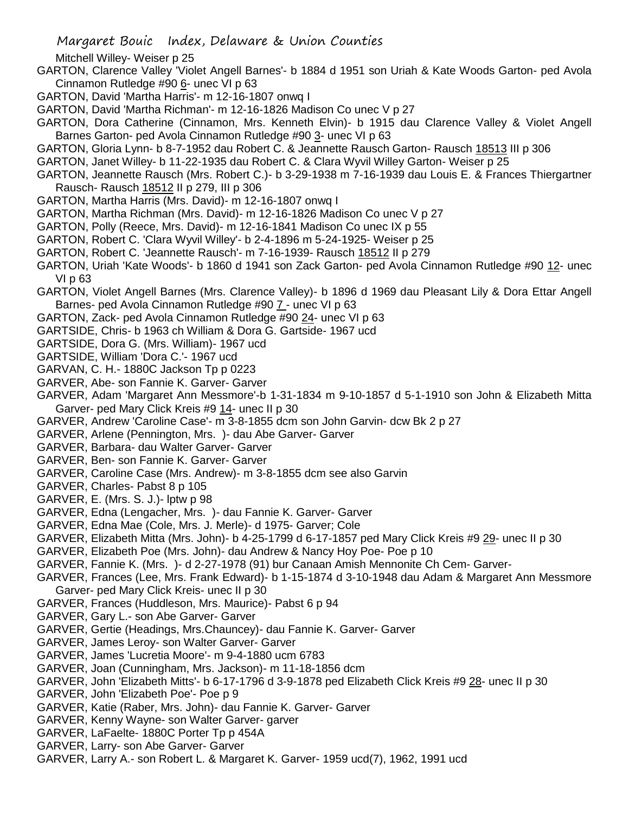Mitchell Willey- Weiser p 25

- GARTON, Clarence Valley 'Violet Angell Barnes'- b 1884 d 1951 son Uriah & Kate Woods Garton- ped Avola Cinnamon Rutledge #90 6- unec VI p 63
- GARTON, David 'Martha Harris'- m 12-16-1807 onwq I
- GARTON, David 'Martha Richman'- m 12-16-1826 Madison Co unec V p 27
- GARTON, Dora Catherine (Cinnamon, Mrs. Kenneth Elvin)- b 1915 dau Clarence Valley & Violet Angell Barnes Garton- ped Avola Cinnamon Rutledge #90 3- unec VI p 63
- GARTON, Gloria Lynn- b 8-7-1952 dau Robert C. & Jeannette Rausch Garton- Rausch 18513 III p 306
- GARTON, Janet Willey- b 11-22-1935 dau Robert C. & Clara Wyvil Willey Garton- Weiser p 25
- GARTON, Jeannette Rausch (Mrs. Robert C.)- b 3-29-1938 m 7-16-1939 dau Louis E. & Frances Thiergartner Rausch- Rausch 18512 II p 279, III p 306
- GARTON, Martha Harris (Mrs. David)- m 12-16-1807 onwq I
- GARTON, Martha Richman (Mrs. David)- m 12-16-1826 Madison Co unec V p 27
- GARTON, Polly (Reece, Mrs. David)- m 12-16-1841 Madison Co unec IX p 55
- GARTON, Robert C. 'Clara Wyvil Willey'- b 2-4-1896 m 5-24-1925- Weiser p 25
- GARTON, Robert C. 'Jeannette Rausch'- m 7-16-1939- Rausch 18512 II p 279
- GARTON, Uriah 'Kate Woods'- b 1860 d 1941 son Zack Garton- ped Avola Cinnamon Rutledge #90 12- unec VI p 63
- GARTON, Violet Angell Barnes (Mrs. Clarence Valley)- b 1896 d 1969 dau Pleasant Lily & Dora Ettar Angell Barnes- ped Avola Cinnamon Rutledge #90 7 - unec VI p 63
- GARTON, Zack- ped Avola Cinnamon Rutledge #90 24- unec VI p 63
- GARTSIDE, Chris- b 1963 ch William & Dora G. Gartside- 1967 ucd
- GARTSIDE, Dora G. (Mrs. William)- 1967 ucd
- GARTSIDE, William 'Dora C.'- 1967 ucd
- GARVAN, C. H.- 1880C Jackson Tp p 0223
- GARVER, Abe- son Fannie K. Garver- Garver
- GARVER, Adam 'Margaret Ann Messmore'-b 1-31-1834 m 9-10-1857 d 5-1-1910 son John & Elizabeth Mitta Garver- ped Mary Click Kreis #9 14- unec II p 30
- GARVER, Andrew 'Caroline Case'- m 3-8-1855 dcm son John Garvin- dcw Bk 2 p 27
- GARVER, Arlene (Pennington, Mrs. )- dau Abe Garver- Garver
- GARVER, Barbara- dau Walter Garver- Garver
- GARVER, Ben- son Fannie K. Garver- Garver
- GARVER, Caroline Case (Mrs. Andrew)- m 3-8-1855 dcm see also Garvin
- GARVER, Charles- Pabst 8 p 105
- GARVER, E. (Mrs. S. J.)- lptw p 98
- GARVER, Edna (Lengacher, Mrs. )- dau Fannie K. Garver- Garver
- GARVER, Edna Mae (Cole, Mrs. J. Merle)- d 1975- Garver; Cole
- GARVER, Elizabeth Mitta (Mrs. John)- b 4-25-1799 d 6-17-1857 ped Mary Click Kreis #9 29- unec II p 30
- GARVER, Elizabeth Poe (Mrs. John)- dau Andrew & Nancy Hoy Poe- Poe p 10
- GARVER, Fannie K. (Mrs. )- d 2-27-1978 (91) bur Canaan Amish Mennonite Ch Cem- Garver-
- GARVER, Frances (Lee, Mrs. Frank Edward)- b 1-15-1874 d 3-10-1948 dau Adam & Margaret Ann Messmore Garver- ped Mary Click Kreis- unec II p 30
- GARVER, Frances (Huddleson, Mrs. Maurice)- Pabst 6 p 94
- GARVER, Gary L.- son Abe Garver- Garver
- GARVER, Gertie (Headings, Mrs.Chauncey)- dau Fannie K. Garver- Garver
- GARVER, James Leroy- son Walter Garver- Garver
- GARVER, James 'Lucretia Moore'- m 9-4-1880 ucm 6783
- GARVER, Joan (Cunningham, Mrs. Jackson)- m 11-18-1856 dcm
- GARVER, John 'Elizabeth Mitts'- b 6-17-1796 d 3-9-1878 ped Elizabeth Click Kreis #9 28- unec II p 30
- GARVER, John 'Elizabeth Poe'- Poe p 9
- GARVER, Katie (Raber, Mrs. John)- dau Fannie K. Garver- Garver
- GARVER, Kenny Wayne- son Walter Garver- garver
- GARVER, LaFaelte- 1880C Porter Tp p 454A
- GARVER, Larry- son Abe Garver- Garver
- GARVER, Larry A.- son Robert L. & Margaret K. Garver- 1959 ucd(7), 1962, 1991 ucd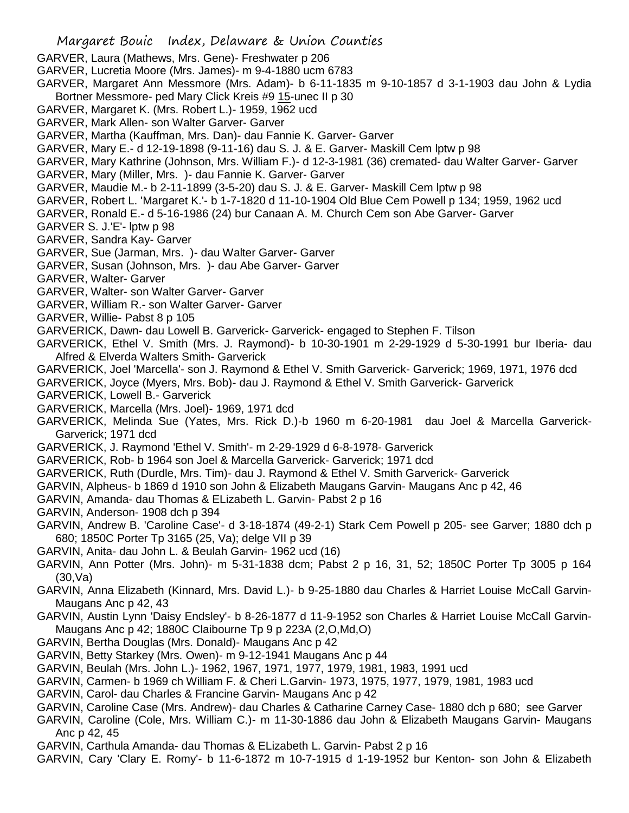- GARVER, Laura (Mathews, Mrs. Gene)- Freshwater p 206
- GARVER, Lucretia Moore (Mrs. James)- m 9-4-1880 ucm 6783
- GARVER, Margaret Ann Messmore (Mrs. Adam)- b 6-11-1835 m 9-10-1857 d 3-1-1903 dau John & Lydia Bortner Messmore- ped Mary Click Kreis #9 15-unec II p 30
- GARVER, Margaret K. (Mrs. Robert L.)- 1959, 1962 ucd
- GARVER, Mark Allen- son Walter Garver- Garver
- GARVER, Martha (Kauffman, Mrs. Dan)- dau Fannie K. Garver- Garver
- GARVER, Mary E.- d 12-19-1898 (9-11-16) dau S. J. & E. Garver- Maskill Cem lptw p 98
- GARVER, Mary Kathrine (Johnson, Mrs. William F.)- d 12-3-1981 (36) cremated- dau Walter Garver- Garver
- GARVER, Mary (Miller, Mrs. )- dau Fannie K. Garver- Garver
- GARVER, Maudie M.- b 2-11-1899 (3-5-20) dau S. J. & E. Garver- Maskill Cem lptw p 98
- GARVER, Robert L. 'Margaret K.'- b 1-7-1820 d 11-10-1904 Old Blue Cem Powell p 134; 1959, 1962 ucd
- GARVER, Ronald E.- d 5-16-1986 (24) bur Canaan A. M. Church Cem son Abe Garver- Garver
- GARVER S. J.'E'- lptw p 98
- GARVER, Sandra Kay- Garver
- GARVER, Sue (Jarman, Mrs. )- dau Walter Garver- Garver
- GARVER, Susan (Johnson, Mrs. )- dau Abe Garver- Garver
- GARVER, Walter- Garver
- GARVER, Walter- son Walter Garver- Garver
- GARVER, William R.- son Walter Garver- Garver
- GARVER, Willie- Pabst 8 p 105
- GARVERICK, Dawn- dau Lowell B. Garverick- Garverick- engaged to Stephen F. Tilson
- GARVERICK, Ethel V. Smith (Mrs. J. Raymond)- b 10-30-1901 m 2-29-1929 d 5-30-1991 bur Iberia- dau Alfred & Elverda Walters Smith- Garverick
- GARVERICK, Joel 'Marcella'- son J. Raymond & Ethel V. Smith Garverick- Garverick; 1969, 1971, 1976 dcd
- GARVERICK, Joyce (Myers, Mrs. Bob)- dau J. Raymond & Ethel V. Smith Garverick- Garverick
- GARVERICK, Lowell B.- Garverick
- GARVERICK, Marcella (Mrs. Joel)- 1969, 1971 dcd
- GARVERICK, Melinda Sue (Yates, Mrs. Rick D.)-b 1960 m 6-20-1981 dau Joel & Marcella Garverick-Garverick; 1971 dcd
- GARVERICK, J. Raymond 'Ethel V. Smith'- m 2-29-1929 d 6-8-1978- Garverick
- GARVERICK, Rob- b 1964 son Joel & Marcella Garverick- Garverick; 1971 dcd
- GARVERICK, Ruth (Durdle, Mrs. Tim)- dau J. Raymond & Ethel V. Smith Garverick- Garverick
- GARVIN, Alpheus- b 1869 d 1910 son John & Elizabeth Maugans Garvin- Maugans Anc p 42, 46
- GARVIN, Amanda- dau Thomas & ELizabeth L. Garvin- Pabst 2 p 16
- GARVIN, Anderson- 1908 dch p 394
- GARVIN, Andrew B. 'Caroline Case'- d 3-18-1874 (49-2-1) Stark Cem Powell p 205- see Garver; 1880 dch p 680; 1850C Porter Tp 3165 (25, Va); delge VII p 39
- GARVIN, Anita- dau John L. & Beulah Garvin- 1962 ucd (16)
- GARVIN, Ann Potter (Mrs. John)- m 5-31-1838 dcm; Pabst 2 p 16, 31, 52; 1850C Porter Tp 3005 p 164 (30,Va)
- GARVIN, Anna Elizabeth (Kinnard, Mrs. David L.)- b 9-25-1880 dau Charles & Harriet Louise McCall Garvin-Maugans Anc p 42, 43
- GARVIN, Austin Lynn 'Daisy Endsley'- b 8-26-1877 d 11-9-1952 son Charles & Harriet Louise McCall Garvin-Maugans Anc p 42; 1880C Claibourne Tp 9 p 223A (2,O,Md,O)
- GARVIN, Bertha Douglas (Mrs. Donald)- Maugans Anc p 42
- GARVIN, Betty Starkey (Mrs. Owen)- m 9-12-1941 Maugans Anc p 44
- GARVIN, Beulah (Mrs. John L.)- 1962, 1967, 1971, 1977, 1979, 1981, 1983, 1991 ucd
- GARVIN, Carmen- b 1969 ch William F. & Cheri L.Garvin- 1973, 1975, 1977, 1979, 1981, 1983 ucd
- GARVIN, Carol- dau Charles & Francine Garvin- Maugans Anc p 42
- GARVIN, Caroline Case (Mrs. Andrew)- dau Charles & Catharine Carney Case- 1880 dch p 680; see Garver
- GARVIN, Caroline (Cole, Mrs. William C.)- m 11-30-1886 dau John & Elizabeth Maugans Garvin- Maugans Anc p 42, 45
- GARVIN, Carthula Amanda- dau Thomas & ELizabeth L. Garvin- Pabst 2 p 16
- GARVIN, Cary 'Clary E. Romy'- b 11-6-1872 m 10-7-1915 d 1-19-1952 bur Kenton- son John & Elizabeth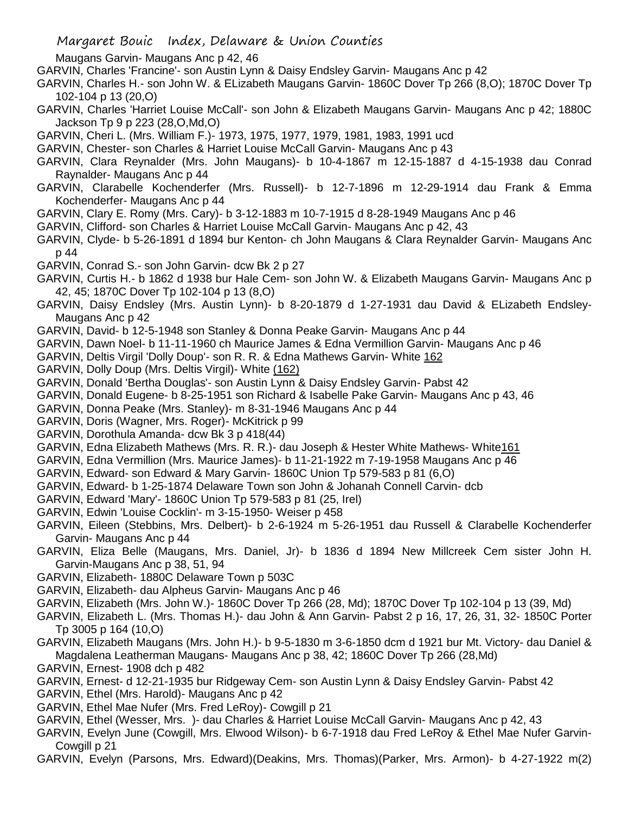- Maugans Garvin- Maugans Anc p 42, 46
- GARVIN, Charles 'Francine'- son Austin Lynn & Daisy Endsley Garvin- Maugans Anc p 42
- GARVIN, Charles H.- son John W. & ELizabeth Maugans Garvin- 1860C Dover Tp 266 (8,O); 1870C Dover Tp 102-104 p 13 (20,O)
- GARVIN, Charles 'Harriet Louise McCall'- son John & Elizabeth Maugans Garvin- Maugans Anc p 42; 1880C Jackson Tp 9 p 223 (28,O,Md,O)
- GARVIN, Cheri L. (Mrs. William F.)- 1973, 1975, 1977, 1979, 1981, 1983, 1991 ucd
- GARVIN, Chester- son Charles & Harriet Louise McCall Garvin- Maugans Anc p 43
- GARVIN, Clara Reynalder (Mrs. John Maugans)- b 10-4-1867 m 12-15-1887 d 4-15-1938 dau Conrad Raynalder- Maugans Anc p 44
- GARVIN, Clarabelle Kochenderfer (Mrs. Russell)- b 12-7-1896 m 12-29-1914 dau Frank & Emma Kochenderfer- Maugans Anc p 44
- GARVIN, Clary E. Romy (Mrs. Cary)- b 3-12-1883 m 10-7-1915 d 8-28-1949 Maugans Anc p 46
- GARVIN, Clifford- son Charles & Harriet Louise McCall Garvin- Maugans Anc p 42, 43
- GARVIN, Clyde- b 5-26-1891 d 1894 bur Kenton- ch John Maugans & Clara Reynalder Garvin- Maugans Anc p 44
- GARVIN, Conrad S.- son John Garvin- dcw Bk 2 p 27
- GARVIN, Curtis H.- b 1862 d 1938 bur Hale Cem- son John W. & Elizabeth Maugans Garvin- Maugans Anc p 42, 45; 1870C Dover Tp 102-104 p 13 (8,O)
- GARVIN, Daisy Endsley (Mrs. Austin Lynn)- b 8-20-1879 d 1-27-1931 dau David & ELizabeth Endsley-Maugans Anc p 42
- GARVIN, David- b 12-5-1948 son Stanley & Donna Peake Garvin- Maugans Anc p 44
- GARVIN, Dawn Noel- b 11-11-1960 ch Maurice James & Edna Vermillion Garvin- Maugans Anc p 46
- GARVIN, Deltis Virgil 'Dolly Doup'- son R. R. & Edna Mathews Garvin- White 162
- GARVIN, Dolly Doup (Mrs. Deltis Virgil)- White (162)
- GARVIN, Donald 'Bertha Douglas'- son Austin Lynn & Daisy Endsley Garvin- Pabst 42
- GARVIN, Donald Eugene- b 8-25-1951 son Richard & Isabelle Pake Garvin- Maugans Anc p 43, 46
- GARVIN, Donna Peake (Mrs. Stanley)- m 8-31-1946 Maugans Anc p 44
- GARVIN, Doris (Wagner, Mrs. Roger)- McKitrick p 99
- GARVIN, Dorothula Amanda- dcw Bk 3 p 418(44)
- GARVIN, Edna Elizabeth Mathews (Mrs. R. R.)- dau Joseph & Hester White Mathews- White161
- GARVIN, Edna Vermillion (Mrs. Maurice James)- b 11-21-1922 m 7-19-1958 Maugans Anc p 46
- GARVIN, Edward- son Edward & Mary Garvin- 1860C Union Tp 579-583 p 81 (6,O)
- GARVIN, Edward- b 1-25-1874 Delaware Town son John & Johanah Connell Carvin- dcb
- GARVIN, Edward 'Mary'- 1860C Union Tp 579-583 p 81 (25, Irel)
- GARVIN, Edwin 'Louise Cocklin'- m 3-15-1950- Weiser p 458
- GARVIN, Eileen (Stebbins, Mrs. Delbert)- b 2-6-1924 m 5-26-1951 dau Russell & Clarabelle Kochenderfer Garvin- Maugans Anc p 44
- GARVIN, Eliza Belle (Maugans, Mrs. Daniel, Jr)- b 1836 d 1894 New Millcreek Cem sister John H. Garvin-Maugans Anc p 38, 51, 94
- GARVIN, Elizabeth- 1880C Delaware Town p 503C
- GARVIN, Elizabeth- dau Alpheus Garvin- Maugans Anc p 46
- GARVIN, Elizabeth (Mrs. John W.)- 1860C Dover Tp 266 (28, Md); 1870C Dover Tp 102-104 p 13 (39, Md)
- GARVIN, Elizabeth L. (Mrs. Thomas H.)- dau John & Ann Garvin- Pabst 2 p 16, 17, 26, 31, 32- 1850C Porter Tp 3005 p 164 (10,O)
- GARVIN, Elizabeth Maugans (Mrs. John H.)- b 9-5-1830 m 3-6-1850 dcm d 1921 bur Mt. Victory- dau Daniel & Magdalena Leatherman Maugans- Maugans Anc p 38, 42; 1860C Dover Tp 266 (28,Md)
- GARVIN, Ernest- 1908 dch p 482
- GARVIN, Ernest- d 12-21-1935 bur Ridgeway Cem- son Austin Lynn & Daisy Endsley Garvin- Pabst 42
- GARVIN, Ethel (Mrs. Harold)- Maugans Anc p 42
- GARVIN, Ethel Mae Nufer (Mrs. Fred LeRoy)- Cowgill p 21
- GARVIN, Ethel (Wesser, Mrs. )- dau Charles & Harriet Louise McCall Garvin- Maugans Anc p 42, 43
- GARVIN, Evelyn June (Cowgill, Mrs. Elwood Wilson)- b 6-7-1918 dau Fred LeRoy & Ethel Mae Nufer Garvin-Cowgill p 21
- GARVIN, Evelyn (Parsons, Mrs. Edward)(Deakins, Mrs. Thomas)(Parker, Mrs. Armon)- b 4-27-1922 m(2)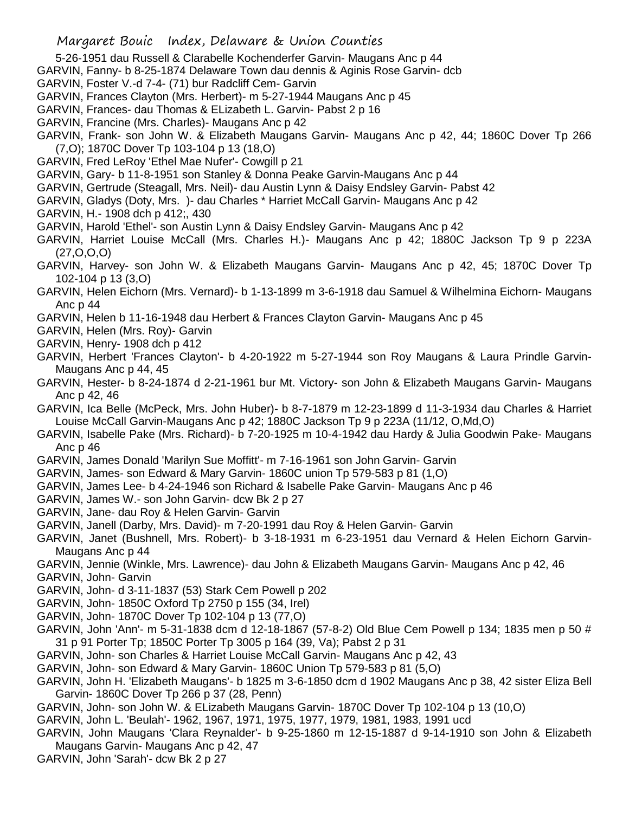- 5-26-1951 dau Russell & Clarabelle Kochenderfer Garvin- Maugans Anc p 44
- GARVIN, Fanny- b 8-25-1874 Delaware Town dau dennis & Aginis Rose Garvin- dcb
- GARVIN, Foster V.-d 7-4- (71) bur Radcliff Cem- Garvin
- GARVIN, Frances Clayton (Mrs. Herbert)- m 5-27-1944 Maugans Anc p 45
- GARVIN, Frances- dau Thomas & ELizabeth L. Garvin- Pabst 2 p 16
- GARVIN, Francine (Mrs. Charles)- Maugans Anc p 42
- GARVIN, Frank- son John W. & Elizabeth Maugans Garvin- Maugans Anc p 42, 44; 1860C Dover Tp 266 (7,O); 1870C Dover Tp 103-104 p 13 (18,O)
- GARVIN, Fred LeRoy 'Ethel Mae Nufer'- Cowgill p 21
- GARVIN, Gary- b 11-8-1951 son Stanley & Donna Peake Garvin-Maugans Anc p 44
- GARVIN, Gertrude (Steagall, Mrs. Neil)- dau Austin Lynn & Daisy Endsley Garvin- Pabst 42
- GARVIN, Gladys (Doty, Mrs. )- dau Charles \* Harriet McCall Garvin- Maugans Anc p 42
- GARVIN, H.- 1908 dch p 412;, 430
- GARVIN, Harold 'Ethel'- son Austin Lynn & Daisy Endsley Garvin- Maugans Anc p 42
- GARVIN, Harriet Louise McCall (Mrs. Charles H.)- Maugans Anc p 42; 1880C Jackson Tp 9 p 223A (27,O,O,O)
- GARVIN, Harvey- son John W. & Elizabeth Maugans Garvin- Maugans Anc p 42, 45; 1870C Dover Tp 102-104 p 13 (3,O)
- GARVIN, Helen Eichorn (Mrs. Vernard)- b 1-13-1899 m 3-6-1918 dau Samuel & Wilhelmina Eichorn- Maugans Anc p 44
- GARVIN, Helen b 11-16-1948 dau Herbert & Frances Clayton Garvin- Maugans Anc p 45
- GARVIN, Helen (Mrs. Roy)- Garvin
- GARVIN, Henry- 1908 dch p 412
- GARVIN, Herbert 'Frances Clayton'- b 4-20-1922 m 5-27-1944 son Roy Maugans & Laura Prindle Garvin-Maugans Anc p 44, 45
- GARVIN, Hester- b 8-24-1874 d 2-21-1961 bur Mt. Victory- son John & Elizabeth Maugans Garvin- Maugans Anc p 42, 46
- GARVIN, Ica Belle (McPeck, Mrs. John Huber)- b 8-7-1879 m 12-23-1899 d 11-3-1934 dau Charles & Harriet Louise McCall Garvin-Maugans Anc p 42; 1880C Jackson Tp 9 p 223A (11/12, O,Md,O)
- GARVIN, Isabelle Pake (Mrs. Richard)- b 7-20-1925 m 10-4-1942 dau Hardy & Julia Goodwin Pake- Maugans Anc p 46
- GARVIN, James Donald 'Marilyn Sue Moffitt'- m 7-16-1961 son John Garvin- Garvin
- GARVIN, James- son Edward & Mary Garvin- 1860C union Tp 579-583 p 81 (1,O)
- GARVIN, James Lee- b 4-24-1946 son Richard & Isabelle Pake Garvin- Maugans Anc p 46
- GARVIN, James W.- son John Garvin- dcw Bk 2 p 27
- GARVIN, Jane- dau Roy & Helen Garvin- Garvin
- GARVIN, Janell (Darby, Mrs. David)- m 7-20-1991 dau Roy & Helen Garvin- Garvin
- GARVIN, Janet (Bushnell, Mrs. Robert)- b 3-18-1931 m 6-23-1951 dau Vernard & Helen Eichorn Garvin-Maugans Anc p 44
- GARVIN, Jennie (Winkle, Mrs. Lawrence)- dau John & Elizabeth Maugans Garvin- Maugans Anc p 42, 46 GARVIN, John- Garvin
- GARVIN, John- d 3-11-1837 (53) Stark Cem Powell p 202
- GARVIN, John- 1850C Oxford Tp 2750 p 155 (34, Irel)
- GARVIN, John- 1870C Dover Tp 102-104 p 13 (77,O)
- GARVIN, John 'Ann'- m 5-31-1838 dcm d 12-18-1867 (57-8-2) Old Blue Cem Powell p 134; 1835 men p 50 # 31 p 91 Porter Tp; 1850C Porter Tp 3005 p 164 (39, Va); Pabst 2 p 31
- GARVIN, John- son Charles & Harriet Louise McCall Garvin- Maugans Anc p 42, 43
- GARVIN, John- son Edward & Mary Garvin- 1860C Union Tp 579-583 p 81 (5,O)
- GARVIN, John H. 'Elizabeth Maugans'- b 1825 m 3-6-1850 dcm d 1902 Maugans Anc p 38, 42 sister Eliza Bell Garvin- 1860C Dover Tp 266 p 37 (28, Penn)
- GARVIN, John- son John W. & ELizabeth Maugans Garvin- 1870C Dover Tp 102-104 p 13 (10,O)
- GARVIN, John L. 'Beulah'- 1962, 1967, 1971, 1975, 1977, 1979, 1981, 1983, 1991 ucd
- GARVIN, John Maugans 'Clara Reynalder'- b 9-25-1860 m 12-15-1887 d 9-14-1910 son John & Elizabeth Maugans Garvin- Maugans Anc p 42, 47
- GARVIN, John 'Sarah'- dcw Bk 2 p 27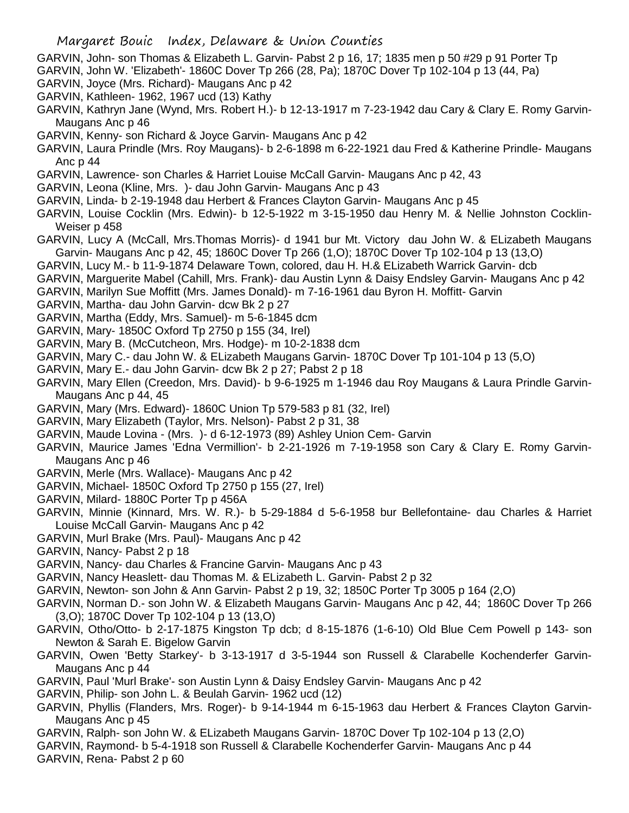- GARVIN, John- son Thomas & Elizabeth L. Garvin- Pabst 2 p 16, 17; 1835 men p 50 #29 p 91 Porter Tp
- GARVIN, John W. 'Elizabeth'- 1860C Dover Tp 266 (28, Pa); 1870C Dover Tp 102-104 p 13 (44, Pa)
- GARVIN, Joyce (Mrs. Richard)- Maugans Anc p 42
- GARVIN, Kathleen- 1962, 1967 ucd (13) Kathy
- GARVIN, Kathryn Jane (Wynd, Mrs. Robert H.)- b 12-13-1917 m 7-23-1942 dau Cary & Clary E. Romy Garvin-Maugans Anc p 46
- GARVIN, Kenny- son Richard & Joyce Garvin- Maugans Anc p 42
- GARVIN, Laura Prindle (Mrs. Roy Maugans)- b 2-6-1898 m 6-22-1921 dau Fred & Katherine Prindle- Maugans Anc p 44
- GARVIN, Lawrence- son Charles & Harriet Louise McCall Garvin- Maugans Anc p 42, 43
- GARVIN, Leona (Kline, Mrs. )- dau John Garvin- Maugans Anc p 43
- GARVIN, Linda- b 2-19-1948 dau Herbert & Frances Clayton Garvin- Maugans Anc p 45
- GARVIN, Louise Cocklin (Mrs. Edwin)- b 12-5-1922 m 3-15-1950 dau Henry M. & Nellie Johnston Cocklin-Weiser p 458
- GARVIN, Lucy A (McCall, Mrs.Thomas Morris)- d 1941 bur Mt. Victory dau John W. & ELizabeth Maugans Garvin- Maugans Anc p 42, 45; 1860C Dover Tp 266 (1,O); 1870C Dover Tp 102-104 p 13 (13,O)
- GARVIN, Lucy M.- b 11-9-1874 Delaware Town, colored, dau H. H.& ELizabeth Warrick Garvin- dcb
- GARVIN, Marguerite Mabel (Cahill, Mrs. Frank)- dau Austin Lynn & Daisy Endsley Garvin- Maugans Anc p 42
- GARVIN, Marilyn Sue Moffitt (Mrs. James Donald)- m 7-16-1961 dau Byron H. Moffitt- Garvin
- GARVIN, Martha- dau John Garvin- dcw Bk 2 p 27
- GARVIN, Martha (Eddy, Mrs. Samuel)- m 5-6-1845 dcm
- GARVIN, Mary- 1850C Oxford Tp 2750 p 155 (34, Irel)
- GARVIN, Mary B. (McCutcheon, Mrs. Hodge)- m 10-2-1838 dcm
- GARVIN, Mary C.- dau John W. & ELizabeth Maugans Garvin- 1870C Dover Tp 101-104 p 13 (5,O)
- GARVIN, Mary E.- dau John Garvin- dcw Bk 2 p 27; Pabst 2 p 18
- GARVIN, Mary Ellen (Creedon, Mrs. David)- b 9-6-1925 m 1-1946 dau Roy Maugans & Laura Prindle Garvin-Maugans Anc p 44, 45
- GARVIN, Mary (Mrs. Edward)- 1860C Union Tp 579-583 p 81 (32, Irel)
- GARVIN, Mary Elizabeth (Taylor, Mrs. Nelson)- Pabst 2 p 31, 38
- GARVIN, Maude Lovina (Mrs. )- d 6-12-1973 (89) Ashley Union Cem- Garvin
- GARVIN, Maurice James 'Edna Vermillion'- b 2-21-1926 m 7-19-1958 son Cary & Clary E. Romy Garvin-Maugans Anc p 46
- GARVIN, Merle (Mrs. Wallace)- Maugans Anc p 42
- GARVIN, Michael- 1850C Oxford Tp 2750 p 155 (27, Irel)
- GARVIN, Milard- 1880C Porter Tp p 456A
- GARVIN, Minnie (Kinnard, Mrs. W. R.)- b 5-29-1884 d 5-6-1958 bur Bellefontaine- dau Charles & Harriet Louise McCall Garvin- Maugans Anc p 42
- GARVIN, Murl Brake (Mrs. Paul)- Maugans Anc p 42
- GARVIN, Nancy- Pabst 2 p 18
- GARVIN, Nancy- dau Charles & Francine Garvin- Maugans Anc p 43
- GARVIN, Nancy Heaslett- dau Thomas M. & ELizabeth L. Garvin- Pabst 2 p 32
- GARVIN, Newton- son John & Ann Garvin- Pabst 2 p 19, 32; 1850C Porter Tp 3005 p 164 (2,O)
- GARVIN, Norman D.- son John W. & Elizabeth Maugans Garvin- Maugans Anc p 42, 44; 1860C Dover Tp 266 (3,O); 1870C Dover Tp 102-104 p 13 (13,O)
- GARVIN, Otho/Otto- b 2-17-1875 Kingston Tp dcb; d 8-15-1876 (1-6-10) Old Blue Cem Powell p 143- son Newton & Sarah E. Bigelow Garvin
- GARVIN, Owen 'Betty Starkey'- b 3-13-1917 d 3-5-1944 son Russell & Clarabelle Kochenderfer Garvin-Maugans Anc p 44
- GARVIN, Paul 'Murl Brake'- son Austin Lynn & Daisy Endsley Garvin- Maugans Anc p 42
- GARVIN, Philip- son John L. & Beulah Garvin- 1962 ucd (12)
- GARVIN, Phyllis (Flanders, Mrs. Roger)- b 9-14-1944 m 6-15-1963 dau Herbert & Frances Clayton Garvin-Maugans Anc p 45
- GARVIN, Ralph- son John W. & ELizabeth Maugans Garvin- 1870C Dover Tp 102-104 p 13 (2,O)
- GARVIN, Raymond- b 5-4-1918 son Russell & Clarabelle Kochenderfer Garvin- Maugans Anc p 44
- GARVIN, Rena- Pabst 2 p 60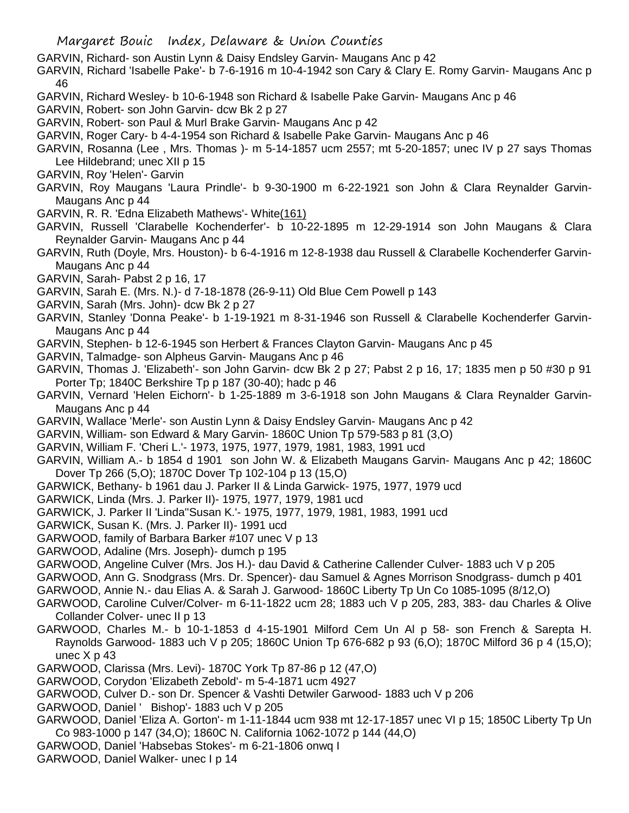- GARVIN, Richard- son Austin Lynn & Daisy Endsley Garvin- Maugans Anc p 42
- GARVIN, Richard 'Isabelle Pake'- b 7-6-1916 m 10-4-1942 son Cary & Clary E. Romy Garvin- Maugans Anc p 46
- GARVIN, Richard Wesley- b 10-6-1948 son Richard & Isabelle Pake Garvin- Maugans Anc p 46
- GARVIN, Robert- son John Garvin- dcw Bk 2 p 27
- GARVIN, Robert- son Paul & Murl Brake Garvin- Maugans Anc p 42
- GARVIN, Roger Cary- b 4-4-1954 son Richard & Isabelle Pake Garvin- Maugans Anc p 46
- GARVIN, Rosanna (Lee , Mrs. Thomas )- m 5-14-1857 ucm 2557; mt 5-20-1857; unec IV p 27 says Thomas Lee Hildebrand; unec XII p 15
- GARVIN, Roy 'Helen'- Garvin
- GARVIN, Roy Maugans 'Laura Prindle'- b 9-30-1900 m 6-22-1921 son John & Clara Reynalder Garvin-Maugans Anc p 44
- GARVIN, R. R. 'Edna Elizabeth Mathews'- White(161)
- GARVIN, Russell 'Clarabelle Kochenderfer'- b 10-22-1895 m 12-29-1914 son John Maugans & Clara Reynalder Garvin- Maugans Anc p 44
- GARVIN, Ruth (Doyle, Mrs. Houston)- b 6-4-1916 m 12-8-1938 dau Russell & Clarabelle Kochenderfer Garvin-Maugans Anc p 44
- GARVIN, Sarah- Pabst 2 p 16, 17
- GARVIN, Sarah E. (Mrs. N.)- d 7-18-1878 (26-9-11) Old Blue Cem Powell p 143
- GARVIN, Sarah (Mrs. John)- dcw Bk 2 p 27
- GARVIN, Stanley 'Donna Peake'- b 1-19-1921 m 8-31-1946 son Russell & Clarabelle Kochenderfer Garvin-Maugans Anc p 44
- GARVIN, Stephen- b 12-6-1945 son Herbert & Frances Clayton Garvin- Maugans Anc p 45
- GARVIN, Talmadge- son Alpheus Garvin- Maugans Anc p 46
- GARVIN, Thomas J. 'Elizabeth'- son John Garvin- dcw Bk 2 p 27; Pabst 2 p 16, 17; 1835 men p 50 #30 p 91 Porter Tp; 1840C Berkshire Tp p 187 (30-40); hadc p 46
- GARVIN, Vernard 'Helen Eichorn'- b 1-25-1889 m 3-6-1918 son John Maugans & Clara Reynalder Garvin-Maugans Anc p 44
- GARVIN, Wallace 'Merle'- son Austin Lynn & Daisy Endsley Garvin- Maugans Anc p 42
- GARVIN, William- son Edward & Mary Garvin- 1860C Union Tp 579-583 p 81 (3,O)
- GARVIN, William F. 'Cheri L.'- 1973, 1975, 1977, 1979, 1981, 1983, 1991 ucd
- GARVIN, William A.- b 1854 d 1901 son John W. & Elizabeth Maugans Garvin- Maugans Anc p 42; 1860C Dover Tp 266 (5,O); 1870C Dover Tp 102-104 p 13 (15,O)
- GARWICK, Bethany- b 1961 dau J. Parker II & Linda Garwick- 1975, 1977, 1979 ucd
- GARWICK, Linda (Mrs. J. Parker II)- 1975, 1977, 1979, 1981 ucd
- GARWICK, J. Parker II 'Linda''Susan K.'- 1975, 1977, 1979, 1981, 1983, 1991 ucd
- GARWICK, Susan K. (Mrs. J. Parker II)- 1991 ucd
- GARWOOD, family of Barbara Barker #107 unec V p 13
- GARWOOD, Adaline (Mrs. Joseph)- dumch p 195
- GARWOOD, Angeline Culver (Mrs. Jos H.)- dau David & Catherine Callender Culver- 1883 uch V p 205
- GARWOOD, Ann G. Snodgrass (Mrs. Dr. Spencer)- dau Samuel & Agnes Morrison Snodgrass- dumch p 401
- GARWOOD, Annie N.- dau Elias A. & Sarah J. Garwood- 1860C Liberty Tp Un Co 1085-1095 (8/12,O)
- GARWOOD, Caroline Culver/Colver- m 6-11-1822 ucm 28; 1883 uch V p 205, 283, 383- dau Charles & Olive Collander Colver- unec II p 13
- GARWOOD, Charles M.- b 10-1-1853 d 4-15-1901 Milford Cem Un Al p 58- son French & Sarepta H. Raynolds Garwood- 1883 uch V p 205; 1860C Union Tp 676-682 p 93 (6,O); 1870C Milford 36 p 4 (15,O); unec X p 43
- GARWOOD, Clarissa (Mrs. Levi)- 1870C York Tp 87-86 p 12 (47,O)
- GARWOOD, Corydon 'Elizabeth Zebold'- m 5-4-1871 ucm 4927
- GARWOOD, Culver D.- son Dr. Spencer & Vashti Detwiler Garwood- 1883 uch V p 206
- GARWOOD, Daniel ' Bishop'- 1883 uch V p 205
- GARWOOD, Daniel 'Eliza A. Gorton'- m 1-11-1844 ucm 938 mt 12-17-1857 unec VI p 15; 1850C Liberty Tp Un Co 983-1000 p 147 (34,O); 1860C N. California 1062-1072 p 144 (44,O)
- GARWOOD, Daniel 'Habsebas Stokes'- m 6-21-1806 onwq I
- GARWOOD, Daniel Walker- unec I p 14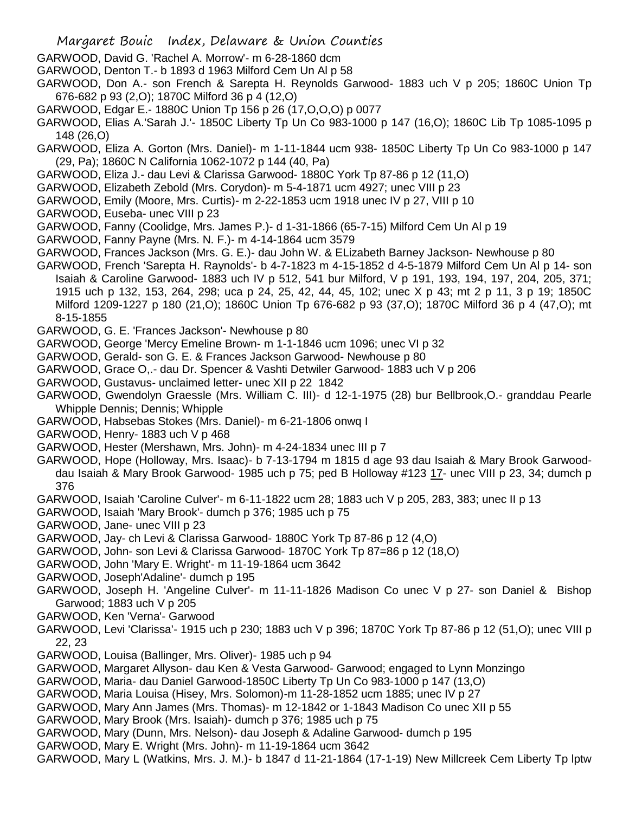- GARWOOD, David G. 'Rachel A. Morrow'- m 6-28-1860 dcm
- GARWOOD, Denton T.- b 1893 d 1963 Milford Cem Un Al p 58
- GARWOOD, Don A.- son French & Sarepta H. Reynolds Garwood- 1883 uch V p 205; 1860C Union Tp 676-682 p 93 (2,O); 1870C Milford 36 p 4 (12,O)
- GARWOOD, Edgar E.- 1880C Union Tp 156 p 26 (17,O,O,O) p 0077
- GARWOOD, Elias A.'Sarah J.'- 1850C Liberty Tp Un Co 983-1000 p 147 (16,O); 1860C Lib Tp 1085-1095 p 148 (26,O)
- GARWOOD, Eliza A. Gorton (Mrs. Daniel)- m 1-11-1844 ucm 938- 1850C Liberty Tp Un Co 983-1000 p 147 (29, Pa); 1860C N California 1062-1072 p 144 (40, Pa)
- GARWOOD, Eliza J.- dau Levi & Clarissa Garwood- 1880C York Tp 87-86 p 12 (11,O)
- GARWOOD, Elizabeth Zebold (Mrs. Corydon)- m 5-4-1871 ucm 4927; unec VIII p 23
- GARWOOD, Emily (Moore, Mrs. Curtis)- m 2-22-1853 ucm 1918 unec IV p 27, VIII p 10
- GARWOOD, Euseba- unec VIII p 23
- GARWOOD, Fanny (Coolidge, Mrs. James P.)- d 1-31-1866 (65-7-15) Milford Cem Un Al p 19
- GARWOOD, Fanny Payne (Mrs. N. F.)- m 4-14-1864 ucm 3579
- GARWOOD, Frances Jackson (Mrs. G. E.)- dau John W. & ELizabeth Barney Jackson- Newhouse p 80
- GARWOOD, French 'Sarepta H. Raynolds'- b 4-7-1823 m 4-15-1852 d 4-5-1879 Milford Cem Un Al p 14- son Isaiah & Caroline Garwood- 1883 uch IV p 512, 541 bur Milford, V p 191, 193, 194, 197, 204, 205, 371; 1915 uch p 132, 153, 264, 298; uca p 24, 25, 42, 44, 45, 102; unec X p 43; mt 2 p 11, 3 p 19; 1850C Milford 1209-1227 p 180 (21,O); 1860C Union Tp 676-682 p 93 (37,O); 1870C Milford 36 p 4 (47,O); mt 8-15-1855
- GARWOOD, G. E. 'Frances Jackson'- Newhouse p 80
- GARWOOD, George 'Mercy Emeline Brown- m 1-1-1846 ucm 1096; unec VI p 32
- GARWOOD, Gerald- son G. E. & Frances Jackson Garwood- Newhouse p 80
- GARWOOD, Grace O,.- dau Dr. Spencer & Vashti Detwiler Garwood- 1883 uch V p 206
- GARWOOD, Gustavus- unclaimed letter- unec XII p 22 1842
- GARWOOD, Gwendolyn Graessle (Mrs. William C. III)- d 12-1-1975 (28) bur Bellbrook,O.- granddau Pearle Whipple Dennis; Dennis; Whipple
- GARWOOD, Habsebas Stokes (Mrs. Daniel)- m 6-21-1806 onwq I
- GARWOOD, Henry- 1883 uch V p 468
- GARWOOD, Hester (Mershawn, Mrs. John)- m 4-24-1834 unec III p 7
- GARWOOD, Hope (Holloway, Mrs. Isaac)- b 7-13-1794 m 1815 d age 93 dau Isaiah & Mary Brook Garwooddau Isaiah & Mary Brook Garwood- 1985 uch p 75; ped B Holloway #123 17- unec VIII p 23, 34; dumch p 376
- GARWOOD, Isaiah 'Caroline Culver'- m 6-11-1822 ucm 28; 1883 uch V p 205, 283, 383; unec II p 13
- GARWOOD, Isaiah 'Mary Brook'- dumch p 376; 1985 uch p 75
- GARWOOD, Jane- unec VIII p 23
- GARWOOD, Jay- ch Levi & Clarissa Garwood- 1880C York Tp 87-86 p 12 (4,O)
- GARWOOD, John- son Levi & Clarissa Garwood- 1870C York Tp 87=86 p 12 (18,O)
- GARWOOD, John 'Mary E. Wright'- m 11-19-1864 ucm 3642
- GARWOOD, Joseph'Adaline'- dumch p 195
- GARWOOD, Joseph H. 'Angeline Culver'- m 11-11-1826 Madison Co unec V p 27- son Daniel & Bishop Garwood; 1883 uch V p 205
- GARWOOD, Ken 'Verna'- Garwood
- GARWOOD, Levi 'Clarissa'- 1915 uch p 230; 1883 uch V p 396; 1870C York Tp 87-86 p 12 (51,O); unec VIII p 22, 23
- GARWOOD, Louisa (Ballinger, Mrs. Oliver)- 1985 uch p 94
- GARWOOD, Margaret Allyson- dau Ken & Vesta Garwood- Garwood; engaged to Lynn Monzingo
- GARWOOD, Maria- dau Daniel Garwood-1850C Liberty Tp Un Co 983-1000 p 147 (13,O)
- GARWOOD, Maria Louisa (Hisey, Mrs. Solomon)-m 11-28-1852 ucm 1885; unec IV p 27
- GARWOOD, Mary Ann James (Mrs. Thomas)- m 12-1842 or 1-1843 Madison Co unec XII p 55
- GARWOOD, Mary Brook (Mrs. Isaiah)- dumch p 376; 1985 uch p 75
- GARWOOD, Mary (Dunn, Mrs. Nelson)- dau Joseph & Adaline Garwood- dumch p 195
- GARWOOD, Mary E. Wright (Mrs. John)- m 11-19-1864 ucm 3642
- GARWOOD, Mary L (Watkins, Mrs. J. M.)- b 1847 d 11-21-1864 (17-1-19) New Millcreek Cem Liberty Tp lptw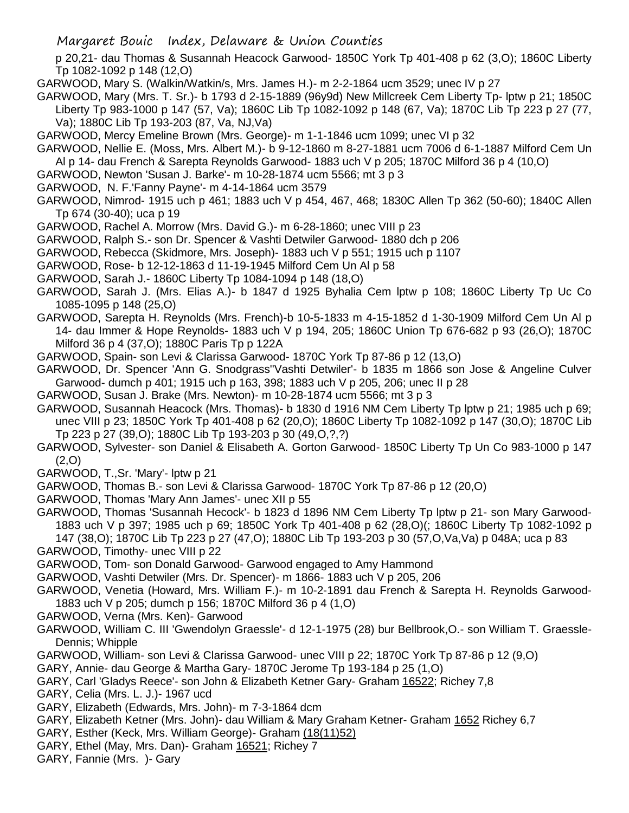Margaret Bouic Index, Delaware & Union Counties

- p 20,21- dau Thomas & Susannah Heacock Garwood- 1850C York Tp 401-408 p 62 (3,O); 1860C Liberty Tp 1082-1092 p 148 (12,O)
- GARWOOD, Mary S. (Walkin/Watkin/s, Mrs. James H.)- m 2-2-1864 ucm 3529; unec IV p 27
- GARWOOD, Mary (Mrs. T. Sr.)- b 1793 d 2-15-1889 (96y9d) New Millcreek Cem Liberty Tp- lptw p 21; 1850C Liberty Tp 983-1000 p 147 (57, Va); 1860C Lib Tp 1082-1092 p 148 (67, Va); 1870C Lib Tp 223 p 27 (77, Va); 1880C Lib Tp 193-203 (87, Va, NJ,Va)
- GARWOOD, Mercy Emeline Brown (Mrs. George)- m 1-1-1846 ucm 1099; unec VI p 32
- GARWOOD, Nellie E. (Moss, Mrs. Albert M.)- b 9-12-1860 m 8-27-1881 ucm 7006 d 6-1-1887 Milford Cem Un Al p 14- dau French & Sarepta Reynolds Garwood- 1883 uch V p 205; 1870C Milford 36 p 4 (10,O)
- GARWOOD, Newton 'Susan J. Barke'- m 10-28-1874 ucm 5566; mt 3 p 3
- GARWOOD, N. F.'Fanny Payne'- m 4-14-1864 ucm 3579
- GARWOOD, Nimrod- 1915 uch p 461; 1883 uch V p 454, 467, 468; 1830C Allen Tp 362 (50-60); 1840C Allen Tp 674 (30-40); uca p 19
- GARWOOD, Rachel A. Morrow (Mrs. David G.)- m 6-28-1860; unec VIII p 23
- GARWOOD, Ralph S.- son Dr. Spencer & Vashti Detwiler Garwood- 1880 dch p 206
- GARWOOD, Rebecca (Skidmore, Mrs. Joseph)- 1883 uch V p 551; 1915 uch p 1107
- GARWOOD, Rose- b 12-12-1863 d 11-19-1945 Milford Cem Un Al p 58
- GARWOOD, Sarah J.- 1860C Liberty Tp 1084-1094 p 148 (18,O)
- GARWOOD, Sarah J. (Mrs. Elias A.)- b 1847 d 1925 Byhalia Cem lptw p 108; 1860C Liberty Tp Uc Co 1085-1095 p 148 (25,O)
- GARWOOD, Sarepta H. Reynolds (Mrs. French)-b 10-5-1833 m 4-15-1852 d 1-30-1909 Milford Cem Un Al p 14- dau Immer & Hope Reynolds- 1883 uch V p 194, 205; 1860C Union Tp 676-682 p 93 (26,O); 1870C Milford 36 p 4 (37,O); 1880C Paris Tp p 122A
- GARWOOD, Spain- son Levi & Clarissa Garwood- 1870C York Tp 87-86 p 12 (13,O)
- GARWOOD, Dr. Spencer 'Ann G. Snodgrass''Vashti Detwiler'- b 1835 m 1866 son Jose & Angeline Culver Garwood- dumch p 401; 1915 uch p 163, 398; 1883 uch V p 205, 206; unec II p 28
- GARWOOD, Susan J. Brake (Mrs. Newton)- m 10-28-1874 ucm 5566; mt 3 p 3
- GARWOOD, Susannah Heacock (Mrs. Thomas)- b 1830 d 1916 NM Cem Liberty Tp lptw p 21; 1985 uch p 69; unec VIII p 23; 1850C York Tp 401-408 p 62 (20,O); 1860C Liberty Tp 1082-1092 p 147 (30,O); 1870C Lib Tp 223 p 27 (39,O); 1880C Lib Tp 193-203 p 30 (49,O,?,?)
- GARWOOD, Sylvester- son Daniel & Elisabeth A. Gorton Garwood- 1850C Liberty Tp Un Co 983-1000 p 147 (2,O)
- GARWOOD, T.,Sr. 'Mary'- lptw p 21
- GARWOOD, Thomas B.- son Levi & Clarissa Garwood- 1870C York Tp 87-86 p 12 (20,O)
- GARWOOD, Thomas 'Mary Ann James'- unec XII p 55
- GARWOOD, Thomas 'Susannah Hecock'- b 1823 d 1896 NM Cem Liberty Tp lptw p 21- son Mary Garwood-1883 uch V p 397; 1985 uch p 69; 1850C York Tp 401-408 p 62 (28,O)(; 1860C Liberty Tp 1082-1092 p 147 (38,O); 1870C Lib Tp 223 p 27 (47,O); 1880C Lib Tp 193-203 p 30 (57,O,Va,Va) p 048A; uca p 83
- GARWOOD, Timothy- unec VIII p 22
- GARWOOD, Tom- son Donald Garwood- Garwood engaged to Amy Hammond
- GARWOOD, Vashti Detwiler (Mrs. Dr. Spencer)- m 1866- 1883 uch V p 205, 206
- GARWOOD, Venetia (Howard, Mrs. William F.)- m 10-2-1891 dau French & Sarepta H. Reynolds Garwood-1883 uch V p 205; dumch p 156; 1870C Milford 36 p 4 (1,O)
- GARWOOD, Verna (Mrs. Ken)- Garwood
- GARWOOD, William C. III 'Gwendolyn Graessle'- d 12-1-1975 (28) bur Bellbrook,O.- son William T. Graessle-Dennis; Whipple
- GARWOOD, William- son Levi & Clarissa Garwood- unec VIII p 22; 1870C York Tp 87-86 p 12 (9,O)
- GARY, Annie- dau George & Martha Gary- 1870C Jerome Tp 193-184 p 25 (1,O)
- GARY, Carl 'Gladys Reece'- son John & Elizabeth Ketner Gary- Graham 16522; Richey 7,8
- GARY, Celia (Mrs. L. J.)- 1967 ucd
- GARY, Elizabeth (Edwards, Mrs. John)- m 7-3-1864 dcm
- GARY, Elizabeth Ketner (Mrs. John)- dau William & Mary Graham Ketner- Graham 1652 Richey 6,7
- GARY, Esther (Keck, Mrs. William George)- Graham (18(11)52)
- GARY, Ethel (May, Mrs. Dan)- Graham 16521; Richey 7
- GARY, Fannie (Mrs. )- Gary